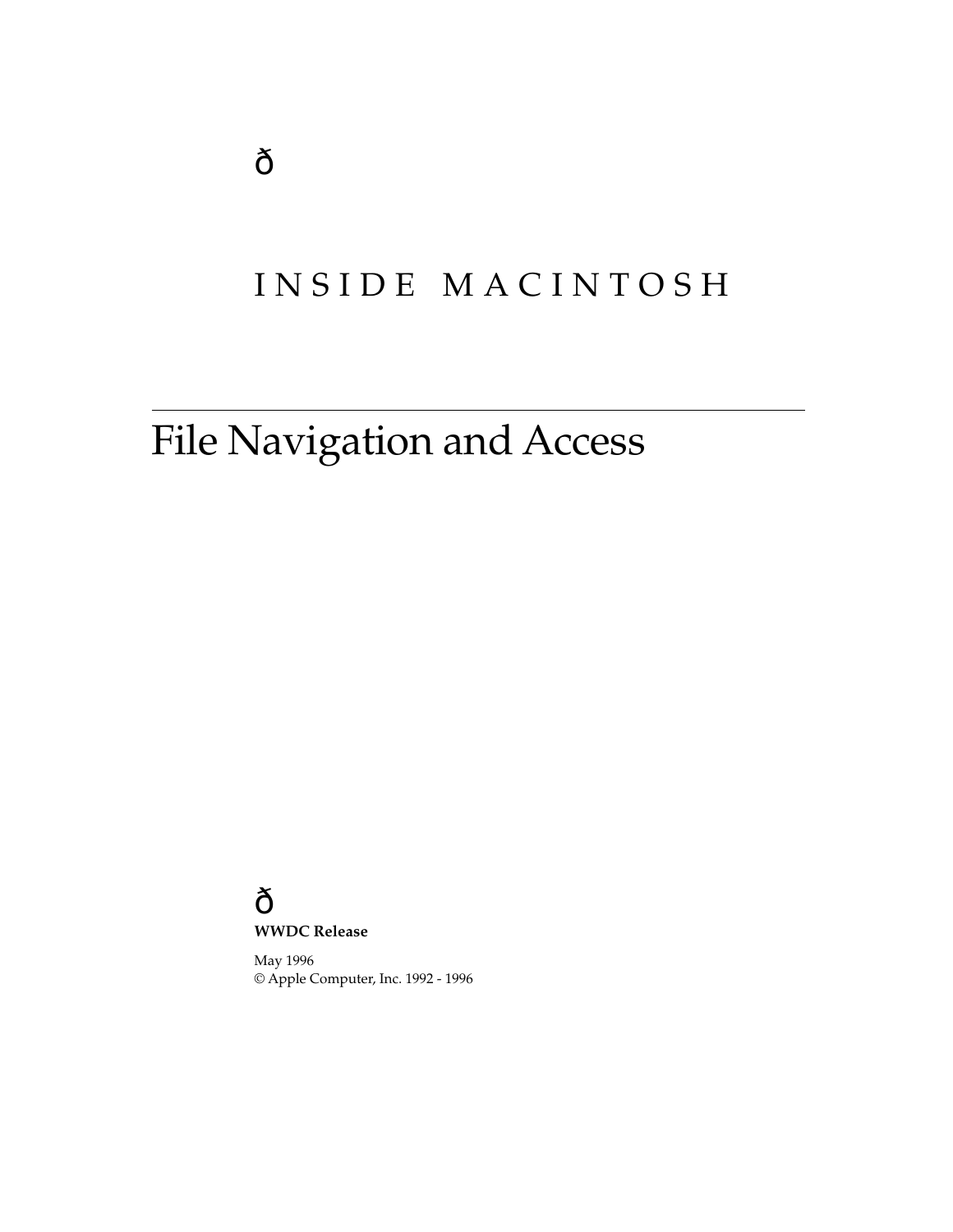# INSIDE MACINTOSH

# File Navigation and Access

### **WWDC Release**

May 1996 © Apple Computer, Inc. 1992 - 1996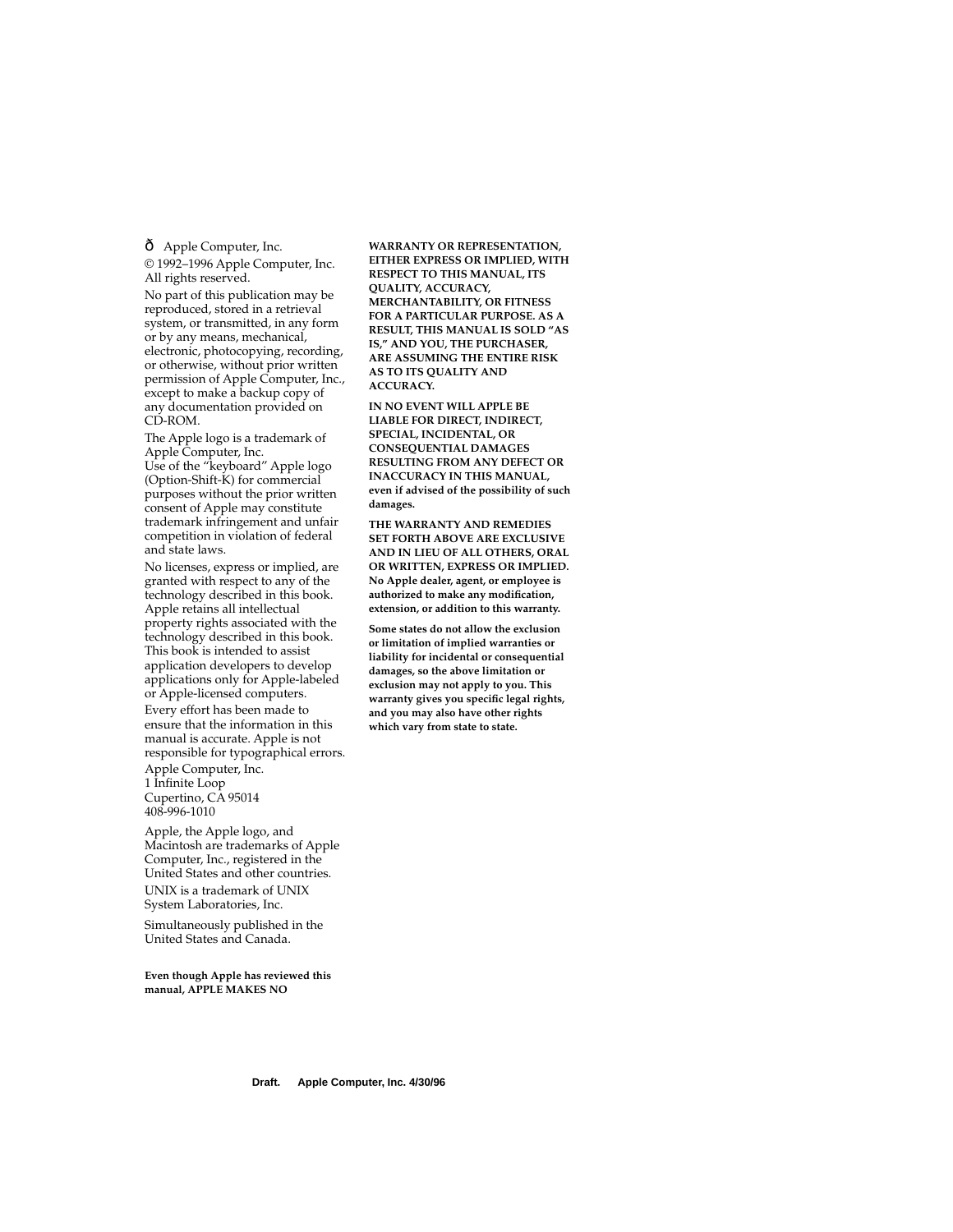Apple Computer, Inc.

© 1992–1996 Apple Computer, Inc. All rights reserved.

No part of this publication may be reproduced, stored in a retrieval system, or transmitted, in any form or by any means, mechanical, electronic, photocopying, recording, or otherwise, without prior written permission of Apple Computer, Inc., except to make a backup copy of any documentation provided on CD-ROM.

The Apple logo is a trademark of Apple Computer, Inc. Use of the "keyboard" Apple logo (Option-Shift-K) for commercial purposes without the prior written consent of Apple may constitute trademark infringement and unfair competition in violation of federal and state laws.

No licenses, express or implied, are granted with respect to any of the technology described in this book. Apple retains all intellectual property rights associated with the technology described in this book. This book is intended to assist application developers to develop applications only for Apple-labeled or Apple-licensed computers.

Every effort has been made to ensure that the information in this manual is accurate. Apple is not responsible for typographical errors. Apple Computer, Inc.

1 Infinite Loop Cupertino, CA 95014 408-996-1010

Apple, the Apple logo, and Macintosh are trademarks of Apple Computer, Inc., registered in the United States and other countries. UNIX is a trademark of UNIX System Laboratories, Inc.

Simultaneously published in the United States and Canada.

**Even though Apple has reviewed this manual, APPLE MAKES NO** 

**WARRANTY OR REPRESENTATION, EITHER EXPRESS OR IMPLIED, WITH RESPECT TO THIS MANUAL, ITS QUALITY, ACCURACY, MERCHANTABILITY, OR FITNESS FOR A PARTICULAR PURPOSE. AS A RESULT, THIS MANUAL IS SOLD "AS IS," AND YOU, THE PURCHASER, ARE ASSUMING THE ENTIRE RISK AS TO ITS QUALITY AND ACCURACY.**

**IN NO EVENT WILL APPLE BE LIABLE FOR DIRECT, INDIRECT, SPECIAL, INCIDENTAL, OR CONSEQUENTIAL DAMAGES RESULTING FROM ANY DEFECT OR INACCURACY IN THIS MANUAL, even if advised of the possibility of such damages.**

**THE WARRANTY AND REMEDIES SET FORTH ABOVE ARE EXCLUSIVE AND IN LIEU OF ALL OTHERS, ORAL OR WRITTEN, EXPRESS OR IMPLIED. No Apple dealer, agent, or employee is authorized to make any modification, extension, or addition to this warranty.**

**Some states do not allow the exclusion or limitation of implied warranties or liability for incidental or consequential damages, so the above limitation or exclusion may not apply to you. This warranty gives you specific legal rights, and you may also have other rights which vary from state to state.**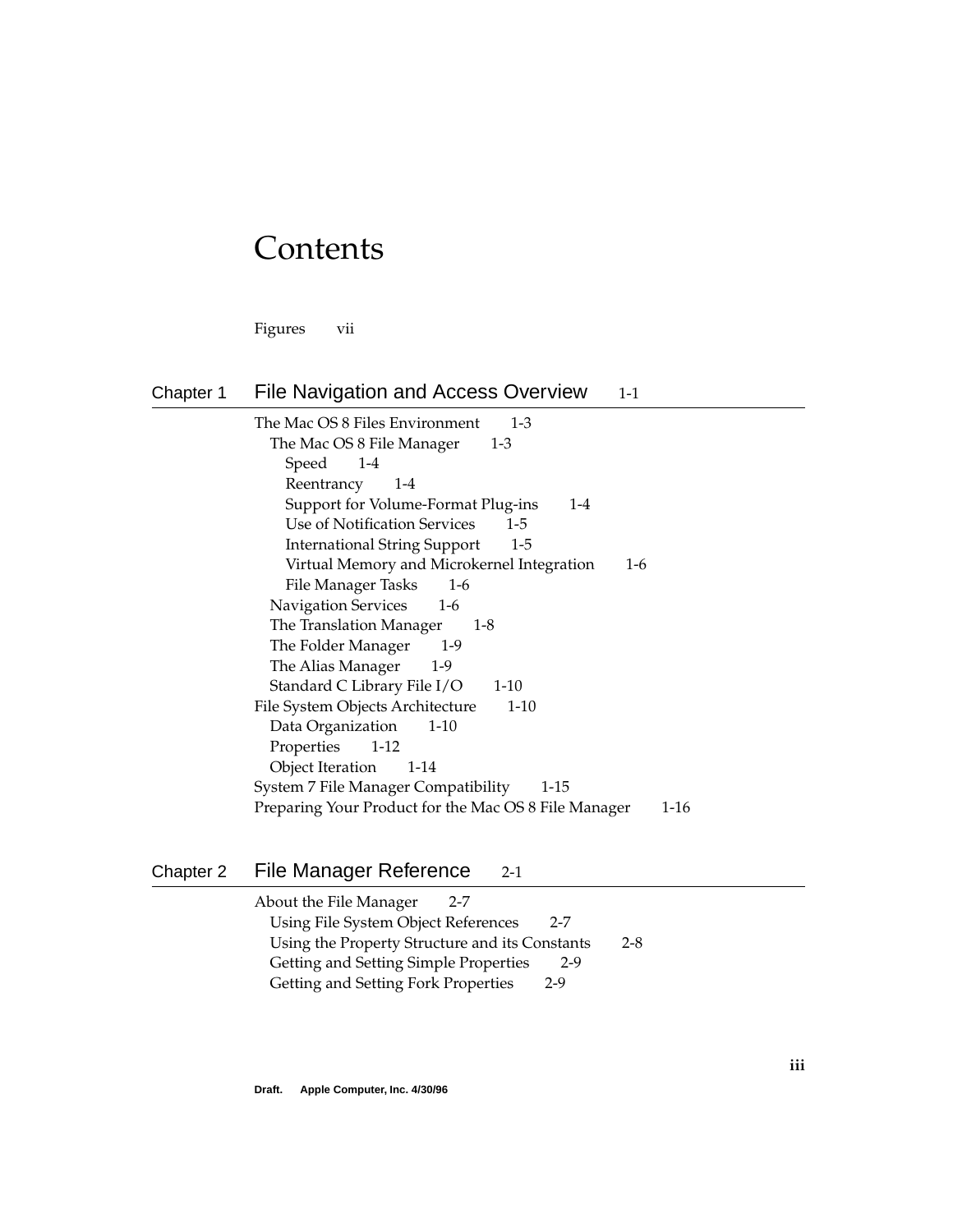# **Contents**

[Figures vii](#page-6-0)

### [Chapter 1](#page-8-0) File Navigation and Access Overview 1-1

[The Mac OS 8 Files Environment 1-3](#page-10-0) [The Mac OS 8 File Manager 1-3](#page-10-0) [Speed 1-4](#page-11-0) [Reentrancy 1-4](#page-11-0) [Support for Volume-Format Plug-ins 1-4](#page-11-0) [Use of Notification Services 1-5](#page-12-0) [International String Support 1-5](#page-12-0) [Virtual Memory and Microkernel Integration 1-6](#page-13-0) [File Manager Tasks 1-6](#page-13-0) [Navigation Services 1-6](#page-13-0) [The Translation Manager 1-8](#page-15-0) [The Folder Manager 1-9](#page-16-0) [The Alias Manager 1-9](#page-16-0) [Standard C Library File I/O 1-10](#page-17-0) [File System Objects Architecture 1-10](#page-17-0) [Data Organization 1-10](#page-17-0) [Properties 1-12](#page-19-0) [Object Iteration 1-14](#page-21-0) [System 7 File Manager Compatibility 1-15](#page-22-0) [Preparing Your Product for the Mac OS 8 File Manager 1-16](#page-23-0)

### [Chapter 2](#page-28-0) File Manager Reference 2-1

[About the File Manager 2-7](#page-34-0) [Using File System Object References 2-7](#page-34-0) [Using the Property Structure and its Constants 2-8](#page-35-0) [Getting and Setting Simple Properties 2-9](#page-36-0) [Getting and Setting Fork Properties 2-9](#page-36-0)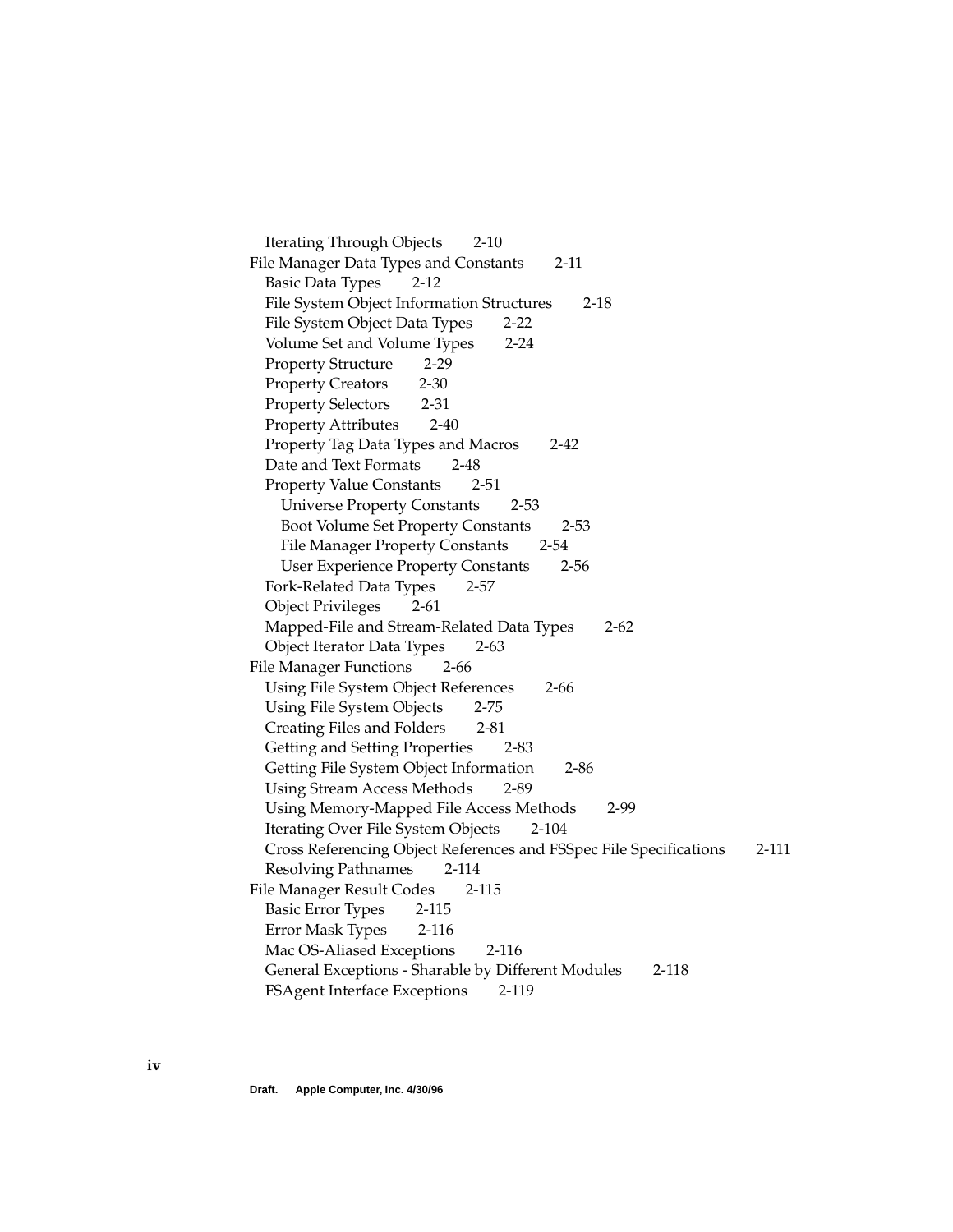[Iterating Through Objects 2-10](#page-37-0) [File Manager Data Types and Constants 2-11](#page-38-0) [Basic Data Types 2-12](#page-39-0) [File System Object Information Structures 2-18](#page-45-0) [File System Object Data Types 2-22](#page-49-0) [Volume Set and Volume Types 2-24](#page-51-0) [Property Structure 2-29](#page-56-0) [Property Creators 2-30](#page-57-0) [Property Selectors 2-31](#page-58-0) [Property Attributes 2-40](#page-67-0) [Property Tag Data Types and Macros 2-42](#page-69-0) [Date and Text Formats 2-48](#page-75-0) [Property Value Constants 2-51](#page-78-0) [Universe Property Constants 2-53](#page-80-0) [Boot Volume Set Property Constants 2-53](#page-80-0) [File Manager Property Constants 2-54](#page-81-0) [User Experience Property Constants 2-56](#page-83-0) [Fork-Related Data Types 2-57](#page-84-0) [Object Privileges 2-61](#page-88-0) [Mapped-File and Stream-Related Data Types 2-62](#page-89-0) [Object Iterator Data Types 2-63](#page-90-0) [File Manager Functions 2-66](#page-93-0) [Using File System Object References 2-66](#page-93-0) [Using File System Objects 2-75](#page-102-0) [Creating Files and Folders 2-81](#page-108-0) [Getting and Setting Properties 2-83](#page-110-0) [Getting File System Object Information 2-86](#page-113-0) [Using Stream Access Methods 2-89](#page-116-0) [Using Memory-Mapped File Access Methods 2-99](#page-126-0) [Iterating Over File System Objects 2-104](#page-131-0) [Cross Referencing Object References and FSSpec File Specifications 2-111](#page-138-0) [Resolving Pathnames 2-114](#page-141-0) [File Manager Result Codes 2-115](#page-142-0) [Basic Error Types 2-115](#page-142-0) [Error Mask Types 2-116](#page-143-0) [Mac OS-Aliased Exceptions 2-116](#page-143-0) [General Exceptions - Sharable by Different Modules 2-118](#page-145-0) [FSAgent Interface Exceptions 2-119](#page-146-0)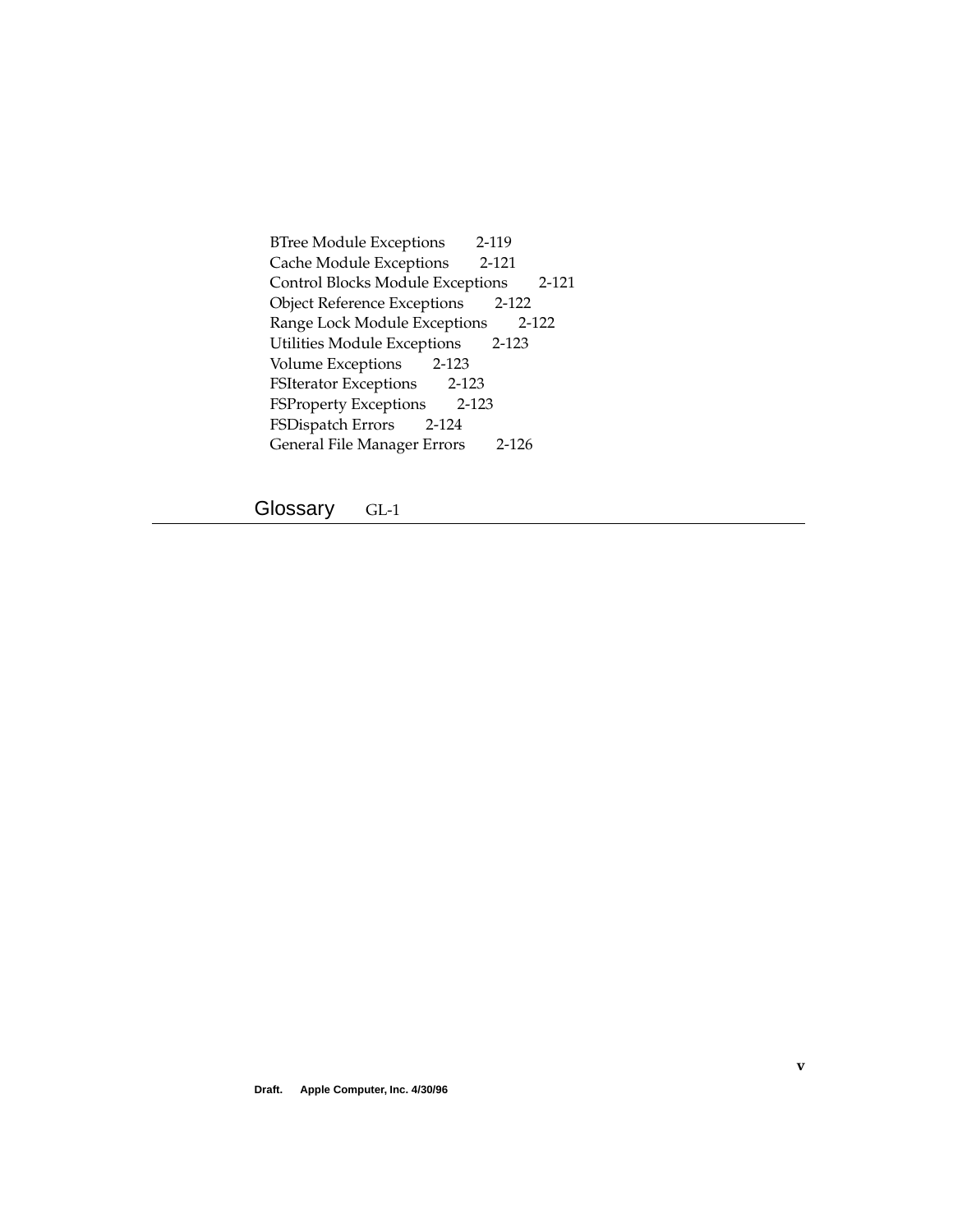[BTree Module Exceptions 2-119](#page-146-0) [Cache Module Exceptions 2-121](#page-148-0) [Control Blocks Module Exceptions 2-121](#page-148-0) [Object Reference Exceptions 2-122](#page-149-0) [Range Lock Module Exceptions 2-122](#page-149-0) [Utilities Module Exceptions 2-123](#page-150-0) [Volume Exceptions 2-123](#page-150-0) [FSIterator Exceptions 2-123](#page-150-0) [FSProperty Exceptions 2-123](#page-150-0) [FSDispatch Errors 2-124](#page-151-0) [General File Manager Errors 2-126](#page-153-0)

[Glossary](#page-154-0) GL-1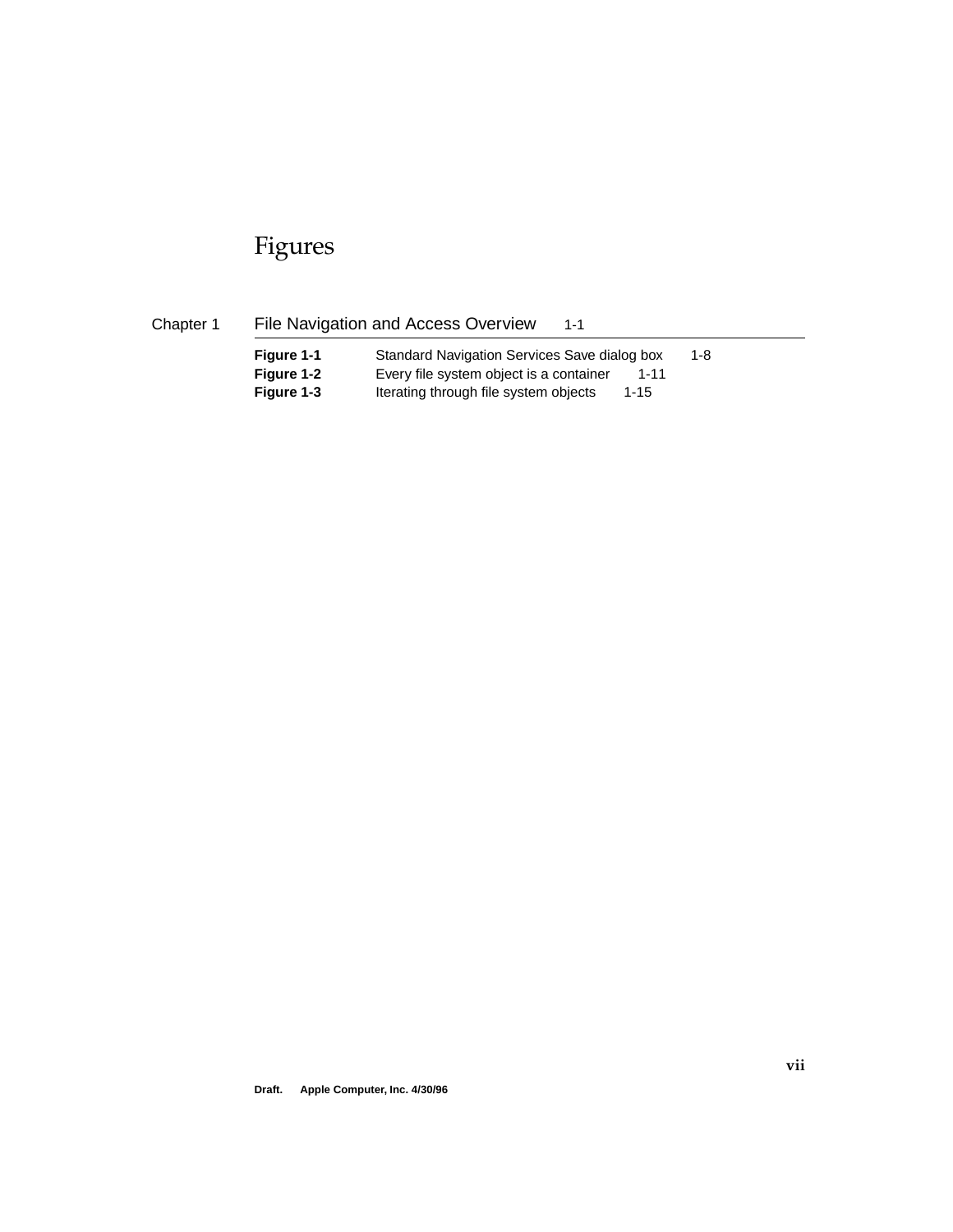# Figures

## <span id="page-6-0"></span>[Chapter 1](#page-8-0) File Navigation and Access Overview 1-1

| Figure 1-1 | Standard Navigation Services Save dialog box |          | 1-8 |
|------------|----------------------------------------------|----------|-----|
| Figure 1-2 | Every file system object is a container      | $1 - 11$ |     |
| Figure 1-3 | Iterating through file system objects        | $1 - 15$ |     |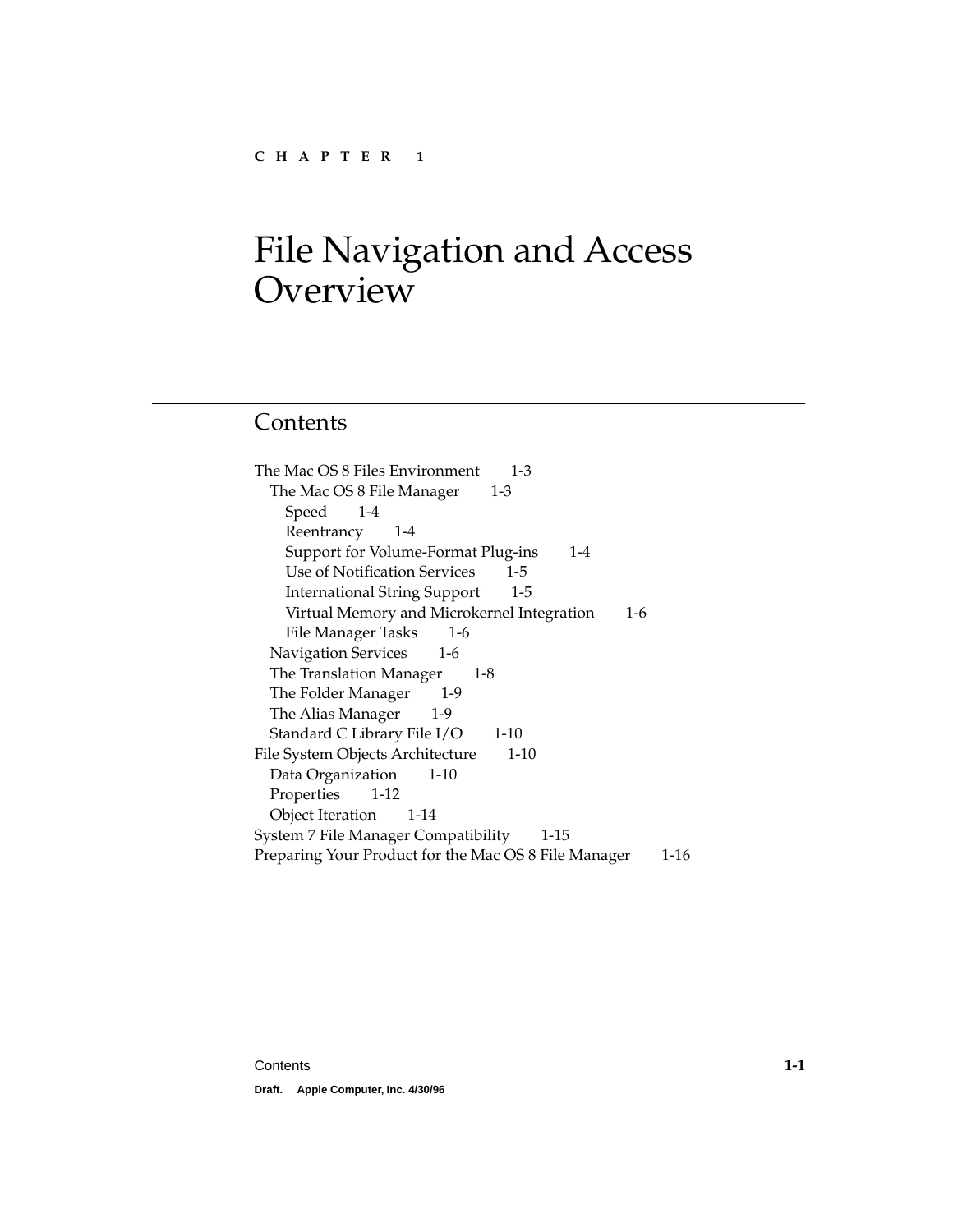# <span id="page-8-0"></span>File Navigation and Access **Overview**

### Contents

[The Mac OS 8 Files Environment 1-3](#page-10-0) [The Mac OS 8 File Manager 1-3](#page-10-0) [Speed 1-4](#page-11-0) [Reentrancy 1-4](#page-11-0) [Support for Volume-Format Plug-ins 1-4](#page-11-0) [Use of Notification Services 1-5](#page-12-0) [International String Support 1-5](#page-12-0) [Virtual Memory and Microkernel Integration 1-6](#page-13-0) [File Manager Tasks 1-6](#page-13-0) [Navigation Services 1-6](#page-13-0) [The Translation Manager 1-8](#page-15-0) [The Folder Manager 1-9](#page-16-0) [The Alias Manager 1-9](#page-16-0) [Standard C Library File I/O 1-10](#page-17-0) [File System Objects Architecture 1-10](#page-17-0) [Data Organization 1-10](#page-17-0) [Properties 1-12](#page-19-0) [Object Iteration 1-14](#page-21-0) [System 7 File Manager Compatibility 1-15](#page-22-0) [Preparing Your Product for the Mac OS 8 File Manager 1-16](#page-23-0)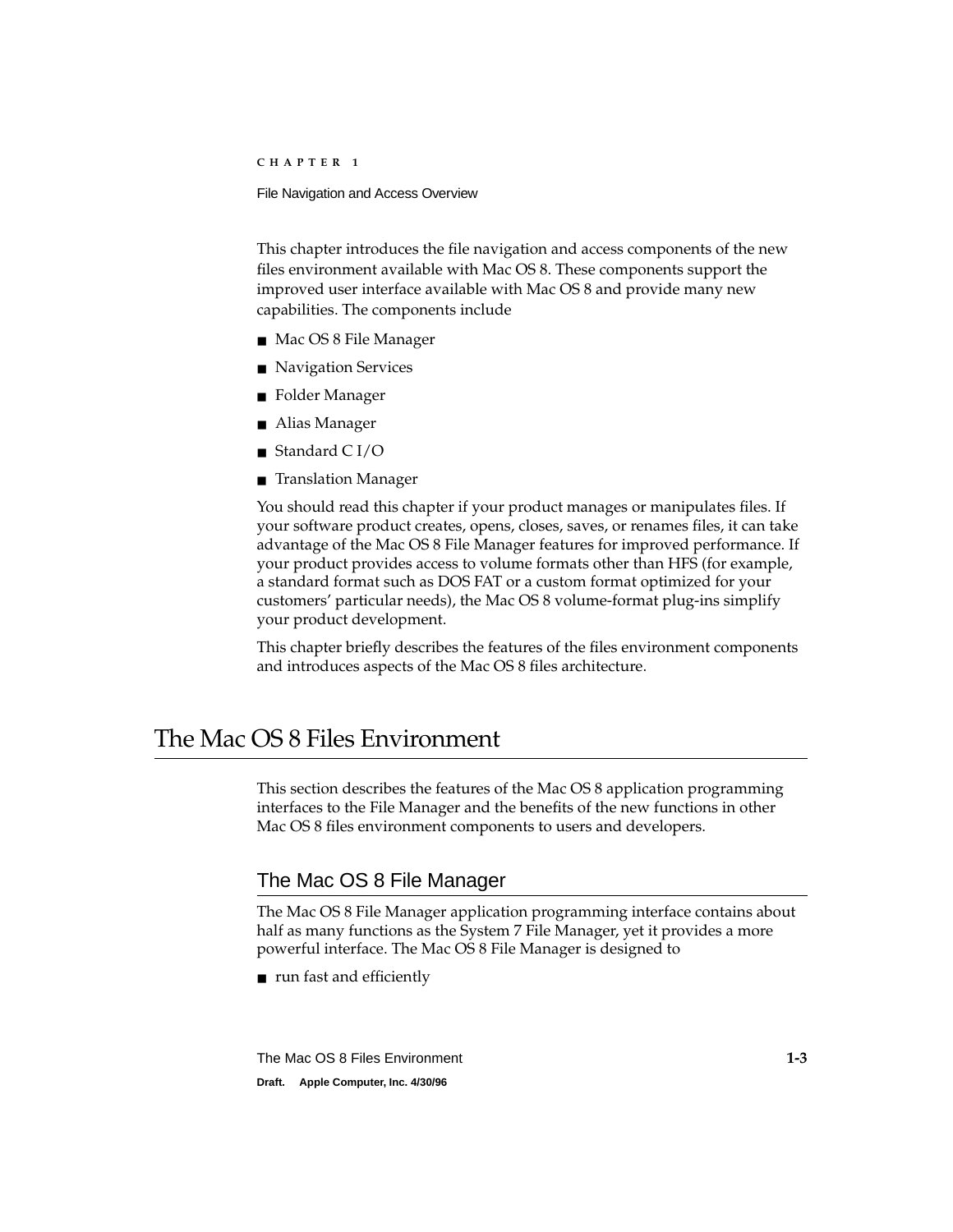#### <span id="page-10-0"></span>File Navigation and Access Overview 1

This chapter introduces the file navigation and access components of the new files environment available with Mac OS 8. These components support the improved user interface available with Mac OS 8 and provide many new capabilities. The components include

- Mac OS 8 File Manager
- Navigation Services
- Folder Manager
- Alias Manager
- Standard C I/O
- Translation Manager

You should read this chapter if your product manages or manipulates files. If your software product creates, opens, closes, saves, or renames files, it can take advantage of the Mac OS 8 File Manager features for improved performance. If your product provides access to volume formats other than HFS (for example, a standard format such as DOS FAT or a custom format optimized for your customers' particular needs), the Mac OS 8 volume-format plug-ins simplify your product development.

This chapter briefly describes the features of the files environment components and introduces aspects of the Mac OS 8 files architecture.

## The Mac OS 8 Files Environment

This section describes the features of the Mac OS 8 application programming interfaces to the File Manager and the benefits of the new functions in other Mac OS 8 files environment components to users and developers.

### The Mac OS 8 File Manager 1

The Mac OS 8 File Manager application programming interface contains about half as many functions as the System 7 File Manager, yet it provides a more powerful interface. The Mac OS 8 File Manager is designed to

■ run fast and efficiently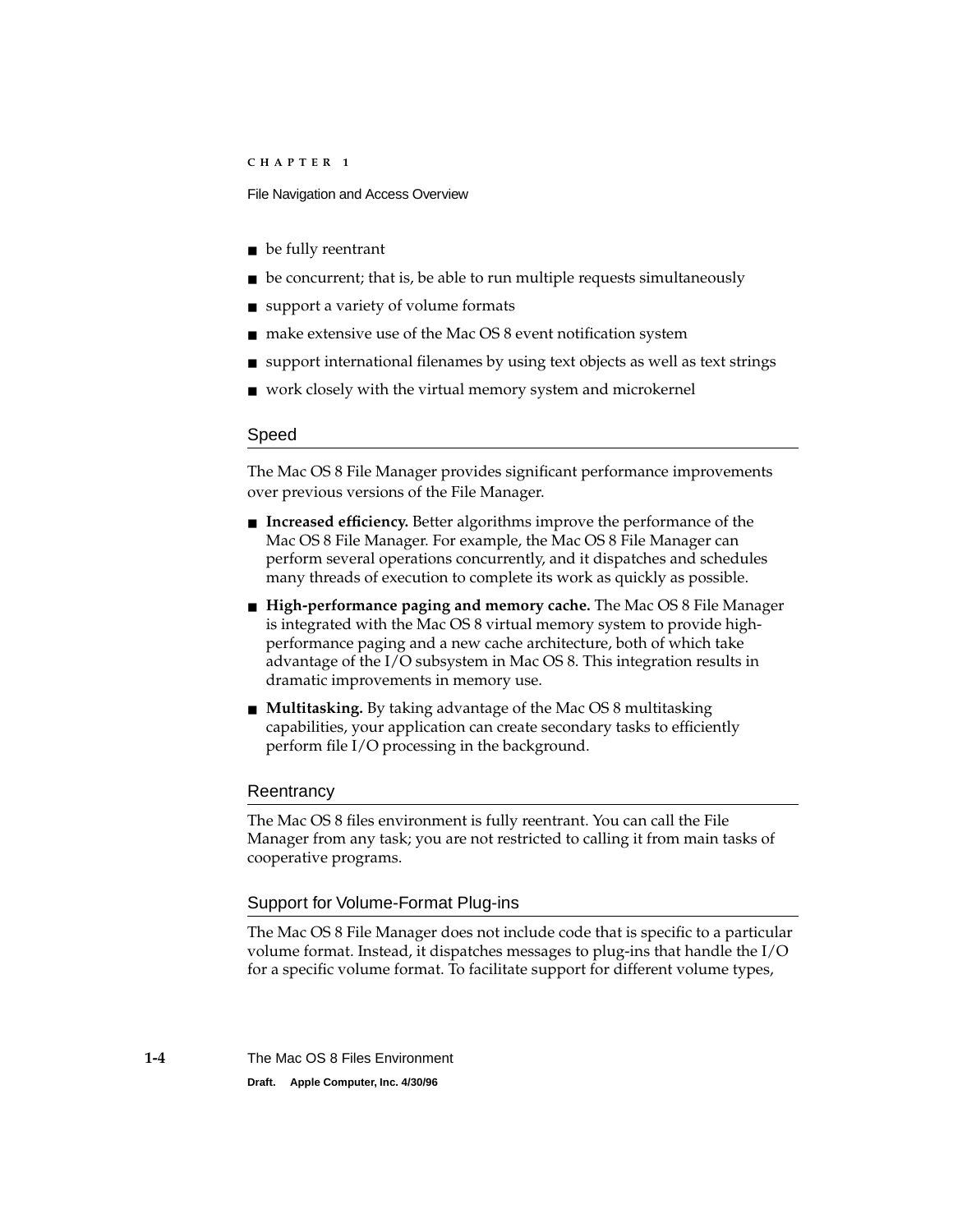<span id="page-11-0"></span>File Navigation and Access Overview

- be fully reentrant
- be concurrent; that is, be able to run multiple requests simultaneously
- support a variety of volume formats
- make extensive use of the Mac OS 8 event notification system
- support international filenames by using text objects as well as text strings
- work closely with the virtual memory system and microkernel

#### Speed and the state of the state of the state of the state of the state of the state of the state of the state of the state of the state of the state of the state of the state of the state of the state of the state of the

The Mac OS 8 File Manager provides significant performance improvements over previous versions of the File Manager.

- **Increased efficiency.** Better algorithms improve the performance of the Mac OS 8 File Manager. For example, the Mac OS 8 File Manager can perform several operations concurrently, and it dispatches and schedules many threads of execution to complete its work as quickly as possible.
- **High-performance paging and memory cache.** The Mac OS 8 File Manager is integrated with the Mac OS 8 virtual memory system to provide highperformance paging and a new cache architecture, both of which take advantage of the I/O subsystem in Mac OS 8. This integration results in dramatic improvements in memory use.
- **Multitasking.** By taking advantage of the Mac OS 8 multitasking capabilities, your application can create secondary tasks to efficiently perform file I/O processing in the background.

#### Reentrancy

The Mac OS 8 files environment is fully reentrant. You can call the File Manager from any task; you are not restricted to calling it from main tasks of cooperative programs.

### Support for Volume-Format Plug-ins 1

The Mac OS 8 File Manager does not include code that is specific to a particular volume format. Instead, it dispatches messages to plug-ins that handle the I/O for a specific volume format. To facilitate support for different volume types,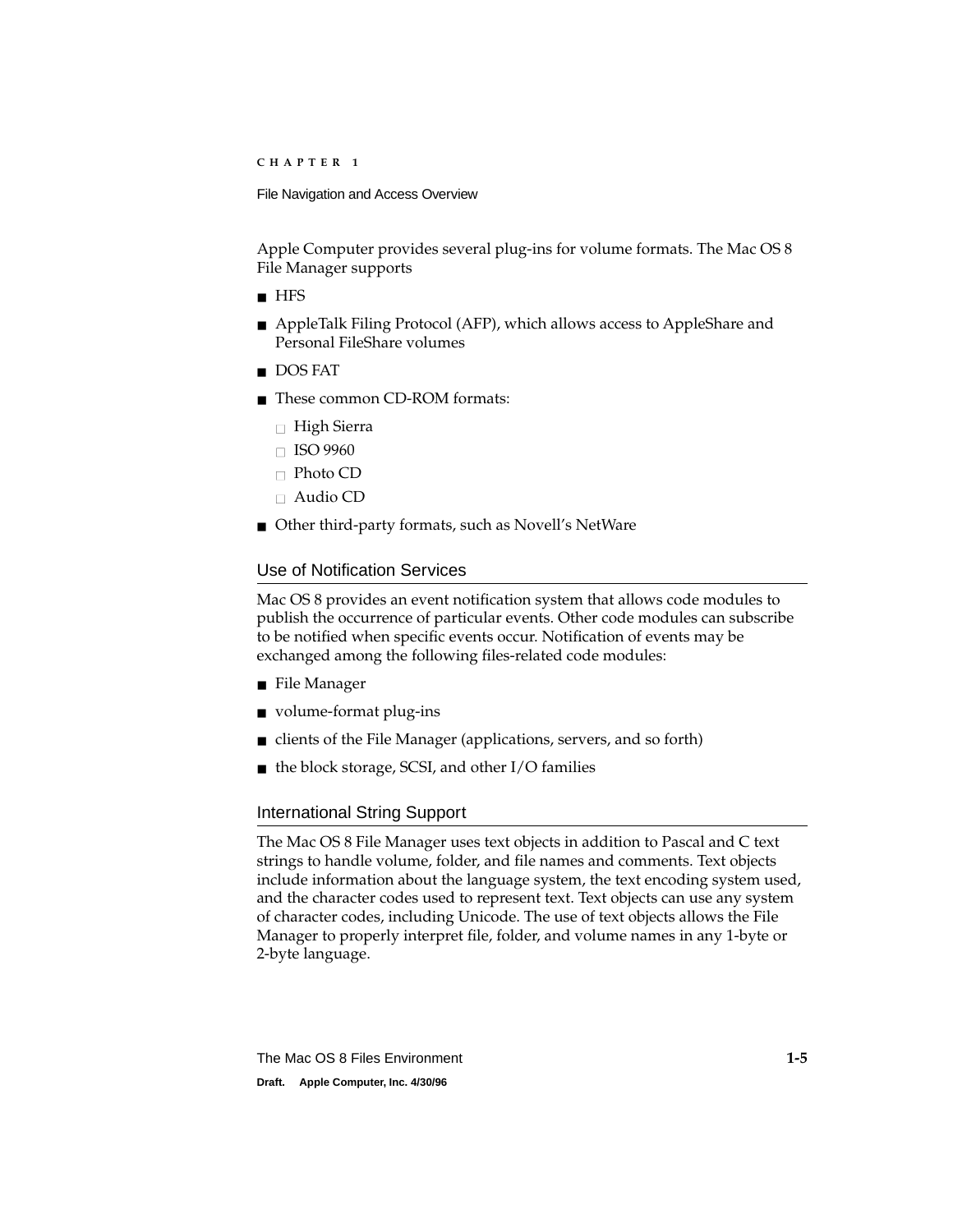<span id="page-12-0"></span>File Navigation and Access Overview

Apple Computer provides several plug-ins for volume formats. The Mac OS 8 File Manager supports

- HFS
- AppleTalk Filing Protocol (AFP), which allows access to AppleShare and Personal FileShare volumes
- DOS FAT
- These common CD-ROM formats:
	- <sup>n</sup> High Sierra
	- $\Box$  ISO 9960
	- <sup>n</sup> Photo CD
	- □ Audio CD
- Other third-party formats, such as Novell's NetWare

### Use of Notification Services

Mac OS 8 provides an event notification system that allows code modules to publish the occurrence of particular events. Other code modules can subscribe to be notified when specific events occur. Notification of events may be exchanged among the following files-related code modules:

- File Manager
- volume-format plug-ins
- clients of the File Manager (applications, servers, and so forth)
- the block storage, SCSI, and other I/O families

### International String Support

The Mac OS 8 File Manager uses text objects in addition to Pascal and C text strings to handle volume, folder, and file names and comments. Text objects include information about the language system, the text encoding system used, and the character codes used to represent text. Text objects can use any system of character codes, including Unicode. The use of text objects allows the File Manager to properly interpret file, folder, and volume names in any 1-byte or 2-byte language.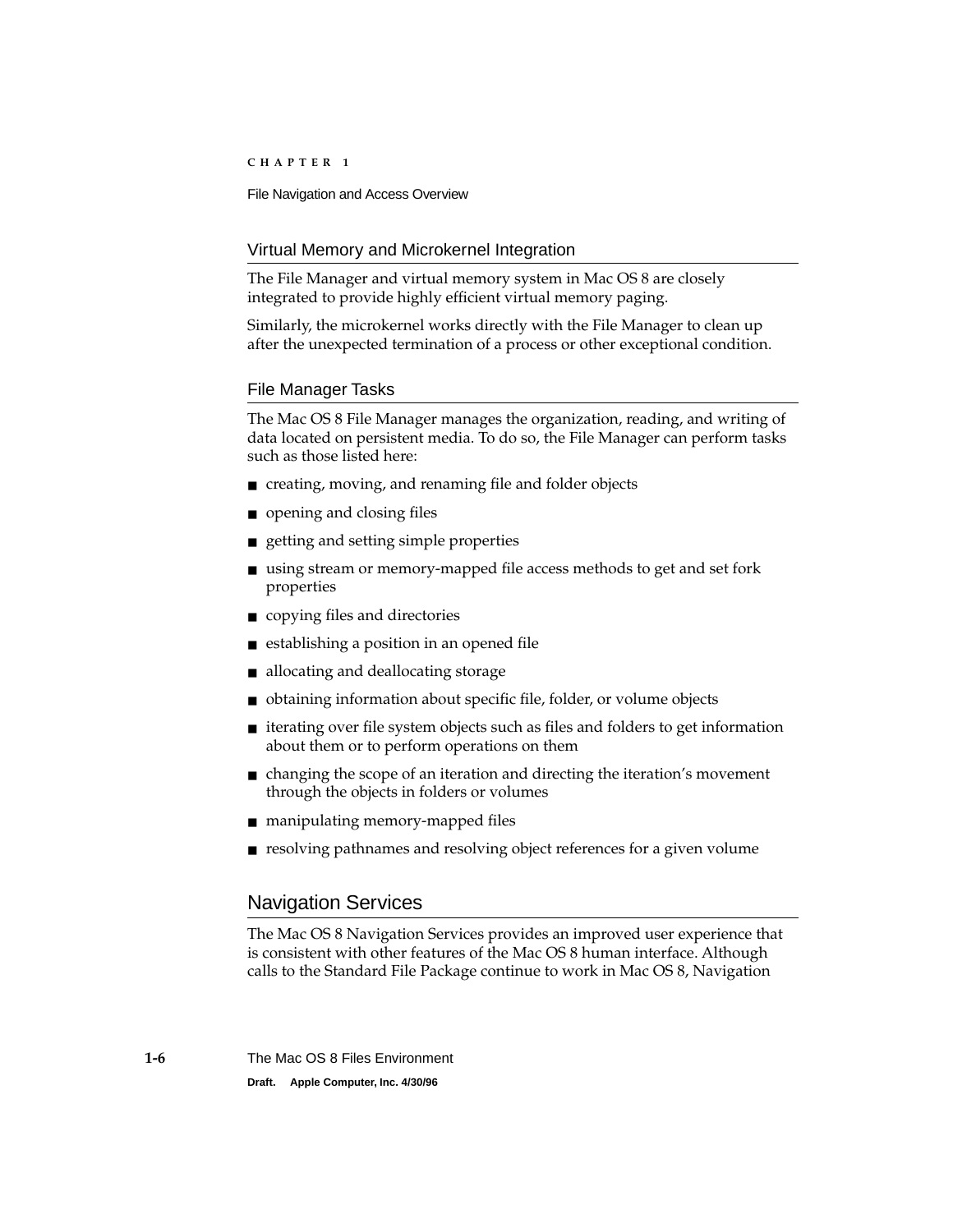<span id="page-13-0"></span>File Navigation and Access Overview

### Virtual Memory and Microkernel Integration 1

The File Manager and virtual memory system in Mac OS 8 are closely integrated to provide highly efficient virtual memory paging.

Similarly, the microkernel works directly with the File Manager to clean up after the unexpected termination of a process or other exceptional condition.

### File Manager Tasks 1

The Mac OS 8 File Manager manages the organization, reading, and writing of data located on persistent media. To do so, the File Manager can perform tasks such as those listed here:

- creating, moving, and renaming file and folder objects
- opening and closing files
- getting and setting simple properties
- using stream or memory-mapped file access methods to get and set fork properties
- copying files and directories
- establishing a position in an opened file
- allocating and deallocating storage
- obtaining information about specific file, folder, or volume objects
- iterating over file system objects such as files and folders to get information about them or to perform operations on them
- changing the scope of an iteration and directing the iteration's movement through the objects in folders or volumes
- manipulating memory-mapped files
- resolving pathnames and resolving object references for a given volume

### Navigation Services 1

The Mac OS 8 Navigation Services provides an improved user experience that is consistent with other features of the Mac OS 8 human interface. Although calls to the Standard File Package continue to work in Mac OS 8, Navigation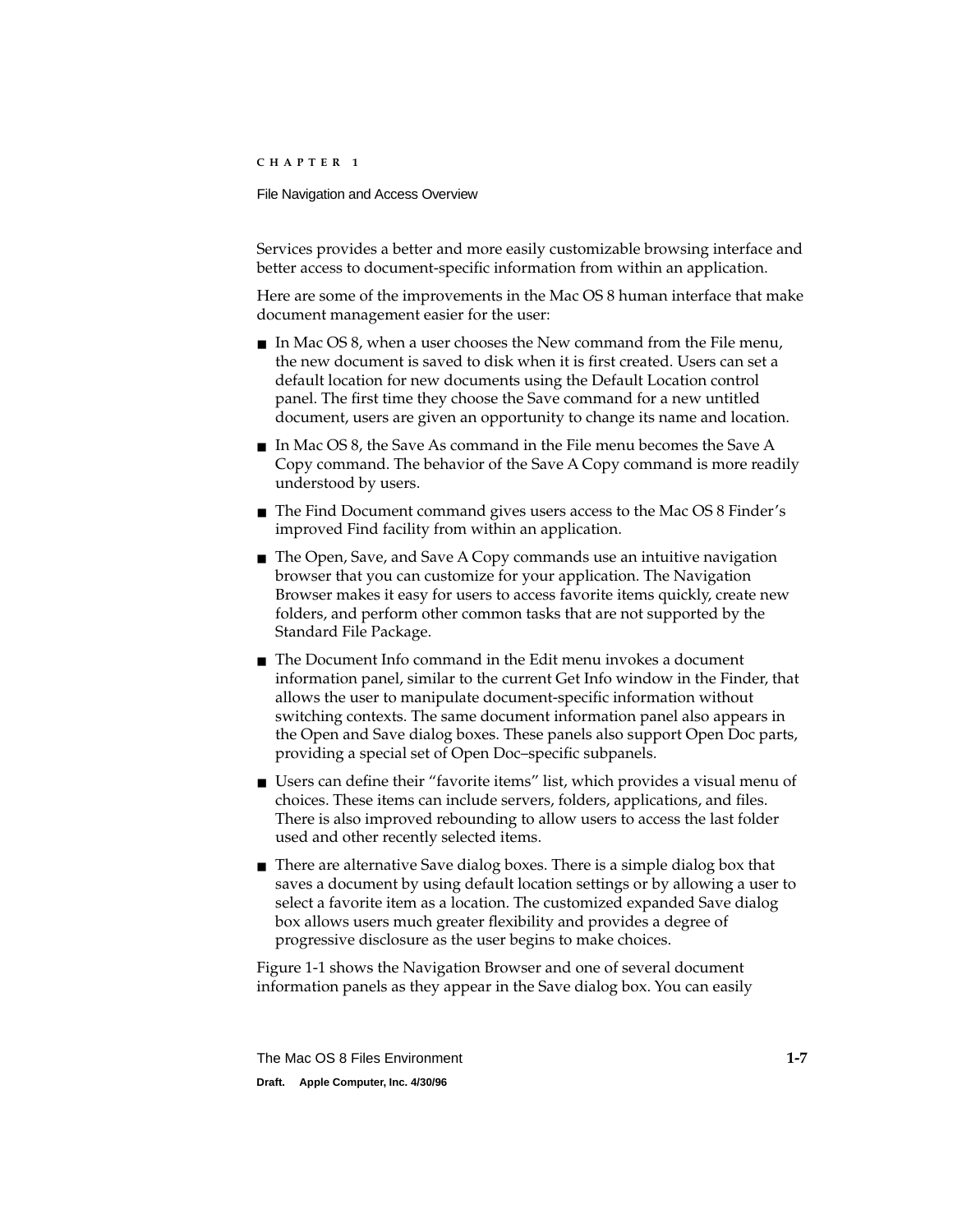File Navigation and Access Overview

Services provides a better and more easily customizable browsing interface and better access to document-specific information from within an application.

Here are some of the improvements in the Mac OS 8 human interface that make document management easier for the user:

- In Mac OS 8, when a user chooses the New command from the File menu, the new document is saved to disk when it is first created. Users can set a default location for new documents using the Default Location control panel. The first time they choose the Save command for a new untitled document, users are given an opportunity to change its name and location.
- In Mac OS 8, the Save As command in the File menu becomes the Save A Copy command. The behavior of the Save A Copy command is more readily understood by users.
- The Find Document command gives users access to the Mac OS 8 Finder's improved Find facility from within an application.
- The Open, Save, and Save A Copy commands use an intuitive navigation browser that you can customize for your application. The Navigation Browser makes it easy for users to access favorite items quickly, create new folders, and perform other common tasks that are not supported by the Standard File Package.
- The Document Info command in the Edit menu invokes a document information panel, similar to the current Get Info window in the Finder, that allows the user to manipulate document-specific information without switching contexts. The same document information panel also appears in the Open and Save dialog boxes. These panels also support Open Doc parts, providing a special set of Open Doc–specific subpanels.
- Users can define their "favorite items" list, which provides a visual menu of choices. These items can include servers, folders, applications, and files. There is also improved rebounding to allow users to access the last folder used and other recently selected items.
- There are alternative Save dialog boxes. There is a simple dialog box that saves a document by using default location settings or by allowing a user to select a favorite item as a location. The customized expanded Save dialog box allows users much greater flexibility and provides a degree of progressive disclosure as the user begins to make choices.

[Figure 1-1](#page-15-0) shows the Navigation Browser and one of several document information panels as they appear in the Save dialog box. You can easily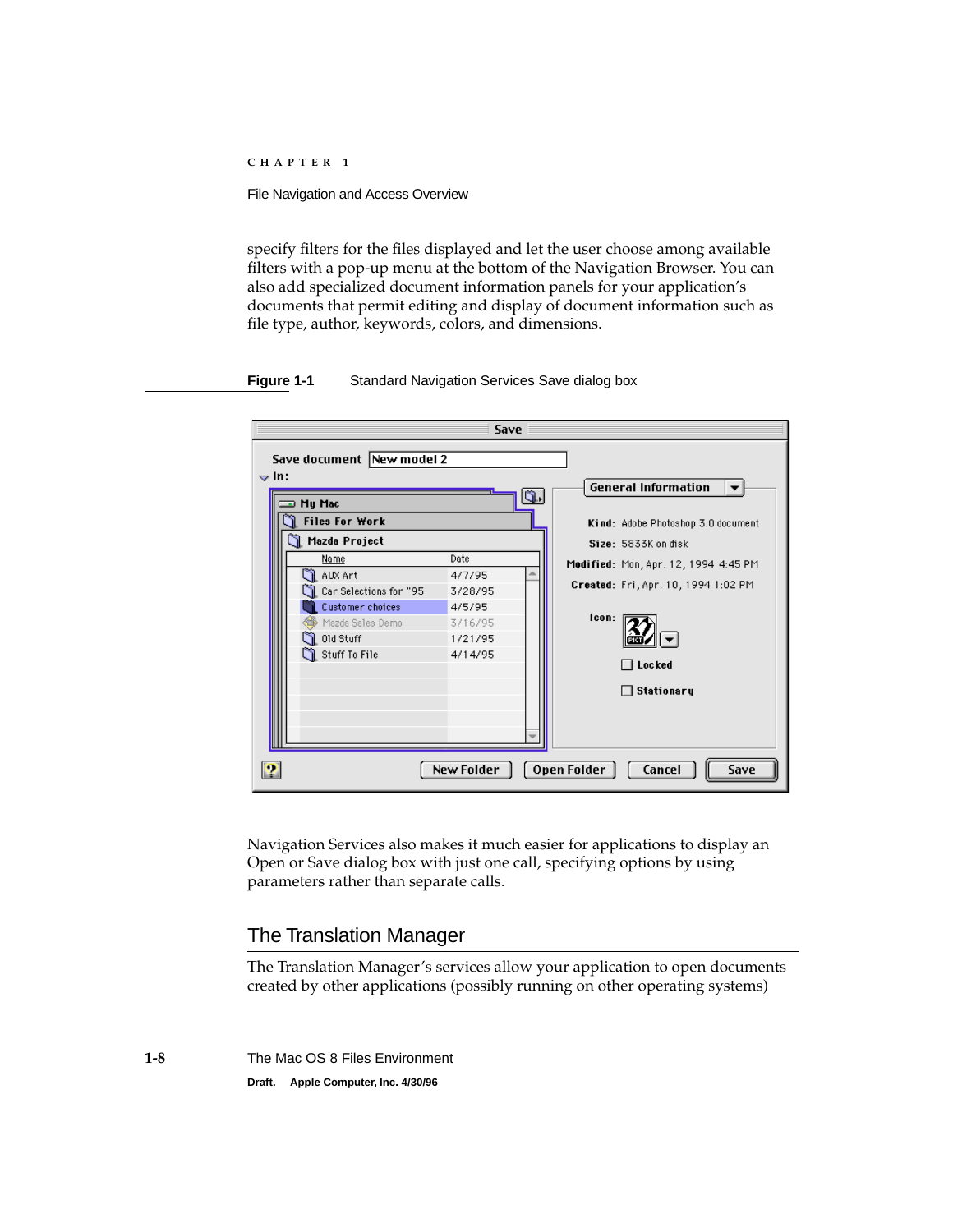#### <span id="page-15-0"></span>File Navigation and Access Overview

specify filters for the files displayed and let the user choose among available filters with a pop-up menu at the bottom of the Navigation Browser. You can also add specialized document information panels for your application's documents that permit editing and display of document information such as file type, author, keywords, colors, and dimensions.

#### **Figure 1-1** Standard Navigation Services Save dialog box



Navigation Services also makes it much easier for applications to display an Open or Save dialog box with just one call, specifying options by using parameters rather than separate calls.

### The Translation Manager 1

The Translation Manager's services allow your application to open documents created by other applications (possibly running on other operating systems)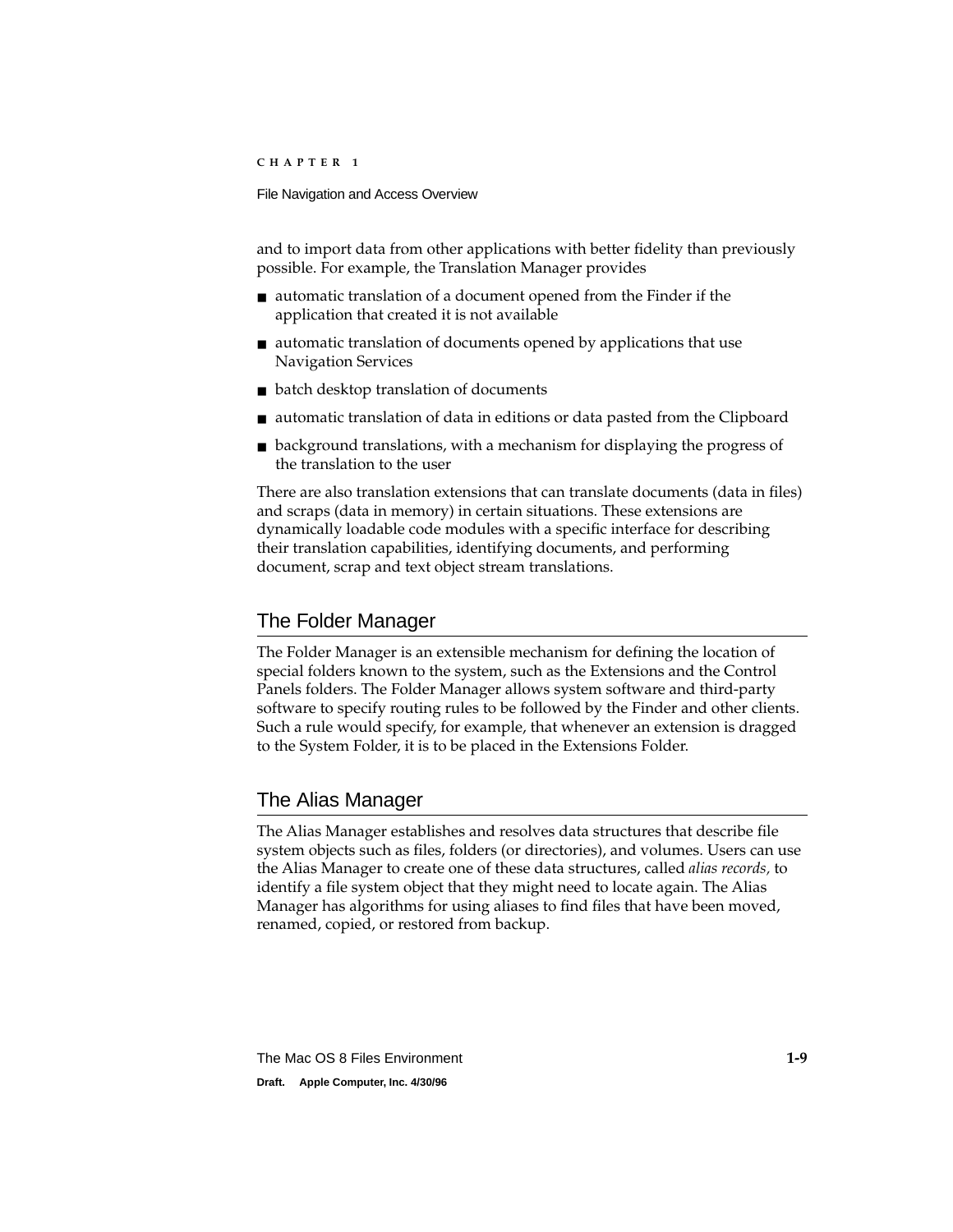<span id="page-16-0"></span>File Navigation and Access Overview

and to import data from other applications with better fidelity than previously possible. For example, the Translation Manager provides

- automatic translation of a document opened from the Finder if the application that created it is not available
- automatic translation of documents opened by applications that use Navigation Services
- batch desktop translation of documents
- automatic translation of data in editions or data pasted from the Clipboard
- background translations, with a mechanism for displaying the progress of the translation to the user

There are also translation extensions that can translate documents (data in files) and scraps (data in memory) in certain situations. These extensions are dynamically loadable code modules with a specific interface for describing their translation capabilities, identifying documents, and performing document, scrap and text object stream translations.

### The Folder Manager 1

The Folder Manager is an extensible mechanism for defining the location of special folders known to the system, such as the Extensions and the Control Panels folders. The Folder Manager allows system software and third-party software to specify routing rules to be followed by the Finder and other clients. Such a rule would specify, for example, that whenever an extension is dragged to the System Folder, it is to be placed in the Extensions Folder.

### The Alias Manager 1

The Alias Manager establishes and resolves data structures that describe file system objects such as files, folders (or directories), and volumes. Users can use the Alias Manager to create one of these data structures, called *alias records,* to identify a file system object that they might need to locate again. The Alias Manager has algorithms for using aliases to find files that have been moved, renamed, copied, or restored from backup.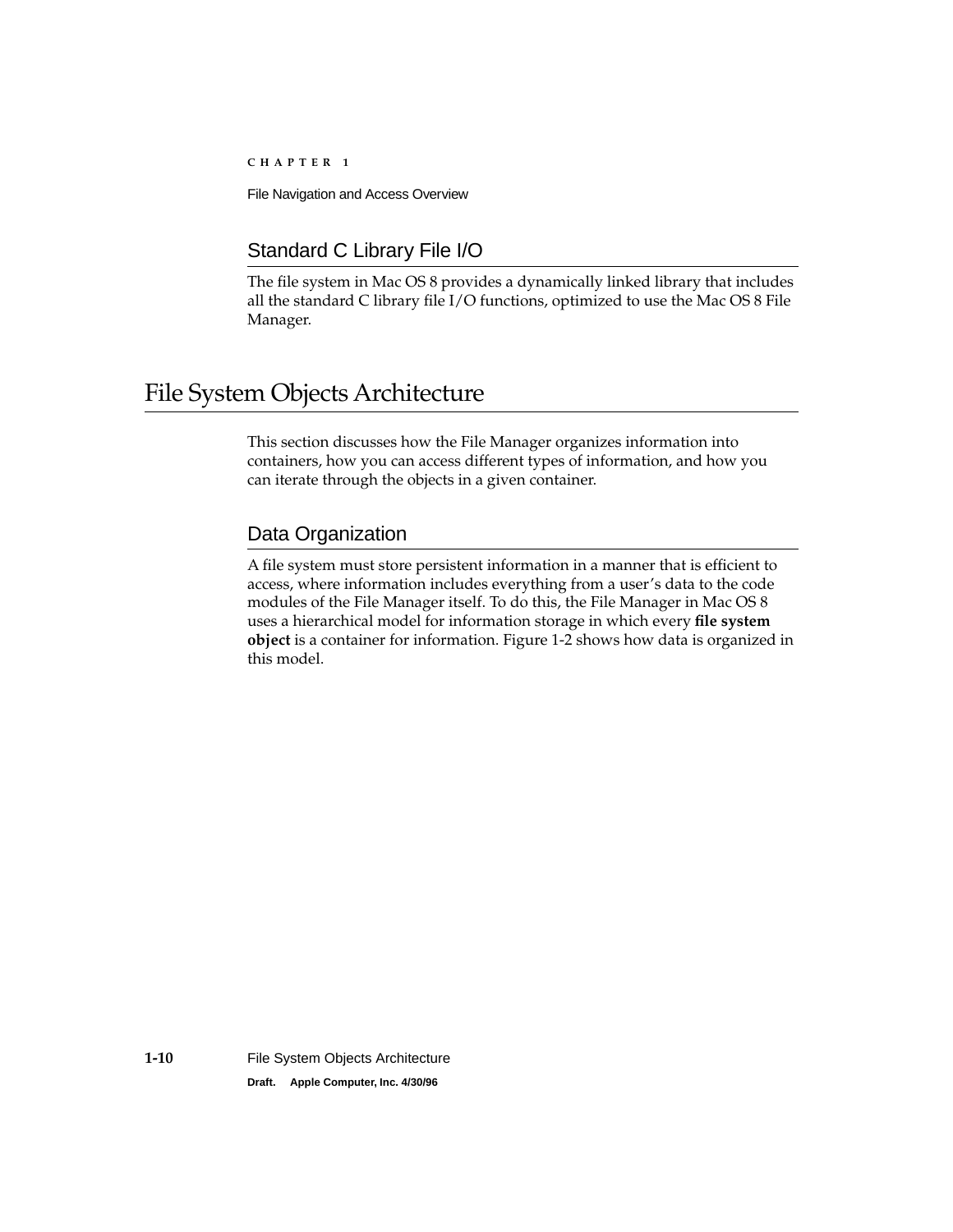<span id="page-17-0"></span>File Navigation and Access Overview

### Standard C Library File I/O

The file system in Mac OS 8 provides a dynamically linked library that includes all the standard C library file I/O functions, optimized to use the Mac OS 8 File Manager.

## File System Objects Architecture 1

This section discusses how the File Manager organizes information into containers, how you can access different types of information, and how you can iterate through the objects in a given container.

### Data Organization

A file system must store persistent information in a manner that is efficient to access, where information includes everything from a user's data to the code modules of the File Manager itself. To do this, the File Manager in Mac OS 8 uses a hierarchical model for information storage in which every **file system object** is a container for information. [Figure 1-2](#page-18-0) shows how data is organized in this model.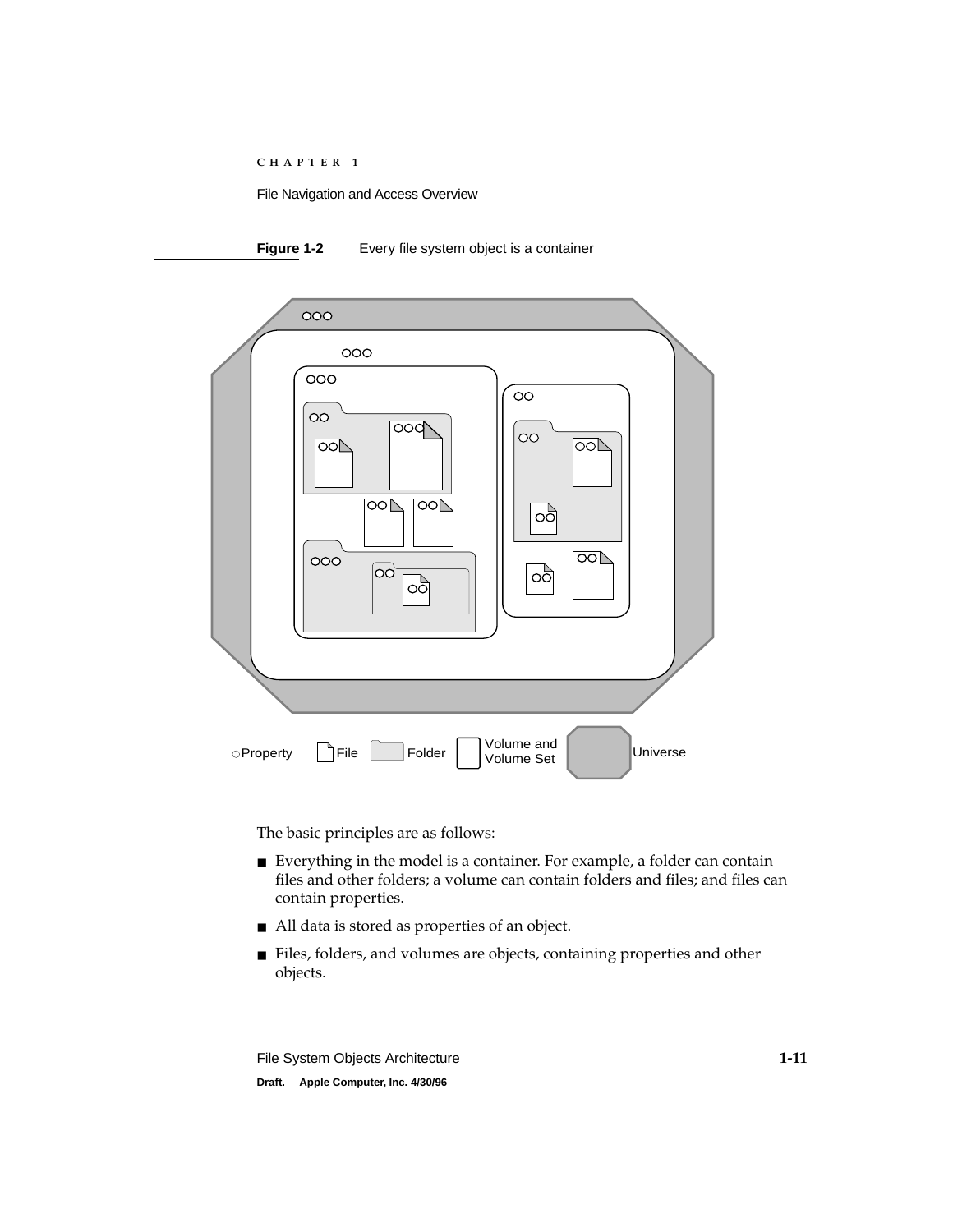File Navigation and Access Overview



#### **Figure 1-2** Every file system object is a container

<span id="page-18-0"></span>

The basic principles are as follows:

- Everything in the model is a container. For example, a folder can contain files and other folders; a volume can contain folders and files; and files can contain properties.
- All data is stored as properties of an object.
- Files, folders, and volumes are objects, containing properties and other objects.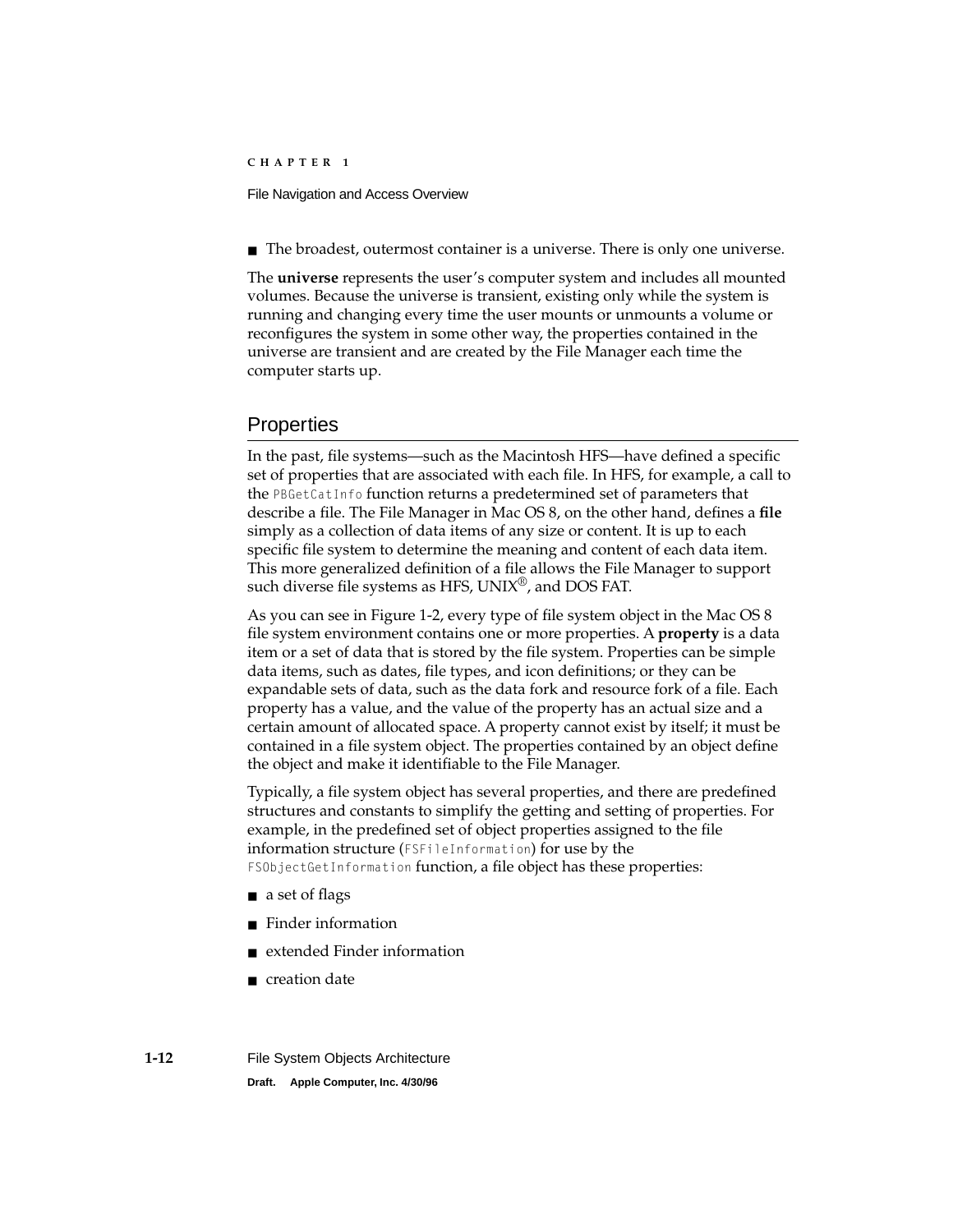#### <span id="page-19-0"></span>File Navigation and Access Overview

■ The broadest, outermost container is a universe. There is only one universe.

The **universe** represents the user's computer system and includes all mounted volumes. Because the universe is transient, existing only while the system is running and changing every time the user mounts or unmounts a volume or reconfigures the system in some other way, the properties contained in the universe are transient and are created by the File Manager each time the computer starts up.

### Properties

In the past, file systems—such as the Macintosh HFS—have defined a specific set of properties that are associated with each file. In HFS, for example, a call to the PBGetCatInfo function returns a predetermined set of parameters that describe a file. The File Manager in Mac OS 8, on the other hand, defines a **file** simply as a collection of data items of any size or content. It is up to each specific file system to determine the meaning and content of each data item. This more generalized definition of a file allows the File Manager to support such diverse file systems as HFS,  $UNIX^{\otimes}$ , and DOS FAT.

As you can see in [Figure 1-2,](#page-18-0) every type of file system object in the Mac OS 8 file system environment contains one or more properties. A **property** is a data item or a set of data that is stored by the file system. Properties can be simple data items, such as dates, file types, and icon definitions; or they can be expandable sets of data, such as the data fork and resource fork of a file. Each property has a value, and the value of the property has an actual size and a certain amount of allocated space. A property cannot exist by itself; it must be contained in a file system object. The properties contained by an object define the object and make it identifiable to the File Manager.

Typically, a file system object has several properties, and there are predefined structures and constants to simplify the getting and setting of properties. For example, in the predefined set of object properties assigned to the file information structure (FSFileInformation) for use by the FSObjectGetInformation function, a file object has these properties:

- a set of flags
- Finder information
- extended Finder information
- creation date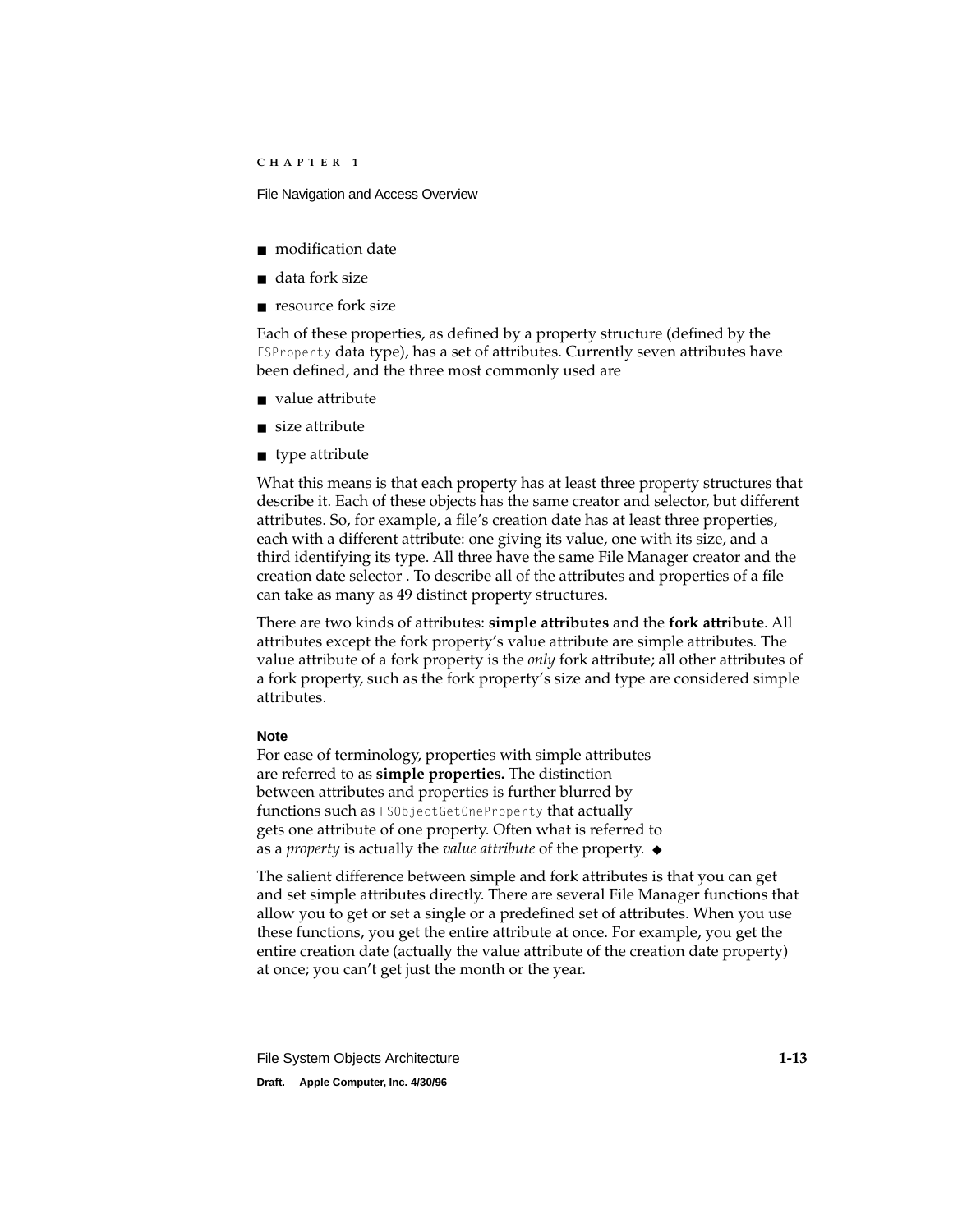File Navigation and Access Overview

- modification date
- data fork size
- resource fork size

Each of these properties, as defined by a property structure (defined by the FSProperty data type), has a set of attributes. Currently seven attributes have been defined, and the three most commonly used are

- value attribute
- size attribute
- type attribute

What this means is that each property has at least three property structures that describe it. Each of these objects has the same creator and selector, but different attributes. So, for example, a file's creation date has at least three properties, each with a different attribute: one giving its value, one with its size, and a third identifying its type. All three have the same File Manager creator and the creation date selector . To describe all of the attributes and properties of a file can take as many as 49 distinct property structures.

There are two kinds of attributes: **simple attributes** and the **fork attribute**. All attributes except the fork property's value attribute are simple attributes. The value attribute of a fork property is the *only* fork attribute; all other attributes of a fork property, such as the fork property's size and type are considered simple attributes.

#### **Note**

For ease of terminology, properties with simple attributes are referred to as **simple properties.** The distinction between attributes and properties is further blurred by functions such as FSObjectGetOneProperty that actually gets one attribute of one property. Often what is referred to as a *property* is actually the *value attribute* of the property. ◆

The salient difference between simple and fork attributes is that you can get and set simple attributes directly. There are several File Manager functions that allow you to get or set a single or a predefined set of attributes. When you use these functions, you get the entire attribute at once. For example, you get the entire creation date (actually the value attribute of the creation date property) at once; you can't get just the month or the year.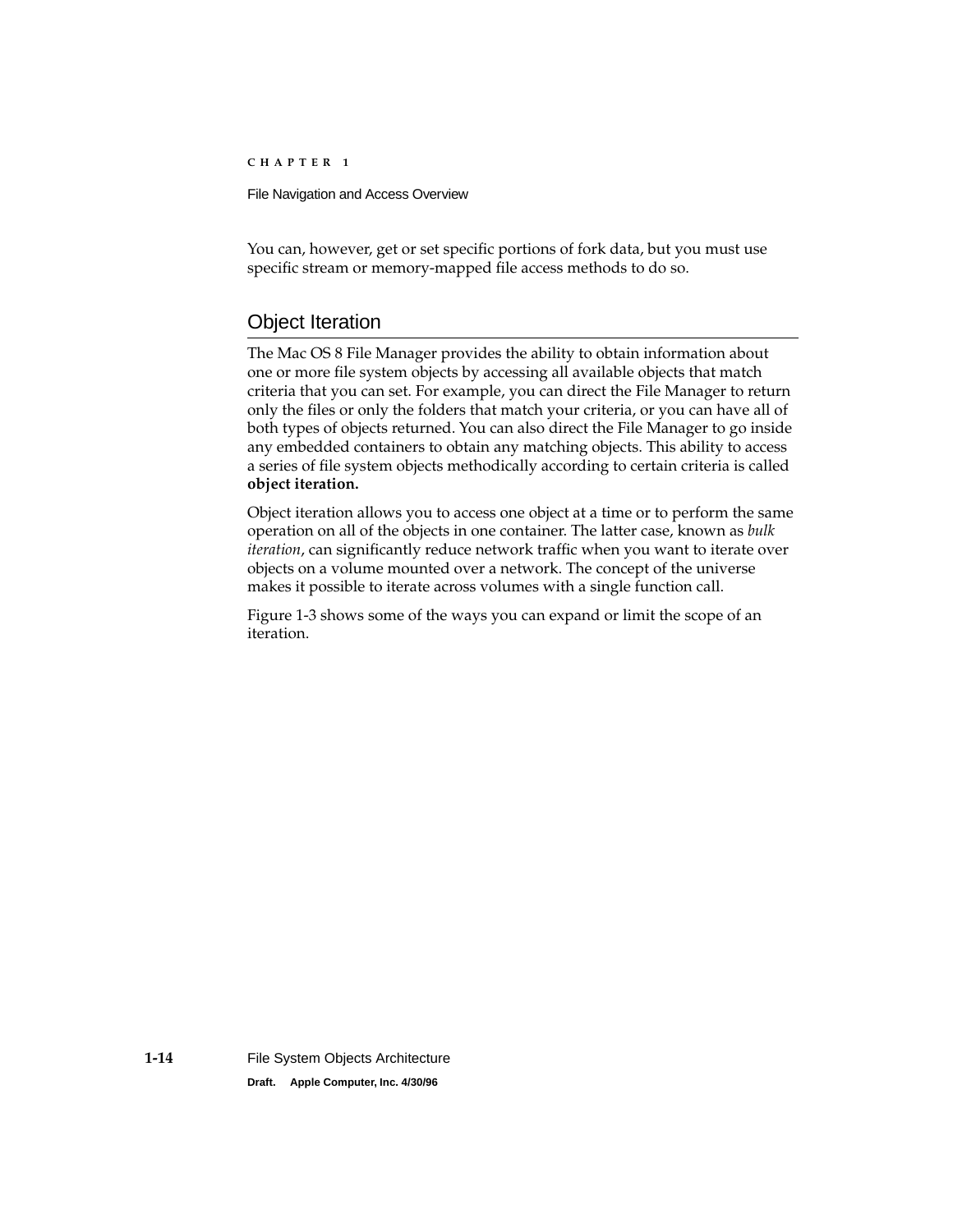<span id="page-21-0"></span>File Navigation and Access Overview

You can, however, get or set specific portions of fork data, but you must use specific stream or memory-mapped file access methods to do so.

### Object Iteration

The Mac OS 8 File Manager provides the ability to obtain information about one or more file system objects by accessing all available objects that match criteria that you can set. For example, you can direct the File Manager to return only the files or only the folders that match your criteria, or you can have all of both types of objects returned. You can also direct the File Manager to go inside any embedded containers to obtain any matching objects. This ability to access a series of file system objects methodically according to certain criteria is called **object iteration.**

Object iteration allows you to access one object at a time or to perform the same operation on all of the objects in one container. The latter case, known as *bulk iteration*, can significantly reduce network traffic when you want to iterate over objects on a volume mounted over a network. The concept of the universe makes it possible to iterate across volumes with a single function call.

[Figure 1-3](#page-22-0) shows some of the ways you can expand or limit the scope of an iteration.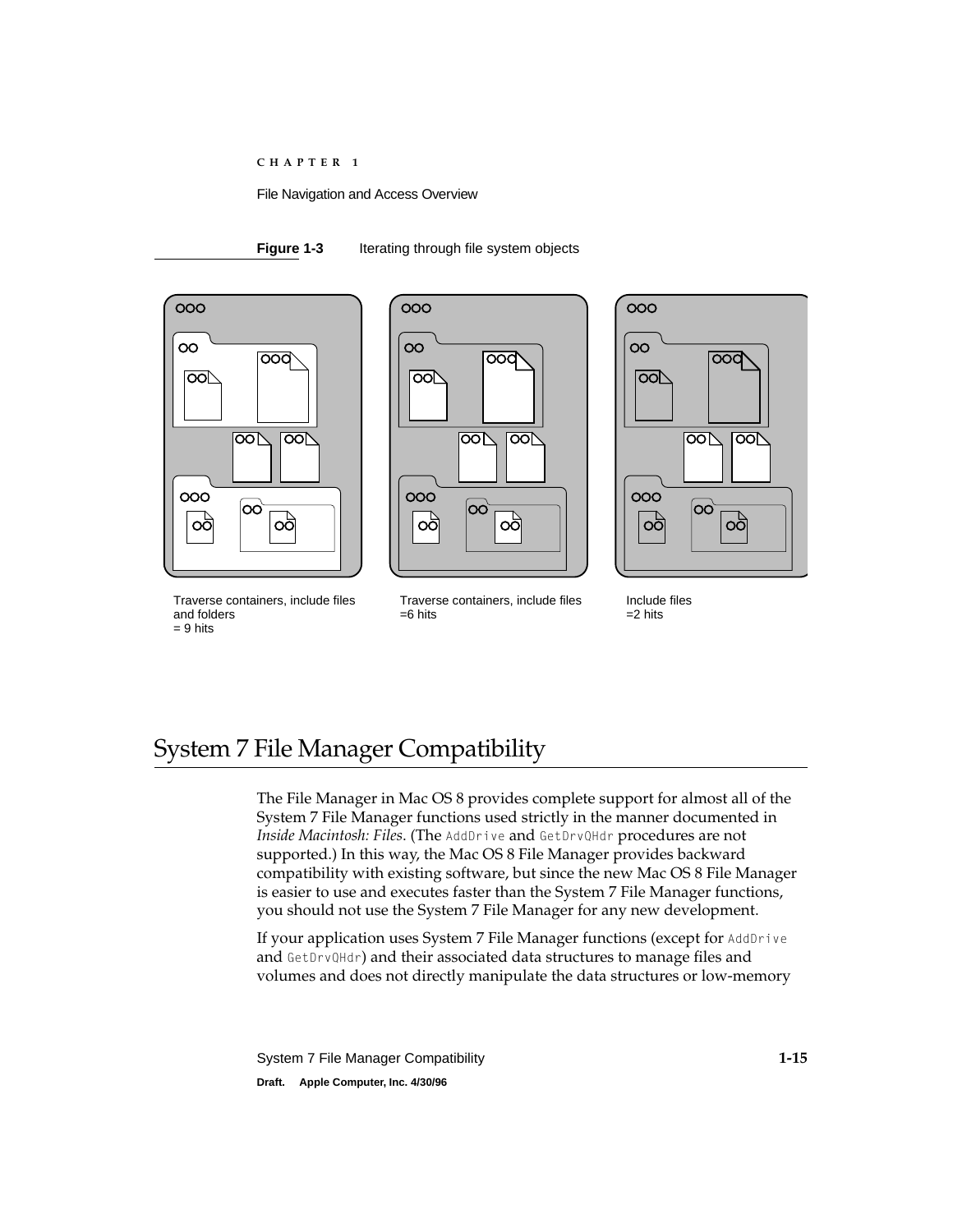File Navigation and Access Overview

**Figure 1-3** Iterating through file system objects

<span id="page-22-0"></span>



Traverse containers, include files  $=6$  hits



Include files  $=$  2 hits

Traverse containers, include files and folders  $= 9$  hits

# System 7 File Manager Compatibility 1

The File Manager in Mac OS 8 provides complete support for almost all of the System 7 File Manager functions used strictly in the manner documented in *Inside Macintosh: Files*. (The AddDrive and GetDrvQHdr procedures are not supported.) In this way, the Mac OS 8 File Manager provides backward compatibility with existing software, but since the new Mac OS 8 File Manager is easier to use and executes faster than the System 7 File Manager functions, you should not use the System 7 File Manager for any new development.

If your application uses System 7 File Manager functions (except for AddDrive and GetDrvQHdr) and their associated data structures to manage files and volumes and does not directly manipulate the data structures or low-memory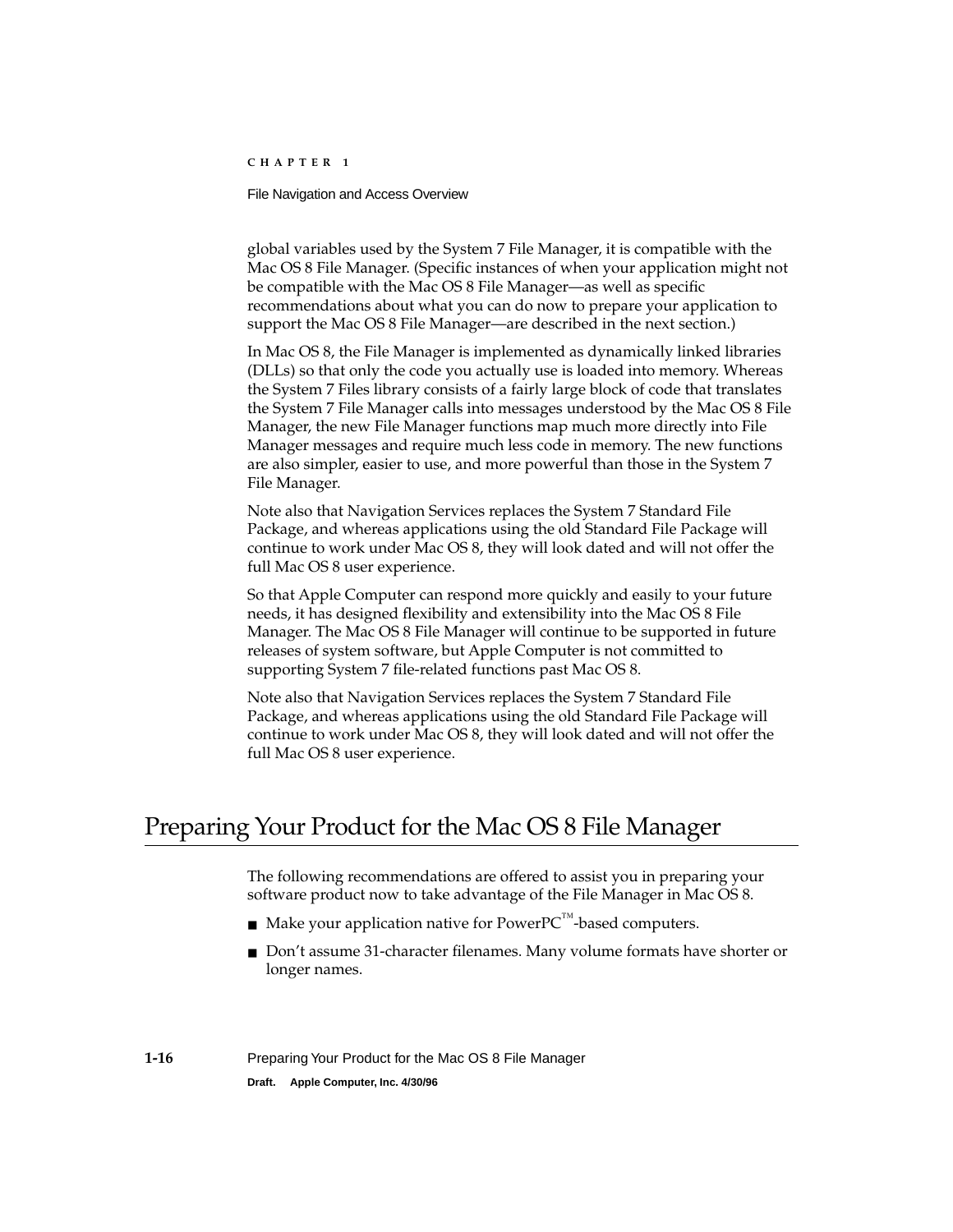#### <span id="page-23-0"></span>File Navigation and Access Overview

global variables used by the System 7 File Manager, it is compatible with the Mac OS 8 File Manager. (Specific instances of when your application might not be compatible with the Mac OS 8 File Manager—as well as specific recommendations about what you can do now to prepare your application to support the Mac OS 8 File Manager—are described in the next section.)

In Mac OS 8, the File Manager is implemented as dynamically linked libraries (DLLs) so that only the code you actually use is loaded into memory. Whereas the System 7 Files library consists of a fairly large block of code that translates the System 7 File Manager calls into messages understood by the Mac OS 8 File Manager, the new File Manager functions map much more directly into File Manager messages and require much less code in memory. The new functions are also simpler, easier to use, and more powerful than those in the System 7 File Manager.

Note also that Navigation Services replaces the System 7 Standard File Package, and whereas applications using the old Standard File Package will continue to work under Mac OS 8, they will look dated and will not offer the full Mac OS 8 user experience.

So that Apple Computer can respond more quickly and easily to your future needs, it has designed flexibility and extensibility into the Mac OS 8 File Manager. The Mac OS 8 File Manager will continue to be supported in future releases of system software, but Apple Computer is not committed to supporting System 7 file-related functions past Mac OS 8.

Note also that Navigation Services replaces the System 7 Standard File Package, and whereas applications using the old Standard File Package will continue to work under Mac OS 8, they will look dated and will not offer the full Mac OS 8 user experience.

### Preparing Your Product for the Mac OS 8 File Manager 1

The following recommendations are offered to assist you in preparing your software product now to take advantage of the File Manager in Mac OS 8.

- Make your application native for  $PowerPC^{TM}$ -based computers.
- Don't assume 31-character filenames. Many volume formats have shorter or longer names.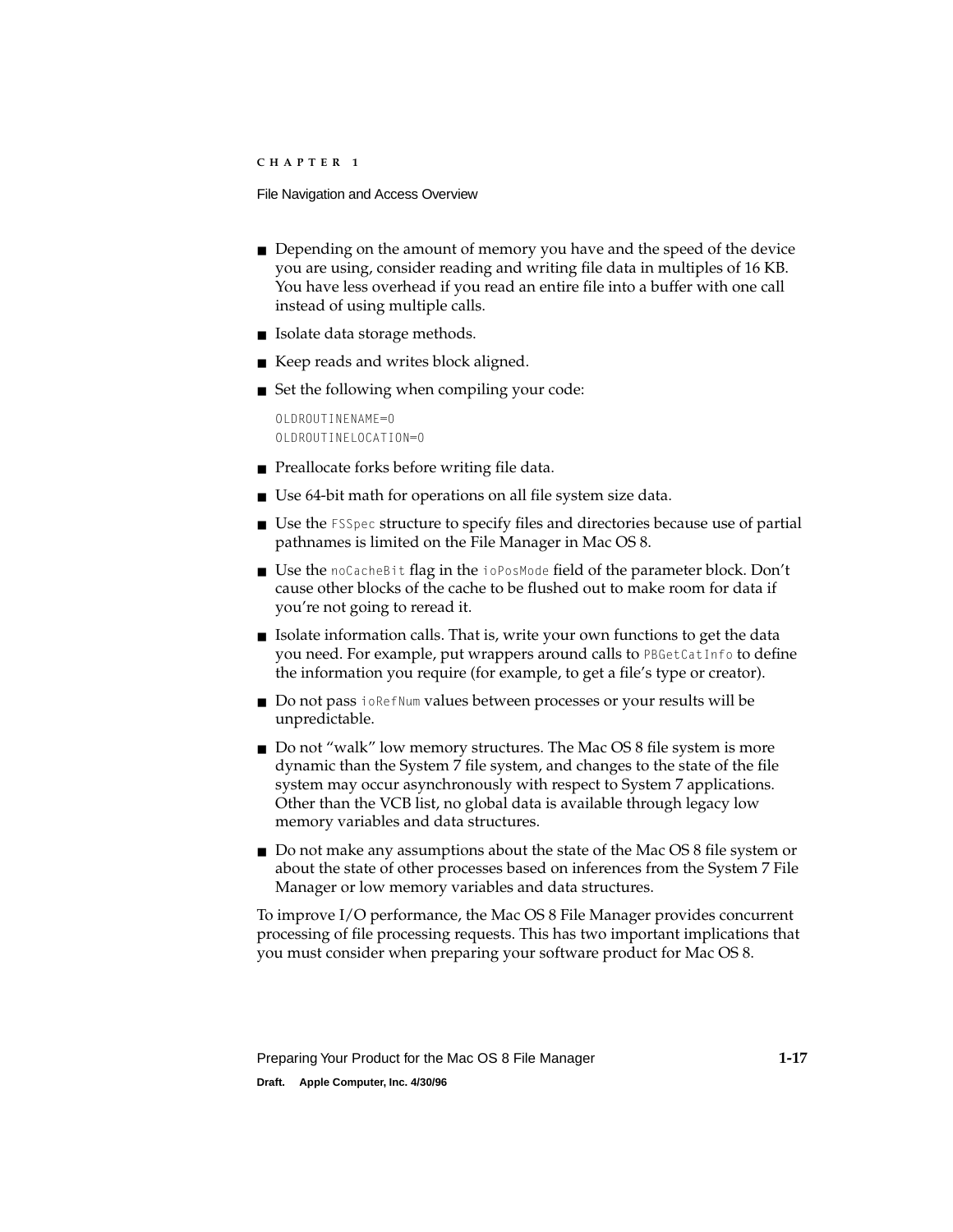File Navigation and Access Overview

- Depending on the amount of memory you have and the speed of the device you are using, consider reading and writing file data in multiples of 16 KB. You have less overhead if you read an entire file into a buffer with one call instead of using multiple calls.
- Isolate data storage methods.
- Keep reads and writes block aligned.
- Set the following when compiling your code:

```
OLDROUTINENAME=0
OLDROUTINELOCATION=0
```
- Preallocate forks before writing file data.
- Use 64-bit math for operations on all file system size data.
- Use the FSSpec structure to specify files and directories because use of partial pathnames is limited on the File Manager in Mac OS 8.
- Use the noCacheBit flag in the ioPosMode field of the parameter block. Don't cause other blocks of the cache to be flushed out to make room for data if you're not going to reread it.
- Isolate information calls. That is, write your own functions to get the data you need. For example, put wrappers around calls to PBGetCatInfo to define the information you require (for example, to get a file's type or creator).
- Do not pass ioRefNum values between processes or your results will be unpredictable.
- Do not "walk" low memory structures. The Mac OS 8 file system is more dynamic than the System 7 file system, and changes to the state of the file system may occur asynchronously with respect to System 7 applications. Other than the VCB list, no global data is available through legacy low memory variables and data structures.
- Do not make any assumptions about the state of the Mac OS 8 file system or about the state of other processes based on inferences from the System 7 File Manager or low memory variables and data structures.

To improve I/O performance, the Mac OS 8 File Manager provides concurrent processing of file processing requests. This has two important implications that you must consider when preparing your software product for Mac OS 8.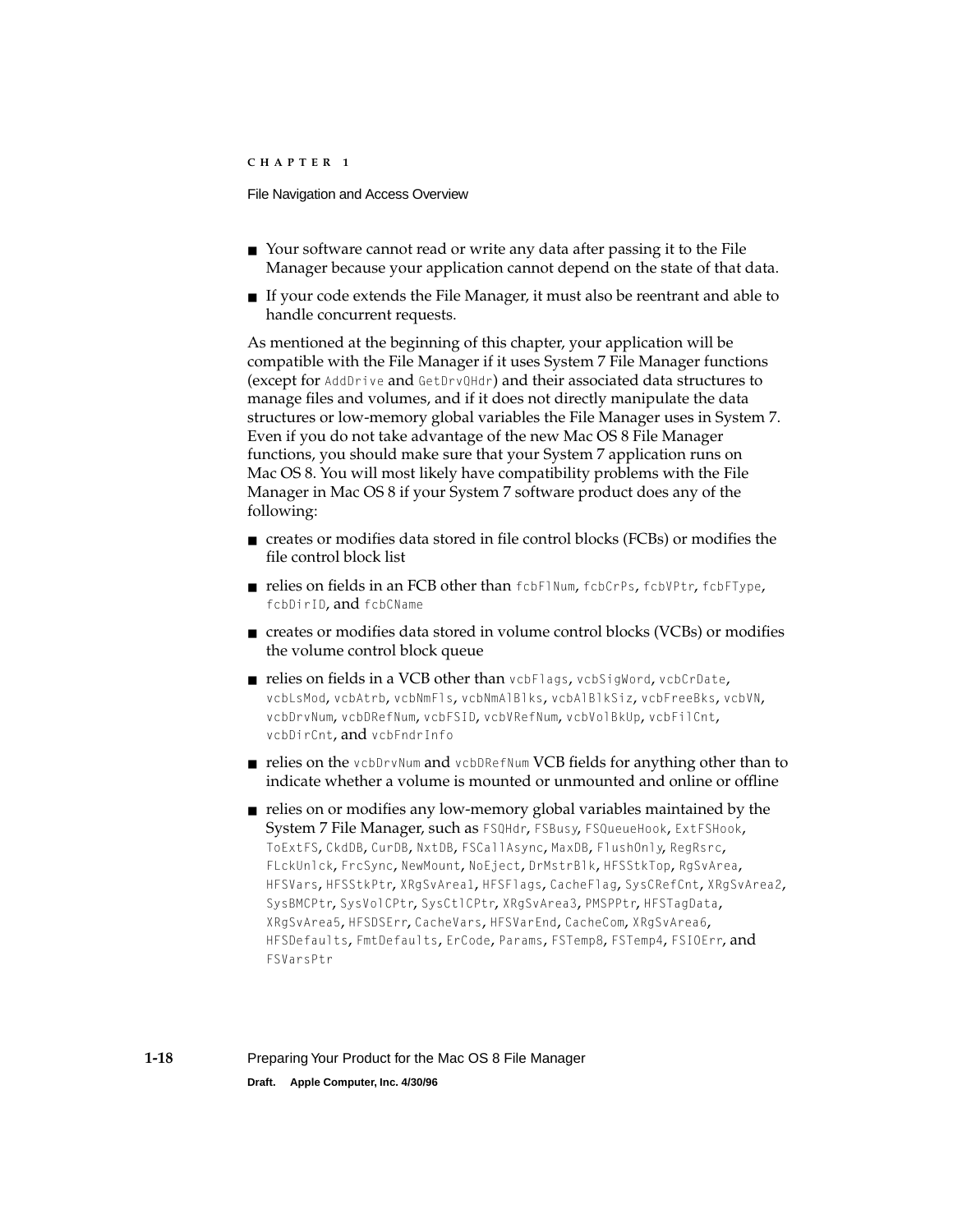File Navigation and Access Overview

- Your software cannot read or write any data after passing it to the File Manager because your application cannot depend on the state of that data.
- If your code extends the File Manager, it must also be reentrant and able to handle concurrent requests.

As mentioned at the beginning of this chapter, your application will be compatible with the File Manager if it uses System 7 File Manager functions (except for AddDrive and GetDrvQHdr) and their associated data structures to manage files and volumes, and if it does not directly manipulate the data structures or low-memory global variables the File Manager uses in System 7. Even if you do not take advantage of the new Mac OS 8 File Manager functions, you should make sure that your System 7 application runs on Mac OS 8. You will most likely have compatibility problems with the File Manager in Mac OS 8 if your System 7 software product does any of the following:

- creates or modifies data stored in file control blocks (FCBs) or modifies the file control block list
- relies on fields in an FCB other than fcbFlNum, fcbCrPs, fcbVPtr, fcbFType, fcbDirID, and fcbCName
- creates or modifies data stored in volume control blocks (VCBs) or modifies the volume control block queue
- relies on fields in a VCB other than vcbFlags, vcbSigWord, vcbCrDate, vcbLsMod, vcbAtrb, vcbNmFls, vcbNmAlBlks, vcbAlBlkSiz, vcbFreeBks, vcbVN, vcbDrvNum, vcbDRefNum, vcbFSID, vcbVRefNum, vcbVolBkUp, vcbFilCnt, vcbDirCnt, and vcbFndrInfo
- relies on the vcbDrvNum and vcbDRefNum VCB fields for anything other than to indicate whether a volume is mounted or unmounted and online or offline
- relies on or modifies any low-memory global variables maintained by the System 7 File Manager, such as FSQHdr, FSBusy, FSQueueHook, ExtFSHook, ToExtFS, CkdDB, CurDB, NxtDB, FSCallAsync, MaxDB, FlushOnly, RegRsrc, FLckUnlck, FrcSync, NewMount, NoEject, DrMstrBlk, HFSStkTop, RgSvArea, HFSVars, HFSStkPtr, XRgSvArea1, HFSFlags, CacheFlag, SysCRefCnt, XRgSvArea2, SysBMCPtr, SysVolCPtr, SysCtlCPtr, XRgSvArea3, PMSPPtr, HFSTagData, XRgSvArea5, HFSDSErr, CacheVars, HFSVarEnd, CacheCom, XRgSvArea6, HFSDefaults, FmtDefaults, ErCode, Params, FSTemp8, FSTemp4, FSIOErr, and FSVarsPtr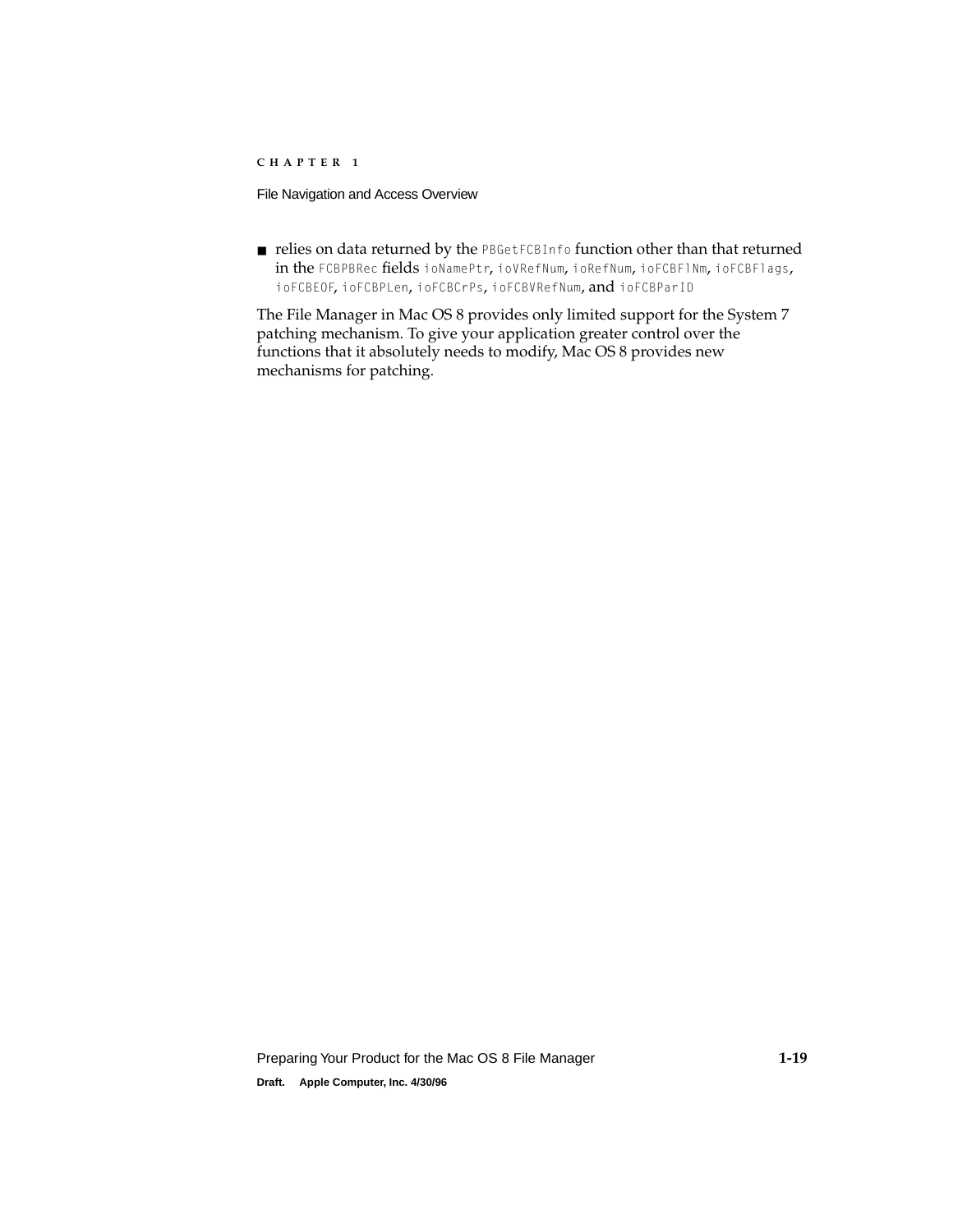#### File Navigation and Access Overview

■ relies on data returned by the PBGetFCBInfo function other than that returned in the FCBPBRec fields ioNamePtr, ioVRefNum, ioRefNum, ioFCBFlNm, ioFCBFlags, ioFCBEOF, ioFCBPLen, ioFCBCrPs, ioFCBVRefNum, and ioFCBParID

The File Manager in Mac OS 8 provides only limited support for the System 7 patching mechanism. To give your application greater control over the functions that it absolutely needs to modify, Mac OS 8 provides new mechanisms for patching.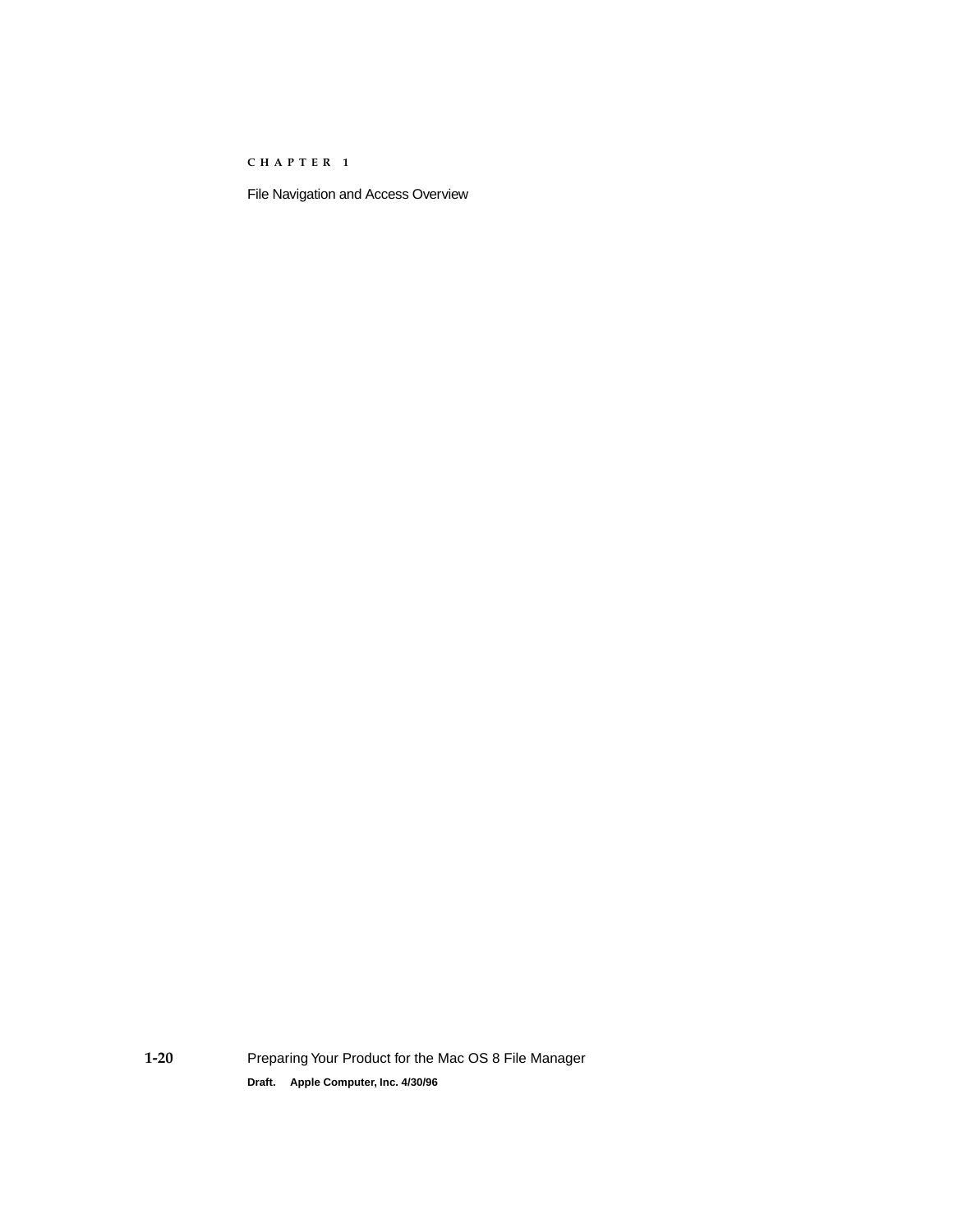File Navigation and Access Overview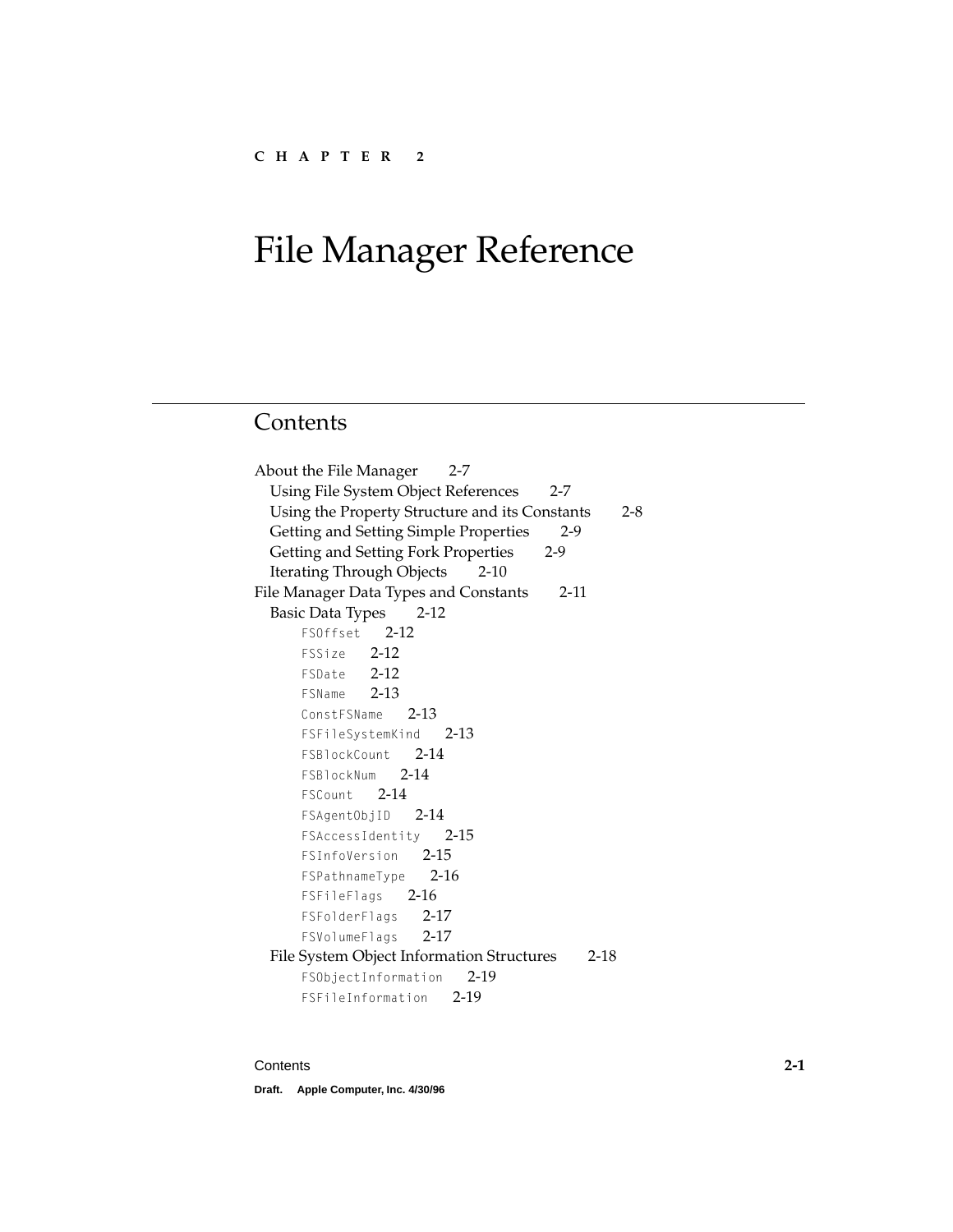# <span id="page-28-0"></span>[File Manager Reference](#page-34-0)

### Contents

[About the File Manager 2-7](#page-34-0) [Using File System Object References 2-7](#page-34-0) [Using the Property Structure and its Constants 2-8](#page-35-0) [Getting and Setting Simple Properties 2-9](#page-36-0) [Getting and Setting Fork Properties 2-9](#page-36-0) [Iterating Through Objects 2-10](#page-37-0) [File Manager Data Types and Constants 2-11](#page-38-0) [Basic Data Types 2-12](#page-39-0) [FSOffset](#page-39-0) 2-12 [FSSize](#page-39-0) 2-12 [FSDate](#page-39-0) 2-12 [FSName](#page-40-0) 2-13 [ConstFSName](#page-40-0) 2-13 [FSFileSystemKind](#page-40-0) 2-13 [FSBlockCount](#page-41-0) 2-14 [FSBlockNum](#page-41-0) 2-14 [FSCount](#page-41-0) 2-14 [FSAgentObjID](#page-41-0) 2-14 [FSAccessIdentity](#page-42-0) 2-15 [FSInfoVersion](#page-42-0) 2-15 [FSPathnameType](#page-43-0) 2-16 [FSFileFlags](#page-43-0) 2-16 [FSFolderFlags](#page-44-0) 2-17 [FSVolumeFlags](#page-44-0) 2-17 [File System Object Information Structures 2-18](#page-45-0) [FSObjectInformation](#page-46-0) 2-19 [FSFileInformation](#page-46-0) 2-19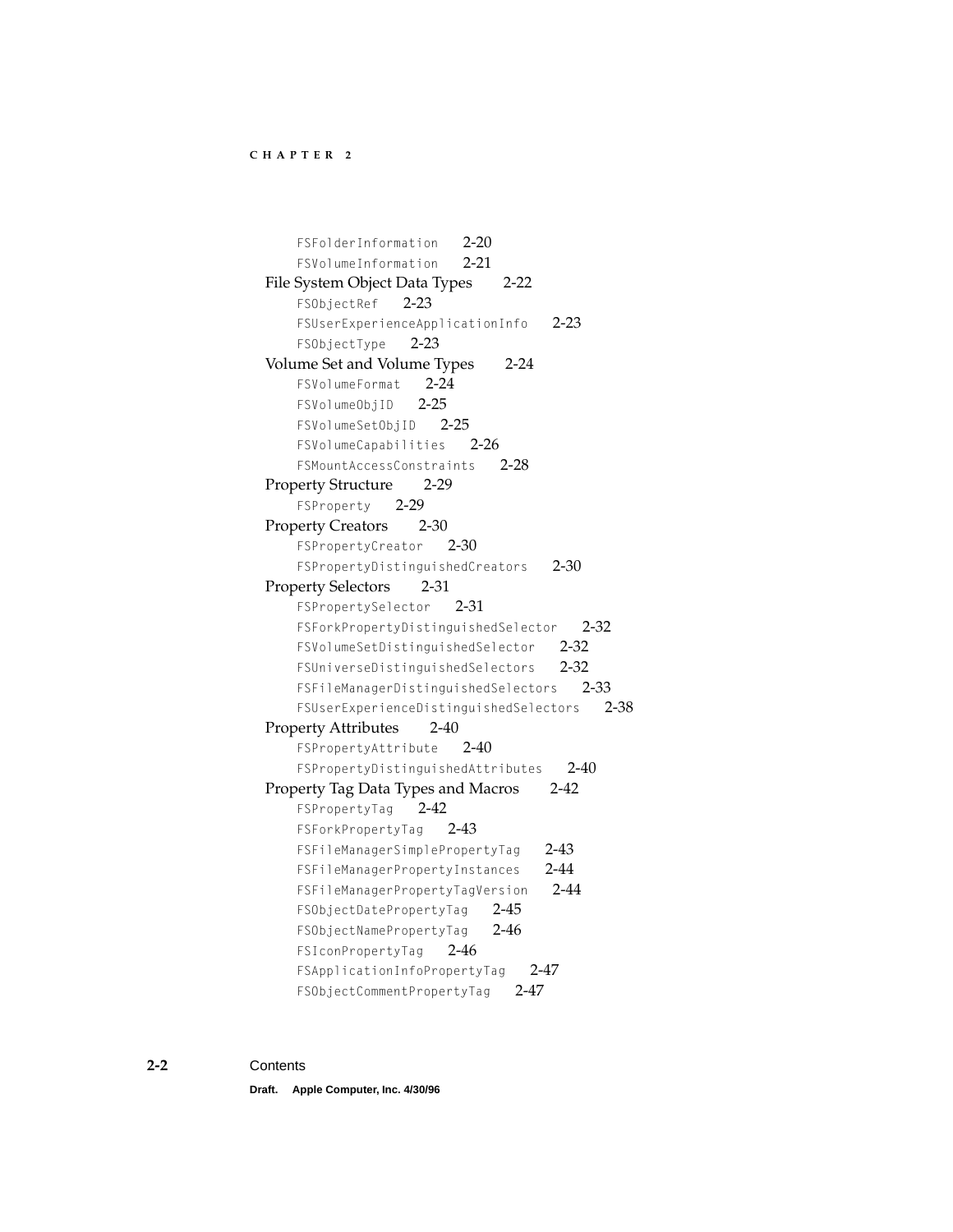[FSFolderInformation](#page-47-0) 2-20 [FSVolumeInformation](#page-48-0) 2-21 [File System Object Data Types 2-22](#page-49-0) [FSObjectRef](#page-50-0) 2-23 [FSUserExperienceApplicationInfo](#page-50-0) 2-23 [FSObjectType](#page-50-0) 2-23 [Volume Set and Volume Types 2-24](#page-51-0) [FSVolumeFormat](#page-51-0) 2-24 [FSVolumeObjID](#page-52-0) 2-25 [FSVolumeSetObjID](#page-52-0) 2-25 [FSVolumeCapabilities](#page-53-0) 2-26 [FSMountAccessConstraints](#page-55-0) 2-28 [Property Structure 2-29](#page-56-0) [FSProperty](#page-56-0) 2-29 [Property Creators 2-30](#page-57-0) [FSPropertyCreator](#page-57-0) 2-30 [FSPropertyDistinguishedCreators](#page-57-0) 2-30 [Property Selectors 2-31](#page-58-0) [FSPropertySelector](#page-58-0) 2-31 [FSForkPropertyDistinguishedSelector](#page-59-0) 2-32 [FSVolumeSetDistinguishedSelector](#page-59-0) 2-32 [FSUniverseDistinguishedSelectors](#page-59-0) 2-32 [FSFileManagerDistinguishedSelectors](#page-60-0) 2-33 [FSUserExperienceDistinguishedSelectors](#page-65-0) 2-38 [Property Attributes 2-40](#page-67-0) [FSPropertyAttribute](#page-67-0) 2-40 [FSPropertyDistinguishedAttributes](#page-67-0) 2-40 [Property Tag Data Types and Macros 2-42](#page-69-0) [FSPropertyTag](#page-69-0) 2-42 [FSForkPropertyTag](#page-70-0) 2-43 [FSFileManagerSimplePropertyTag](#page-70-0) 2-43 [FSFileManagerPropertyInstances](#page-71-0) 2-44 [FSFileManagerPropertyTagVersion](#page-71-0) 2-44 [FSObjectDatePropertyTag](#page-72-0) 2-45 [FSObjectNamePropertyTag](#page-73-0) 2-46 [FSIconPropertyTag](#page-73-0) 2-46 [FSApplicationInfoPropertyTag](#page-74-0) 2-47 [FSObjectCommentPropertyTag](#page-74-0) 2-47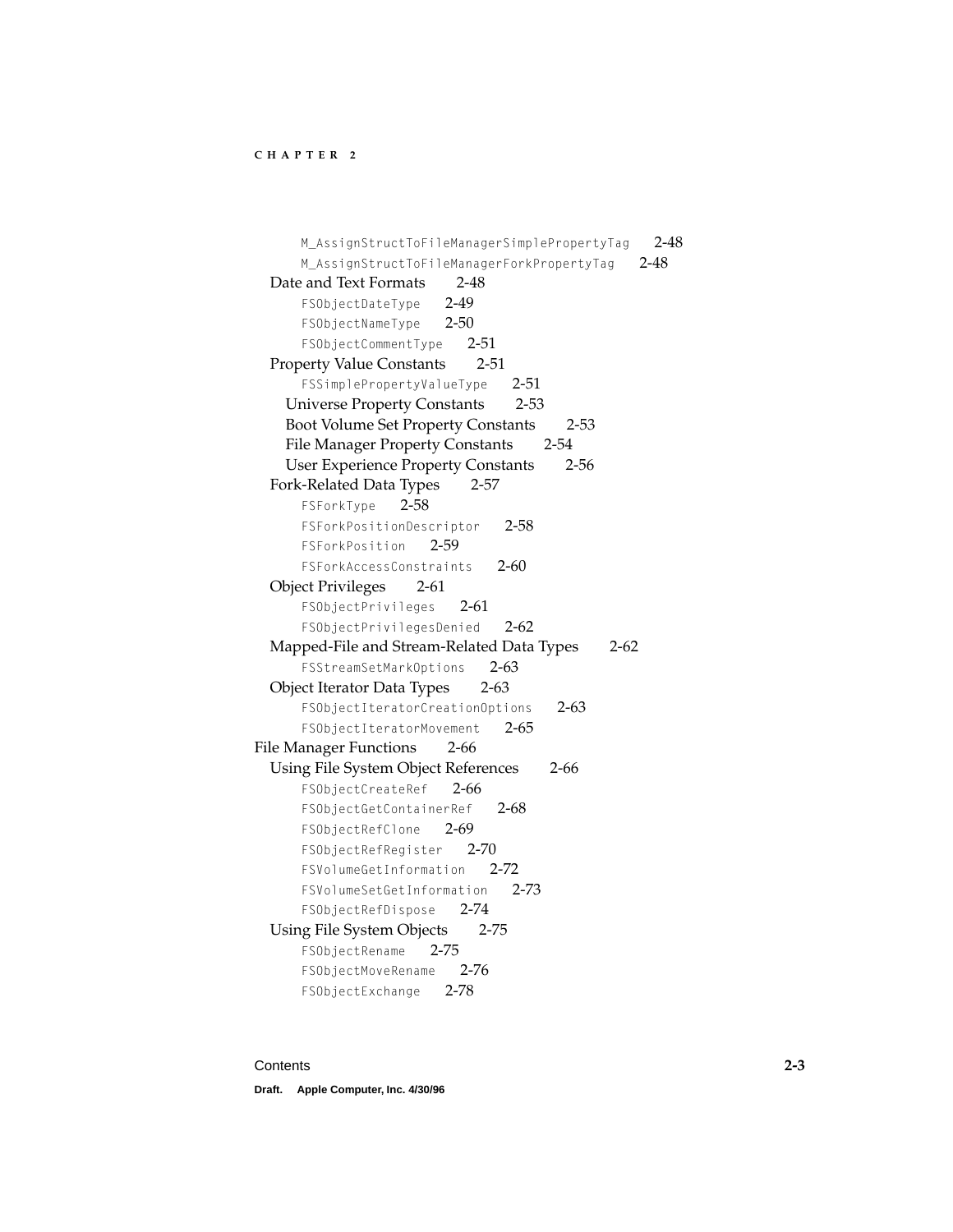[M\\_AssignStructToFileManagerSimplePropertyTag](#page-75-0) 2-48 [M\\_AssignStructToFileManagerForkPropertyTag](#page-75-0) 2-48 [Date and Text Formats 2-48](#page-75-0) [FSObjectDateType](#page-76-0) 2-49 [FSObjectNameType](#page-77-0) 2-50 [FSObjectCommentType](#page-78-0) 2-51 [Property Value Constants 2-51](#page-78-0) [FSSimplePropertyValueType](#page-78-0) 2-51 [Universe Property Constants 2-53](#page-80-0) [Boot Volume Set Property Constants 2-53](#page-80-0) [File Manager Property Constants 2-54](#page-81-0) [User Experience Property Constants 2-56](#page-83-0) [Fork-Related Data Types 2-57](#page-84-0) [FSForkType](#page-85-0) 2-58 [FSForkPositionDescriptor](#page-85-0) 2-58 [FSForkPosition](#page-86-0) 2-59 [FSForkAccessConstraints](#page-87-0) 2-60 [Object Privileges 2-61](#page-88-0) [FSObjectPrivileges](#page-88-0) 2-61 [FSObjectPrivilegesDenied](#page-89-0) 2-62 [Mapped-File and Stream-Related Data Types 2-62](#page-89-0) [FSStreamSetMarkOptions](#page-90-0) 2-63 [Object Iterator Data Types 2-63](#page-90-0) [FSObjectIteratorCreationOptions](#page-90-0) 2-63 [FSObjectIteratorMovement](#page-92-0) 2-65 [File Manager Functions 2-66](#page-93-0) [Using File System Object References 2-66](#page-93-0) [FSObjectCreateRef](#page-93-0) 2-66 [FSObjectGetContainerRef](#page-95-0) 2-68 [FSObjectRefClone](#page-96-0) 2-69 [FSObjectRefRegister](#page-97-0) 2-70 [FSVolumeGetInformation](#page-99-0) 2-72 [FSVolumeSetGetInformation](#page-100-0) 2-73 [FSObjectRefDispose](#page-101-0) 2-74 [Using File System Objects 2-75](#page-102-0) [FSObjectRename](#page-102-0) 2-75 [FSObjectMoveRename](#page-103-0) 2-76 [FSObjectExchange](#page-105-0) 2-78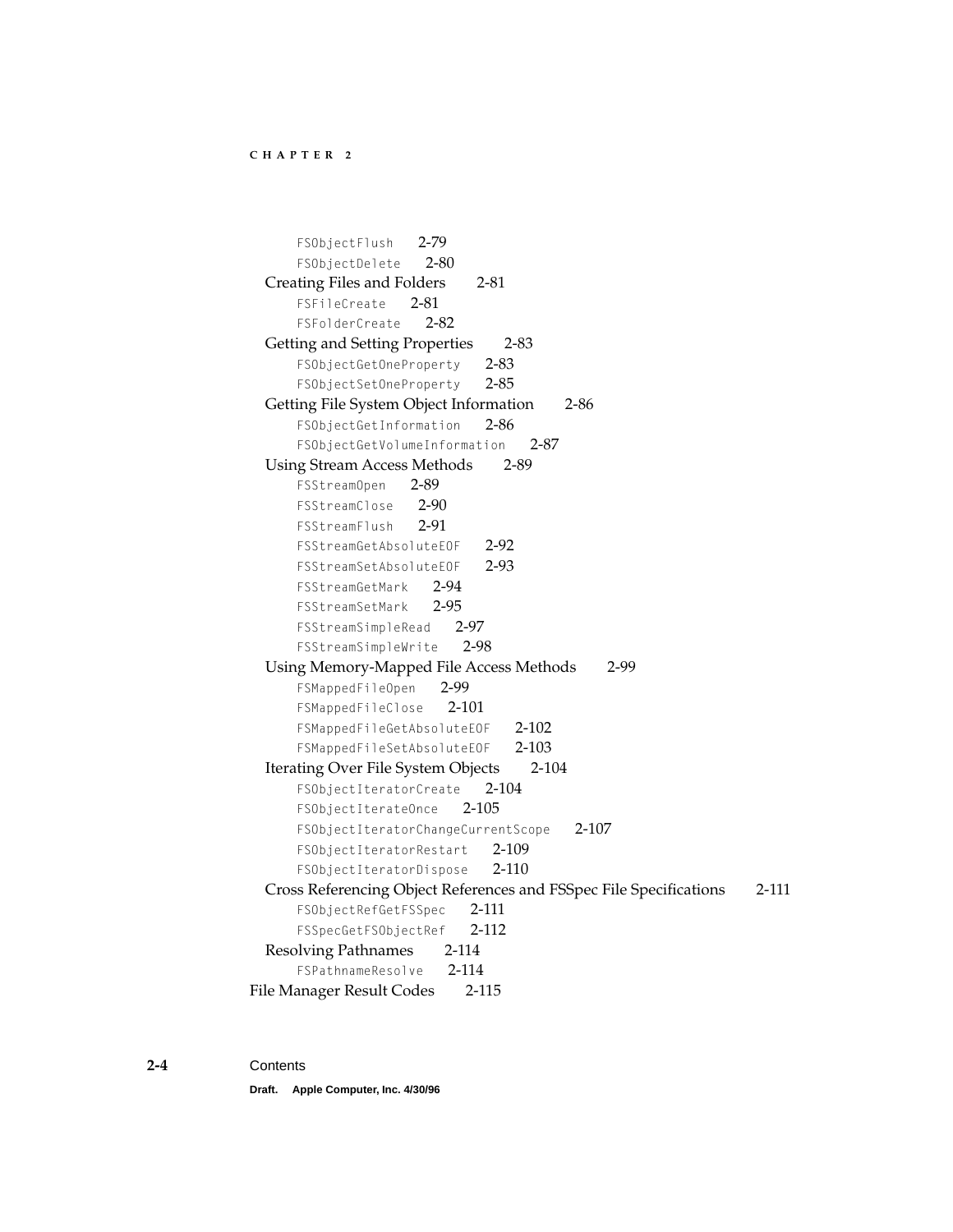[FSObjectFlush](#page-106-0) 2-79 [FSObjectDelete](#page-107-0) 2-80 [Creating Files and Folders 2-81](#page-108-0) [FSFileCreate](#page-108-0) 2-81 [FSFolderCreate](#page-109-0) 2-82 [Getting and Setting Properties 2-83](#page-110-0) [FSObjectGetOneProperty](#page-110-0) 2-83 [FSObjectSetOneProperty](#page-112-0) 2-85 [Getting File System Object Information 2-86](#page-113-0) [FSObjectGetInformation](#page-113-0) 2-86 [FSObjectGetVolumeInformation](#page-114-0) 2-87 [Using Stream Access Methods 2-89](#page-116-0) [FSStreamOpen](#page-116-0) 2-89 [FSStreamClose](#page-117-0) 2-90 [FSStreamFlush](#page-118-0) 2-91 [FSStreamGetAbsoluteEOF](#page-119-0) 2-92 [FSStreamSetAbsoluteEOF](#page-120-0) 2-93 [FSStreamGetMark](#page-121-0) 2-94 [FSStreamSetMark](#page-122-0) 2-95 [FSStreamSimpleRead](#page-124-0) 2-97 [FSStreamSimpleWrite](#page-125-0) 2-98 [Using Memory-Mapped File Access Methods 2-99](#page-126-0) [FSMappedFileOpen](#page-126-0) 2-99 [FSMappedFileClose](#page-128-0) 2-101 [FSMappedFileGetAbsoluteEOF](#page-129-0) 2-102 [FSMappedFileSetAbsoluteEOF](#page-130-0) 2-103 [Iterating Over File System Objects 2-104](#page-131-0) [FSObjectIteratorCreate](#page-131-0) 2-104 [FSObjectIterateOnce](#page-132-0) 2-105 [FSObjectIteratorChangeCurrentScope](#page-134-0) 2-107 [FSObjectIteratorRestart](#page-136-0) 2-109 [FSObjectIteratorDispose](#page-137-0) 2-110 [Cross Referencing Object References and FSSpec File Specifications 2-111](#page-138-0) [FSObjectRefGetFSSpec](#page-138-0) 2-111 [FSSpecGetFSObjectRef](#page-139-0) 2-112 [Resolving Pathnames 2-114](#page-141-0) [FSPathnameResolve](#page-141-0) 2-114 [File Manager Result Codes 2-115](#page-142-0)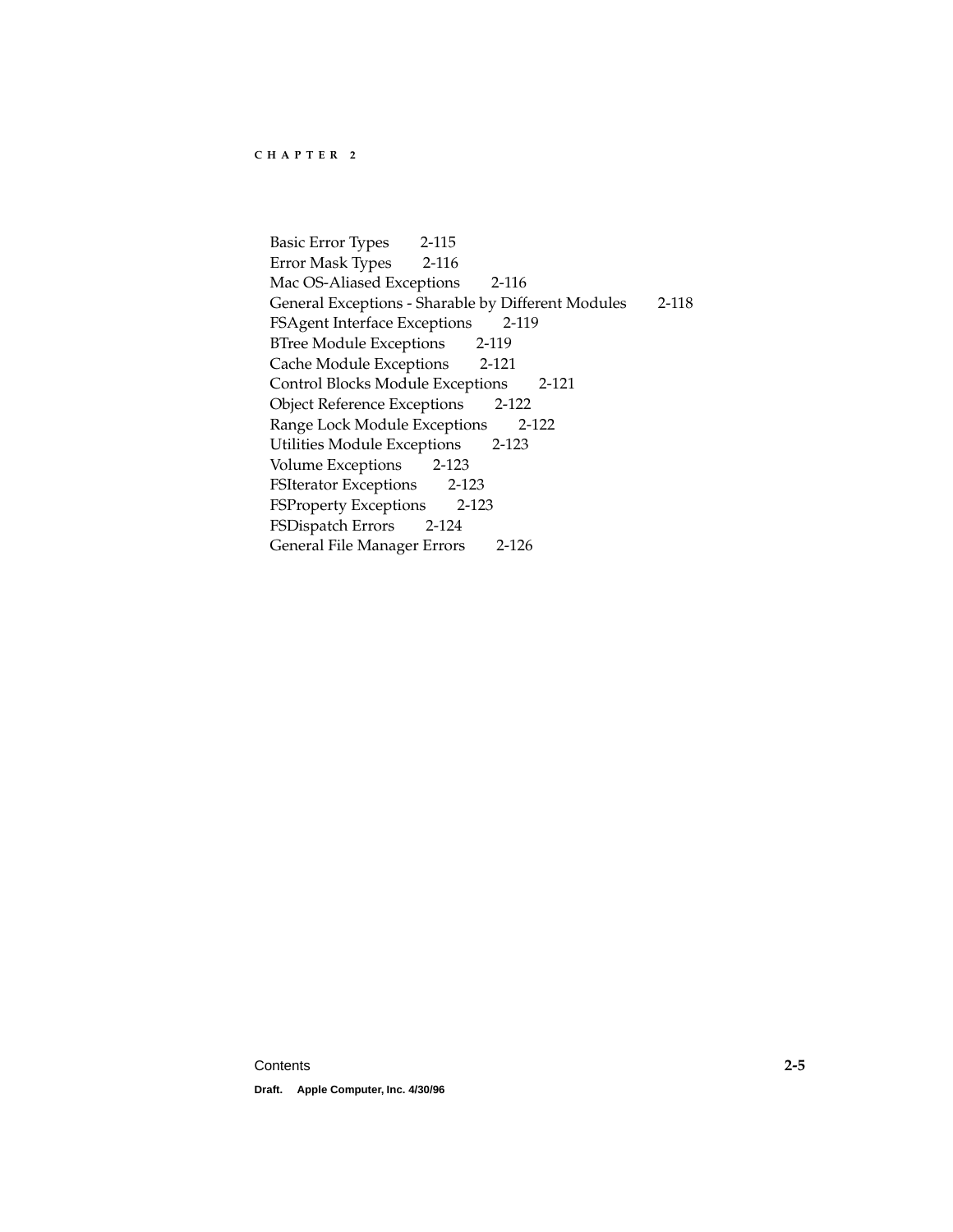[Basic Error Types 2-115](#page-142-0) [Error Mask Types 2-116](#page-143-0) [Mac OS-Aliased Exceptions 2-116](#page-143-0) [General Exceptions - Sharable by Different Modules 2-118](#page-145-0) [FSAgent Interface Exceptions 2-119](#page-146-0) [BTree Module Exceptions 2-119](#page-146-0) [Cache Module Exceptions 2-121](#page-148-0) [Control Blocks Module Exceptions 2-121](#page-148-0) [Object Reference Exceptions 2-122](#page-149-0) [Range Lock Module Exceptions 2-122](#page-149-0) [Utilities Module Exceptions 2-123](#page-150-0) [Volume Exceptions 2-123](#page-150-0) [FSIterator Exceptions 2-123](#page-150-0) [FSProperty Exceptions 2-123](#page-150-0) [FSDispatch Errors 2-124](#page-151-0) [General File Manager Errors 2-126](#page-153-0)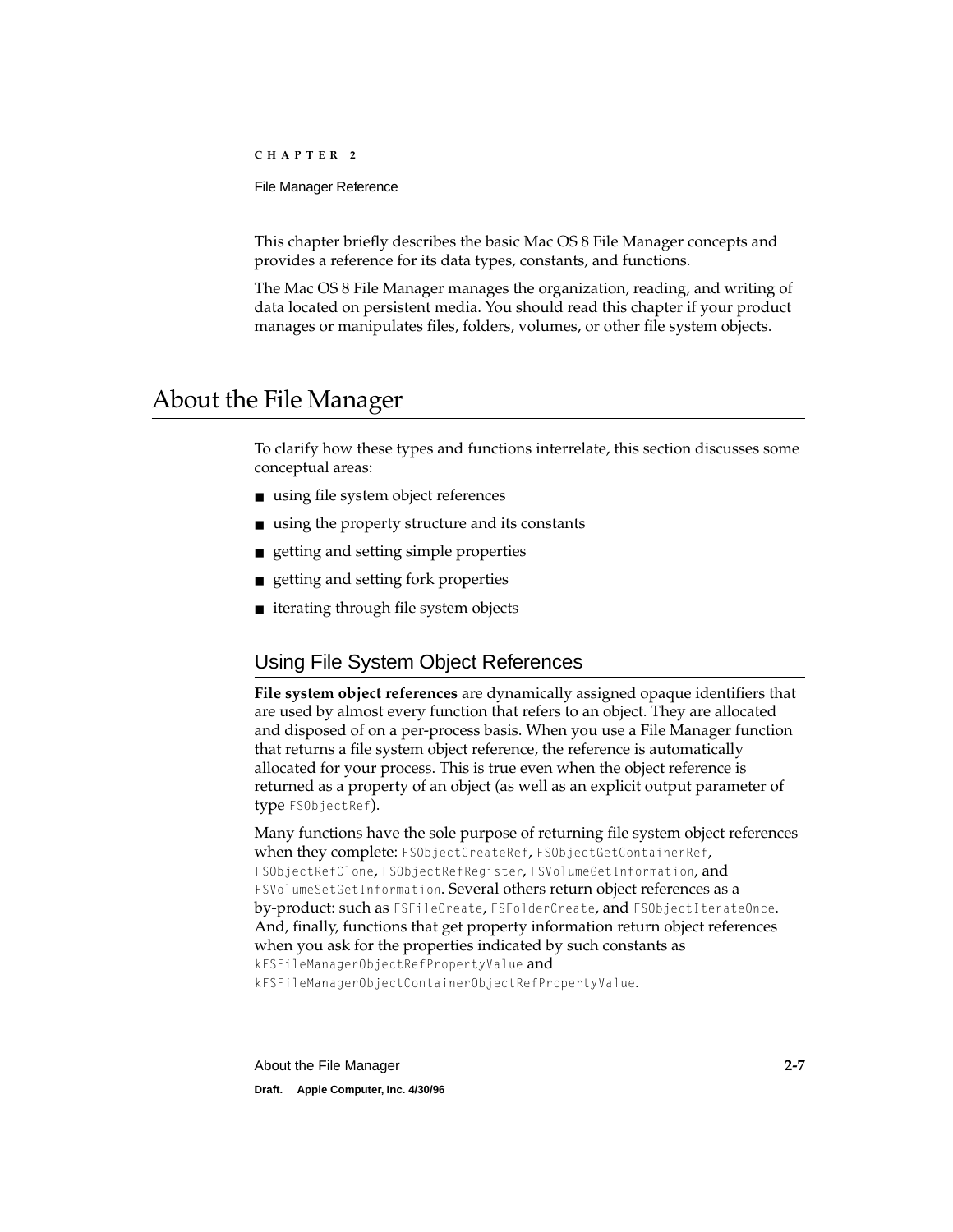#### <span id="page-34-0"></span>File Manager Reference

This chapter briefly describes the basic Mac OS 8 File Manager concepts and provides a reference for its data types, constants, and functions.

The Mac OS 8 File Manager manages the organization, reading, and writing of data located on persistent media. You should read this chapter if your product manages or manipulates files, folders, volumes, or other file system objects.

## About the File Manager 2

To clarify how these types and functions interrelate, this section discusses some conceptual areas:

- using file system object references
- using the property structure and its constants
- getting and setting simple properties
- getting and setting fork properties
- iterating through file system objects

### Using File System Object References 2

**File system object references** are dynamically assigned opaque identifiers that are used by almost every function that refers to an object. They are allocated and disposed of on a per-process basis. When you use a File Manager function that returns a file system object reference, the reference is automatically allocated for your process. This is true even when the object reference is returned as a property of an object (as well as an explicit output parameter of type FSObjectRef).

Many functions have the sole purpose of returning file system object references when they complete: FSObjectCreateRef, FSObjectGetContainerRef, FSObjectRefClone, FSObjectRefRegister, FSVolumeGetInformation, and FSVolumeSetGetInformation. Several others return object references as a by-product: such as FSFileCreate, FSFolderCreate, and FSObjectIterateOnce. And, finally, functions that get property information return object references when you ask for the properties indicated by such constants as kFSFileManagerObjectRefPropertyValue and kFSFileManagerObjectContainerObjectRefPropertyValue.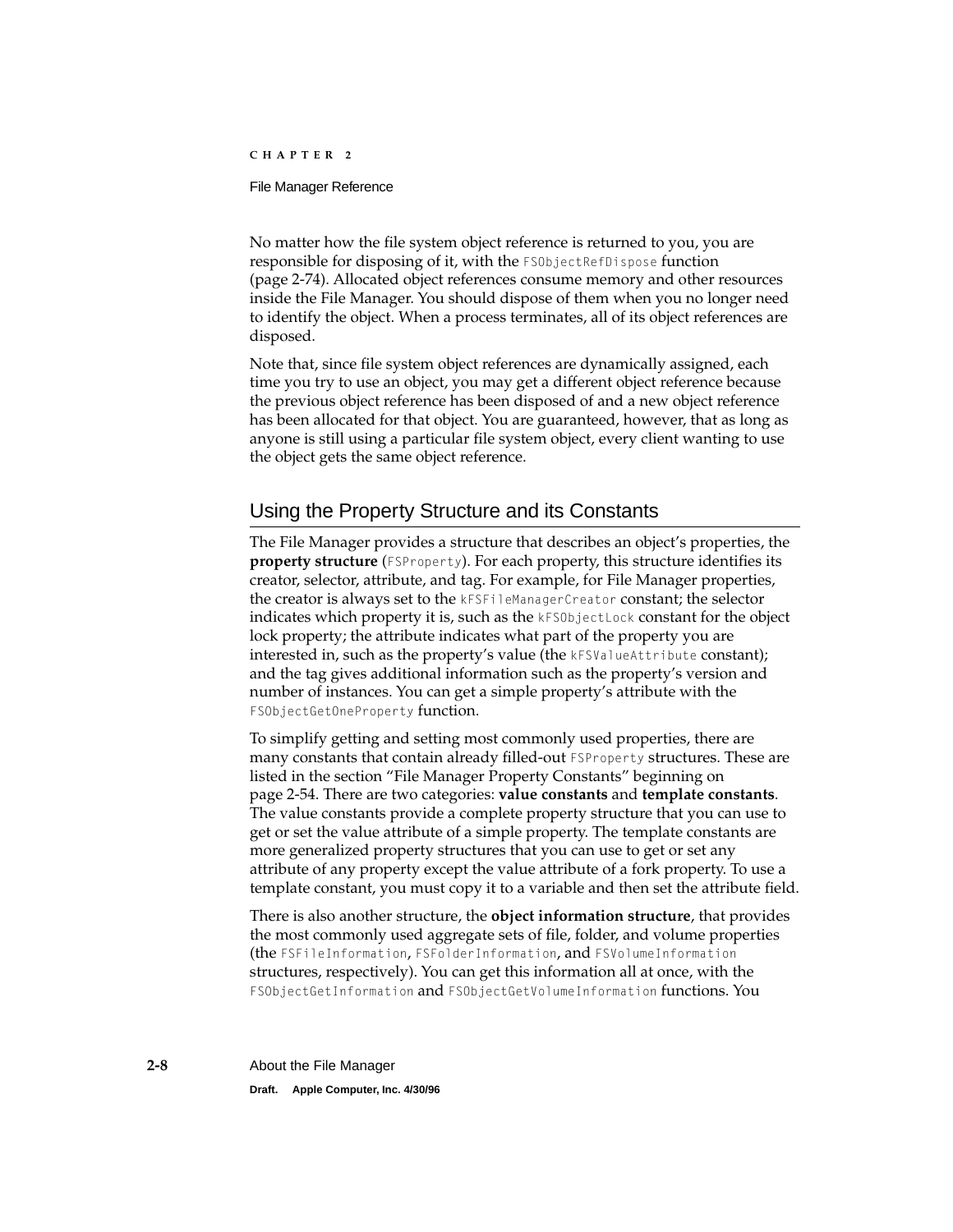#### <span id="page-35-0"></span>File Manager Reference

No matter how the file system object reference is returned to you, you are responsible for disposing of it, with the FSObjectRefDispose function [\(page 2-74\)](#page-101-0). Allocated object references consume memory and other resources inside the File Manager. You should dispose of them when you no longer need to identify the object. When a process terminates, all of its object references are disposed.

Note that, since file system object references are dynamically assigned, each time you try to use an object, you may get a different object reference because the previous object reference has been disposed of and a new object reference has been allocated for that object. You are guaranteed, however, that as long as anyone is still using a particular file system object, every client wanting to use the object gets the same object reference.

### Using the Property Structure and its Constants 2

The File Manager provides a structure that describes an object's properties, the **property structure** (*FSProperty*). For each property, this structure identifies its creator, selector, attribute, and tag. For example, for File Manager properties, the creator is always set to the kFSFileManagerCreator constant; the selector indicates which property it is, such as the kFSObjectLock constant for the object lock property; the attribute indicates what part of the property you are interested in, such as the property's value (the kFSValueAttribute constant); and the tag gives additional information such as the property's version and number of instances. You can get a simple property's attribute with the FSObjectGetOneProperty function.

To simplify getting and setting most commonly used properties, there are many constants that contain already filled-out FSProperty structures. These are listed in the section ["File Manager Property Constants" beginning on](#page-81-0)  [page 2-54.](#page-81-0) There are two categories: **value constants** and **template constants**. The value constants provide a complete property structure that you can use to get or set the value attribute of a simple property. The template constants are more generalized property structures that you can use to get or set any attribute of any property except the value attribute of a fork property. To use a template constant, you must copy it to a variable and then set the attribute field.

There is also another structure, the **object information structure**, that provides the most commonly used aggregate sets of file, folder, and volume properties (the FSFileInformation, FSFolderInformation, and FSVolumeInformation structures, respectively). You can get this information all at once, with the FSObjectGetInformation and FSObjectGetVolumeInformation functions. You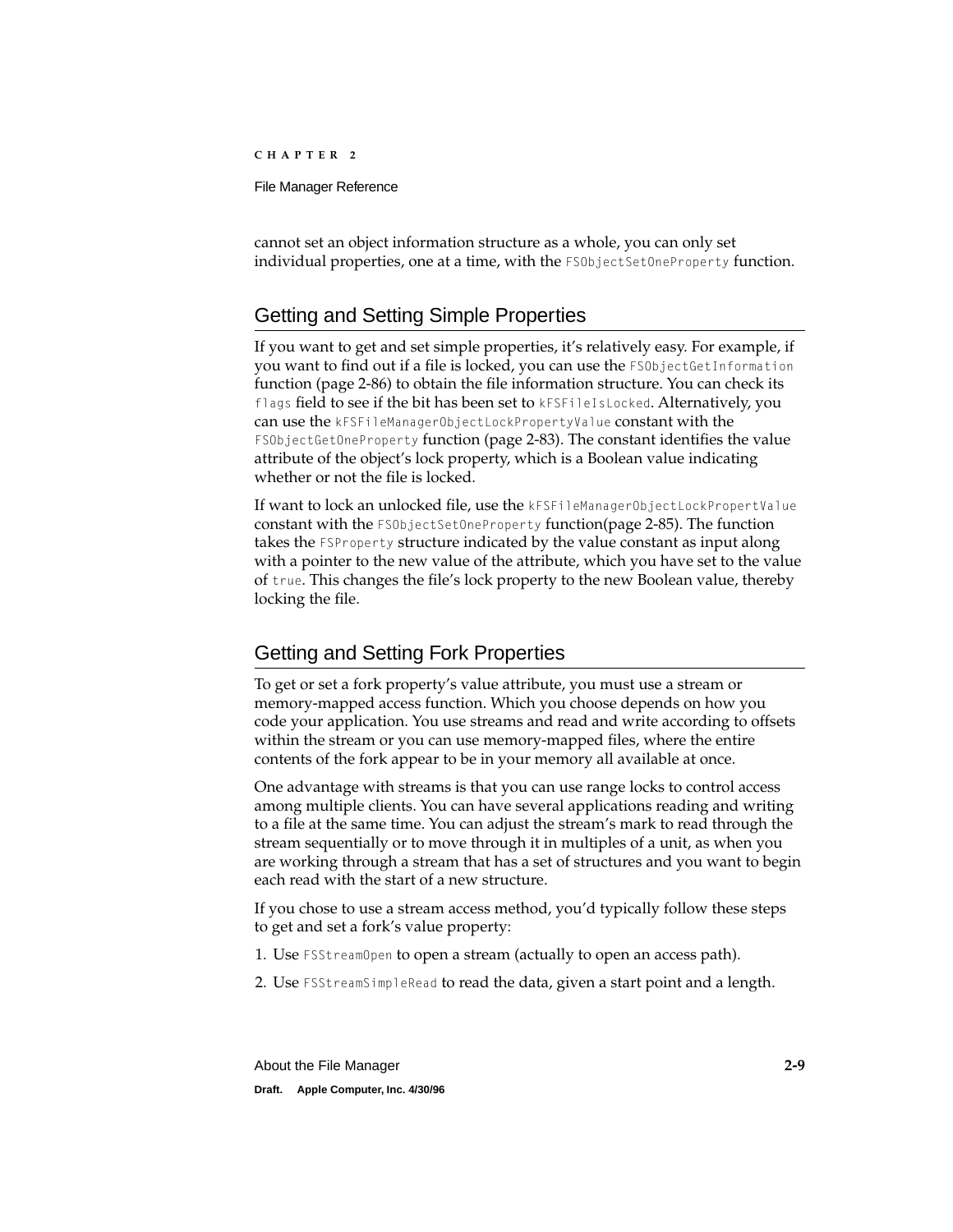cannot set an object information structure as a whole, you can only set individual properties, one at a time, with the FSObjectSetOneProperty function.

# Getting and Setting Simple Properties 2

If you want to get and set simple properties, it's relatively easy. For example, if you want to find out if a file is locked, you can use the FSObjectGetInformation function [\(page 2-86\)](#page-113-0) to obtain the file information structure. You can check its flags field to see if the bit has been set to kFSFileIsLocked. Alternatively, you can use the kFSFileManagerObjectLockPropertyValue constant with the FSObjectGetOneProperty function [\(page 2-83\).](#page-110-0) The constant identifies the value attribute of the object's lock property, which is a Boolean value indicating whether or not the file is locked.

If want to lock an unlocked file, use the kFSFileManager0bjectLockPropertValue constant with the FSObjectSetOneProperty function[\(page 2-85\)](#page-112-0). The function takes the FSProperty structure indicated by the value constant as input along with a pointer to the new value of the attribute, which you have set to the value of true. This changes the file's lock property to the new Boolean value, thereby locking the file.

# Getting and Setting Fork Properties 2

To get or set a fork property's value attribute, you must use a stream or memory-mapped access function. Which you choose depends on how you code your application. You use streams and read and write according to offsets within the stream or you can use memory-mapped files, where the entire contents of the fork appear to be in your memory all available at once.

One advantage with streams is that you can use range locks to control access among multiple clients. You can have several applications reading and writing to a file at the same time. You can adjust the stream's mark to read through the stream sequentially or to move through it in multiples of a unit, as when you are working through a stream that has a set of structures and you want to begin each read with the start of a new structure.

If you chose to use a stream access method, you'd typically follow these steps to get and set a fork's value property:

- 1. Use FSStreamOpen to open a stream (actually to open an access path).
- 2. Use FSStreamSimpleRead to read the data, given a start point and a length.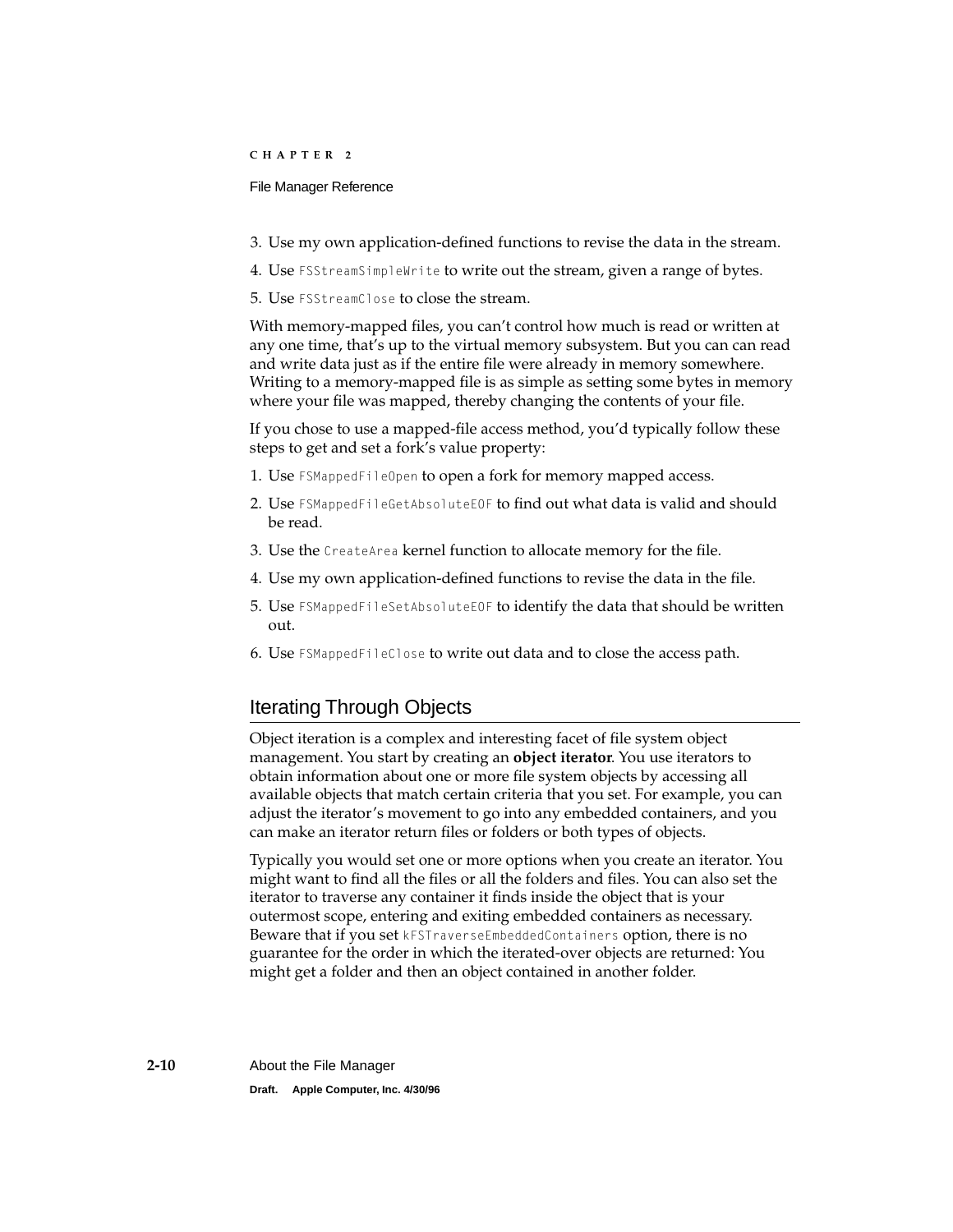- 3. Use my own application-defined functions to revise the data in the stream.
- 4. Use FSStreamSimpleWrite to write out the stream, given a range of bytes.
- 5. Use FSStreamClose to close the stream.

With memory-mapped files, you can't control how much is read or written at any one time, that's up to the virtual memory subsystem. But you can can read and write data just as if the entire file were already in memory somewhere. Writing to a memory-mapped file is as simple as setting some bytes in memory where your file was mapped, thereby changing the contents of your file.

If you chose to use a mapped-file access method, you'd typically follow these steps to get and set a fork's value property:

- 1. Use FSMappedFileOpen to open a fork for memory mapped access.
- 2. Use FSMappedFileGetAbsoluteEOF to find out what data is valid and should be read.
- 3. Use the CreateArea kernel function to allocate memory for the file.
- 4. Use my own application-defined functions to revise the data in the file.
- 5. Use FSMappedFileSetAbsoluteEOF to identify the data that should be written out.
- 6. Use FSMappedFileClose to write out data and to close the access path.

# Iterating Through Objects 2

Object iteration is a complex and interesting facet of file system object management. You start by creating an **object iterator**. You use iterators to obtain information about one or more file system objects by accessing all available objects that match certain criteria that you set. For example, you can adjust the iterator's movement to go into any embedded containers, and you can make an iterator return files or folders or both types of objects.

Typically you would set one or more options when you create an iterator. You might want to find all the files or all the folders and files. You can also set the iterator to traverse any container it finds inside the object that is your outermost scope, entering and exiting embedded containers as necessary. Beware that if you set kFST raverse Embedded Containers option, there is no guarantee for the order in which the iterated-over objects are returned: You might get a folder and then an object contained in another folder.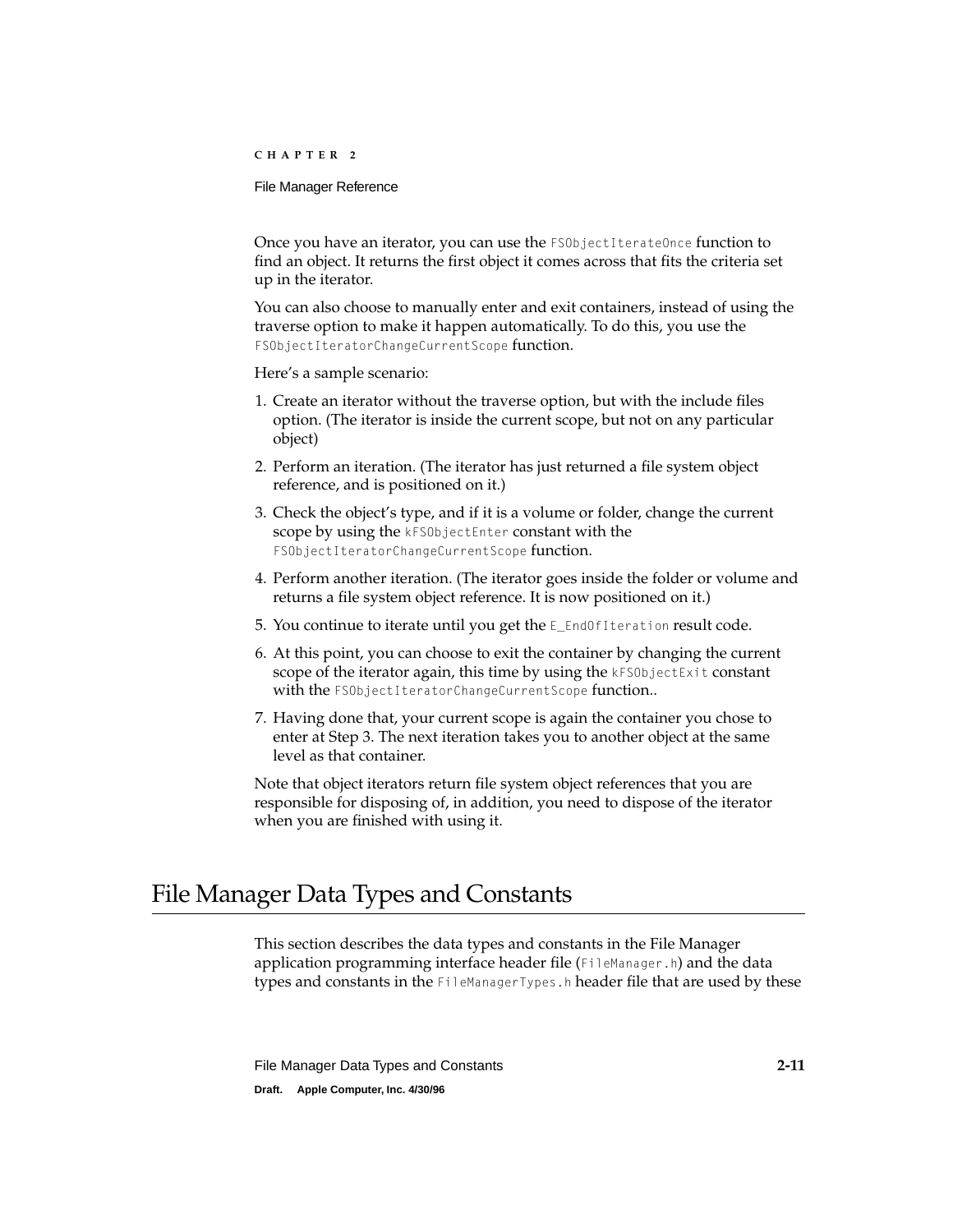Once you have an iterator, you can use the  $FSDbjectIterateOnce function to$ find an object. It returns the first object it comes across that fits the criteria set up in the iterator.

You can also choose to manually enter and exit containers, instead of using the traverse option to make it happen automatically. To do this, you use the FSObjectIteratorChangeCurrentScope function.

Here's a sample scenario:

- 1. Create an iterator without the traverse option, but with the include files option. (The iterator is inside the current scope, but not on any particular object)
- 2. Perform an iteration. (The iterator has just returned a file system object reference, and is positioned on it.)
- 3. Check the object's type, and if it is a volume or folder, change the current scope by using the kFSObjectEnter constant with the FSObjectIteratorChangeCurrentScope function.
- 4. Perform another iteration. (The iterator goes inside the folder or volume and returns a file system object reference. It is now positioned on it.)
- 5. You continue to iterate until you get the E\_EndOfIteration result code.
- 6. At this point, you can choose to exit the container by changing the current scope of the iterator again, this time by using the kFSObjectExit constant with the FSObjectIteratorChangeCurrentScope function..
- 7. Having done that, your current scope is again the container you chose to enter at Step 3. The next iteration takes you to another object at the same level as that container.

Note that object iterators return file system object references that you are responsible for disposing of, in addition, you need to dispose of the iterator when you are finished with using it.

# File Manager Data Types and Constants 2

This section describes the data types and constants in the File Manager application programming interface header file (FileManager.h) and the data types and constants in the FileManagerTypes.h header file that are used by these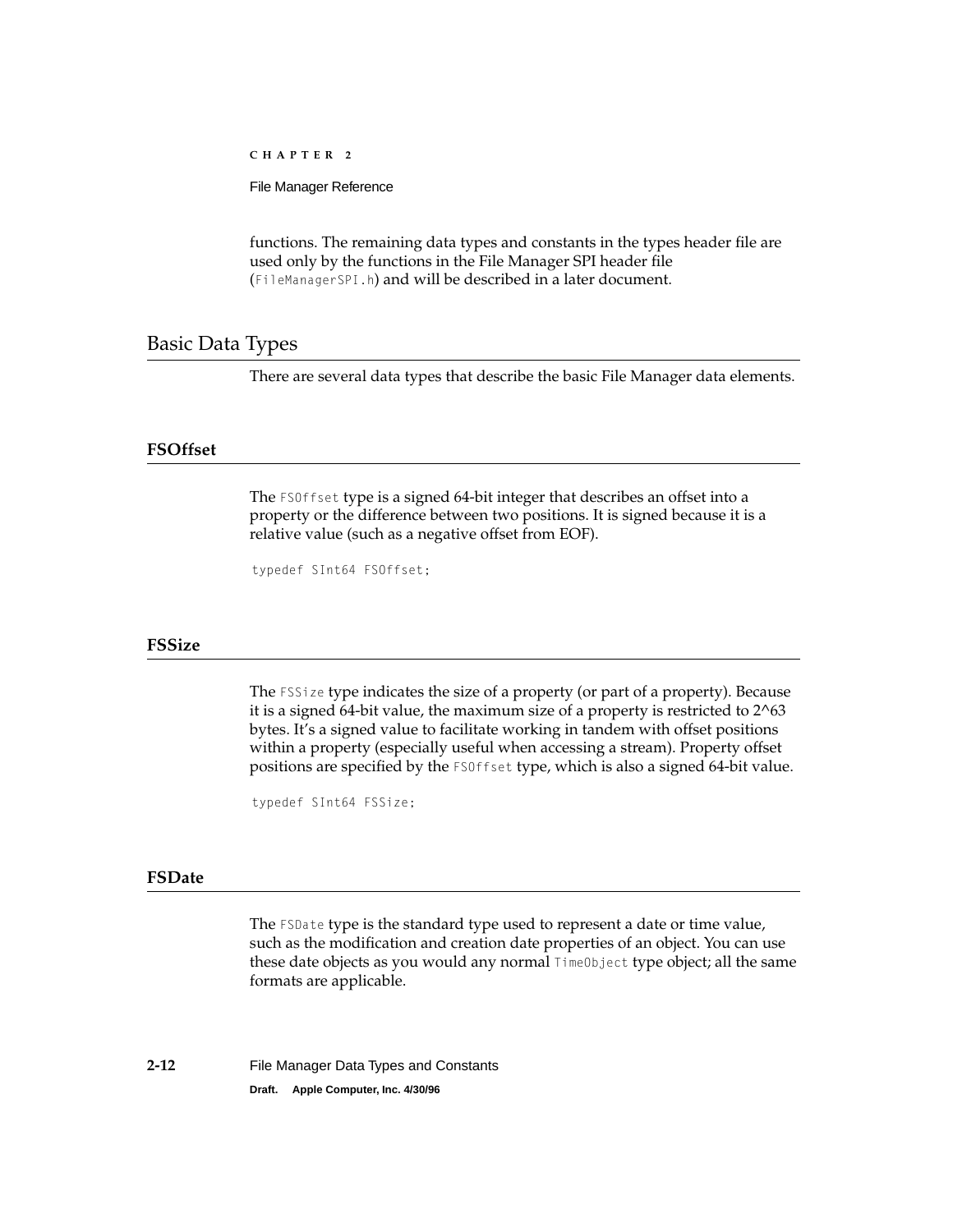#### File Manager Reference

functions. The remaining data types and constants in the types header file are used only by the functions in the File Manager SPI header file (FileManagerSPI.h) and will be described in a later document.

# Basic Data Types

There are several data types that describe the basic File Manager data elements.

## **FSOffset 2**

The FSOffset type is a signed 64-bit integer that describes an offset into a property or the difference between two positions. It is signed because it is a relative value (such as a negative offset from EOF).

typedef SInt64 FSOffset;

### **FSSize 2**

The FSSize type indicates the size of a property (or part of a property). Because it is a signed 64-bit value, the maximum size of a property is restricted to 2^63 bytes. It's a signed value to facilitate working in tandem with offset positions within a property (especially useful when accessing a stream). Property offset positions are specified by the FSOffset type, which is also a signed 64-bit value.

```
typedef SInt64 FSSize;
```
### **FSDate 2**

The FSDate type is the standard type used to represent a date or time value, such as the modification and creation date properties of an object. You can use these date objects as you would any normal TimeObject type object; all the same formats are applicable.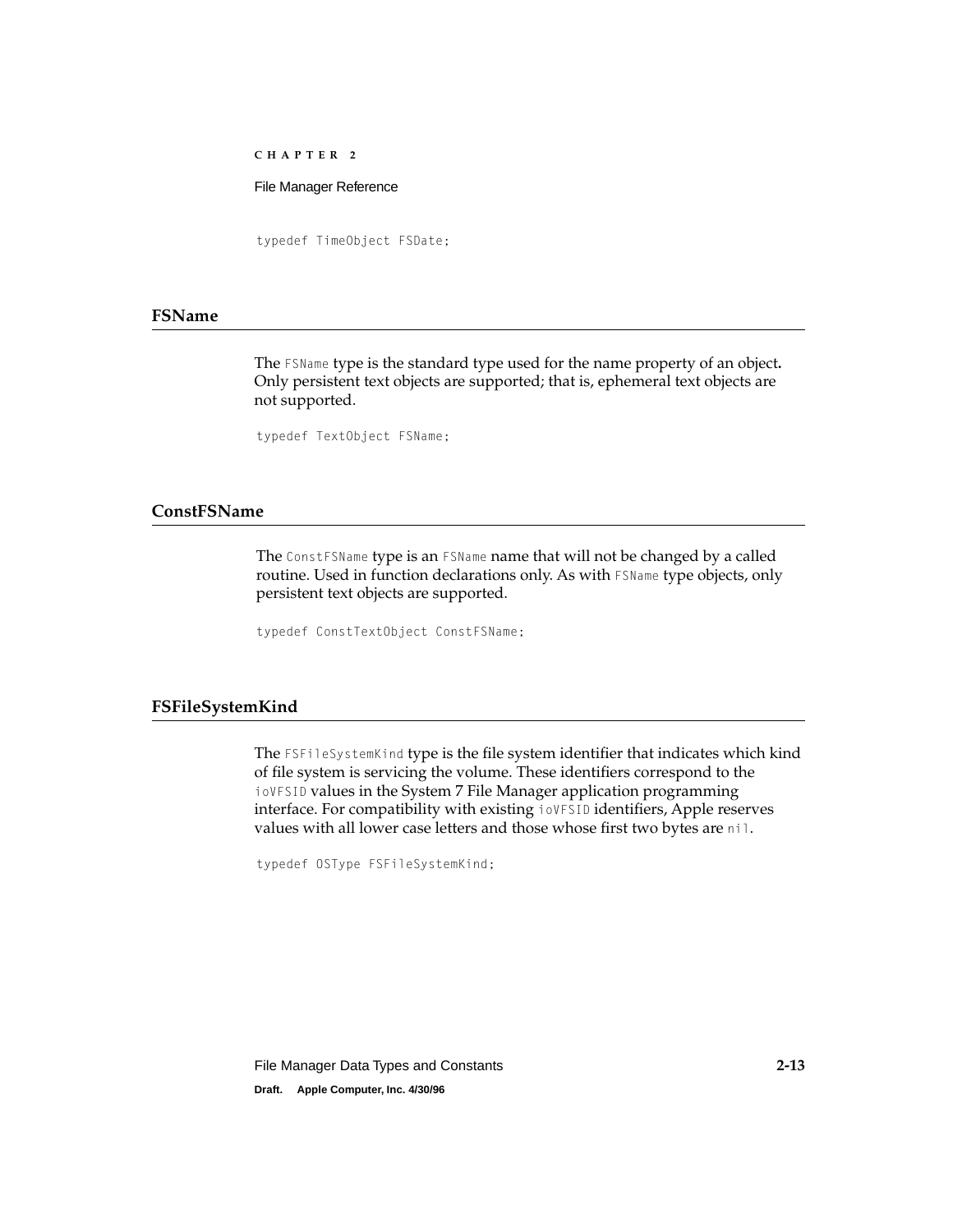#### File Manager Reference

typedef TimeObject FSDate;

# **FSName 2**

The FSName type is the standard type used for the name property of an object**.**  Only persistent text objects are supported; that is, ephemeral text objects are not supported.

```
typedef TextObject FSName;
```
# **ConstFSName 2**

The ConstFSName type is an FSName name that will not be changed by a called routine. Used in function declarations only. As with FSName type objects, only persistent text objects are supported.

typedef ConstTextObject ConstFSName;

## **FSFileSystemKind 2**

The FSFileSystemKind type is the file system identifier that indicates which kind of file system is servicing the volume. These identifiers correspond to the ioVFSID values in the System 7 File Manager application programming interface. For compatibility with existing ioVFSID identifiers, Apple reserves values with all lower case letters and those whose first two bytes are nil.

```
typedef OSType FSFileSystemKind;
```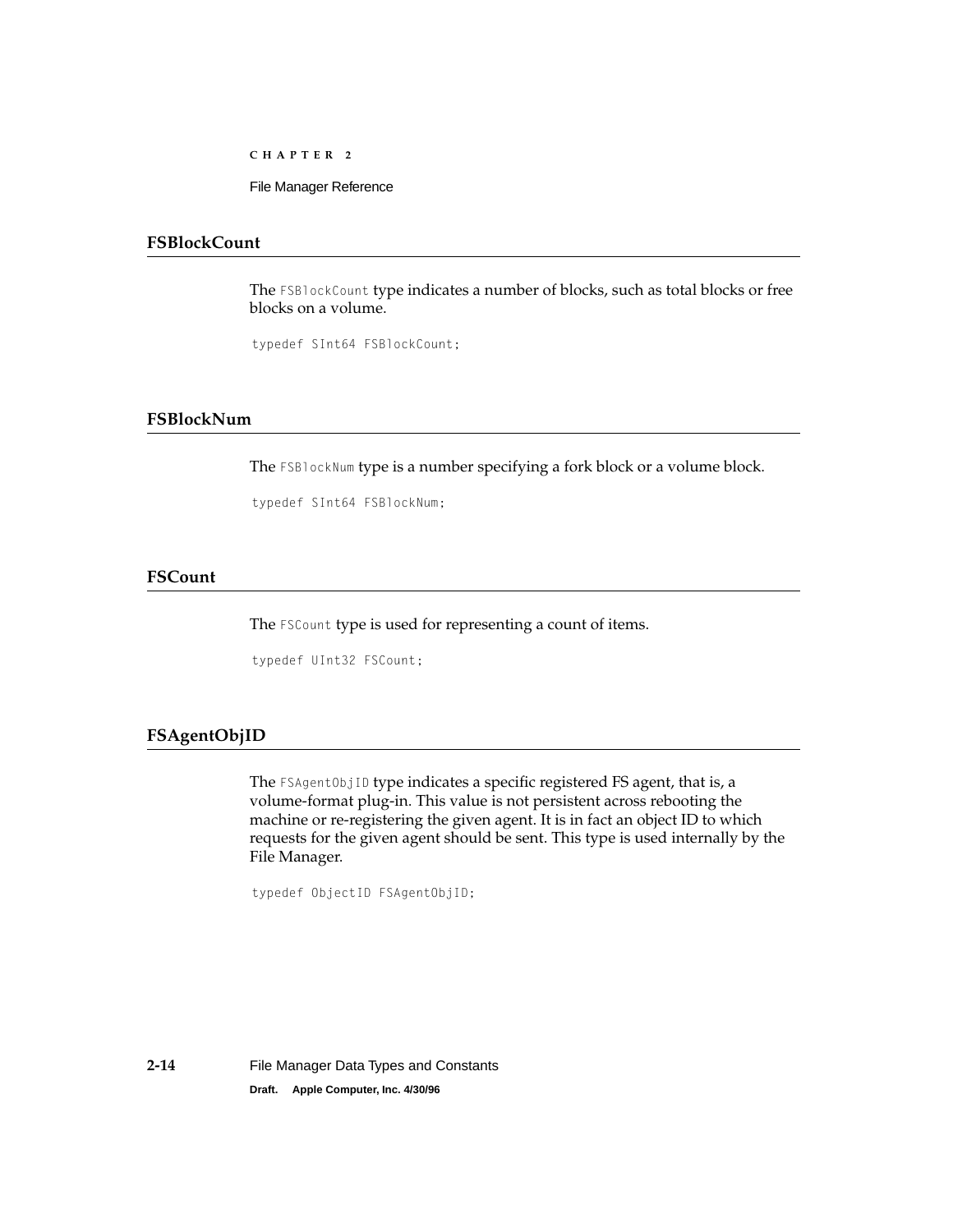File Manager Reference

# **FSBlockCount 2**

The FSBlockCount type indicates a number of blocks, such as total blocks or free blocks on a volume.

typedef SInt64 FSBlockCount;

# **FSBlockNum 2**

The FSBlockNum type is a number specifying a fork block or a volume block.

typedef SInt64 FSBlockNum;

### **FSCount 2**

The FSCount type is used for representing a count of items.

typedef UInt32 FSCount;

### **FSAgentObjID 2**

The FSAgentObjID type indicates a specific registered FS agent, that is, a volume-format plug-in. This value is not persistent across rebooting the machine or re-registering the given agent. It is in fact an object ID to which requests for the given agent should be sent. This type is used internally by the File Manager.

typedef ObjectID FSAgentObjID;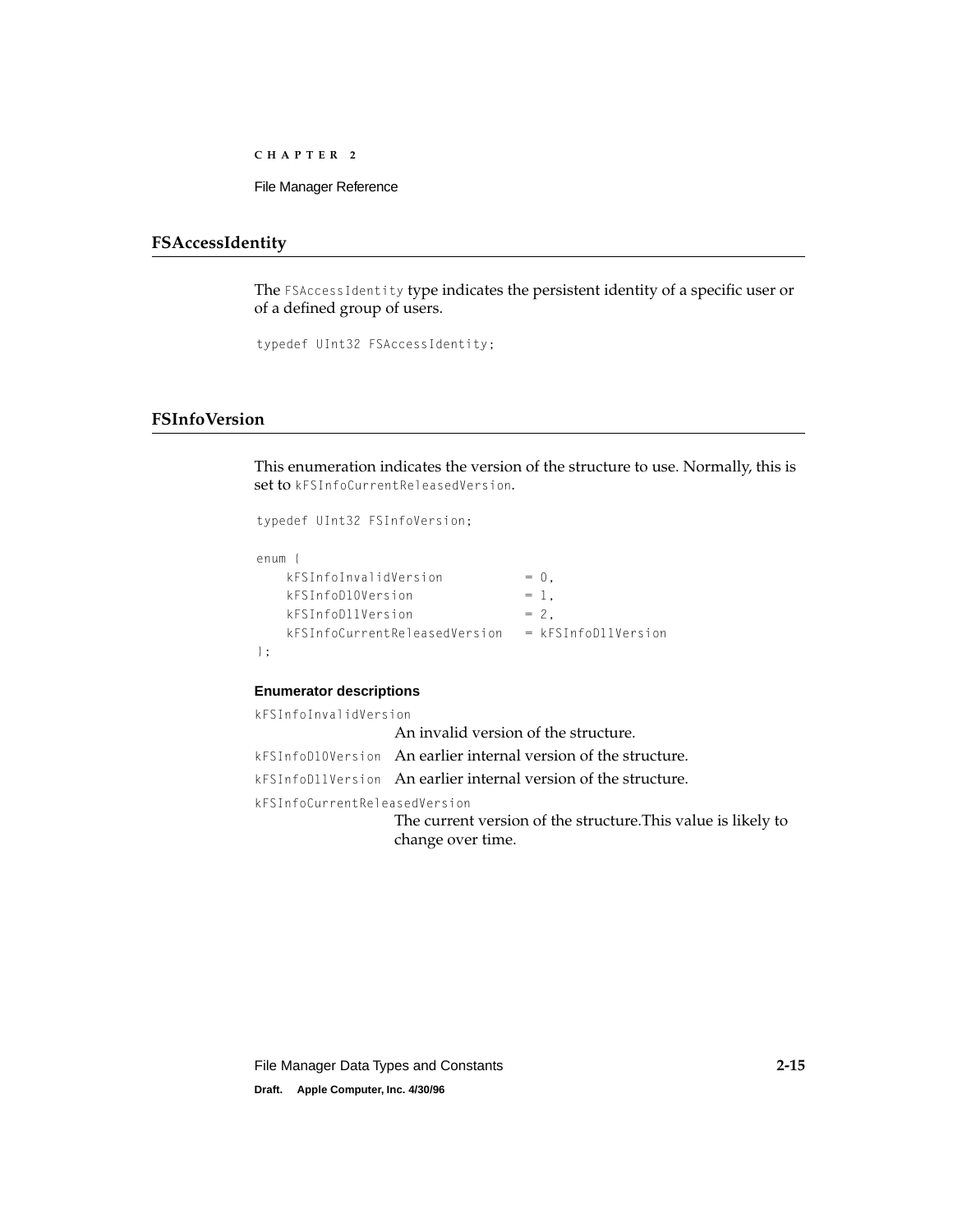# **FSAccessIdentity 2**

The FSAccessIdentity type indicates the persistent identity of a specific user or of a defined group of users.

typedef UInt32 FSAccessIdentity;

# **FSInfoVersion 2**

This enumeration indicates the version of the structure to use. Normally, this is set to kFSInfoCurrentReleasedVersion.

```
typedef UInt32 FSInfoVersion;
```

```
enum {
  kFSInfolnvalidVersion = 0.kFSInf0D10Version = 1.kFSInfoD11Version = 2.kFSInfoCurrentReleasedVersion = kFSInfoD11Version
};
```
### **Enumerator descriptions**

| kFSInfoInvalidVersion         |                                                                 |
|-------------------------------|-----------------------------------------------------------------|
|                               | An invalid version of the structure.                            |
|                               | kFSInfoD10Version An earlier internal version of the structure. |
|                               | kFSInfoD11Version An earlier internal version of the structure. |
| kFSInfoCurrentReleasedVersion |                                                                 |
|                               | The current version of the structure. This value is likely to   |
|                               | change over time.                                               |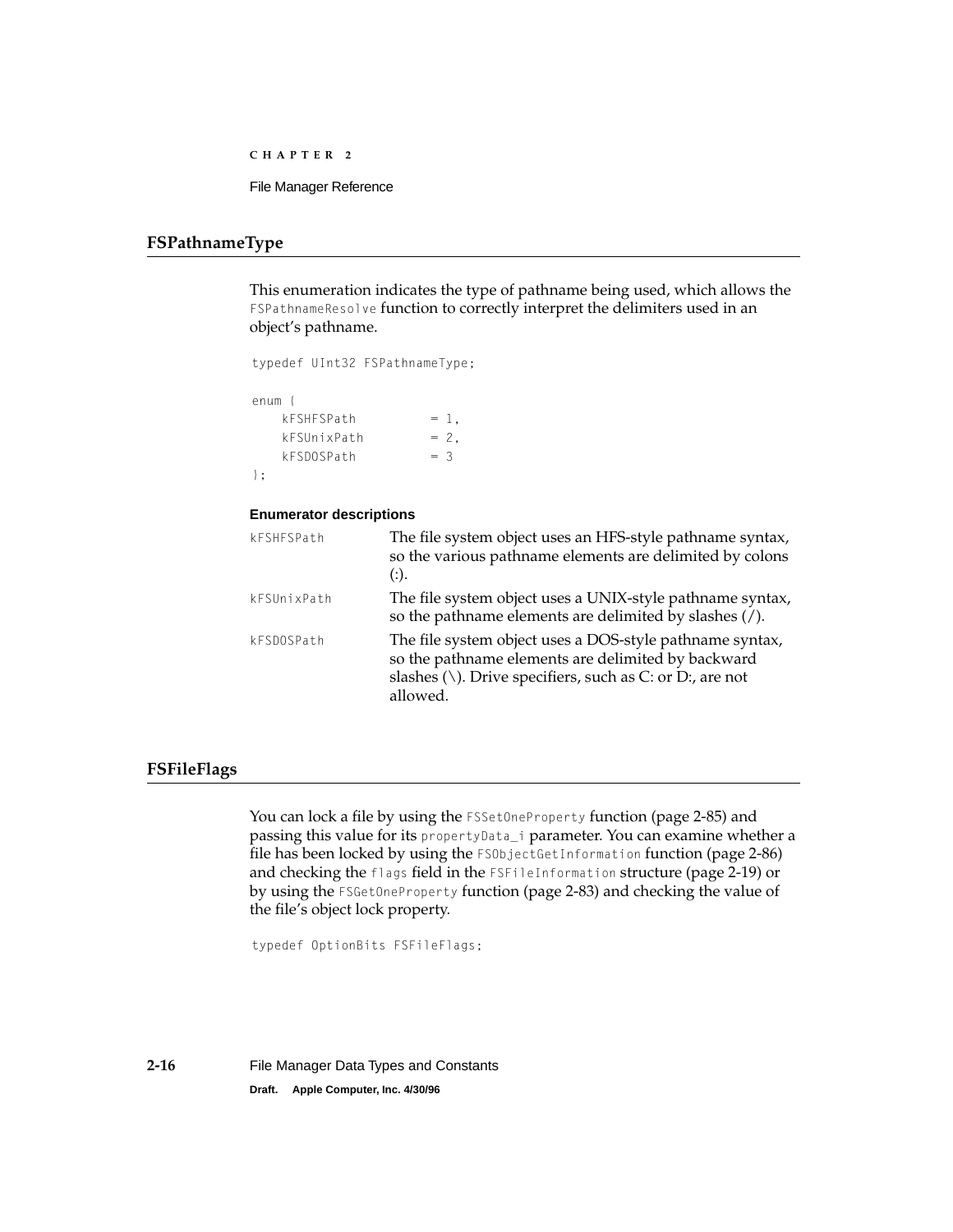## **FSPathnameType 2**

This enumeration indicates the type of pathname being used, which allows the FSPathnameResolve function to correctly interpret the delimiters used in an object's pathname.

```
typedef UInt32 FSPathnameType;
enum {
   kFSHFSPath = 1,
   kFSUnixPath = 2,
   kFSDOSPath = 3
```

```
};
```
### **Enumerator descriptions**

| <b>kFSHFSPath</b> | The file system object uses an HFS-style pathname syntax,<br>so the various pathname elements are delimited by colons<br>(:).                                                                      |
|-------------------|----------------------------------------------------------------------------------------------------------------------------------------------------------------------------------------------------|
| kFSUnixPath       | The file system object uses a UNIX-style pathname syntax,<br>so the pathname elements are delimited by slashes (/).                                                                                |
| kFSDOSPath        | The file system object uses a DOS-style pathname syntax,<br>so the pathname elements are delimited by backward<br>slashes ( $\setminus$ ). Drive specifiers, such as C: or D:, are not<br>allowed. |

## **FSFileFlags 2**

You can lock a file by using the FSSetOneProperty function [\(page 2-85\)](#page-112-0) and passing this value for its propertyData\_i parameter. You can examine whether a file has been locked by using the FSObjectGetInformation function [\(page 2-86\)](#page-113-0)  and checking the flags field in the FSFileInformation structure [\(page 2-19\)](#page-46-0) or by using the FSGetOneProperty function [\(page 2-83\)](#page-110-0) and checking the value of the file's object lock property.

typedef OptionBits FSFileFlags;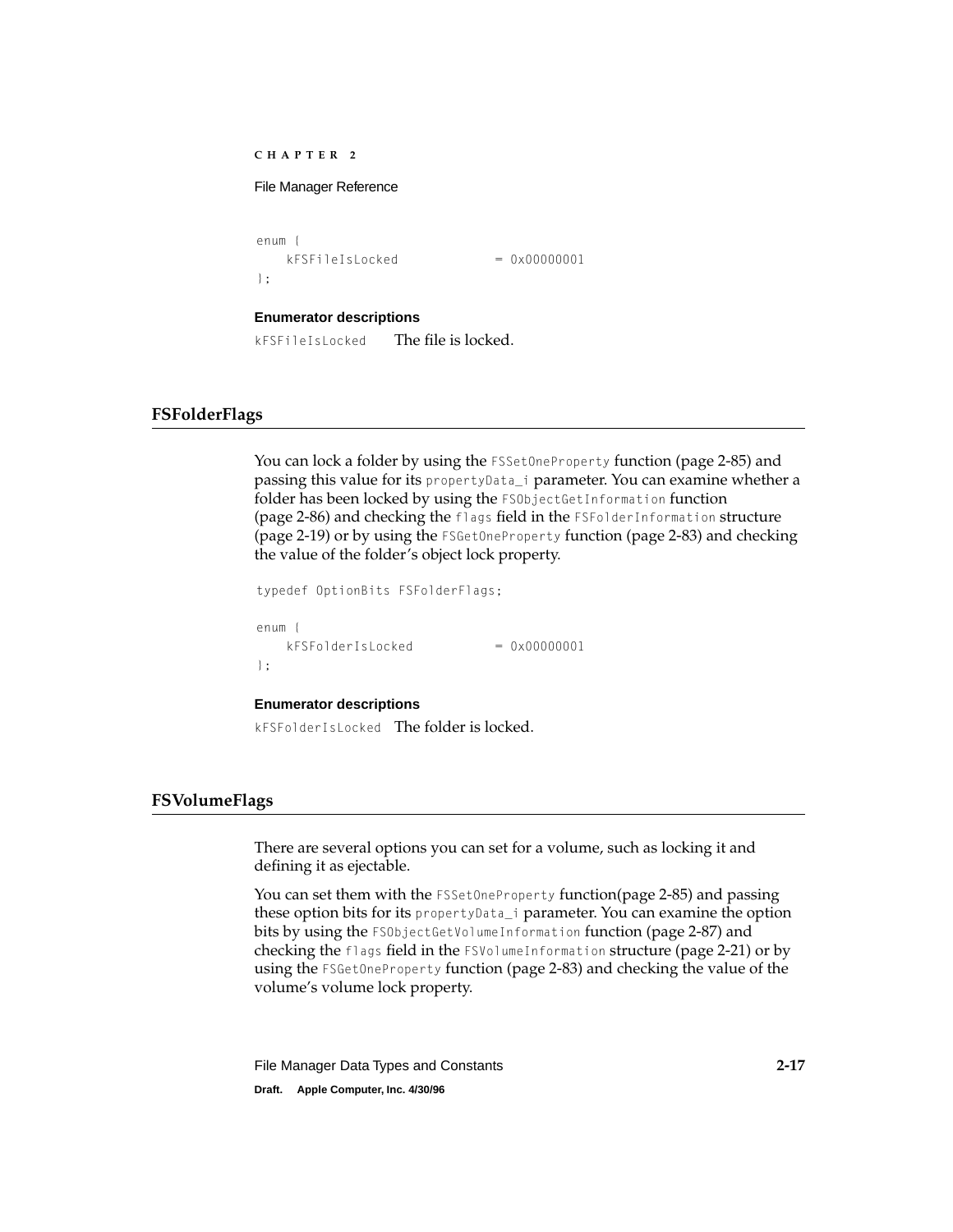#### File Manager Reference

```
enum {
  kFSFilelslocked = 0x00000001};
```
### **Enumerator descriptions**

kFSFileIsLocked The file is locked.

## **FSFolderFlags 2**

You can lock a folder by using the **FSSetOneProperty** function [\(page 2-85\)](#page-112-0) and passing this value for its propertyData\_i parameter. You can examine whether a folder has been locked by using the FSObjectGetInformation function [\(page 2-86\)](#page-113-0) and checking the flags field in the FSFolderInformation structure [\(page 2-19\)](#page-46-0) or by using the FSGetOneProperty function [\(page 2-83\)](#page-110-0) and checking the value of the folder's object lock property.

```
typedef OptionBits FSFolderFlags;
enum {
   kFSFolderIsLocked = 0x00000001
};
```
#### **Enumerator descriptions**

kFSFolderIsLocked The folder is locked.

## **FSVolumeFlags 2**

There are several options you can set for a volume, such as locking it and defining it as ejectable.

You can set them with the FSSetOneProperty functio[n\(page 2-85\)](#page-112-0) and passing these option bits for its propertyData\_i parameter. You can examine the option bits by using the FSObjectGetVolumeInformation function [\(page 2-87\)](#page-114-0) and checking the flags field in the FSVolumeInformation structure [\(page 2-21\)](#page-48-0) or by using the FSGetOneProperty function [\(page 2-83\)](#page-110-0) and checking the value of the volume's volume lock property.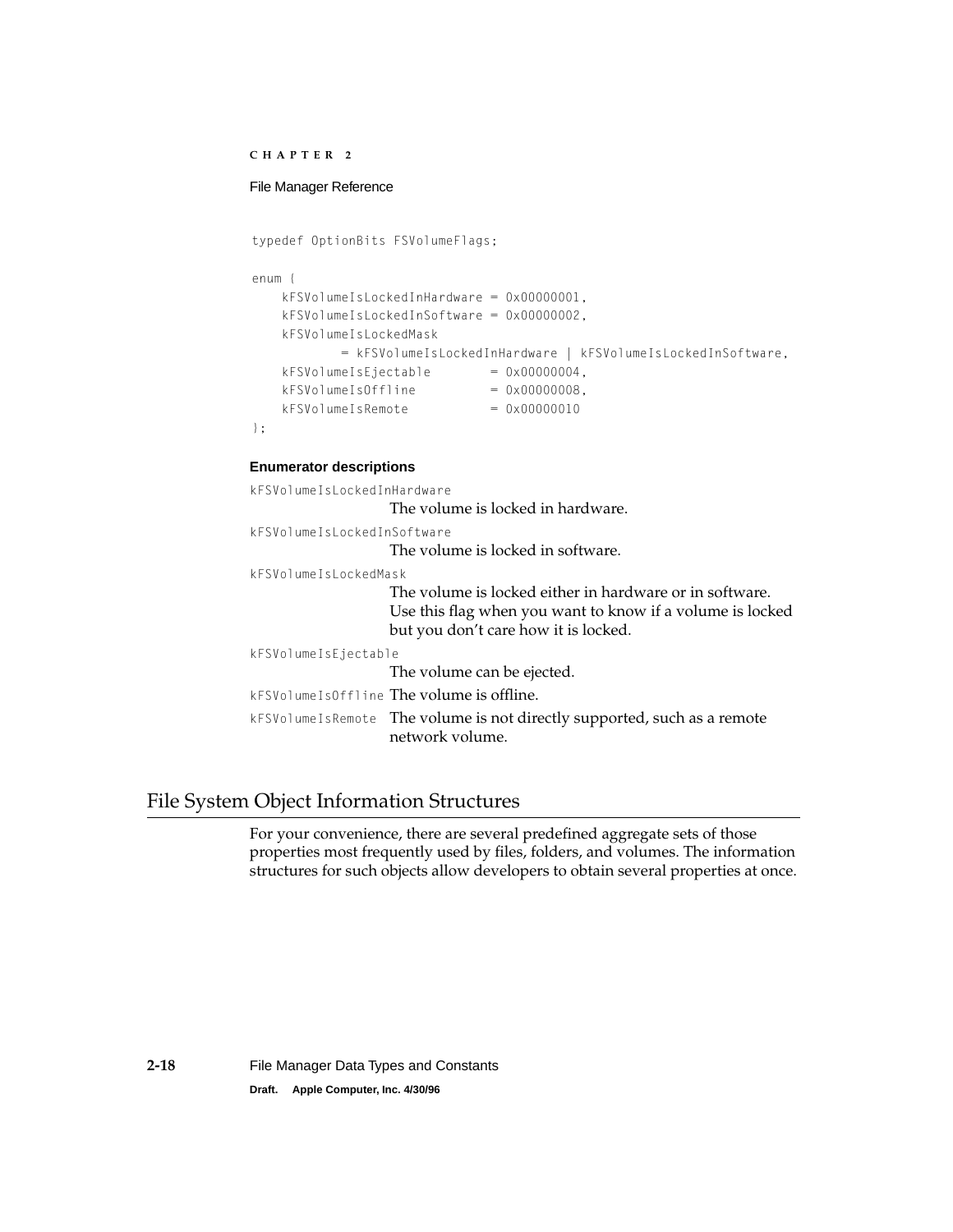```
CHAPTER 2
```
typedef OptionBits FSVolumeFlags; enum { kFSVolumeIsLockedInHardware = 0x00000001, kFSVolumeIsLockedInSoftware = 0x00000002, kFSVolumeIsLockedMask = kFSVolumeIsLockedInHardware | kFSVolumeIsLockedInSoftware,  $kFSVolumeIsEjectable$  = 0x00000004,  $kFSV$ olumeIsOffline  $= 0 \times 00000008$ .  $kFSV$ olumeIsRemote = 0x00000010 };

### **Enumerator descriptions**

kFSVolumeIsLockedInHardware

The volume is locked in hardware.

kFSVolumeIsLockedInSoftware

The volume is locked in software.

kFSVolumeIsLockedMask

The volume is locked either in hardware or in software. Use this flag when you want to know if a volume is locked but you don't care how it is locked.

kFSVolumeIsEjectable

The volume can be ejected.

kFSVolumeIsOffline The volume is offline.

kFSVolumeIsRemote The volume is not directly supported, such as a remote network volume.

# File System Object Information Structures

For your convenience, there are several predefined aggregate sets of those properties most frequently used by files, folders, and volumes. The information structures for such objects allow developers to obtain several properties at once.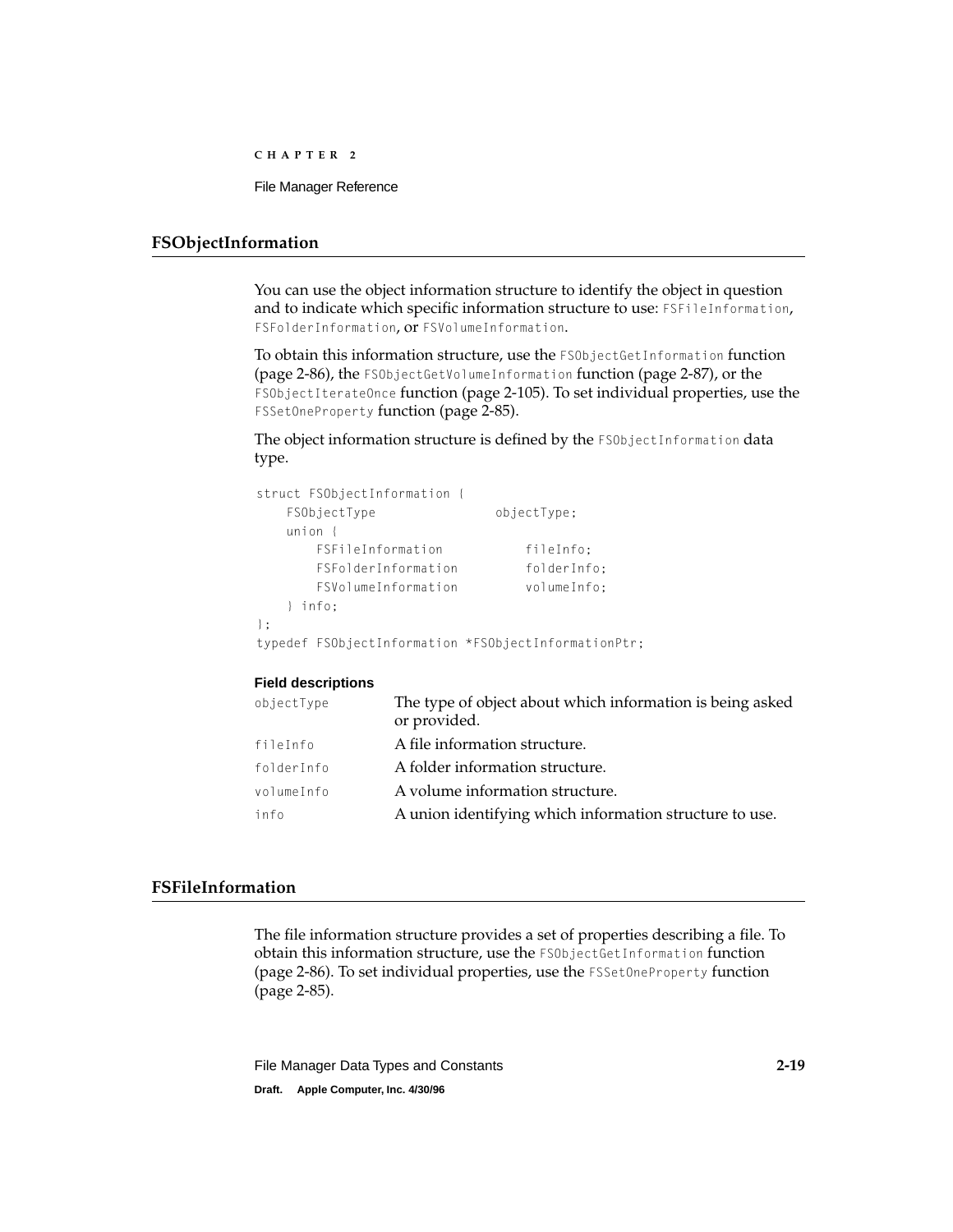# <span id="page-46-0"></span>**FSObjectInformation 2**

You can use the object information structure to identify the object in question and to indicate which specific information structure to use: FSFileInformation, FSFolderInformation, or FSVolumeInformation.

To obtain this information structure, use the FSObjectGetInformation function [\(page 2-86\)](#page-113-0), the FSObjectGetVolumeInformation function [\(page 2-87\),](#page-114-0) or the FSObjectIterateOnce function [\(page 2-105\).](#page-132-0) To set individual properties, use the FSSetOneProperty function [\(page 2-85\)](#page-112-0).

The object information structure is defined by the FSObjectInformation data type.

```
struct FSObjectInformation {
   FSObjectType objectType;
   union {
      FSFileInformation fileInfo;
      FSFolderInformation folderInfo;
      FSVolumeInformation volumeInfo;
   } info;
};
typedef FSObjectInformation *FSObjectInformationPtr;
```
### **Field descriptions**

| objectType | The type of object about which information is being asked<br>or provided. |
|------------|---------------------------------------------------------------------------|
| fileInfo   | A file information structure.                                             |
| folderInfo | A folder information structure.                                           |
| volumeInfo | A volume information structure.                                           |
| info       | A union identifying which information structure to use.                   |
|            |                                                                           |

# **FSFileInformation 2**

The file information structure provides a set of properties describing a file. To obtain this information structure, use the FSObjectGetInformation function [\(page 2-86\)](#page-113-0). To set individual properties, use the FSSetOneProperty function [\(page 2-85\)](#page-112-0).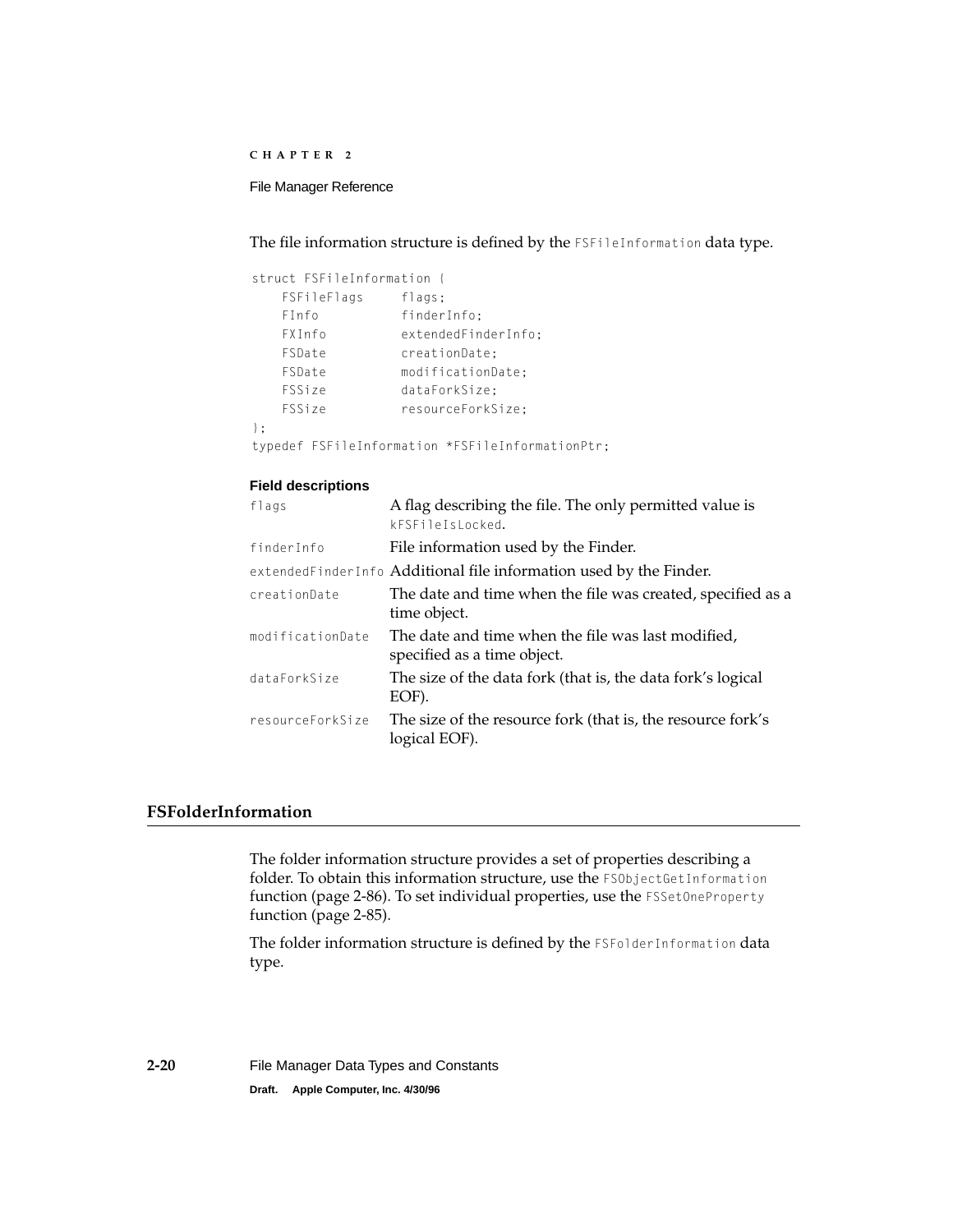#### File Manager Reference

The file information structure is defined by the FSFileInformation data type.

```
struct FSFileInformation {
   FSFileFlags flags;
   FInfo finderInfo;
   FXInfo extendedFinderInfo;
   FSDate creationDate;
   FSDate modificationDate;
   FSSize dataForkSize;
   FSSize resourceForkSize;
};
typedef FSFileInformation *FSFileInformationPtr;
```
#### **Field descriptions**

| flags            | A flag describing the file. The only permitted value is<br>kFSFileIsLocked.       |
|------------------|-----------------------------------------------------------------------------------|
| finderInfo       | File information used by the Finder.                                              |
|                  | extendedFinderInfo Additional file information used by the Finder.                |
| creationDate     | The date and time when the file was created, specified as a<br>time object.       |
| modificationDate | The date and time when the file was last modified,<br>specified as a time object. |
| dataForkSize     | The size of the data fork (that is, the data fork's logical<br>EOF).              |
| resourceForkSize | The size of the resource fork (that is, the resource fork's<br>logical EOF).      |

# **FSFolderInformation 2**

The folder information structure provides a set of properties describing a folder. To obtain this information structure, use the FSObjectGetInformation function [\(page 2-86\).](#page-113-0) To set individual properties, use the FSSetOneProperty function [\(page 2-85\).](#page-112-0)

The folder information structure is defined by the FSFolderInformation data type.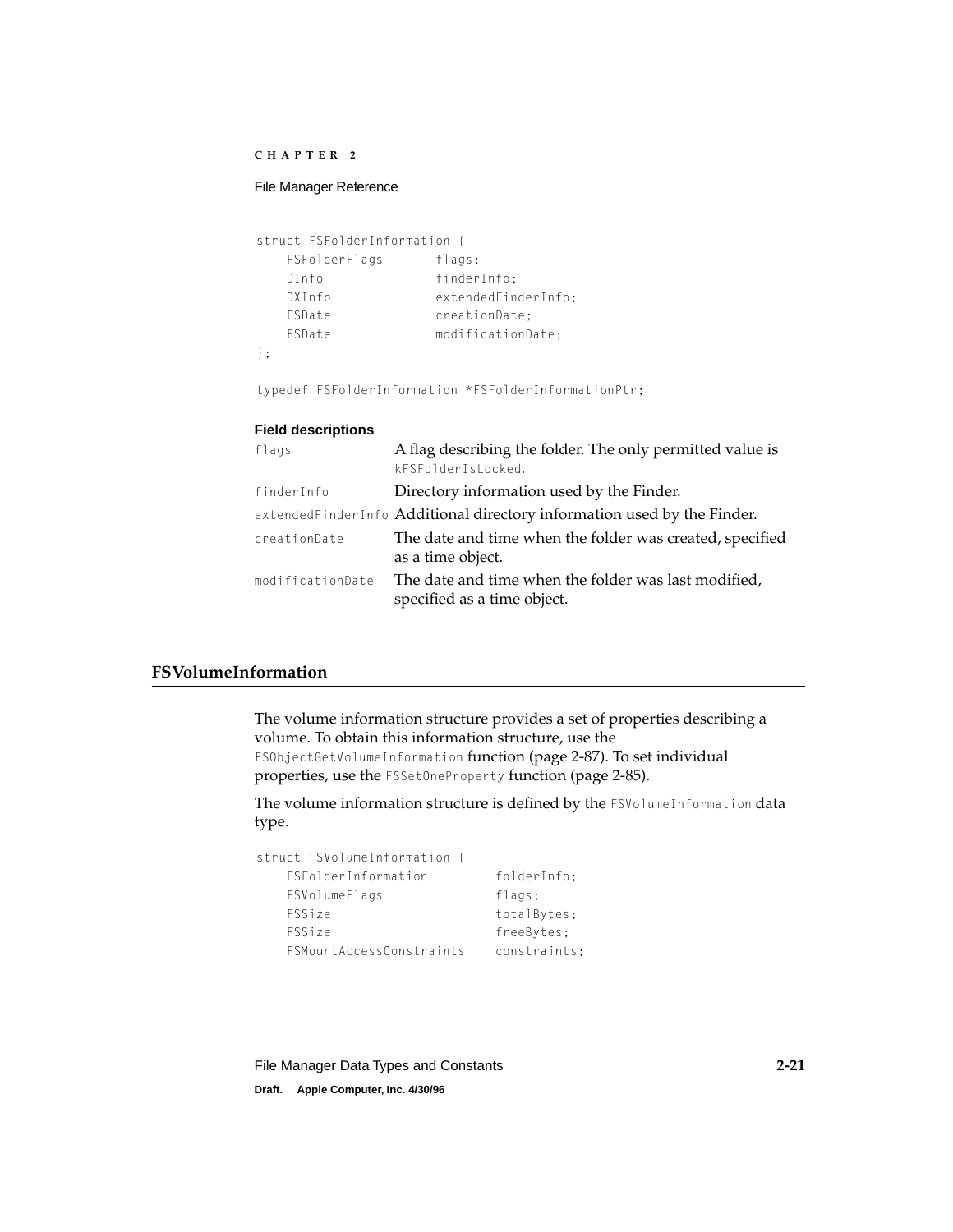#### <span id="page-48-0"></span>File Manager Reference

| struct FSFolderInformation { |                                                                                     |
|------------------------------|-------------------------------------------------------------------------------------|
| FSFolderFlags                | flags;                                                                              |
| DInfo                        | finderInfo;                                                                         |
| DXInfo                       | extendedFinderInfo;                                                                 |
| FSDate                       | creationDate:                                                                       |
| FSDate                       | modificationDate;                                                                   |
| $\}$ ;                       |                                                                                     |
|                              | typedef FSFolderInformation *FSFolderInformationPtr;                                |
| <b>Field descriptions</b>    |                                                                                     |
| flags                        | A flag describing the folder. The only permitted value is<br>kFSFolderIsLocked.     |
| finderInfo                   | Directory information used by the Finder.                                           |
|                              | extendedFinderInfo Additional directory information used by the Finder.             |
| creationDate                 | The date and time when the folder was created, specified<br>as a time object.       |
| modificationDate             | The date and time when the folder was last modified,<br>specified as a time object. |

# **FSVolumeInformation 2**

The volume information structure provides a set of properties describing a volume. To obtain this information structure, use the FSObjectGetVolumeInformation function [\(page 2-87\).](#page-114-0) To set individual properties, use the FSSetOneProperty function [\(page 2-85\)](#page-112-0).

The volume information structure is defined by the FSVolumeInformation data type.

| struct FSVolumeInformation { |              |
|------------------------------|--------------|
| FSFolderInformation          | folderInfo:  |
| FSVolumeFlags                | flags:       |
| <b>FSSize</b>                | totalBytes:  |
| FSSize                       | freeBytes:   |
| FSMountAccessConstraints     | constraints: |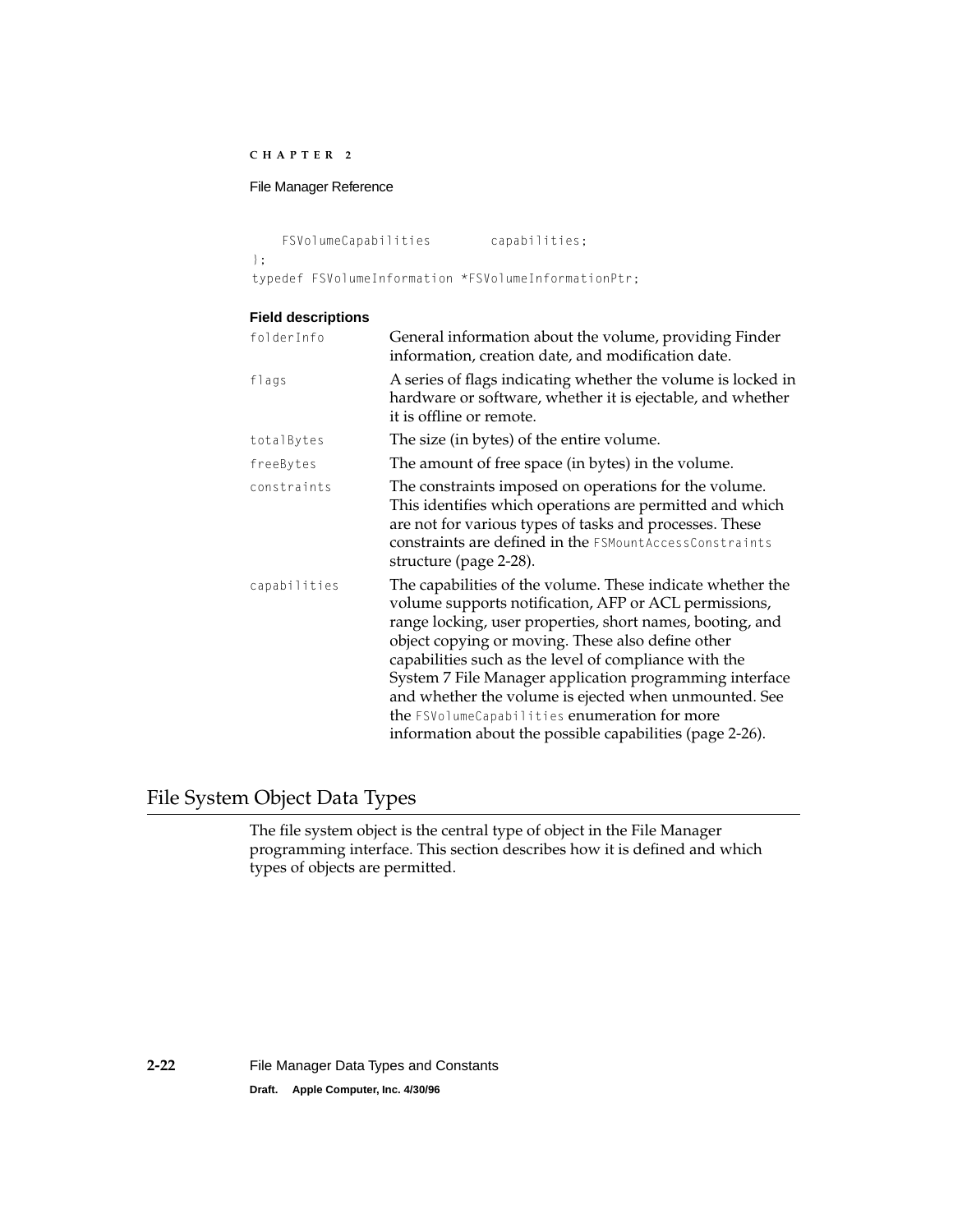```
FSVolumeCapabilities capabilities;
};
```

```
typedef FSVolumeInformation *FSVolumeInformationPtr;
```
### **Field descriptions**

| folderInfo   | General information about the volume, providing Finder<br>information, creation date, and modification date.                                                                                                                                                                                                                                                                                                                                                                                                                    |
|--------------|---------------------------------------------------------------------------------------------------------------------------------------------------------------------------------------------------------------------------------------------------------------------------------------------------------------------------------------------------------------------------------------------------------------------------------------------------------------------------------------------------------------------------------|
| flags        | A series of flags indicating whether the volume is locked in<br>hardware or software, whether it is ejectable, and whether<br>it is offline or remote.                                                                                                                                                                                                                                                                                                                                                                          |
| totalBytes   | The size (in bytes) of the entire volume.                                                                                                                                                                                                                                                                                                                                                                                                                                                                                       |
| freeBytes    | The amount of free space (in bytes) in the volume.                                                                                                                                                                                                                                                                                                                                                                                                                                                                              |
| constraints  | The constraints imposed on operations for the volume.<br>This identifies which operations are permitted and which<br>are not for various types of tasks and processes. These<br>constraints are defined in the FSMountAccessConstraints<br>structure (page 2-28).                                                                                                                                                                                                                                                               |
| capabilities | The capabilities of the volume. These indicate whether the<br>volume supports notification, AFP or ACL permissions,<br>range locking, user properties, short names, booting, and<br>object copying or moving. These also define other<br>capabilities such as the level of compliance with the<br>System 7 File Manager application programming interface<br>and whether the volume is ejected when unmounted. See<br>the FSVolumeCapabilities enumeration for more<br>information about the possible capabilities (page 2-26). |

# File System Object Data Types 2

The file system object is the central type of object in the File Manager programming interface. This section describes how it is defined and which types of objects are permitted.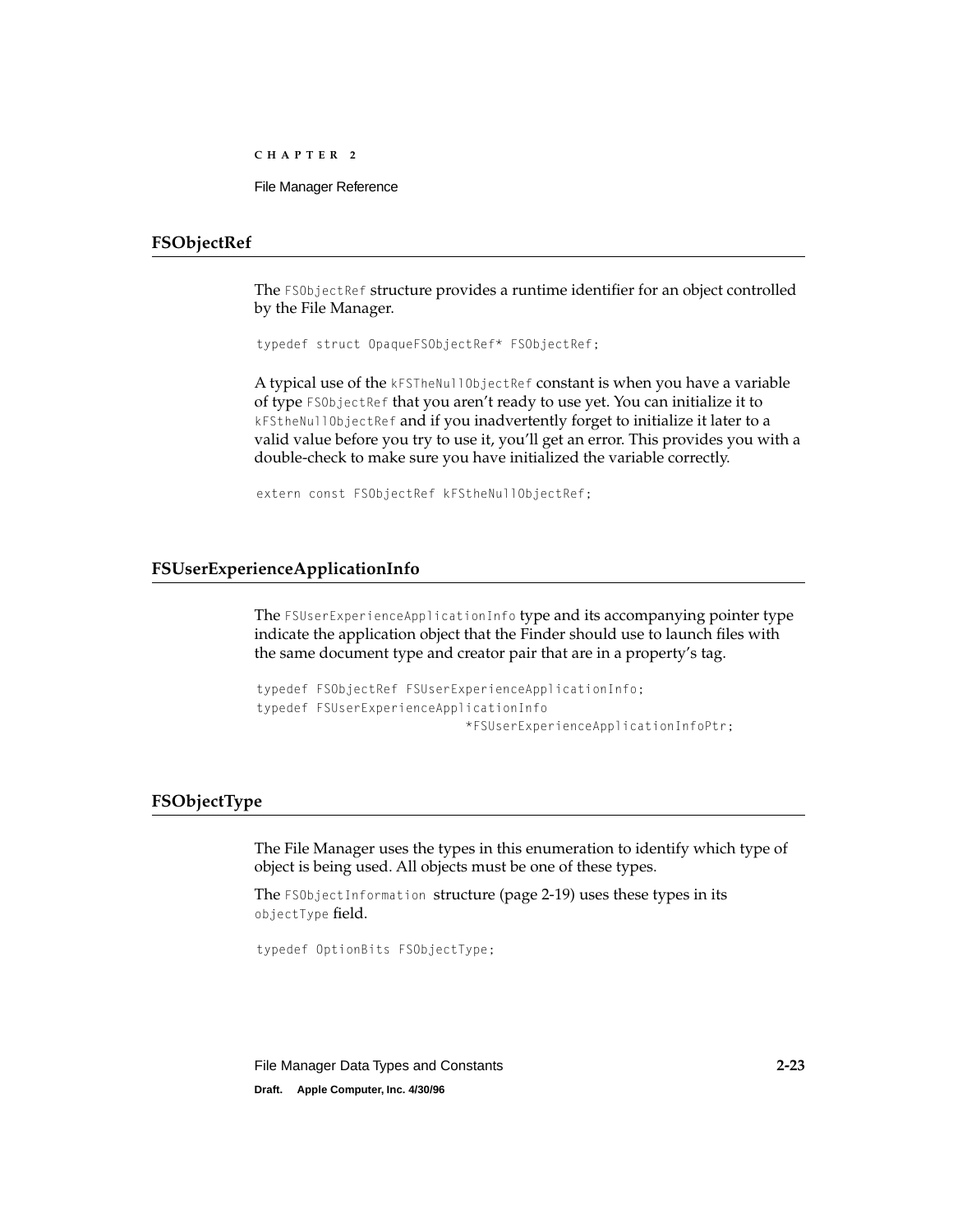File Manager Reference

## **FSObjectRef 2**

The FSObjectRef structure provides a runtime identifier for an object controlled by the File Manager.

```
typedef struct OpaqueFSObjectRef* FSObjectRef;
```
A typical use of the kFSTheNullObjectRef constant is when you have a variable of type FSObjectRef that you aren't ready to use yet. You can initialize it to kFStheNullObjectRef and if you inadvertently forget to initialize it later to a valid value before you try to use it, you'll get an error. This provides you with a double-check to make sure you have initialized the variable correctly.

extern const FSObjectRef kFStheNullObjectRef;

## **FSUserExperienceApplicationInfo 2**

The FSUserExperienceApplicationInfo type and its accompanying pointer type indicate the application object that the Finder should use to launch files with the same document type and creator pair that are in a property's tag.

```
typedef FSObjectRef FSUserExperienceApplicationInfo;
typedef FSUserExperienceApplicationInfo
                            *FSUserExperienceApplicationInfoPtr;
```
# **FSObjectType 2**

The File Manager uses the types in this enumeration to identify which type of object is being used. All objects must be one of these types.

The FSObjectInformation structure [\(page 2-19\)](#page-46-0) uses these types in its objectType field.

```
typedef OptionBits FSObjectType;
```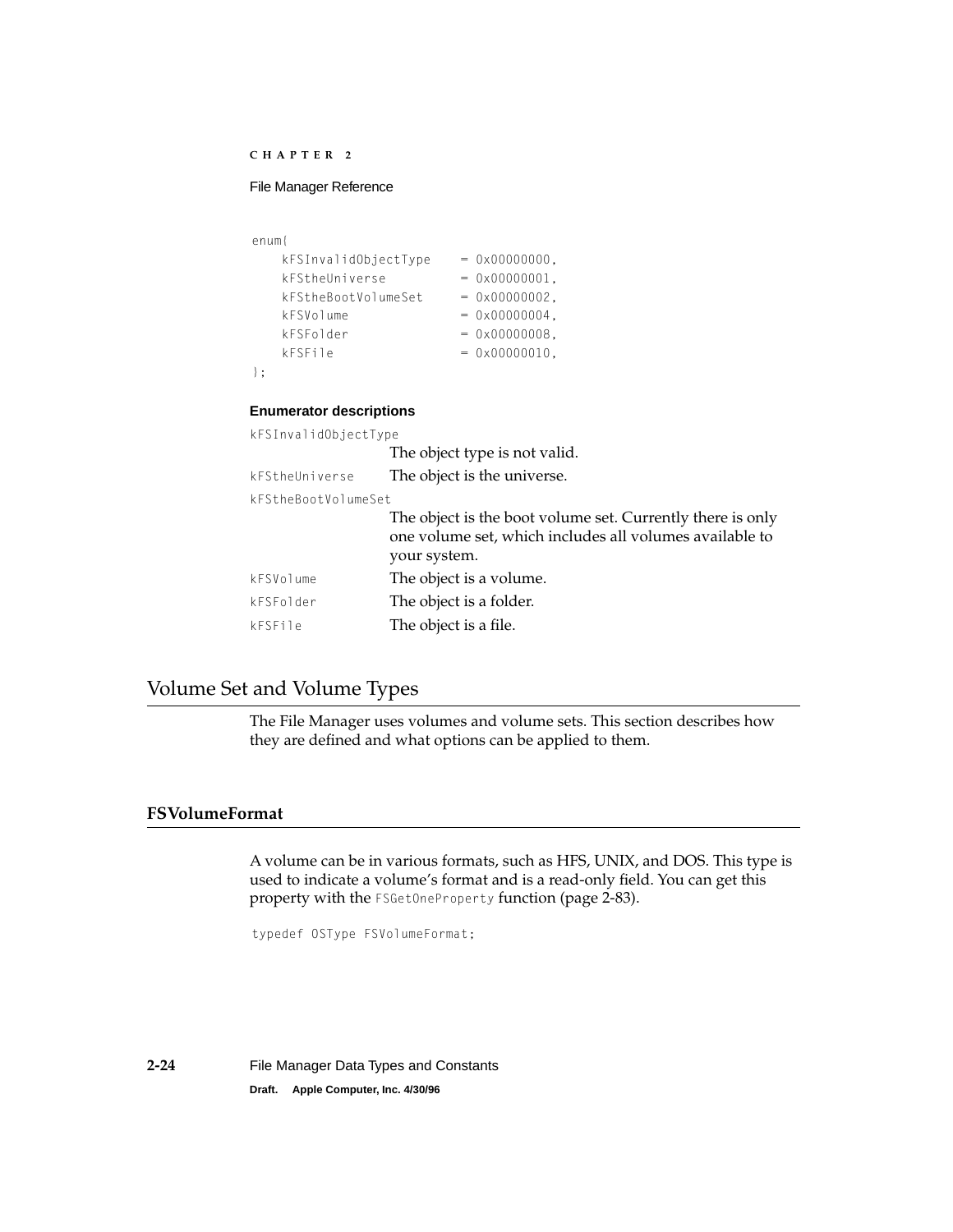#### File Manager Reference

| enum                 |                         |
|----------------------|-------------------------|
| kFSInvalidObjectType | $= 0 \times 00000000$ . |
| kFStheUniverse       | $= 0 \times 00000001$ . |
| kFStheBootVolumeSet  | $= 0 \times 00000002$ . |
| kFSVolume            | $= 0 \times 00000004$ . |
| kFSFolder            | $= 0 \times 00000008.$  |
| kFSFile              | $= 0 \times 00000010$ . |
|                      |                         |

### **Enumerator descriptions**

| kFSInvalidObjectType |                                                                                                                                       |  |
|----------------------|---------------------------------------------------------------------------------------------------------------------------------------|--|
|                      | The object type is not valid.                                                                                                         |  |
| kFStheUniverse       | The object is the universe.                                                                                                           |  |
| kFStheBootVolumeSet  |                                                                                                                                       |  |
|                      | The object is the boot volume set. Currently there is only<br>one volume set, which includes all volumes available to<br>your system. |  |
| kFSVolume            | The object is a volume.                                                                                                               |  |
| kFSFolder            | The object is a folder.                                                                                                               |  |
| kFSFile              | The object is a file.                                                                                                                 |  |

# Volume Set and Volume Types 2

The File Manager uses volumes and volume sets. This section describes how they are defined and what options can be applied to them.

# **FSVolumeFormat 2**

A volume can be in various formats, such as HFS, UNIX, and DOS. This type is used to indicate a volume's format and is a read-only field. You can get this property with the FSGetOneProperty function [\(page 2-83\).](#page-110-0)

typedef OSType FSVolumeFormat;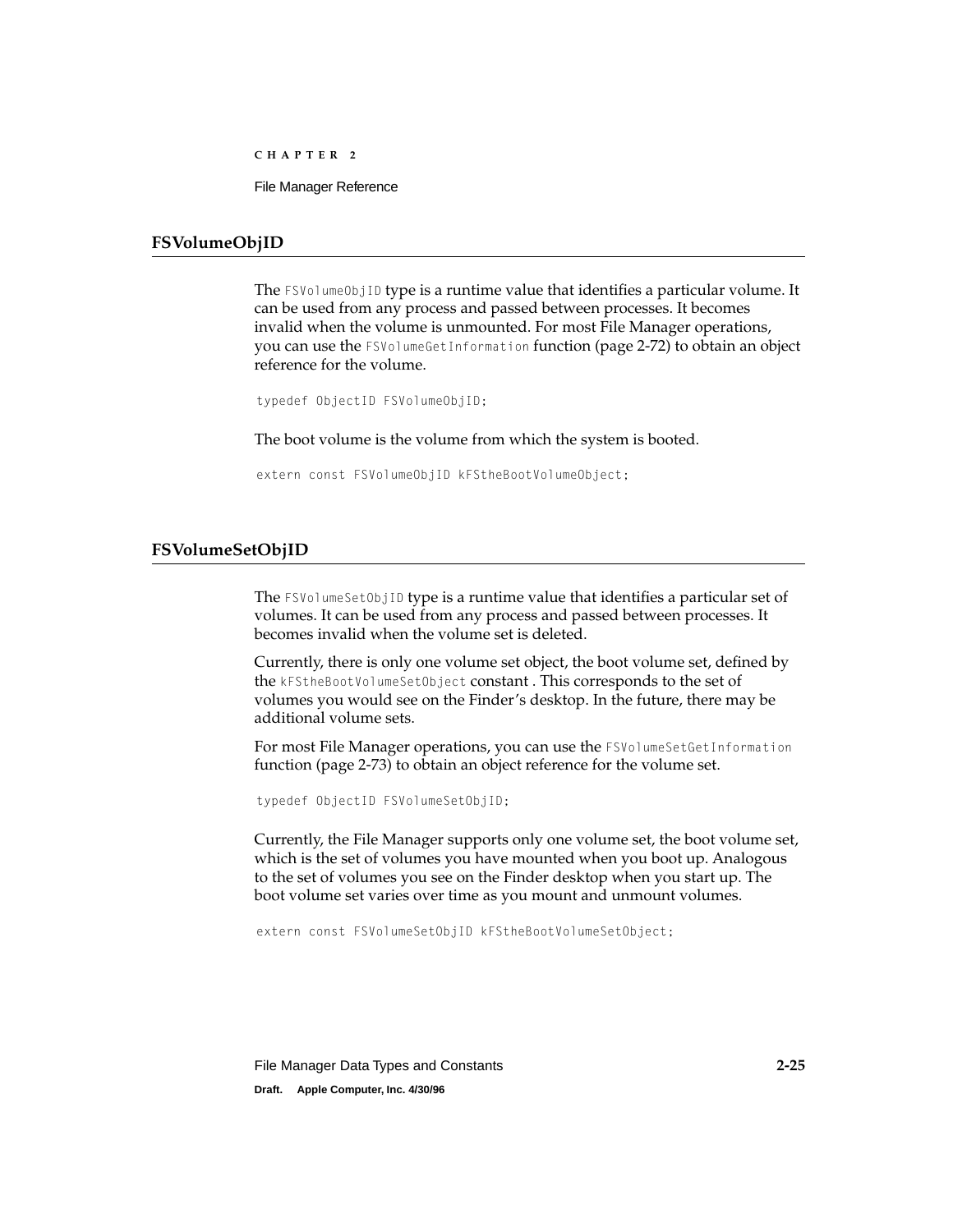# **FSVolumeObjID 2**

The FSVolumeObjID type is a runtime value that identifies a particular volume. It can be used from any process and passed between processes. It becomes invalid when the volume is unmounted. For most File Manager operations, you can use the FSVolumeGetInformation function [\(page 2-72\)](#page-99-0) to obtain an object reference for the volume.

```
typedef ObjectID FSVolumeObjID;
```
The boot volume is the volume from which the system is booted.

extern const FSVolumeObjID kFStheBootVolumeObject;

# **FSVolumeSetObjID 2**

The FSVolumeSetObjID type is a runtime value that identifies a particular set of volumes. It can be used from any process and passed between processes. It becomes invalid when the volume set is deleted.

Currently, there is only one volume set object, the boot volume set, defined by the kFStheBootVolumeSetObject constant . This corresponds to the set of volumes you would see on the Finder's desktop. In the future, there may be additional volume sets.

For most File Manager operations, you can use the FSVolumeSetGetInformation function [\(page 2-73\)](#page-100-0) to obtain an object reference for the volume set.

```
typedef ObjectID FSVolumeSetObjID;
```
Currently, the File Manager supports only one volume set, the boot volume set, which is the set of volumes you have mounted when you boot up. Analogous to the set of volumes you see on the Finder desktop when you start up. The boot volume set varies over time as you mount and unmount volumes.

extern const FSVolumeSetObjID kFStheBootVolumeSetObject;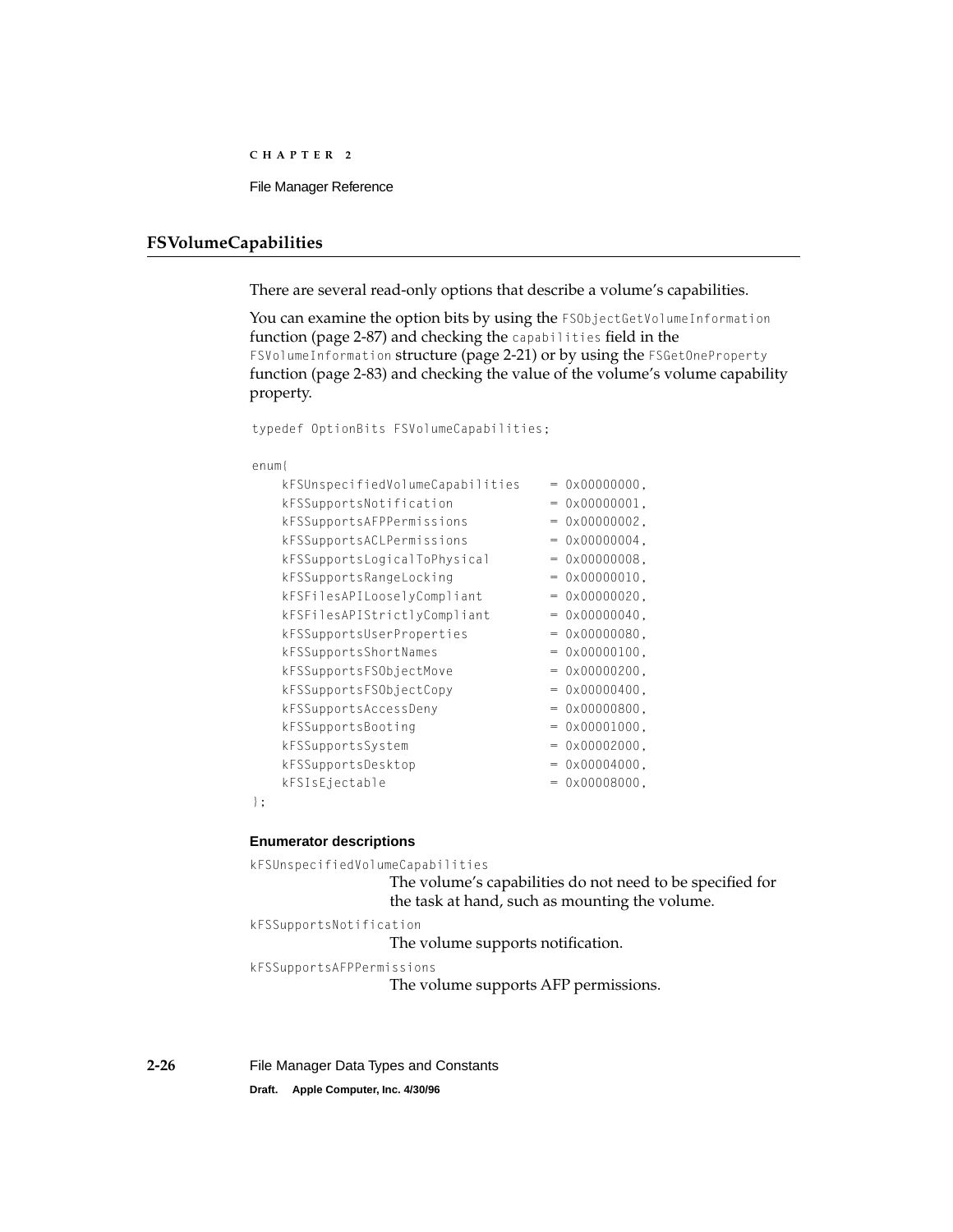### <span id="page-53-0"></span>**FSVolumeCapabilities 2**

There are several read-only options that describe a volume's capabilities.

You can examine the option bits by using the FSObjectGetVolumeInformation function [\(page 2-87\)](#page-114-0) and checking the capabilities field in the FSVolumeInformation structure [\(page 2-21\)](#page-48-0) or by using the FSGetOneProperty function [\(page 2-83\)](#page-110-0) and checking the value of the volume's volume capability property.

typedef OptionBits FSVolumeCapabilities;

#### enum{

};

| kFSUnspecifiedVolumeCapabilities | $= 0 \times 00000000$ . |
|----------------------------------|-------------------------|
| kFSSupportsNotification          | $= 0 \times 00000001.$  |
| kFSSupportsAFPPermissions        | $= 0 \times 00000002$ . |
| kFSSupportsACLPermissions        | $= 0 \times 00000004$ . |
| kFSSupportsLogicalToPhysical     | $= 0 \times 00000008.$  |
| kFSSupportsRangeLocking          | $= 0 \times 00000010$ . |
| kFSFilesAPILooselyCompliant      | $= 0 \times 00000020$ . |
| kFSFilesAPIStrictlyCompliant     | $= 0 \times 00000040.$  |
| kFSSupportsUserProperties        | $= 0 \times 00000080.$  |
| kFSSupportsShortNames            | $= 0 \times 00000100.$  |
| kFSSupportsFSObjectMove          | $= 0 \times 00000200$ . |
| kFSSupportsFSObjectCopy          | $= 0 \times 00000400.$  |
| kFSSupportsAccessDeny            | $= 0 \times 00000800.$  |
| kFSSupportsBooting               | $= 0 \times 00001000.$  |
| kFSSupportsSystem                | $= 0 \times 00002000.$  |
| kFSSupportsDesktop               | $= 0 \times 00004000.$  |
| kFSIsEjectable                   | $= 0 \times 00008000.$  |
|                                  |                         |

#### **Enumerator descriptions**

kFSUnspecifiedVolumeCapabilities

The volume's capabilities do not need to be specified for the task at hand, such as mounting the volume.

kFSSupportsNotification

The volume supports notification.

kFSSupportsAFPPermissions

The volume supports AFP permissions.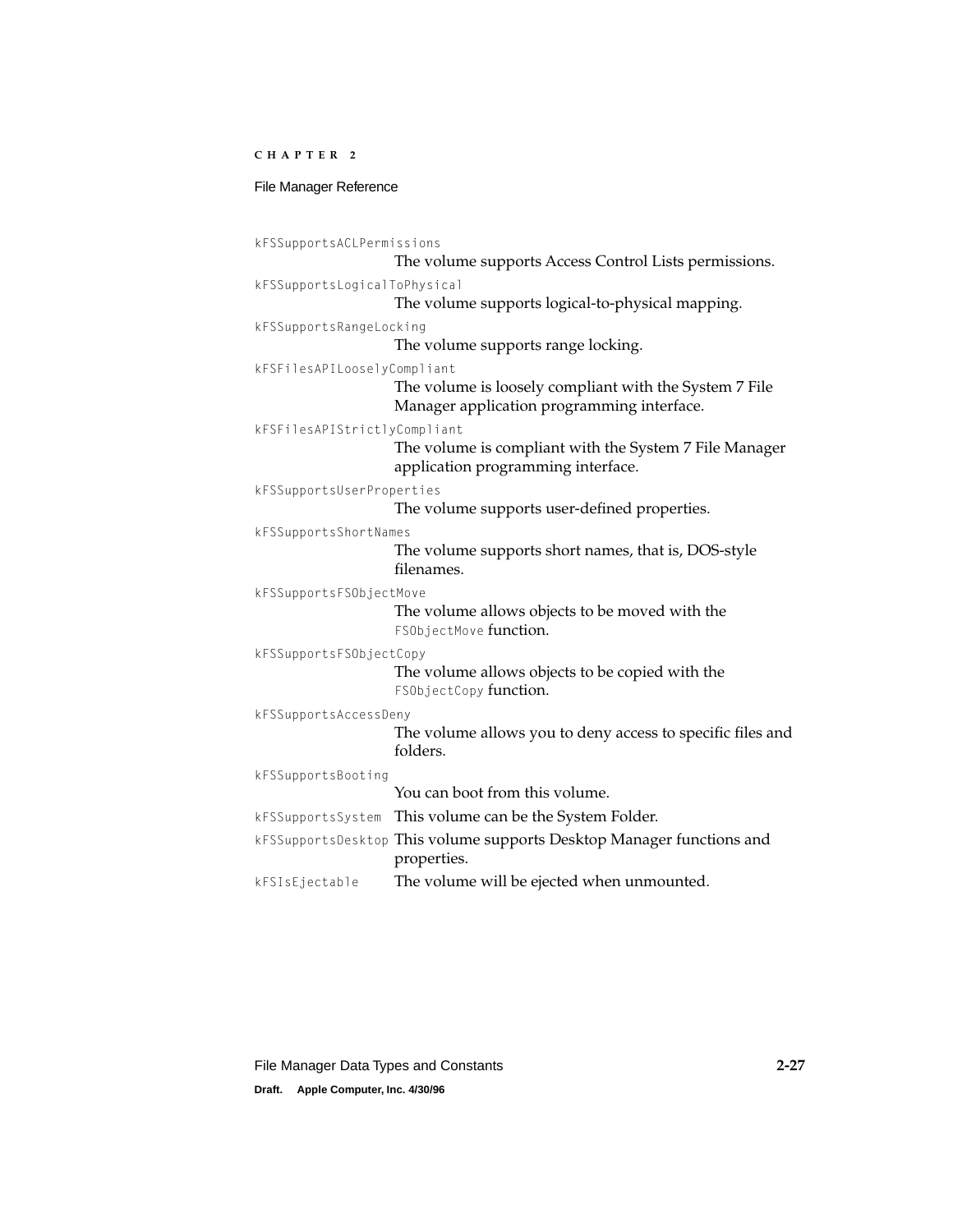#### File Manager Reference

kFSSupportsACLPermissions The volume supports Access Control Lists permissions. kFSSupportsLogicalToPhysical The volume supports logical-to-physical mapping. kFSSupportsRangeLocking The volume supports range locking. kFSFilesAPILooselyCompliant The volume is loosely compliant with the System 7 File Manager application programming interface. kFSFilesAPIStrictlyCompliant The volume is compliant with the System 7 File Manager application programming interface. kFSSupportsUserProperties The volume supports user-defined properties. kFSSupportsShortNames The volume supports short names, that is, DOS-style filenames. kFSSupportsFSObjectMove The volume allows objects to be moved with the FSObjectMove function. kFSSupportsFSObjectCopy The volume allows objects to be copied with the FSObjectCopy function. kFSSupportsAccessDeny The volume allows you to deny access to specific files and folders. kFSSupportsBooting You can boot from this volume. kFSSupportsSystem This volume can be the System Folder. kFSSupportsDesktop This volume supports Desktop Manager functions and properties. kFSIsEjectable The volume will be ejected when unmounted.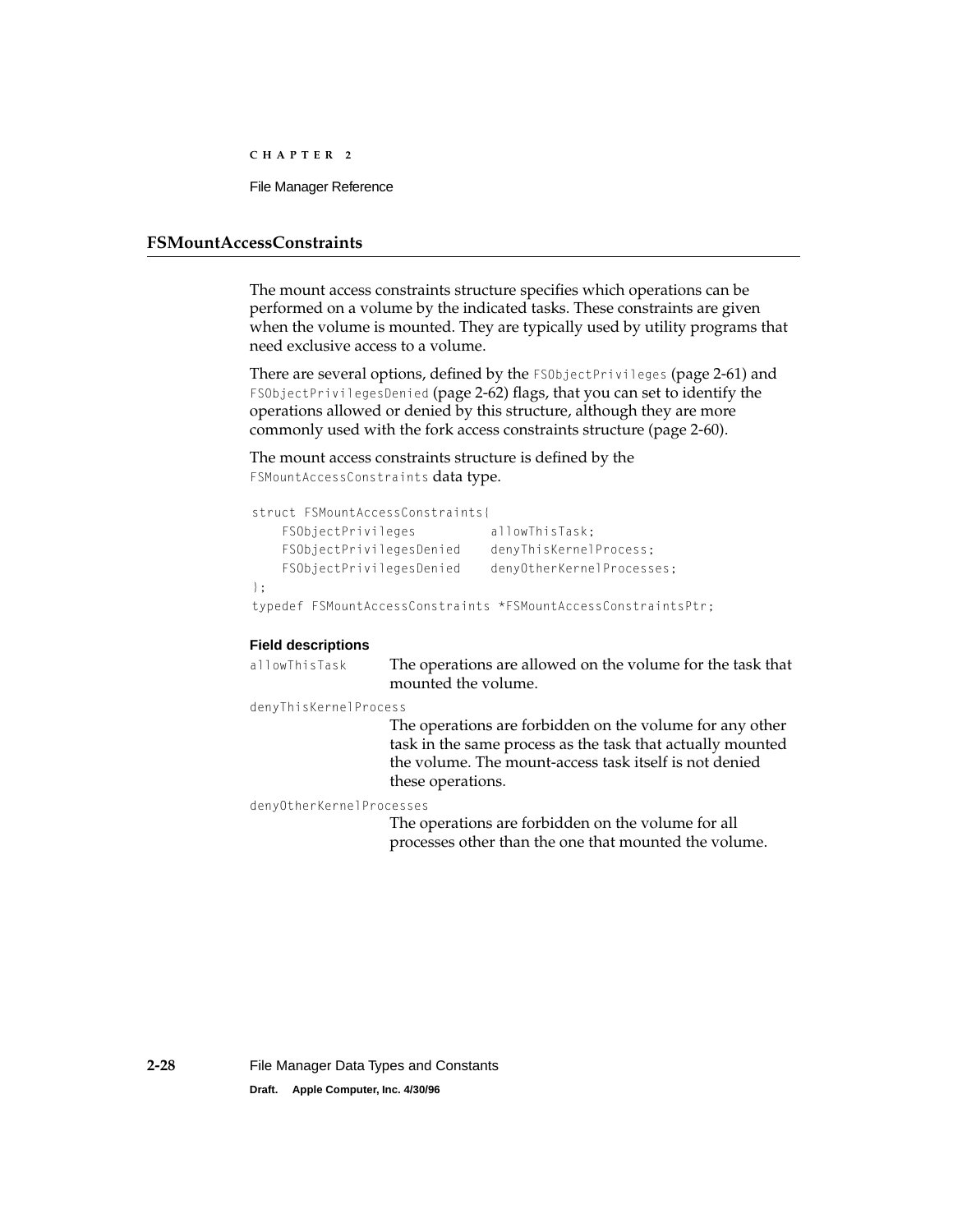## <span id="page-55-0"></span>**FSMountAccessConstraints 2**

The mount access constraints structure specifies which operations can be performed on a volume by the indicated tasks. These constraints are given when the volume is mounted. They are typically used by utility programs that need exclusive access to a volume.

There are several options, defined by the FSObjectPrivileges [\(page 2-61\)](#page-88-0) and FSObjectPrivilegesDenied [\(page 2-62\)](#page-89-0) flags, that you can set to identify the operations allowed or denied by this structure, although they are more commonly used with the fork access constraints structure [\(page 2-60\)](#page-87-0).

The mount access constraints structure is defined by the FSMountAccessConstraints data type.

```
struct FSMountAccessConstraints{
   FSObjectPrivileges allowThisTask;
   FSObjectPrivilegesDenied denyThisKernelProcess;
   FSObjectPrivilegesDenied denyOtherKernelProcesses;
};
typedef FSMountAccessConstraints *FSMountAccessConstraintsPtr;
```
### **Field descriptions**

| allowThisTask | The operations are allowed on the volume for the task that |
|---------------|------------------------------------------------------------|
|               | mounted the volume.                                        |

denyThisKernelProcess

The operations are forbidden on the volume for any other task in the same process as the task that actually mounted the volume. The mount-access task itself is not denied these operations.

denyOtherKernelProcesses

The operations are forbidden on the volume for all processes other than the one that mounted the volume.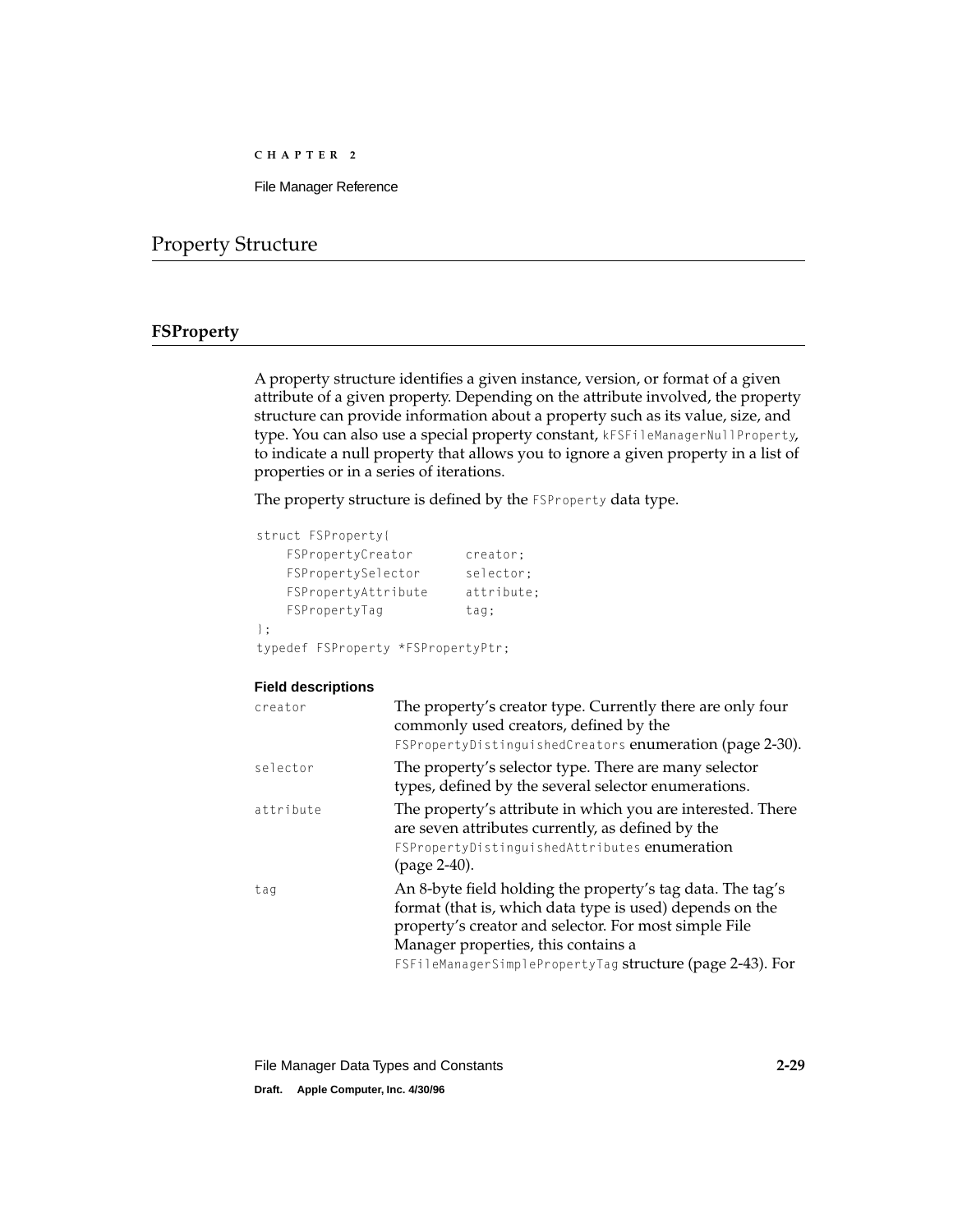# Property Structure

# **FSProperty 2**

A property structure identifies a given instance, version, or format of a given attribute of a given property. Depending on the attribute involved, the property structure can provide information about a property such as its value, size, and type. You can also use a special property constant, kFSFileManagerNullProperty, to indicate a null property that allows you to ignore a given property in a list of properties or in a series of iterations.

The property structure is defined by the FSProperty data type.

```
struct FSProperty{
   FSPropertyCreator creator;
   FSPropertySelector selector;
   FSPropertyAttribute attribute;
   FSPropertyTag tag;
};
```
typedef FSProperty \*FSPropertyPtr;

### **Field descriptions**

| creator   | The property's creator type. Currently there are only four<br>commonly used creators, defined by the<br>FSPropertyDistinguishedCreators enumeration (page 2-30).                                                                                                                    |
|-----------|-------------------------------------------------------------------------------------------------------------------------------------------------------------------------------------------------------------------------------------------------------------------------------------|
| selector  | The property's selector type. There are many selector<br>types, defined by the several selector enumerations.                                                                                                                                                                       |
| attribute | The property's attribute in which you are interested. There<br>are seven attributes currently, as defined by the<br>FSPropertyDistinguishedAttributes enumeration<br>(page 2-40).                                                                                                   |
| tag       | An 8-byte field holding the property's tag data. The tag's<br>format (that is, which data type is used) depends on the<br>property's creator and selector. For most simple File<br>Manager properties, this contains a<br>FSFileManagerSimplePropertyTag structure (page 2-43). For |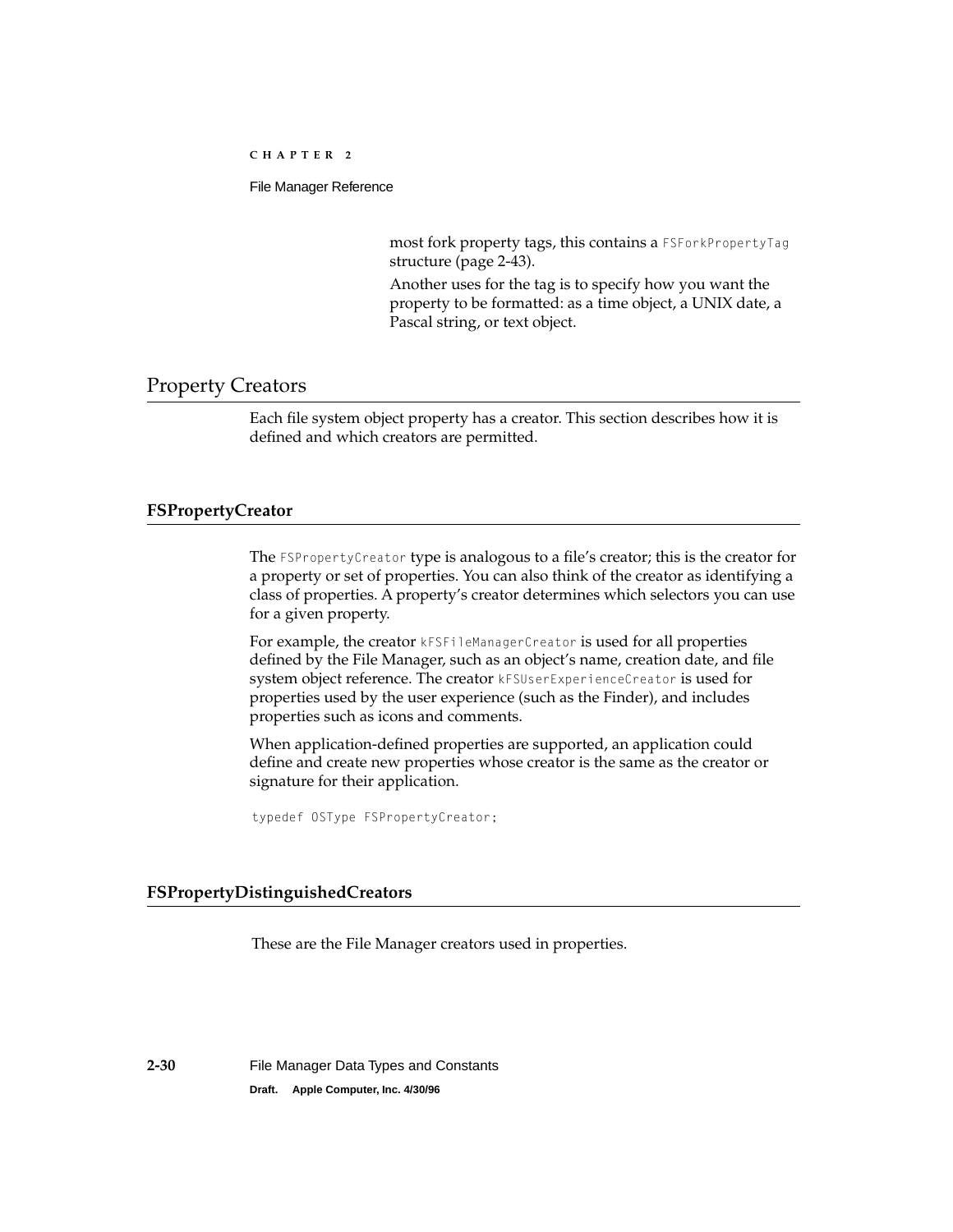most fork property tags, this contains a FSForkPropertyTag structure [\(page 2-43\).](#page-70-0)

Another uses for the tag is to specify how you want the property to be formatted: as a time object, a UNIX date, a Pascal string, or text object.

# <span id="page-57-0"></span>Property Creators

Each file system object property has a creator. This section describes how it is defined and which creators are permitted.

## **FSPropertyCreator 2**

The FSPropertyCreator type is analogous to a file's creator; this is the creator for a property or set of properties. You can also think of the creator as identifying a class of properties. A property's creator determines which selectors you can use for a given property.

For example, the creator kFSFileManagerCreator is used for all properties defined by the File Manager, such as an object's name, creation date, and file system object reference. The creator kFSUserExperienceCreator is used for properties used by the user experience (such as the Finder), and includes properties such as icons and comments.

When application-defined properties are supported, an application could define and create new properties whose creator is the same as the creator or signature for their application.

```
typedef OSType FSPropertyCreator;
```
## **FSPropertyDistinguishedCreators 2**

These are the File Manager creators used in properties.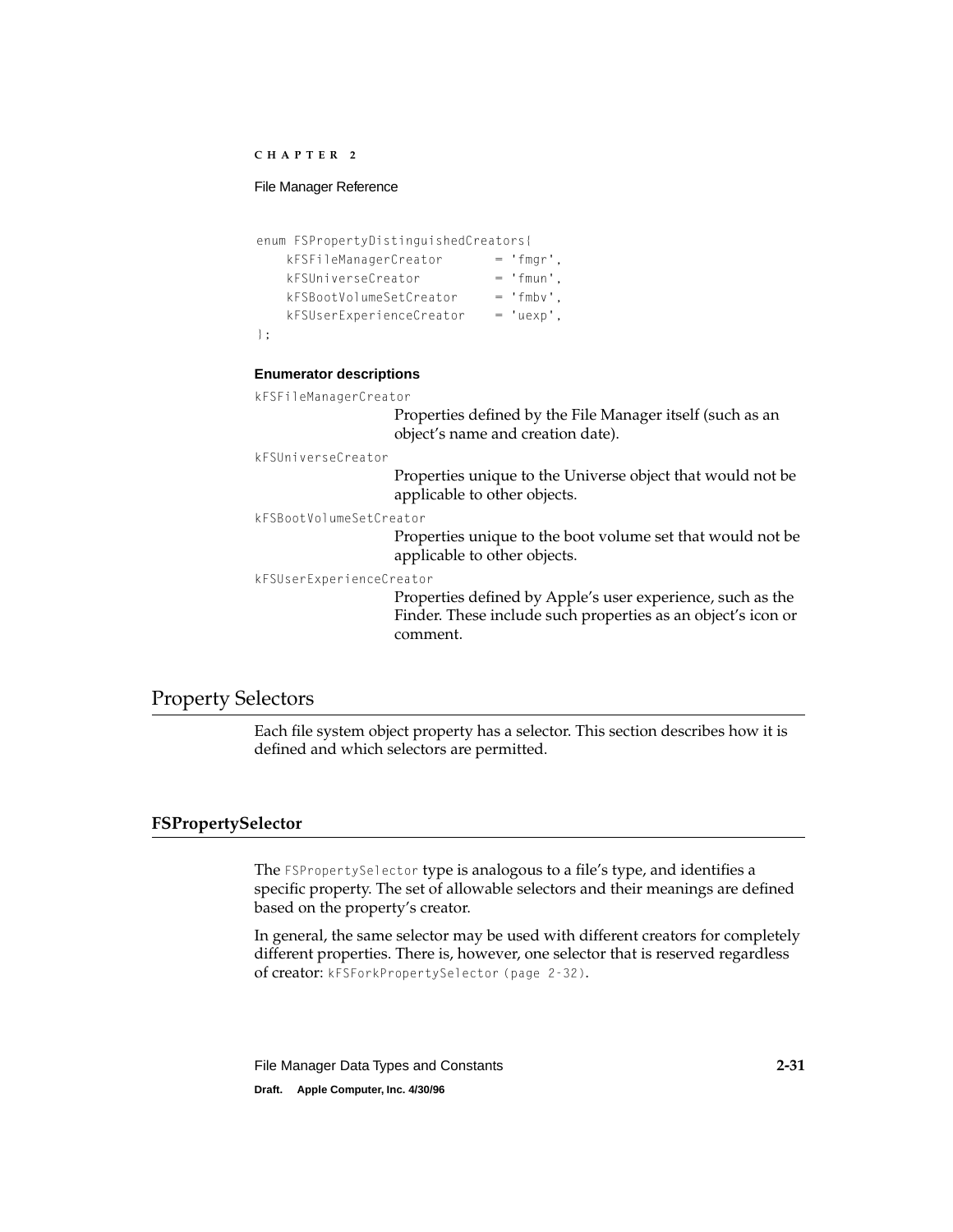```
CHAPTER 2
```

```
enum FSPropertyDistinguishedCreators{
   kFSFileManagerCreator = 'fmgr',
   kFSUniverseCreator = 'fmun',
   kFSBookVolumeSetCreateor = 'fmbv'.kFSUserExperienceCreator = 'uexp',
};
```
### **Enumerator descriptions**

```
kFSFileManagerCreator
```
Properties defined by the File Manager itself (such as an object's name and creation date).

kFSUniverseCreator

Properties unique to the Universe object that would not be applicable to other objects.

```
kFSBootVolumeSetCreator
```
Properties unique to the boot volume set that would not be applicable to other objects.

```
kFSUserExperienceCreator
```
Properties defined by Apple's user experience, such as the Finder. These include such properties as an object's icon or comment.

# Property Selectors 2

Each file system object property has a selector. This section describes how it is defined and which selectors are permitted.

# **FSPropertySelector 2**

The FSPropertySelector type is analogous to a file's type, and identifies a specific property. The set of allowable selectors and their meanings are defined based on the property's creator.

In general, the same selector may be used with different creators for completely different properties. There is, however, one selector that is reserved regardless of creator: kFSForkPropertySelector [\(page 2-32\)](#page-59-0).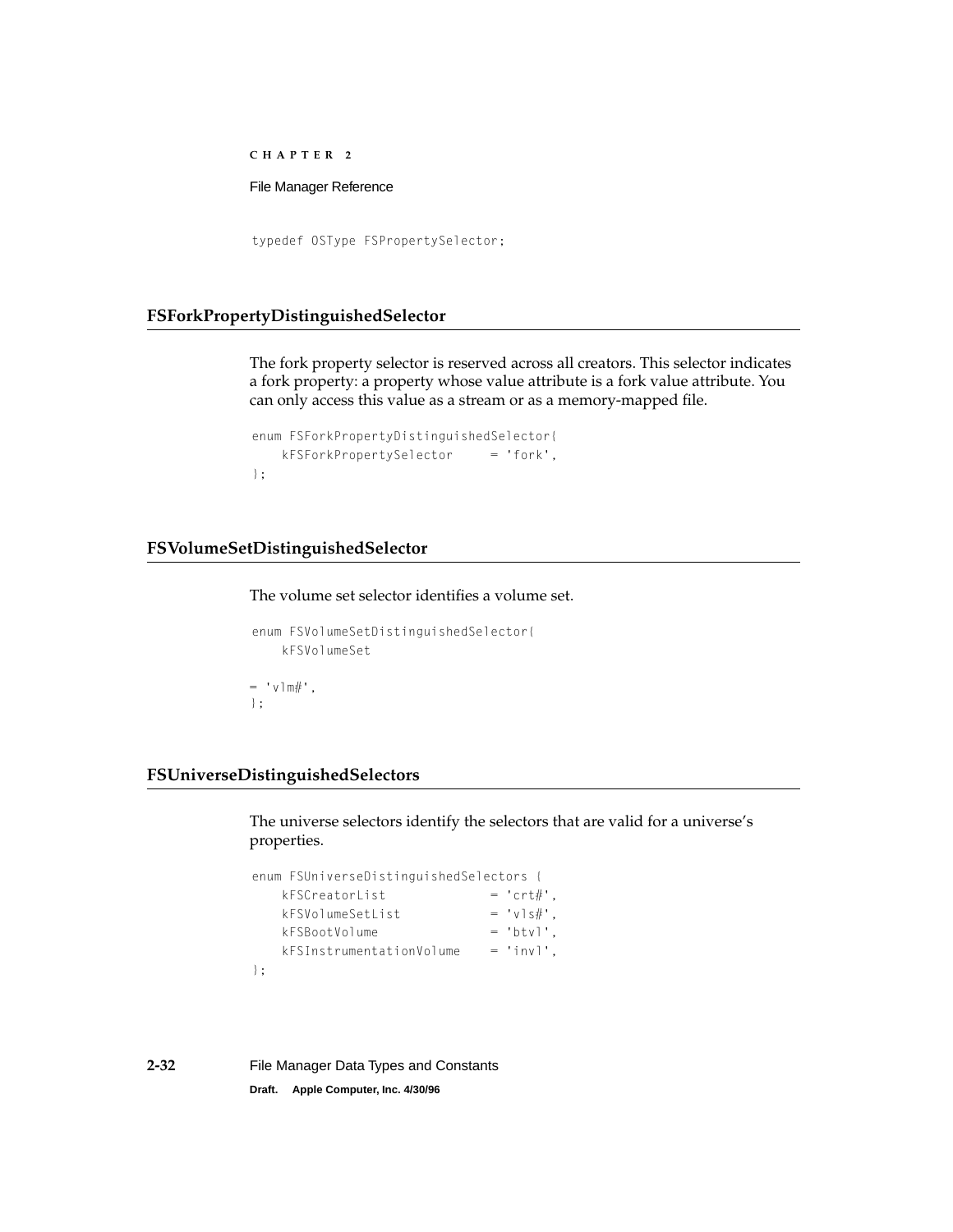<span id="page-59-0"></span>File Manager Reference

typedef OSType FSPropertySelector;

## **FSForkPropertyDistinguishedSelector 2**

The fork property selector is reserved across all creators. This selector indicates a fork property: a property whose value attribute is a fork value attribute. You can only access this value as a stream or as a memory-mapped file.

```
enum FSForkPropertyDistinguishedSelector{
   kFSForkPropertySelector = 'fork',
};
```
# **FSVolumeSetDistinguishedSelector 2**

The volume set selector identifies a volume set.

```
enum FSVolumeSetDistinguishedSelector{
    kFSVolumeSet
= 'v]m#'.
};
```
## **FSUniverseDistinguishedSelectors 2**

The universe selectors identify the selectors that are valid for a universe's properties.

```
enum FSUniverseDistinguishedSelectors {
   kFSCreatorList = 'crt#',kFSVolumeSetList = 'vls#',kFSBookVolume = 'btv]',
   kFSInstrumentationVolume = 'inv''.};
```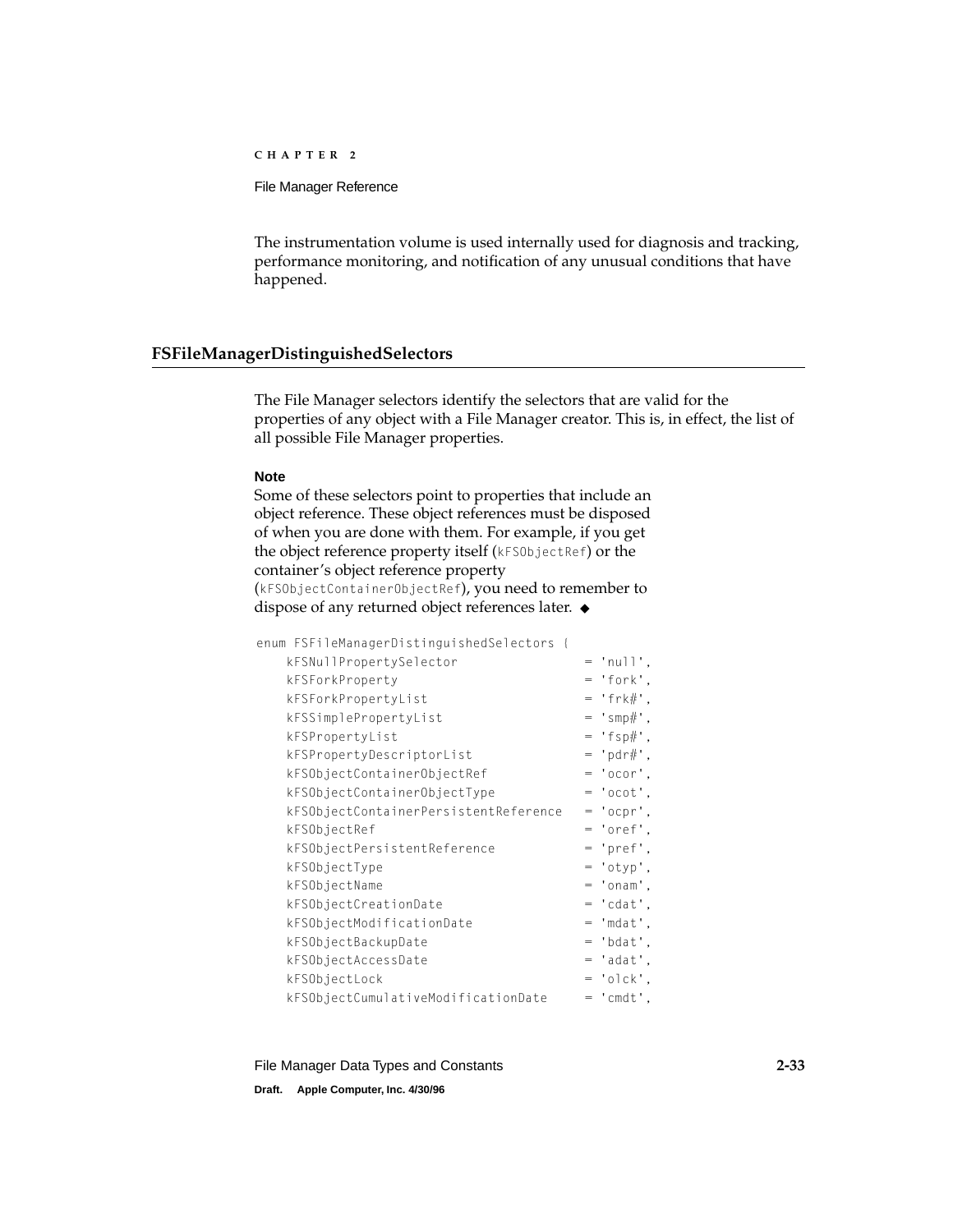#### File Manager Reference

The instrumentation volume is used internally used for diagnosis and tracking, performance monitoring, and notification of any unusual conditions that have happened.

## **FSFileManagerDistinguishedSelectors 2**

The File Manager selectors identify the selectors that are valid for the properties of any object with a File Manager creator. This is, in effect, the list of all possible File Manager properties.

### **Note**

Some of these selectors point to properties that include an object reference. These object references must be disposed of when you are done with them. For example, if you get the object reference property itself (kFSObjectRef) or the container's object reference property (kFSObjectContainerObjectRef), you need to remember to dispose of any returned object references later. ◆

enum FSFileManagerDistinguishedSelectors {

| kFSNullPropertySelector               | $= 'null',$    |
|---------------------------------------|----------------|
| kFSForkProperty                       | $= 'fork'.$    |
| kFSForkPropertyList                   | $=$ 'frk#'.    |
| kFSSimplePropertyList                 | $=$ 'smp#',    |
| kFSPropertyList                       | $=$ 'fsp#',    |
| kFSPropertyDescriptorList             | $= 'pdr#'.$    |
| kFSObjectContainerObjectRef           | $= 'ocor'.$    |
| kFSObjectContainerObjectType          | $= 'ocot'.$    |
| kFSObjectContainerPersistentReference | $= 'o \ncpr',$ |
| kFSObjectRef                          | $= '$ oref'.   |
| kFSObjectPersistentReference          | $= 'pref',$    |
| kFSObjectType                         | $= 'otyp',$    |
| kFSObjectName                         | $= 'onam'.$    |
| kFSObjectCreationDate                 | $= 'cat'.$     |
| kFSObjectModificationDate             | $= 'mdat'.$    |
| kFSObjectBackupDate                   | $= 'bdat'.$    |
| kFSObjectAccessDate                   | $= 'adat',$    |
| kFSObjectLock                         | $= '$ olck',   |
| kFSObjectCumulativeModificationDate   | $= 'cmdt',$    |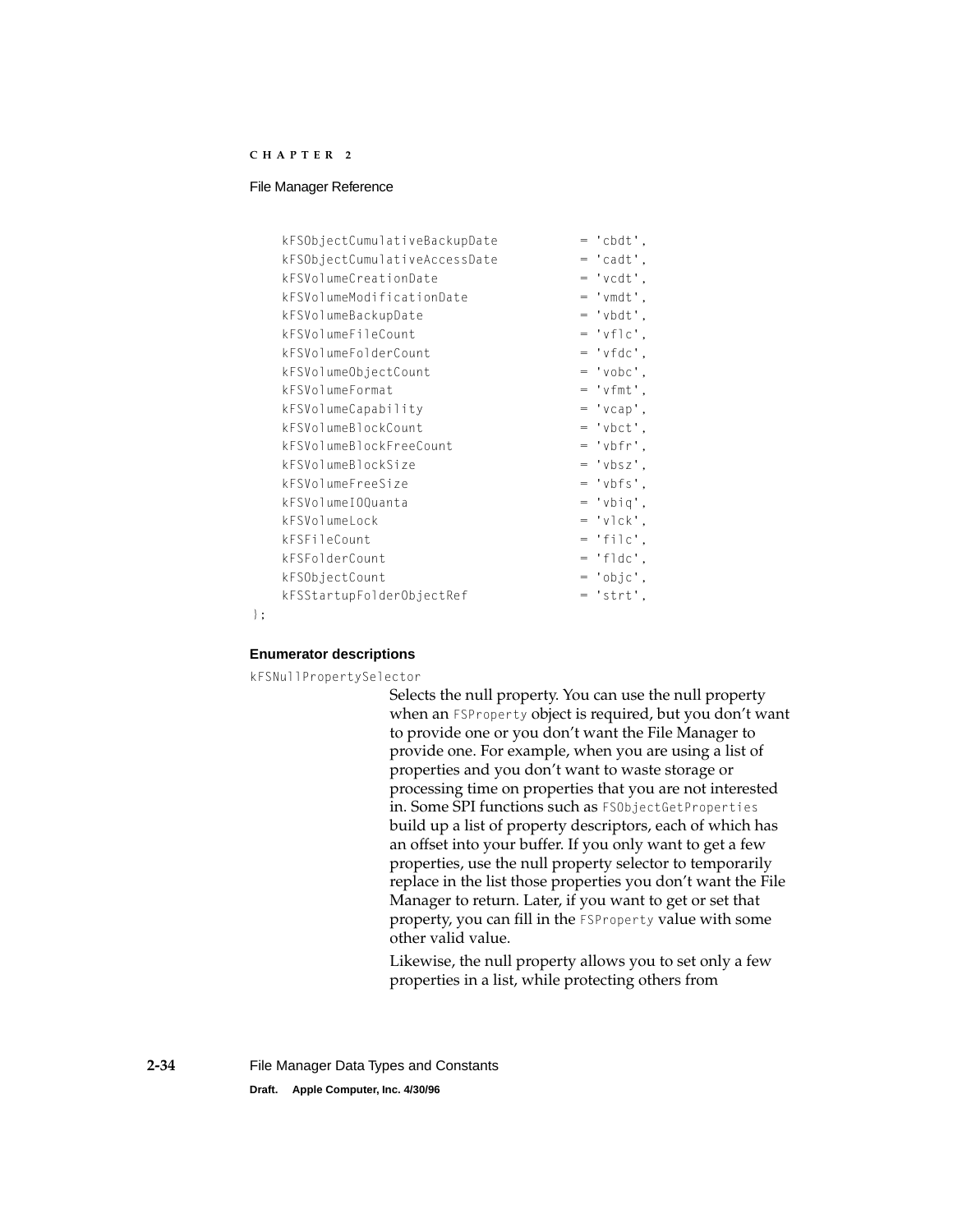| kFSObjectCumulativeBackupDate | $= 'cbdt'.$     |
|-------------------------------|-----------------|
| kFSObjectCumulativeAccessDate | $= 'cadt'.$     |
| kFSVolumeCreationDate         | $= 'vcdt'.$     |
| kFSVolumeModificationDate     | $=$ ' $v$ mdt'. |
| kFSVolumeBackupDate           | $= 'vbdt'.$     |
| kFSVolumeFileCount            | $= 'vflc'.$     |
| kFSVolumeFolderCount          | $= 'vfdc'.$     |
| kFSVolumeObjectCount          | $= 'vobc'.$     |
| kFSVolumeFormat               | $= 'v$ fmt'.    |
| kFSVolumeCapability           | $= 'vcap',$     |
| kFSVolumeBlockCount           | $= 'vbct',$     |
| kFSVolumeBlockFreeCount       | $= 'vbf'$ .     |
| kFSVolumeBlockSize            | $= 'vbsz'.$     |
| kFSVolumeFreeSize             | $= 'vbfs'.$     |
| kFSVolumeIOQuanta             | $= 'vbiq',$     |
| kFSVolumeLock                 | $= 'v$ ]ck $'.$ |
| kFSFileCount                  | $=$ 'filc',     |
| kFSFolderCount                | $= 'f$ dc'.     |
| kFSObjectCount                | $= 'objc',$     |
| kFSStartupFolderObjectRef     | $=$ 'strt'.     |
|                               |                 |

};

#### **Enumerator descriptions**

kFSNullPropertySelector

Selects the null property. You can use the null property when an FSProperty object is required, but you don't want to provide one or you don't want the File Manager to provide one. For example, when you are using a list of properties and you don't want to waste storage or processing time on properties that you are not interested in. Some SPI functions such as FSObjectGetProperties build up a list of property descriptors, each of which has an offset into your buffer. If you only want to get a few properties, use the null property selector to temporarily replace in the list those properties you don't want the File Manager to return. Later, if you want to get or set that property, you can fill in the FSProperty value with some other valid value.

Likewise, the null property allows you to set only a few properties in a list, while protecting others from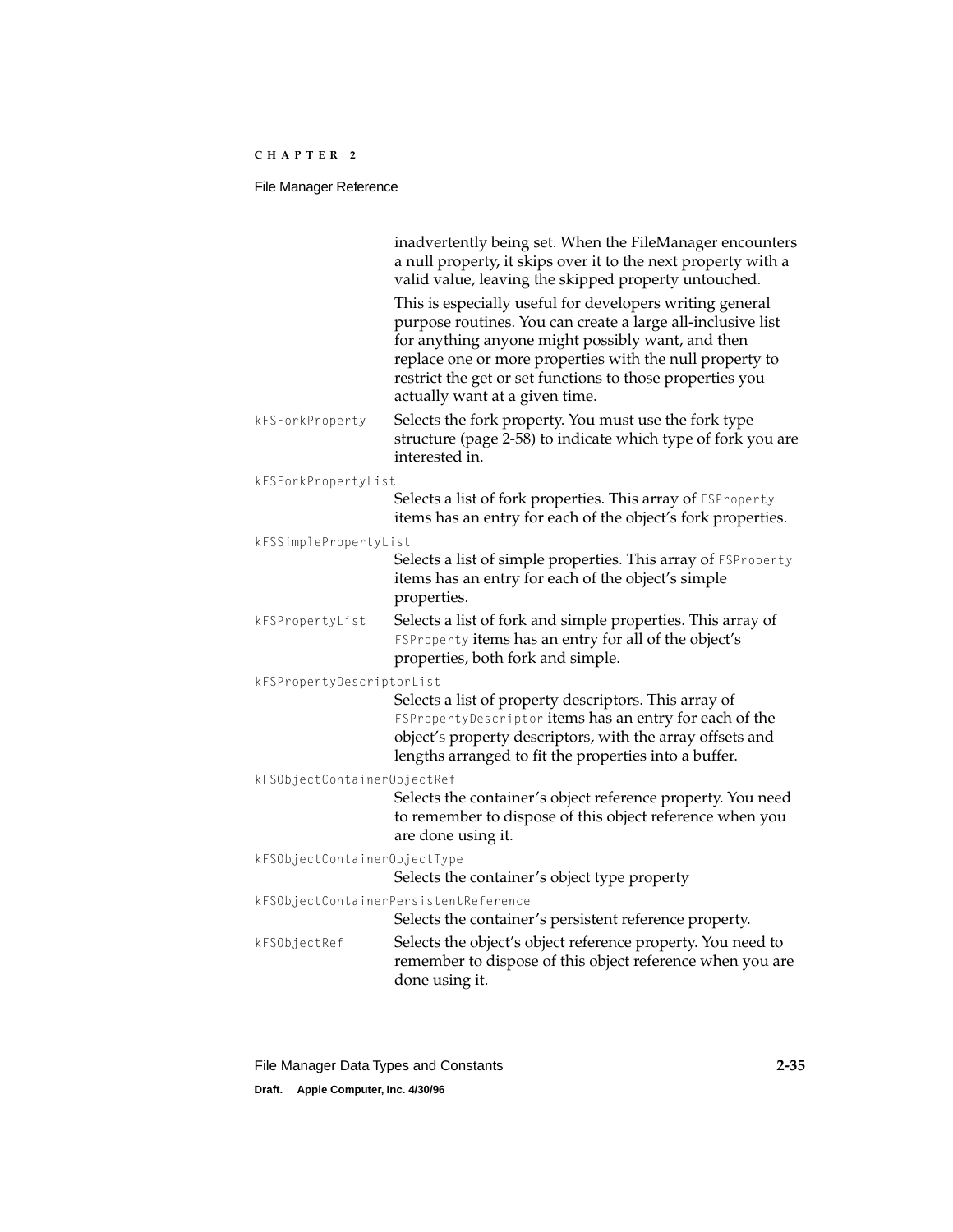|                              | inadvertently being set. When the FileManager encounters<br>a null property, it skips over it to the next property with a<br>valid value, leaving the skipped property untouched.                                                                                                                                                       |  |
|------------------------------|-----------------------------------------------------------------------------------------------------------------------------------------------------------------------------------------------------------------------------------------------------------------------------------------------------------------------------------------|--|
|                              | This is especially useful for developers writing general<br>purpose routines. You can create a large all-inclusive list<br>for anything anyone might possibly want, and then<br>replace one or more properties with the null property to<br>restrict the get or set functions to those properties you<br>actually want at a given time. |  |
| kFSForkProperty              | Selects the fork property. You must use the fork type<br>structure (page 2-58) to indicate which type of fork you are<br>interested in.                                                                                                                                                                                                 |  |
| kFSForkPropertyList          |                                                                                                                                                                                                                                                                                                                                         |  |
|                              | Selects a list of fork properties. This array of FSProperty<br>items has an entry for each of the object's fork properties.                                                                                                                                                                                                             |  |
| kFSSimplePropertyList        |                                                                                                                                                                                                                                                                                                                                         |  |
|                              | Selects a list of simple properties. This array of FSProperty<br>items has an entry for each of the object's simple<br>properties.                                                                                                                                                                                                      |  |
| kFSPropertyList              | Selects a list of fork and simple properties. This array of<br>FSProperty items has an entry for all of the object's<br>properties, both fork and simple.                                                                                                                                                                               |  |
| kFSPropertyDescriptorList    |                                                                                                                                                                                                                                                                                                                                         |  |
|                              | Selects a list of property descriptors. This array of<br>FSPropertyDescriptor items has an entry for each of the<br>object's property descriptors, with the array offsets and<br>lengths arranged to fit the properties into a buffer.                                                                                                  |  |
| kFSObjectContainerObjectRef  |                                                                                                                                                                                                                                                                                                                                         |  |
|                              | Selects the container's object reference property. You need<br>to remember to dispose of this object reference when you<br>are done using it.                                                                                                                                                                                           |  |
| kFSObjectContainerObjectType | Selects the container's object type property                                                                                                                                                                                                                                                                                            |  |
|                              | kFSObjectContainerPersistentReference<br>Selects the container's persistent reference property.                                                                                                                                                                                                                                         |  |
| kFSObjectRef                 | Selects the object's object reference property. You need to<br>remember to dispose of this object reference when you are<br>done using it.                                                                                                                                                                                              |  |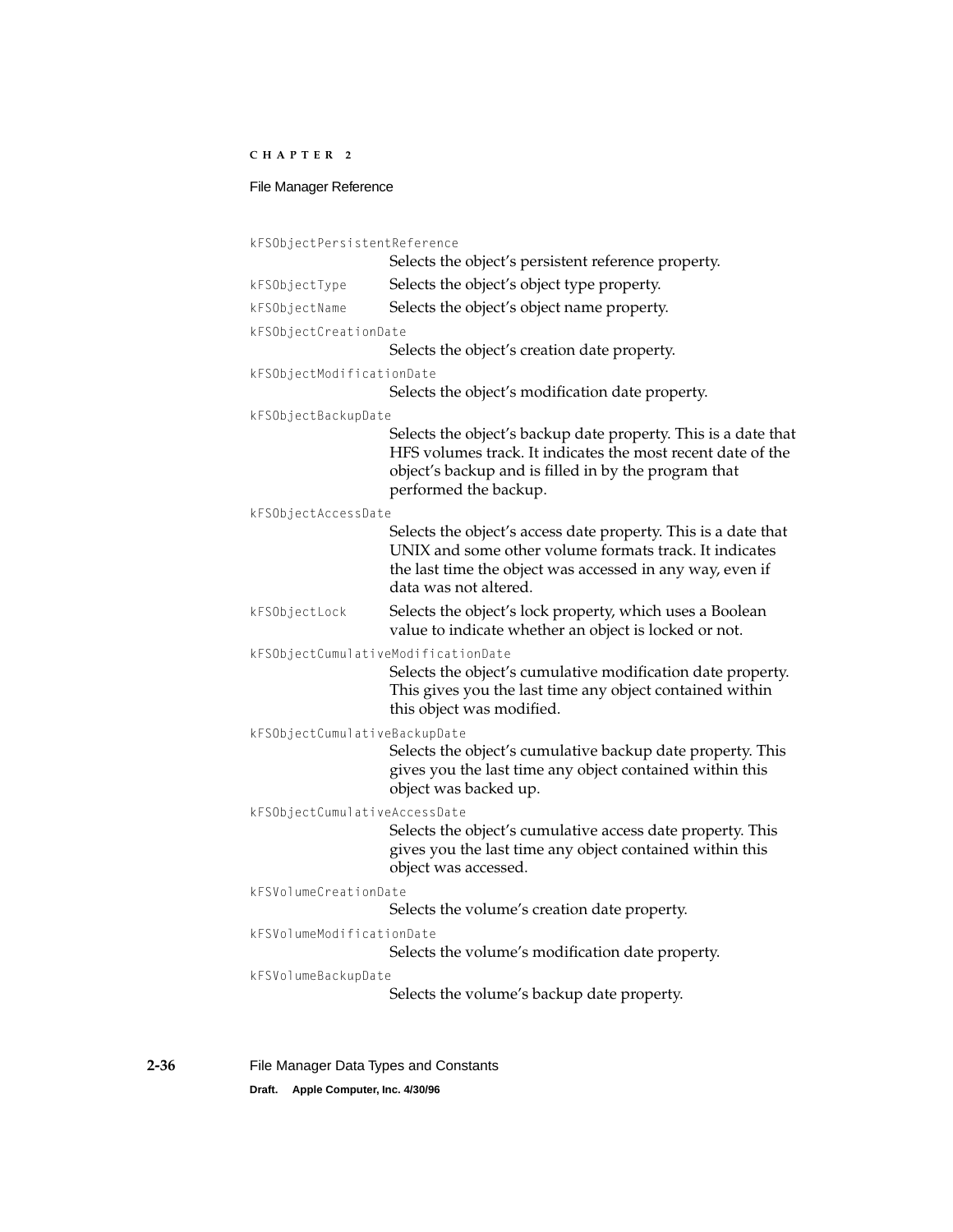# File Manager Reference

### kFSObjectPersistentReference

|                                     | Selects the object's persistent reference property.                                                                                                                                                            |
|-------------------------------------|----------------------------------------------------------------------------------------------------------------------------------------------------------------------------------------------------------------|
| kFSObjectType                       | Selects the object's object type property.                                                                                                                                                                     |
| kFSObjectName                       | Selects the object's object name property.                                                                                                                                                                     |
| kFSObjectCreationDate               | Selects the object's creation date property.                                                                                                                                                                   |
| kFSObjectModificationDate           | Selects the object's modification date property.                                                                                                                                                               |
| kFSObjectBackupDate                 |                                                                                                                                                                                                                |
|                                     | Selects the object's backup date property. This is a date that<br>HFS volumes track. It indicates the most recent date of the<br>object's backup and is filled in by the program that<br>performed the backup. |
| kFSObjectAccessDate                 |                                                                                                                                                                                                                |
|                                     | Selects the object's access date property. This is a date that<br>UNIX and some other volume formats track. It indicates<br>the last time the object was accessed in any way, even if<br>data was not altered. |
| kFSObjectLock                       | Selects the object's lock property, which uses a Boolean<br>value to indicate whether an object is locked or not.                                                                                              |
| kFSObjectCumulativeModificationDate | Selects the object's cumulative modification date property.<br>This gives you the last time any object contained within<br>this object was modified.                                                           |
| kFSObjectCumulativeBackupDate       |                                                                                                                                                                                                                |
|                                     | Selects the object's cumulative backup date property. This<br>gives you the last time any object contained within this<br>object was backed up.                                                                |
| kFSObjectCumulativeAccessDate       | Selects the object's cumulative access date property. This<br>gives you the last time any object contained within this<br>object was accessed.                                                                 |
| kFSVolumeCreationDate               |                                                                                                                                                                                                                |
|                                     | Selects the volume's creation date property.                                                                                                                                                                   |
| kFSVolumeModificationDate           | Selects the volume's modification date property.                                                                                                                                                               |
| kFSVolumeBackupDate                 |                                                                                                                                                                                                                |

Selects the volume's backup date property.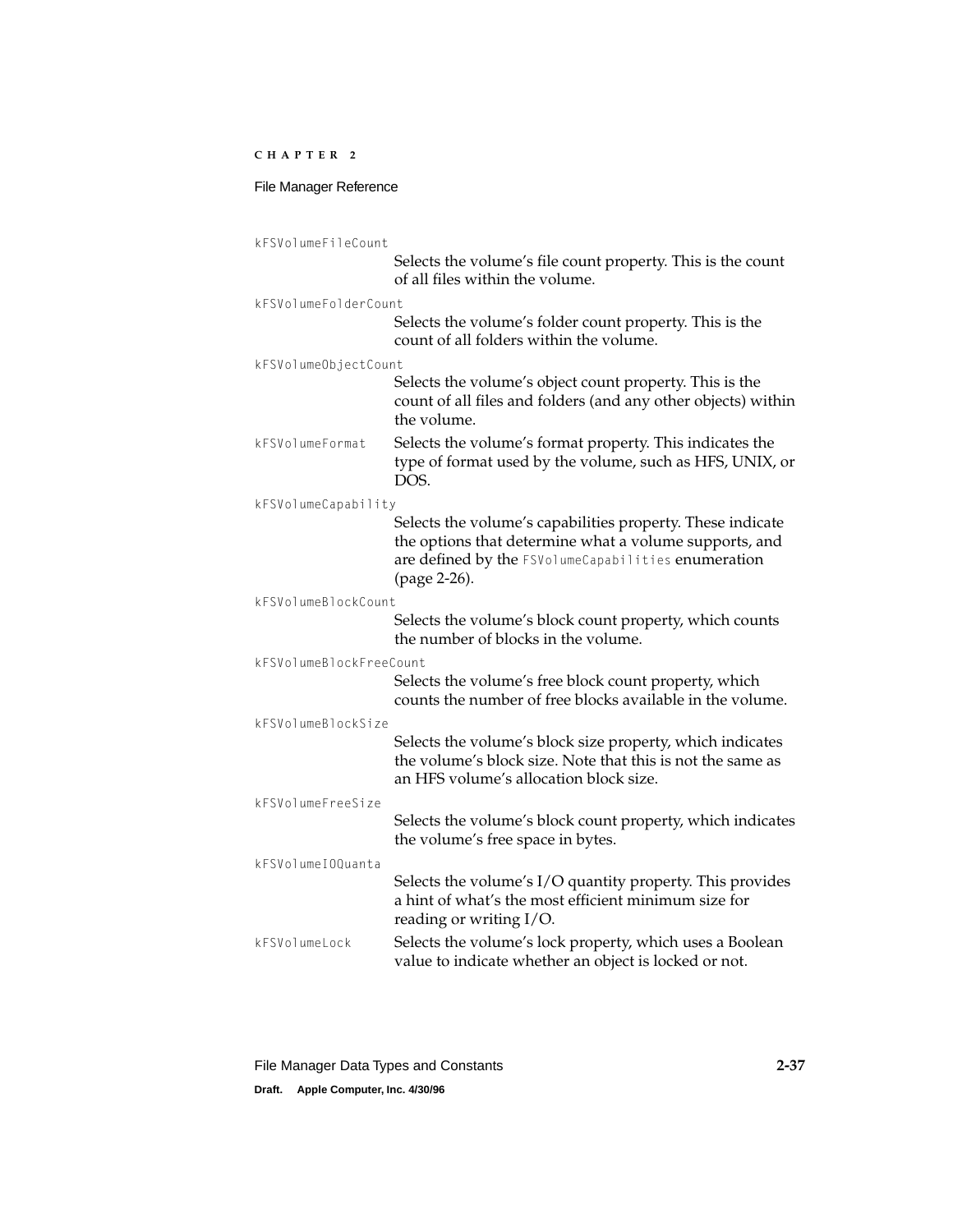# File Manager Reference

| kFSVolumeFileCount      |                                                                                                                                                                                             |
|-------------------------|---------------------------------------------------------------------------------------------------------------------------------------------------------------------------------------------|
|                         | Selects the volume's file count property. This is the count<br>of all files within the volume.                                                                                              |
| kFSVolumeFolderCount    |                                                                                                                                                                                             |
|                         | Selects the volume's folder count property. This is the<br>count of all folders within the volume.                                                                                          |
| kFSVolumeObjectCount    |                                                                                                                                                                                             |
|                         | Selects the volume's object count property. This is the<br>count of all files and folders (and any other objects) within<br>the volume.                                                     |
| kFSVolumeFormat         | Selects the volume's format property. This indicates the<br>type of format used by the volume, such as HFS, UNIX, or<br>DOS.                                                                |
| kFSVolumeCapability     |                                                                                                                                                                                             |
|                         | Selects the volume's capabilities property. These indicate<br>the options that determine what a volume supports, and<br>are defined by the FSVolumeCapabilities enumeration<br>(page 2-26). |
| kFSVolumeBlockCount     |                                                                                                                                                                                             |
|                         | Selects the volume's block count property, which counts<br>the number of blocks in the volume.                                                                                              |
| kFSVolumeBlockFreeCount |                                                                                                                                                                                             |
|                         | Selects the volume's free block count property, which<br>counts the number of free blocks available in the volume.                                                                          |
| kFSVolumeBlockSize      |                                                                                                                                                                                             |
|                         | Selects the volume's block size property, which indicates<br>the volume's block size. Note that this is not the same as<br>an HFS volume's allocation block size.                           |
| kFSVolumeFreeSize       |                                                                                                                                                                                             |
|                         | Selects the volume's block count property, which indicates<br>the volume's free space in bytes.                                                                                             |
| kFSVolumeIOQuanta       |                                                                                                                                                                                             |
|                         | Selects the volume's I/O quantity property. This provides<br>a hint of what's the most efficient minimum size for<br>reading or writing I/O.                                                |
| kFSVolumeLock           | Selects the volume's lock property, which uses a Boolean<br>value to indicate whether an object is locked or not.                                                                           |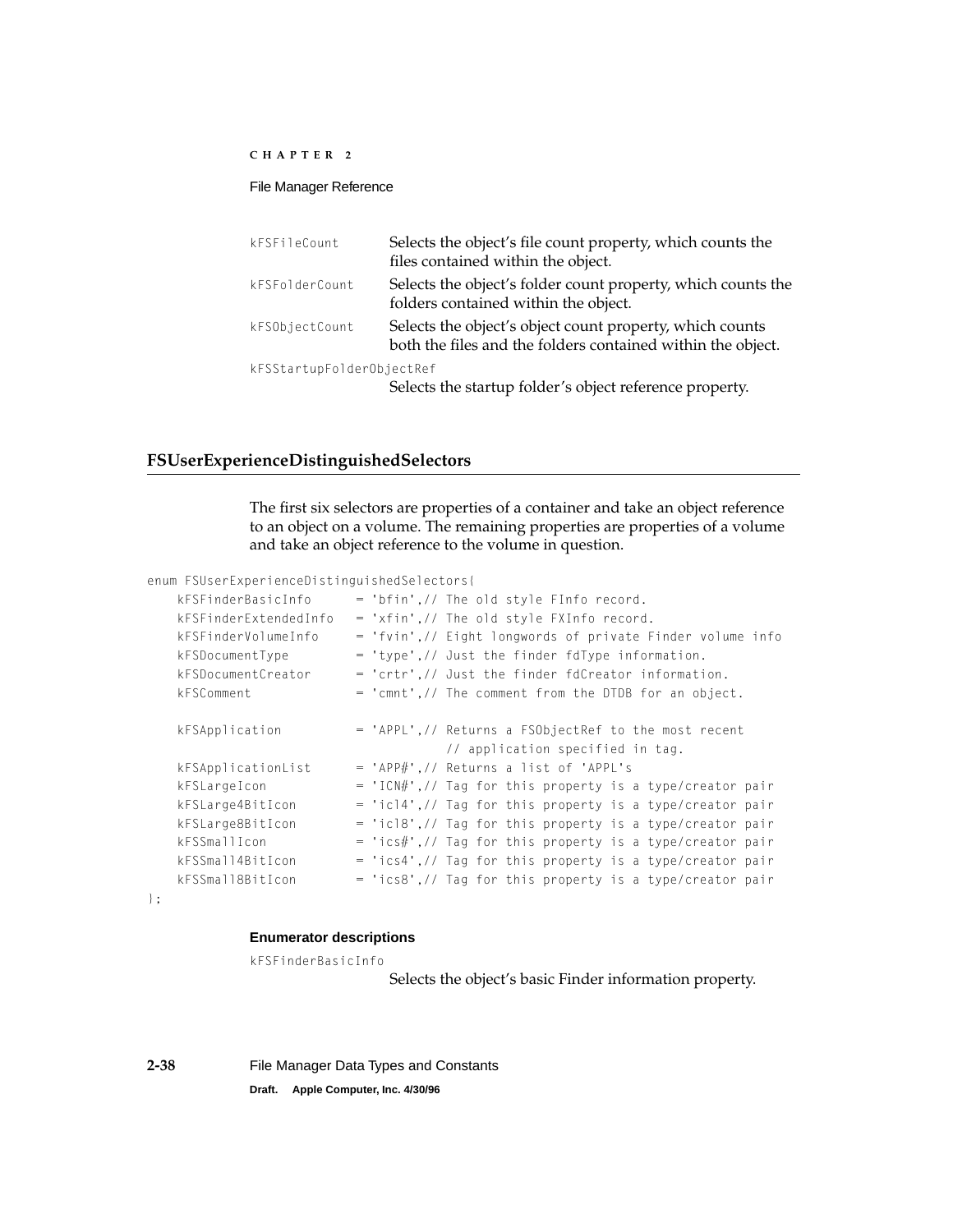#### File Manager Reference

| kFSFileCount              | Selects the object's file count property, which counts the<br>files contained within the object.                        |
|---------------------------|-------------------------------------------------------------------------------------------------------------------------|
| kFSFolderCount            | Selects the object's folder count property, which counts the<br>folders contained within the object.                    |
| kFSObjectCount            | Selects the object's object count property, which counts<br>both the files and the folders contained within the object. |
| kFSStartupFolderObjectRef | Selects the startup folder's object reference property.                                                                 |

## **FSUserExperienceDistinguishedSelectors 2**

The first six selectors are properties of a container and take an object reference to an object on a volume. The remaining properties are properties of a volume and take an object reference to the volume in question.

```
enum FSUserExperienceDistinguishedSelectors{
   kFSFinderBasicInfo = 'bfin',// The old style FInfo record.
   kFSFinderExtendedInfo = 'xfin', // The old style FXInfo record.
   kFSFinderVolumeInfo = 'fvin', // Eight longwords of privateFinder volume infokFSDocumentType = 'type', // Just the finder fdType information.kFSDocumentCreate = 'crtr',// Just the finder fdCreator information.
   kFSComment = 'cmt', // The comment from the DTDB for an object.kFSApplication = 'APPL', // Returns a FSObjectRef to the most recent// application specified in tag.
   kFSApplicationList = 'APP#', // Returns a list of 'APPL'skFSLargeIcon = 'ICN/ \frac{1}{2}, // Tag for this property is a type/creator pair
   kFSLarge4BitLeon = 'ic14'.// Tag for this property is a type/creation pairkFSLarge8BitLeon = 'ic18', // Tag for this property is a type/creatment pairkFSSmallIcon = 'ics#', // Tag for this property is a type/creator pair
   kFSSmall4BitLeon = 'ics4', // Tag for this property is a type/creatment pairkFSSmallBBitLeon = 'ics8', // Tag for this property is a type/creatment pair
```
};

#### **Enumerator descriptions**

kFSFinderBasicInfo

Selects the object's basic Finder information property.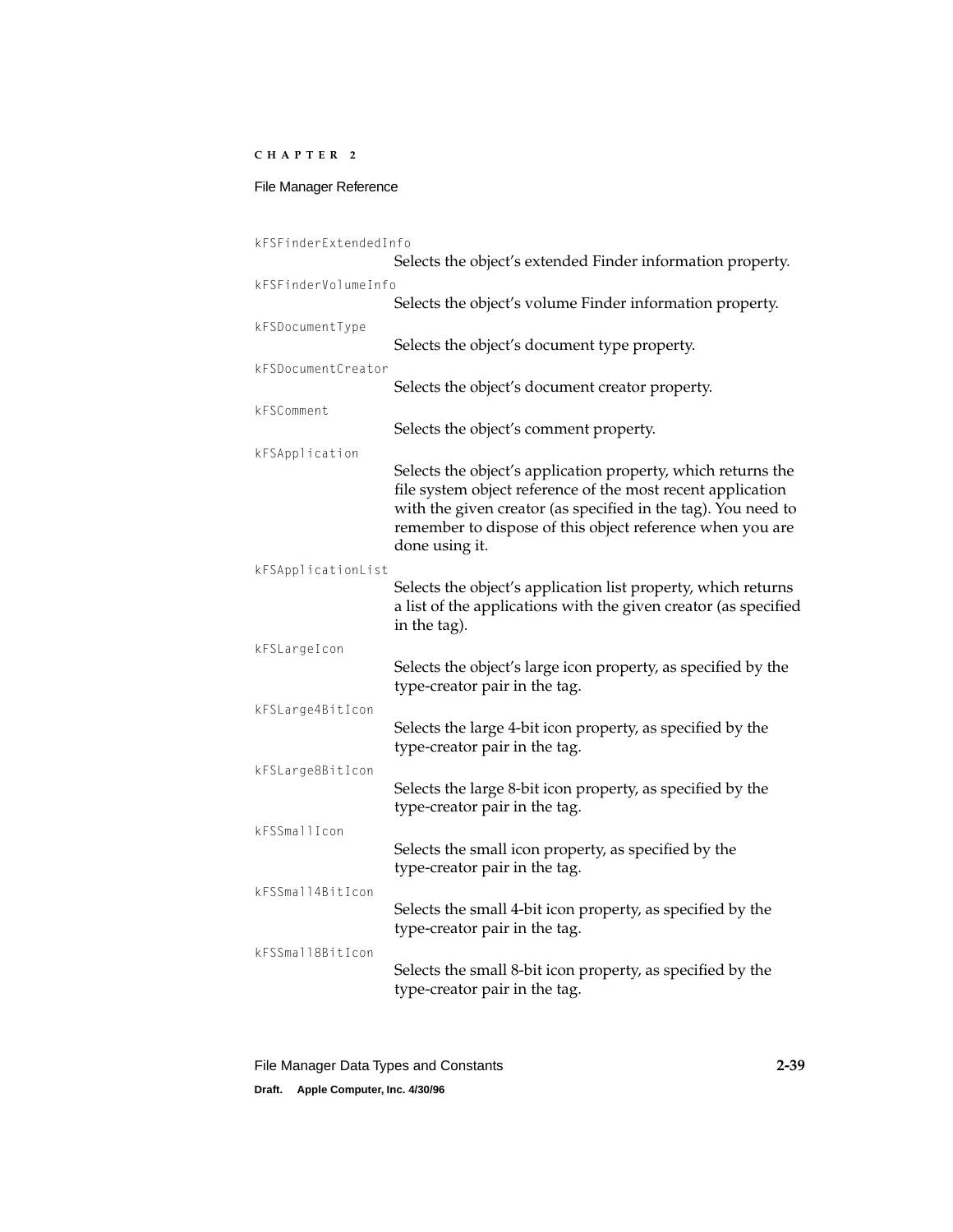# File Manager Reference

| kFSFinderExtendedInfo | Selects the object's extended Finder information property.                                                                                                                                                                                                                  |
|-----------------------|-----------------------------------------------------------------------------------------------------------------------------------------------------------------------------------------------------------------------------------------------------------------------------|
| kFSFinderVolumeInfo   |                                                                                                                                                                                                                                                                             |
|                       | Selects the object's volume Finder information property.                                                                                                                                                                                                                    |
| kFSDocumentType       | Selects the object's document type property.                                                                                                                                                                                                                                |
|                       |                                                                                                                                                                                                                                                                             |
| kFSDocumentCreator    | Selects the object's document creator property.                                                                                                                                                                                                                             |
| kFSComment            |                                                                                                                                                                                                                                                                             |
|                       | Selects the object's comment property.                                                                                                                                                                                                                                      |
| kFSApplication        |                                                                                                                                                                                                                                                                             |
|                       | Selects the object's application property, which returns the<br>file system object reference of the most recent application<br>with the given creator (as specified in the tag). You need to<br>remember to dispose of this object reference when you are<br>done using it. |
| kFSApplicationList    |                                                                                                                                                                                                                                                                             |
|                       | Selects the object's application list property, which returns<br>a list of the applications with the given creator (as specified<br>in the tag).                                                                                                                            |
| kFSLargeIcon          |                                                                                                                                                                                                                                                                             |
|                       | Selects the object's large icon property, as specified by the<br>type-creator pair in the tag.                                                                                                                                                                              |
| kFSLarge4BitIcon      |                                                                                                                                                                                                                                                                             |
|                       | Selects the large 4-bit icon property, as specified by the<br>type-creator pair in the tag.                                                                                                                                                                                 |
| kFSLarge8BitIcon      |                                                                                                                                                                                                                                                                             |
|                       | Selects the large 8-bit icon property, as specified by the<br>type-creator pair in the tag.                                                                                                                                                                                 |
| kFSSmallIcon          |                                                                                                                                                                                                                                                                             |
|                       | Selects the small icon property, as specified by the<br>type-creator pair in the tag.                                                                                                                                                                                       |
| kFSSmall4BitIcon      |                                                                                                                                                                                                                                                                             |
|                       | Selects the small 4-bit icon property, as specified by the<br>type-creator pair in the tag.                                                                                                                                                                                 |
| kFSSmall8BitIcon      |                                                                                                                                                                                                                                                                             |
|                       | Selects the small 8-bit icon property, as specified by the<br>type-creator pair in the tag.                                                                                                                                                                                 |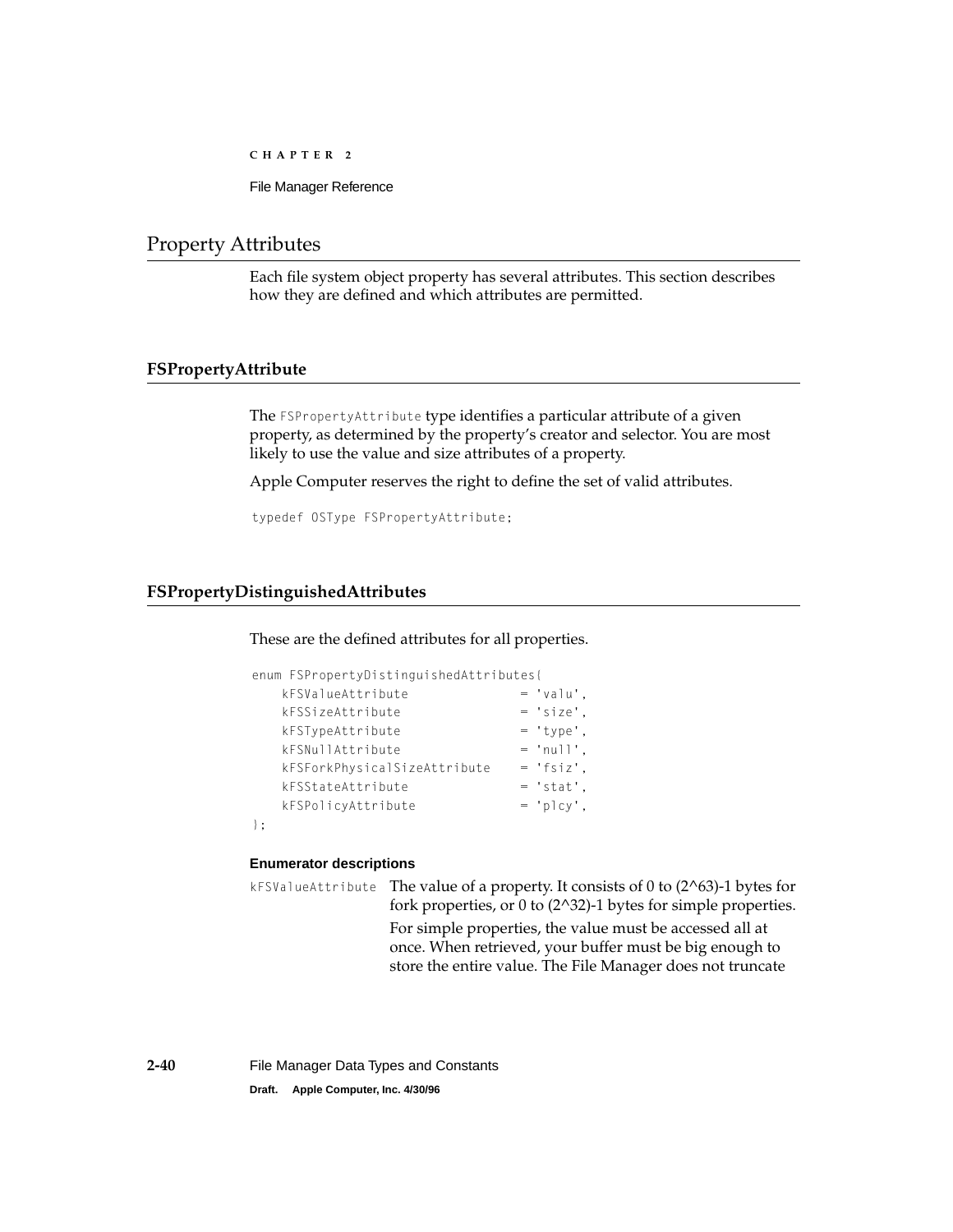# <span id="page-67-0"></span>Property Attributes

Each file system object property has several attributes. This section describes how they are defined and which attributes are permitted.

# **FSPropertyAttribute 2**

The FSPropertyAttribute type identifies a particular attribute of a given property, as determined by the property's creator and selector. You are most likely to use the value and size attributes of a property.

Apple Computer reserves the right to define the set of valid attributes.

```
typedef OSType FSPropertyAttribute;
```
# **FSPropertyDistinguishedAttributes 2**

These are the defined attributes for all properties.

```
enum FSPropertyDistinguishedAttributes{
   kFSValueAttribute = 'valu'.kFSSizeAttribute = 'size',kFSTypeAttribute = 'type',
   kFSNu11Attribute = 'null'.kFSFor kPhysical Size Attribute = 'fsiz',kFSStateAttribute = 'stat',
   kFSPolicyAttribute = 'plcy',
```
#### };

#### **Enumerator descriptions**

kFSValueAttribute The value of a property. It consists of 0 to  $(2^63)$ -1 bytes for fork properties, or 0 to  $(2^232)$ -1 bytes for simple properties. For simple properties, the value must be accessed all at once. When retrieved, your buffer must be big enough to store the entire value. The File Manager does not truncate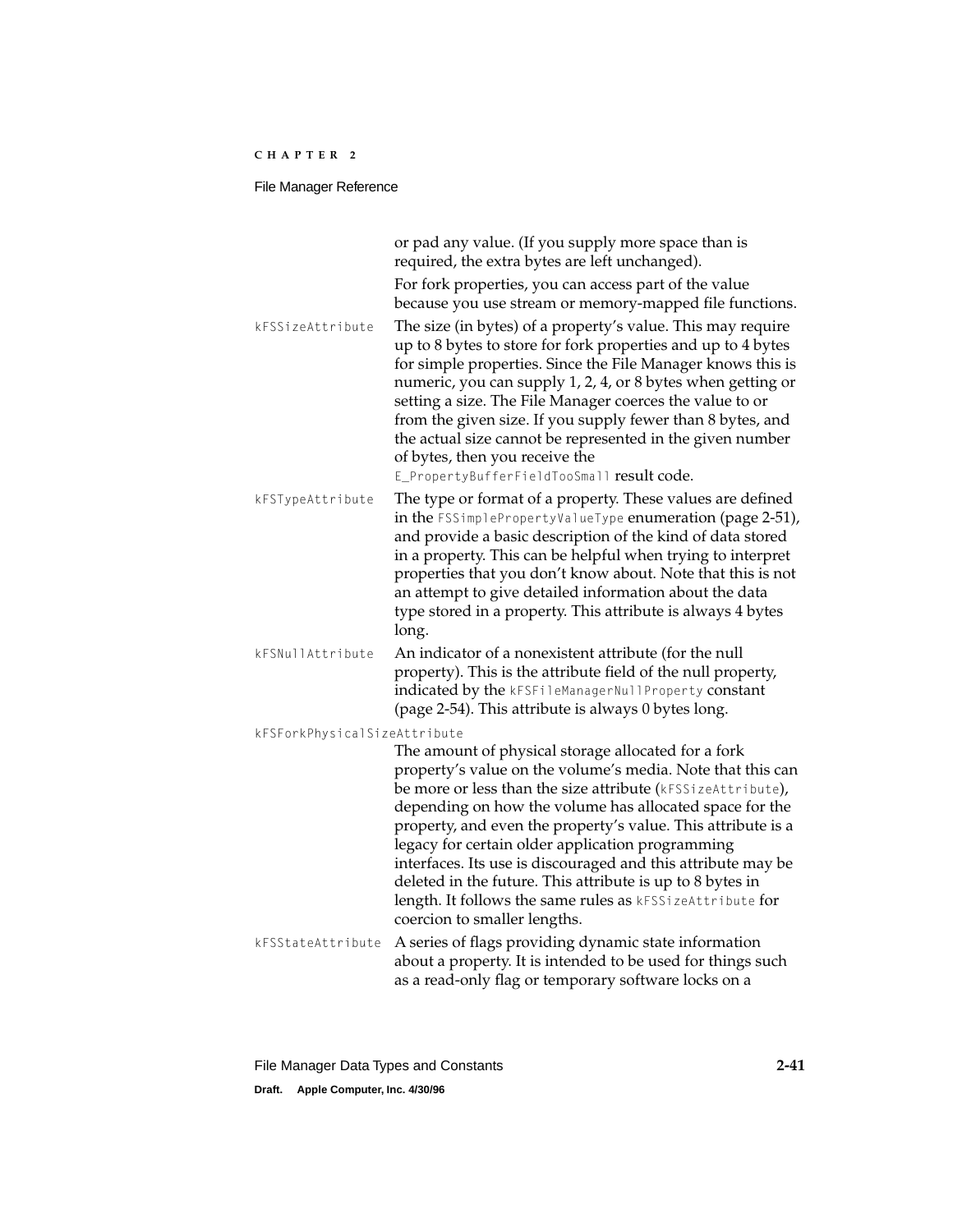#### File Manager Reference

|                              | or pad any value. (If you supply more space than is<br>required, the extra bytes are left unchanged).                                                                                                                                                                                                                                                                                                                                                                                                                            |
|------------------------------|----------------------------------------------------------------------------------------------------------------------------------------------------------------------------------------------------------------------------------------------------------------------------------------------------------------------------------------------------------------------------------------------------------------------------------------------------------------------------------------------------------------------------------|
|                              | For fork properties, you can access part of the value<br>because you use stream or memory-mapped file functions.                                                                                                                                                                                                                                                                                                                                                                                                                 |
| kFSSizeAttribute             | The size (in bytes) of a property's value. This may require<br>up to 8 bytes to store for fork properties and up to 4 bytes<br>for simple properties. Since the File Manager knows this is<br>numeric, you can supply 1, 2, 4, or 8 bytes when getting or<br>setting a size. The File Manager coerces the value to or<br>from the given size. If you supply fewer than 8 bytes, and<br>the actual size cannot be represented in the given number<br>of bytes, then you receive the<br>E_PropertyBufferFieldTooSmall result code. |
| kFSTypeAttribute             | The type or format of a property. These values are defined<br>in the FSSimplePropertyValueType enumeration (page 2-51),<br>and provide a basic description of the kind of data stored<br>in a property. This can be helpful when trying to interpret<br>properties that you don't know about. Note that this is not<br>an attempt to give detailed information about the data<br>type stored in a property. This attribute is always 4 bytes<br>long.                                                                            |
| kFSNullAttribute             | An indicator of a nonexistent attribute (for the null<br>property). This is the attribute field of the null property,<br>indicated by the kFSFileManagerNullProperty constant<br>(page 2-54). This attribute is always 0 bytes long.                                                                                                                                                                                                                                                                                             |
| kFSForkPhysicalSizeAttribute |                                                                                                                                                                                                                                                                                                                                                                                                                                                                                                                                  |
|                              | The amount of physical storage allocated for a fork<br>property's value on the volume's media. Note that this can<br>$\alpha$ means on loss than the size attuilants (LECCI = Attuilants)                                                                                                                                                                                                                                                                                                                                        |

be more or less than the size attribute (kFSSizeAttribute), depending on how the volume has allocated space for the property, and even the property's value. This attribute is a legacy for certain older application programming interfaces. Its use is discouraged and this attribute may be deleted in the future. This attribute is up to 8 bytes in length. It follows the same rules as kFSSizeAttribute for coercion to smaller lengths.

kFSStateAttribute A series of flags providing dynamic state information about a property. It is intended to be used for things such as a read-only flag or temporary software locks on a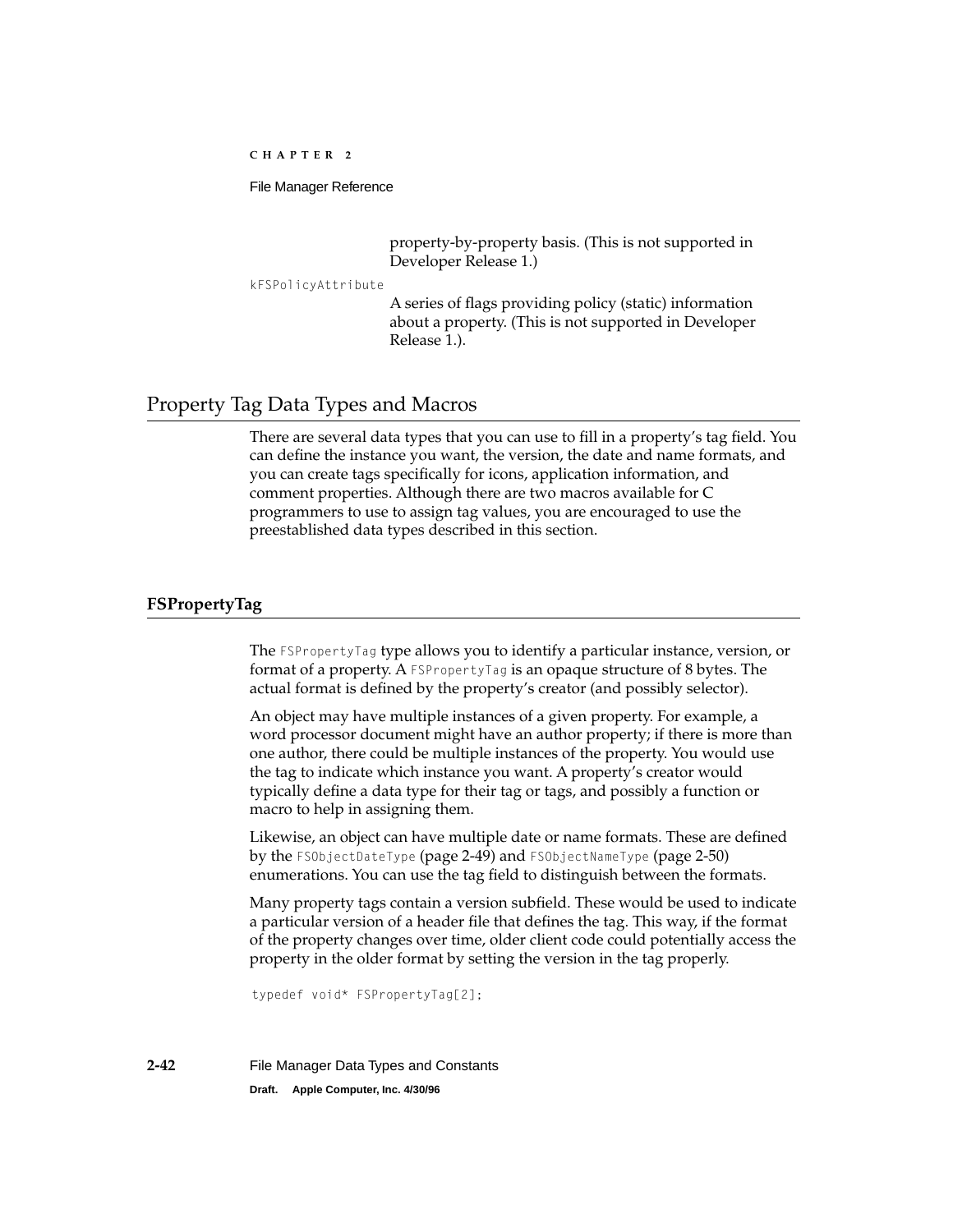property-by-property basis. (This is not supported in Developer Release 1.)

#### kFSPolicyAttribute

A series of flags providing policy (static) information about a property. (This is not supported in Developer Release 1.).

# Property Tag Data Types and Macros 2

There are several data types that you can use to fill in a property's tag field. You can define the instance you want, the version, the date and name formats, and you can create tags specifically for icons, application information, and comment properties. Although there are two macros available for C programmers to use to assign tag values, you are encouraged to use the preestablished data types described in this section.

## **FSPropertyTag 2**

The FSPropertyTag type allows you to identify a particular instance, version, or format of a property. A FSPropertyTag is an opaque structure of 8 bytes. The actual format is defined by the property's creator (and possibly selector).

An object may have multiple instances of a given property. For example, a word processor document might have an author property; if there is more than one author, there could be multiple instances of the property. You would use the tag to indicate which instance you want. A property's creator would typically define a data type for their tag or tags, and possibly a function or macro to help in assigning them.

Likewise, an object can have multiple date or name formats. These are defined by the FSObjectDateType [\(page 2-49\)](#page-76-0) and FSObjectNameType [\(page 2-50\)](#page-77-0)  enumerations. You can use the tag field to distinguish between the formats.

Many property tags contain a version subfield. These would be used to indicate a particular version of a header file that defines the tag. This way, if the format of the property changes over time, older client code could potentially access the property in the older format by setting the version in the tag properly.

typedef void\* FSPropertyTag[2];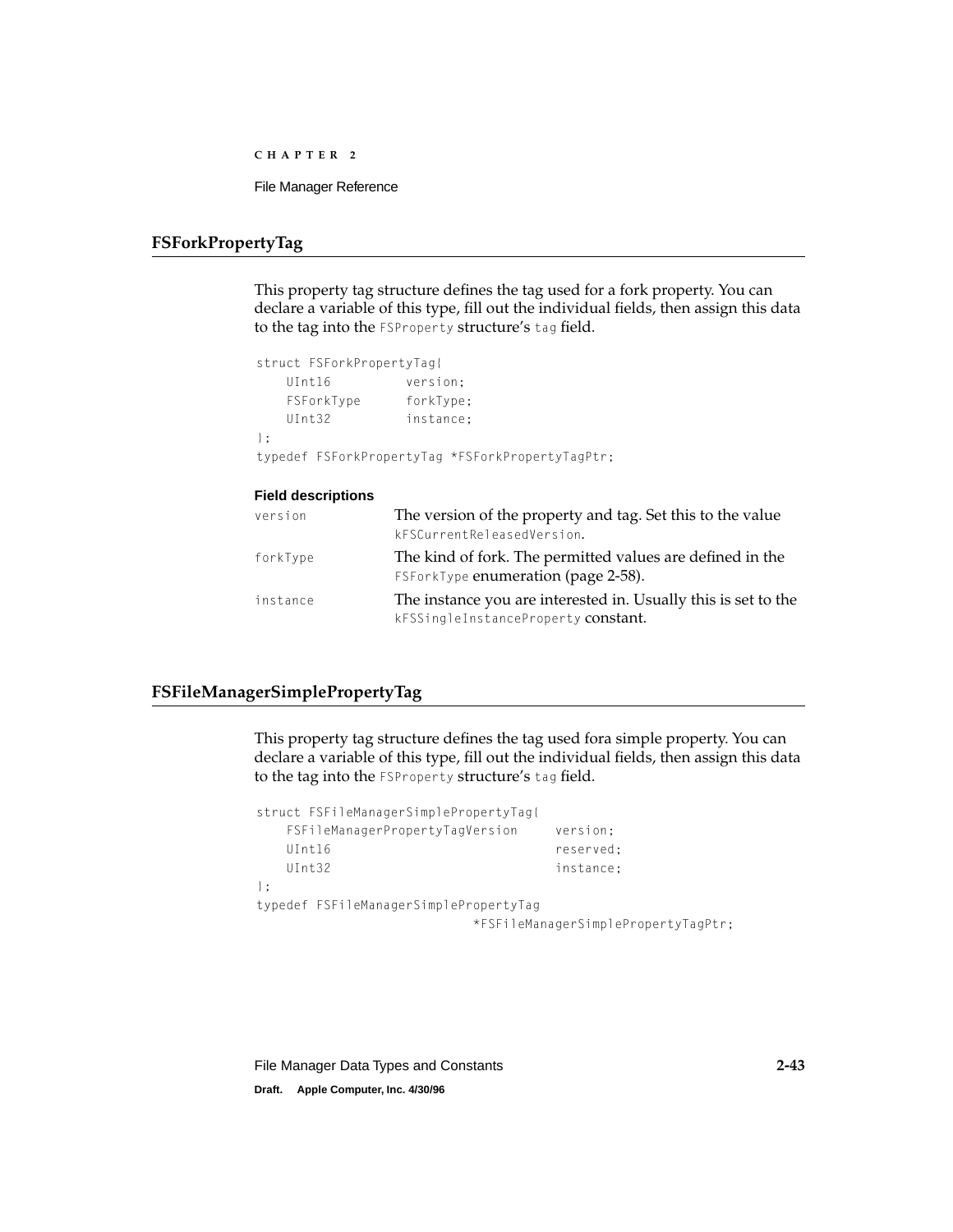# <span id="page-70-0"></span>**FSForkPropertyTag 2**

This property tag structure defines the tag used for a fork property. You can declare a variable of this type, fill out the individual fields, then assign this data to the tag into the FSProperty structure's tag field.

```
struct FSForkPropertyTag{
   UInt16 version;
   FSForkType forkType;
   UInt32 instance;
};
typedef FSForkPropertyTag *FSForkPropertyTagPtr;
```
### **Field descriptions**

| version  | The version of the property and tag. Set this to the value<br>kFSCurrentReleasedVersion.              |
|----------|-------------------------------------------------------------------------------------------------------|
| forkType | The kind of fork. The permitted values are defined in the<br>FSForkType enumeration (page 2-58).      |
| instance | The instance you are interested in. Usually this is set to the<br>kFSSingleInstanceProperty constant. |

# **FSFileManagerSimplePropertyTag 2**

This property tag structure defines the tag used fora simple property. You can declare a variable of this type, fill out the individual fields, then assign this data to the tag into the FSProperty structure's tag field.

```
struct FSFileManagerSimplePropertyTag{
  FSFileManagerPropertyTagVersion version;
  UInt16 reserved:
  UInt32 instance:
};
typedef FSFileManagerSimplePropertyTag
```
\*FSFileManagerSimplePropertyTagPtr;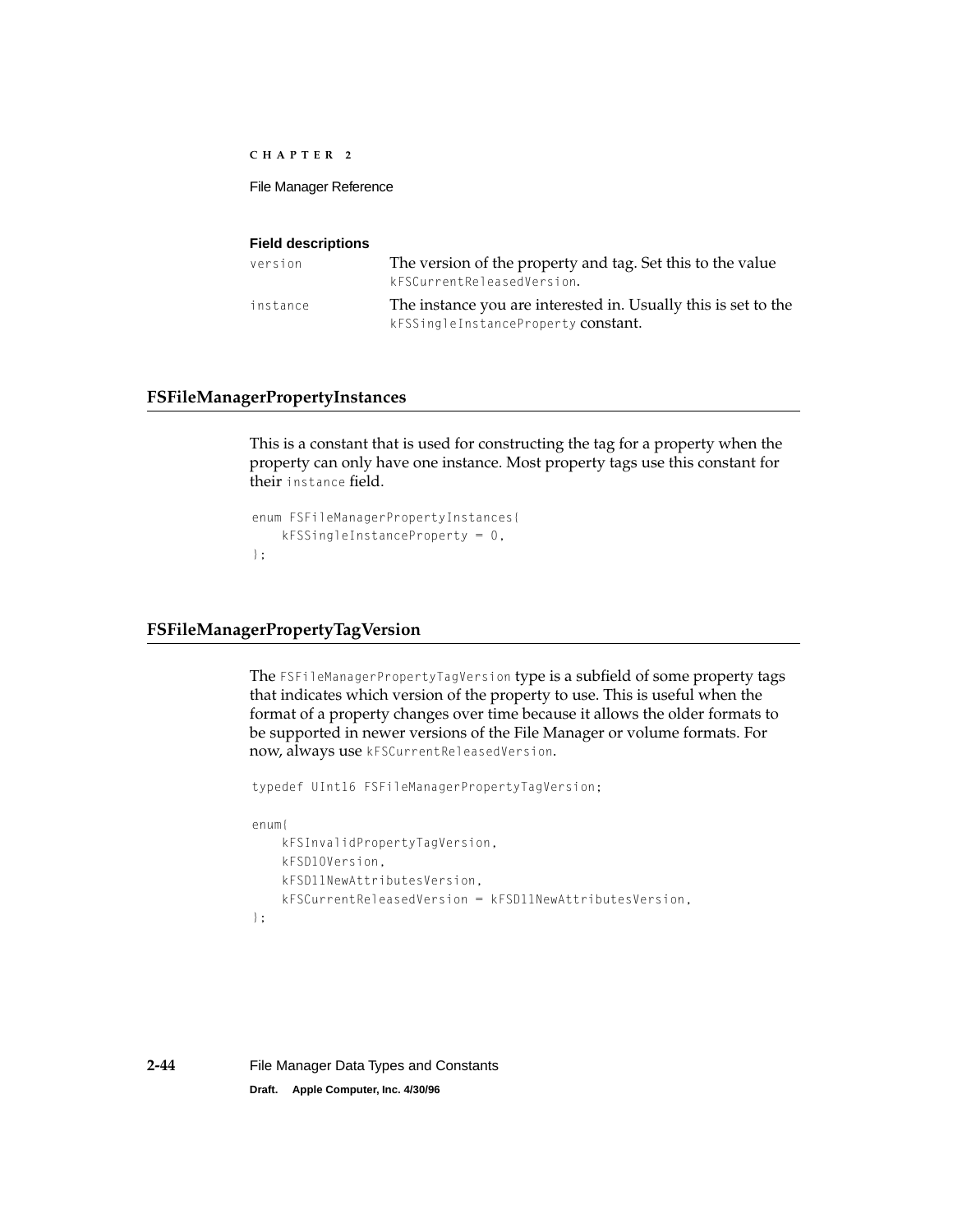File Manager Reference

### **Field descriptions**

| version  | The version of the property and tag. Set this to the value     |
|----------|----------------------------------------------------------------|
|          | kFSCurrentReleasedVersion.                                     |
| instance | The instance you are interested in. Usually this is set to the |
|          | kFSSingleInstanceProperty constant.                            |

# **FSFileManagerPropertyInstances 2**

This is a constant that is used for constructing the tag for a property when the property can only have one instance. Most property tags use this constant for their instance field.

```
enum FSFileManagerPropertyInstances{
    kFSSingleInstanceProperty = 0,
};
```
# **FSFileManagerPropertyTagVersion 2**

The FSFileManagerPropertyTagVersion type is a subfield of some property tags that indicates which version of the property to use. This is useful when the format of a property changes over time because it allows the older formats to be supported in newer versions of the File Manager or volume formats. For now, always use kFSCurrentReleasedVersion.

```
typedef UInt16 FSFileManagerPropertyTagVersion;
```

```
enum{
```

```
kFSInvalidPropertyTagVersion,
    kFSD10Version,
    kFSD11NewAttributesVersion,
    kFSCurrentReleasedVersion = kFSD11NewAttributesVersion,
};
```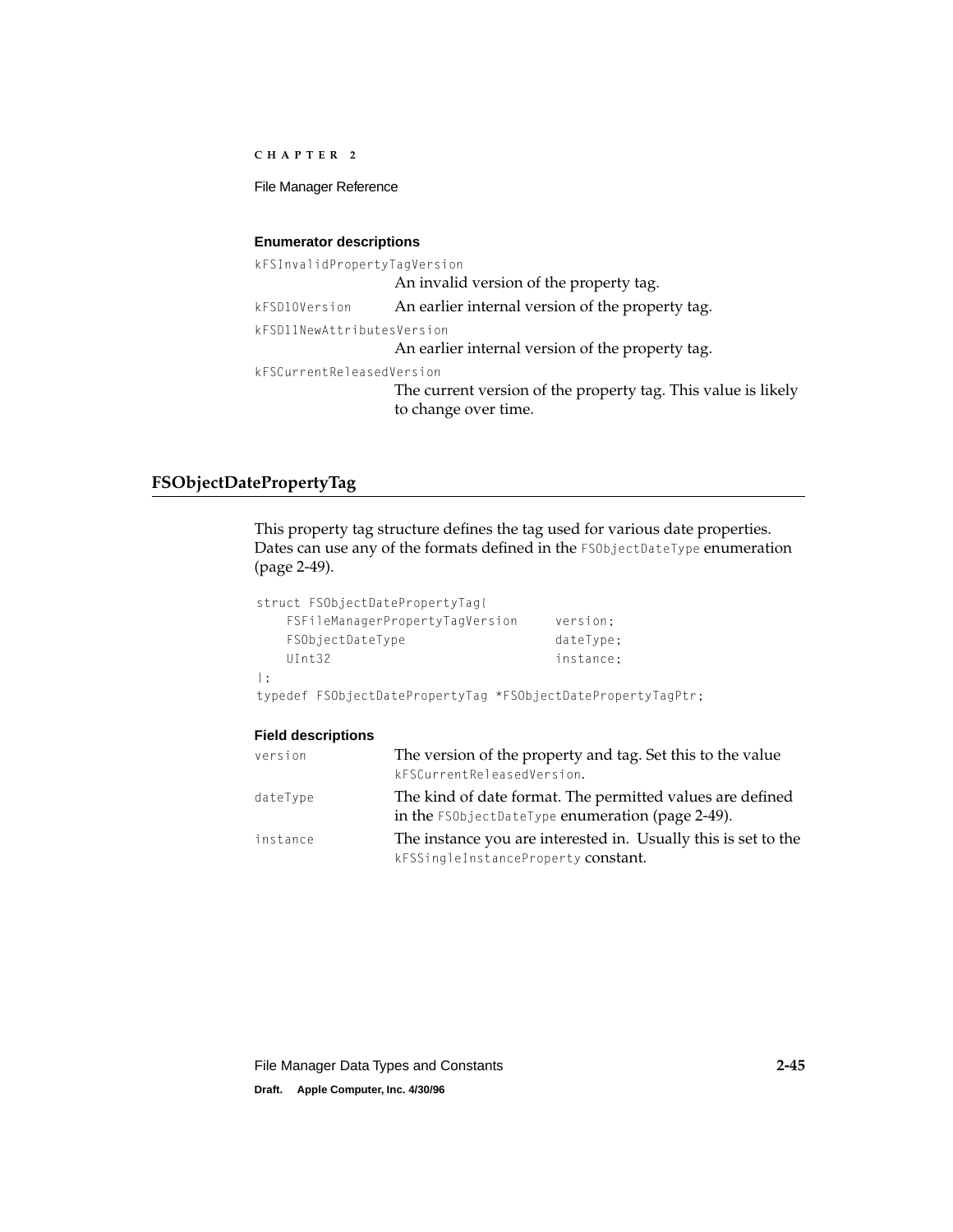<span id="page-72-0"></span>File Manager Reference

## **Enumerator descriptions**

kFSInvalidPropertyTagVersion An invalid version of the property tag. kFSD10Version An earlier internal version of the property tag. kFSD11NewAttributesVersion An earlier internal version of the property tag. kFSCurrentReleasedVersion The current version of the property tag. This value is likely to change over time.

# **FSObjectDatePropertyTag 2**

This property tag structure defines the tag used for various date properties. Dates can use any of the formats defined in the FSObjectDateType enumeration [\(page 2-49\)](#page-76-0).

```
struct FSObjectDatePropertyTag{
   FSFileManagerPropertyTagVersion version;
  FSObjectDateType dateType;
  UInt32 instance;
};
typedef FSObjectDatePropertyTag *FSObjectDatePropertyTagPtr;
```
## **Field descriptions**

| version  | The version of the property and tag. Set this to the value                                                    |
|----------|---------------------------------------------------------------------------------------------------------------|
|          | kFSCurrentReleasedVersion.                                                                                    |
| dateType | The kind of date format. The permitted values are defined<br>in the FS0bjectDateType enumeration (page 2-49). |
| instance | The instance you are interested in. Usually this is set to the<br>kFSSingleInstanceProperty constant.         |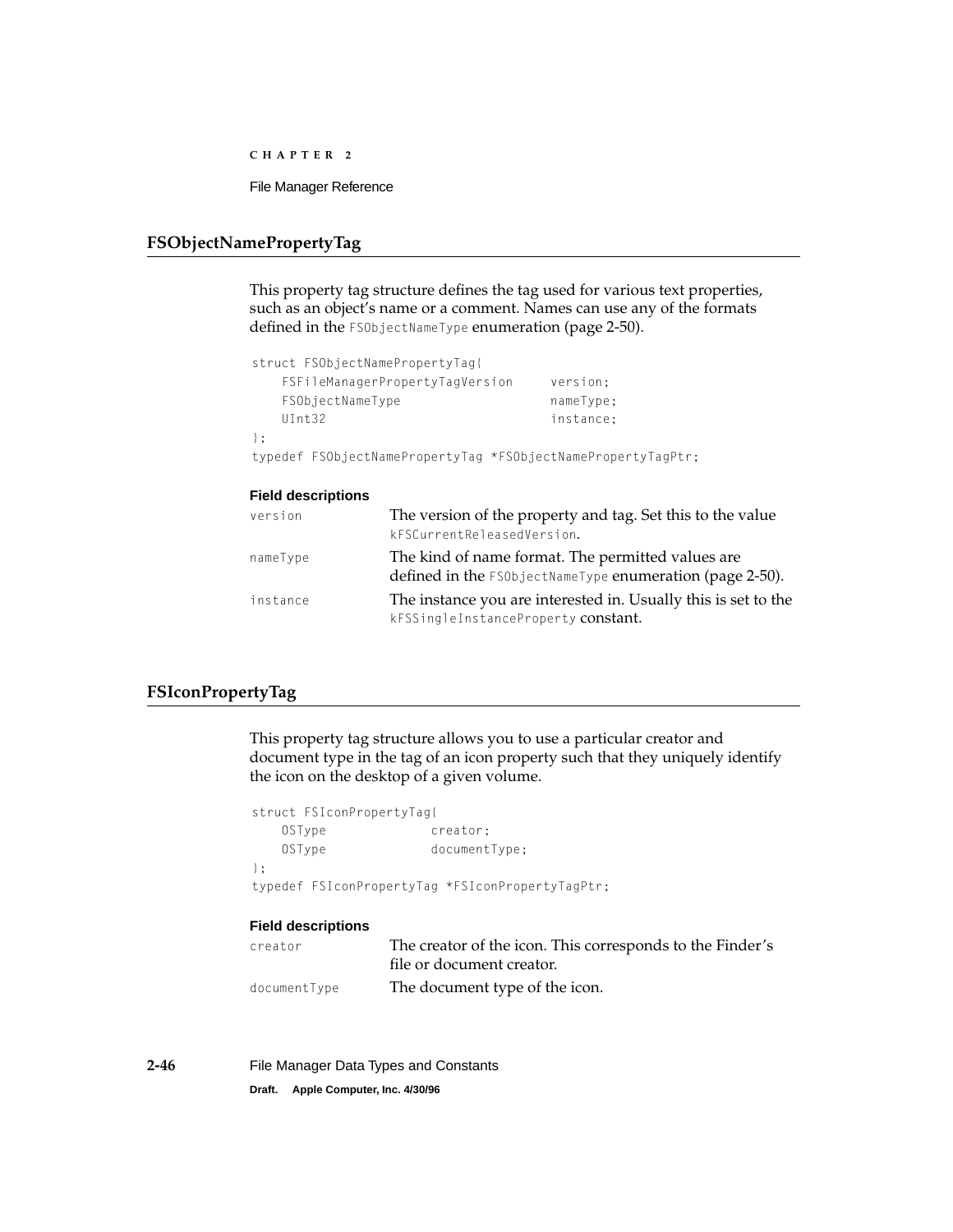File Manager Reference

# <span id="page-73-0"></span>**FSObjectNamePropertyTag 2**

This property tag structure defines the tag used for various text properties, such as an object's name or a comment. Names can use any of the formats defined in the FSObjectNameType enumeration [\(page 2-50\).](#page-77-0)

| struct FSObjectNamePropertyTag{ |           |
|---------------------------------|-----------|
| FSFileManagerPropertyTagVersion | version:  |
| FSObjectNameType                | nameType: |
| UInt32                          | instance: |
| $\cdot$                         |           |
|                                 |           |

typedef FSObjectNamePropertyTag \*FSObjectNamePropertyTagPtr;

## **Field descriptions**

| version  | The version of the property and tag. Set this to the value<br>kFSCurrentReleasedVersion.                      |
|----------|---------------------------------------------------------------------------------------------------------------|
| nameType | The kind of name format. The permitted values are<br>defined in the FSObjectNameType enumeration (page 2-50). |
| instance | The instance you are interested in. Usually this is set to the<br>kFSSingleInstanceProperty constant.         |

# **FSIconPropertyTag 2**

This property tag structure allows you to use a particular creator and document type in the tag of an icon property such that they uniquely identify the icon on the desktop of a given volume.

```
struct FSIconPropertyTag{
   OSType creator;
   OSType documentType;
};
typedef FSIconPropertyTag *FSIconPropertyTagPtr;
```
## **Field descriptions**

| creator      | The creator of the icon. This corresponds to the Finder's<br>file or document creator. |
|--------------|----------------------------------------------------------------------------------------|
| documentType | The document type of the icon.                                                         |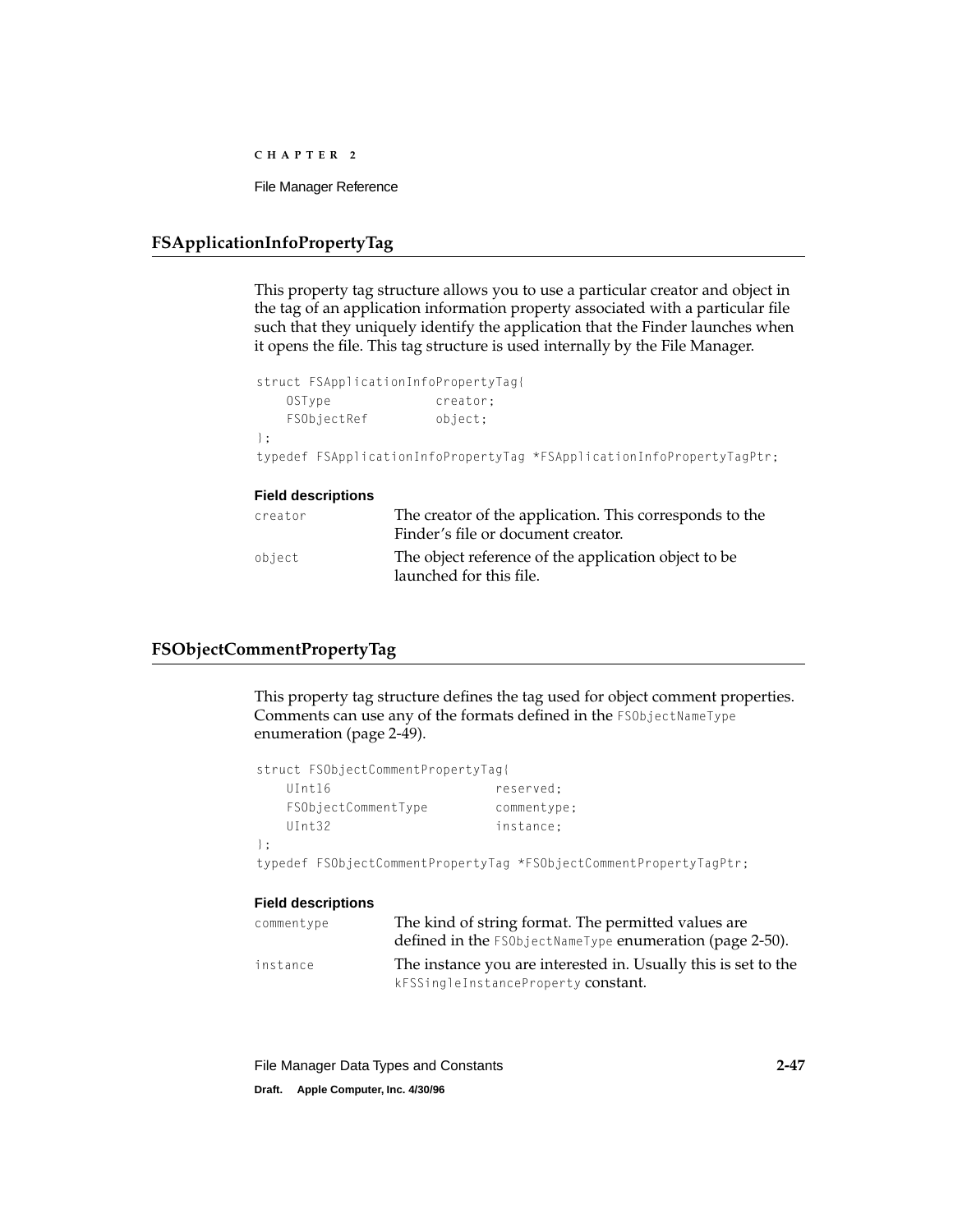File Manager Reference

# **FSApplicationInfoPropertyTag 2**

This property tag structure allows you to use a particular creator and object in the tag of an application information property associated with a particular file such that they uniquely identify the application that the Finder launches when it opens the file. This tag structure is used internally by the File Manager.

```
struct FSApplicationInfoPropertyTag{
   OSType creator;
   FSObjectRef object;
};
typedef FSApplicationInfoPropertyTag *FSApplicationInfoPropertyTagPtr;
```
## **Field descriptions**

| creator | The creator of the application. This corresponds to the<br>Finder's file or document creator. |
|---------|-----------------------------------------------------------------------------------------------|
| object  | The object reference of the application object to be<br>launched for this file.               |

# **FSObjectCommentPropertyTag 2**

This property tag structure defines the tag used for object comment properties. Comments can use any of the formats defined in the FSObjectNameType enumeration [\(page 2-49\)](#page-76-0).

```
struct FSObjectCommentPropertyTag{
  UInt16 reserved;
  FSObjectCommentType commentype;
  UInt32 instance:
};
typedef FSObjectCommentPropertyTag *FSObjectCommentPropertyTagPtr;
```
## **Field descriptions**

| commentype | The kind of string format. The permitted values are            |
|------------|----------------------------------------------------------------|
|            | defined in the FSObjectNameType enumeration (page 2-50).       |
| instance   | The instance you are interested in. Usually this is set to the |
|            | kFSSingleInstanceProperty constant.                            |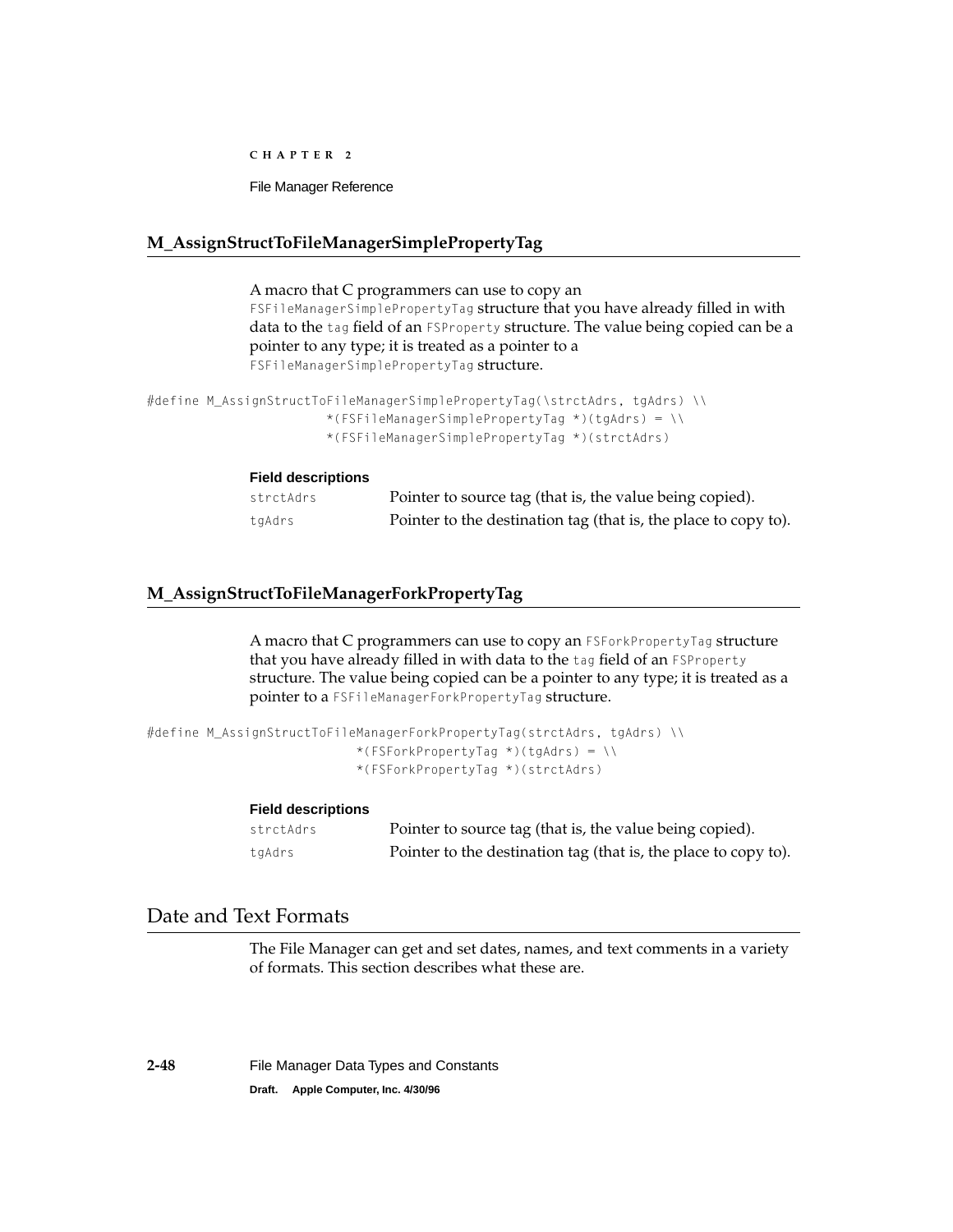File Manager Reference

# **M\_AssignStructToFileManagerSimplePropertyTag 2**

## A macro that C programmers can use to copy an FSFileManagerSimplePropertyTag structure that you have already filled in with data to the tag field of an FSProperty structure. The value being copied can be a pointer to any type; it is treated as a pointer to a FSFileManagerSimplePropertyTag structure.

```
#define M_AssignStructToFileManagerSimplePropertyTag(\strctAdrs, tgAdrs) \\
                        *(FSFileManagerSimplePropertyTag *)(tgAdrs) = \Box *(FSFileManagerSimplePropertyTag *)(strctAdrs)
```
## **Field descriptions**

| strctAdrs | Pointer to source tag (that is, the value being copied).        |
|-----------|-----------------------------------------------------------------|
| tgAdrs    | Pointer to the destination tag (that is, the place to copy to). |

# **M\_AssignStructToFileManagerForkPropertyTag 2**

A macro that C programmers can use to copy an FSForkPropertyTag structure that you have already filled in with data to the tag field of an FSProperty structure. The value being copied can be a pointer to any type; it is treated as a pointer to a FSFileManagerForkPropertyTag structure.

```
#define M_AssignStructToFileManagerForkPropertyTag(strctAdrs, tgAdrs) \\
                            *(FSForkPropertyTag *)(tgAdrs) = \iota*(FSForkPropertyTag *)(strctAdrs)
```
### **Field descriptions**

| strctAdrs | Pointer to source tag (that is, the value being copied).        |
|-----------|-----------------------------------------------------------------|
| taAdrs    | Pointer to the destination tag (that is, the place to copy to). |

# Date and Text Formats 2

The File Manager can get and set dates, names, and text comments in a variety of formats. This section describes what these are.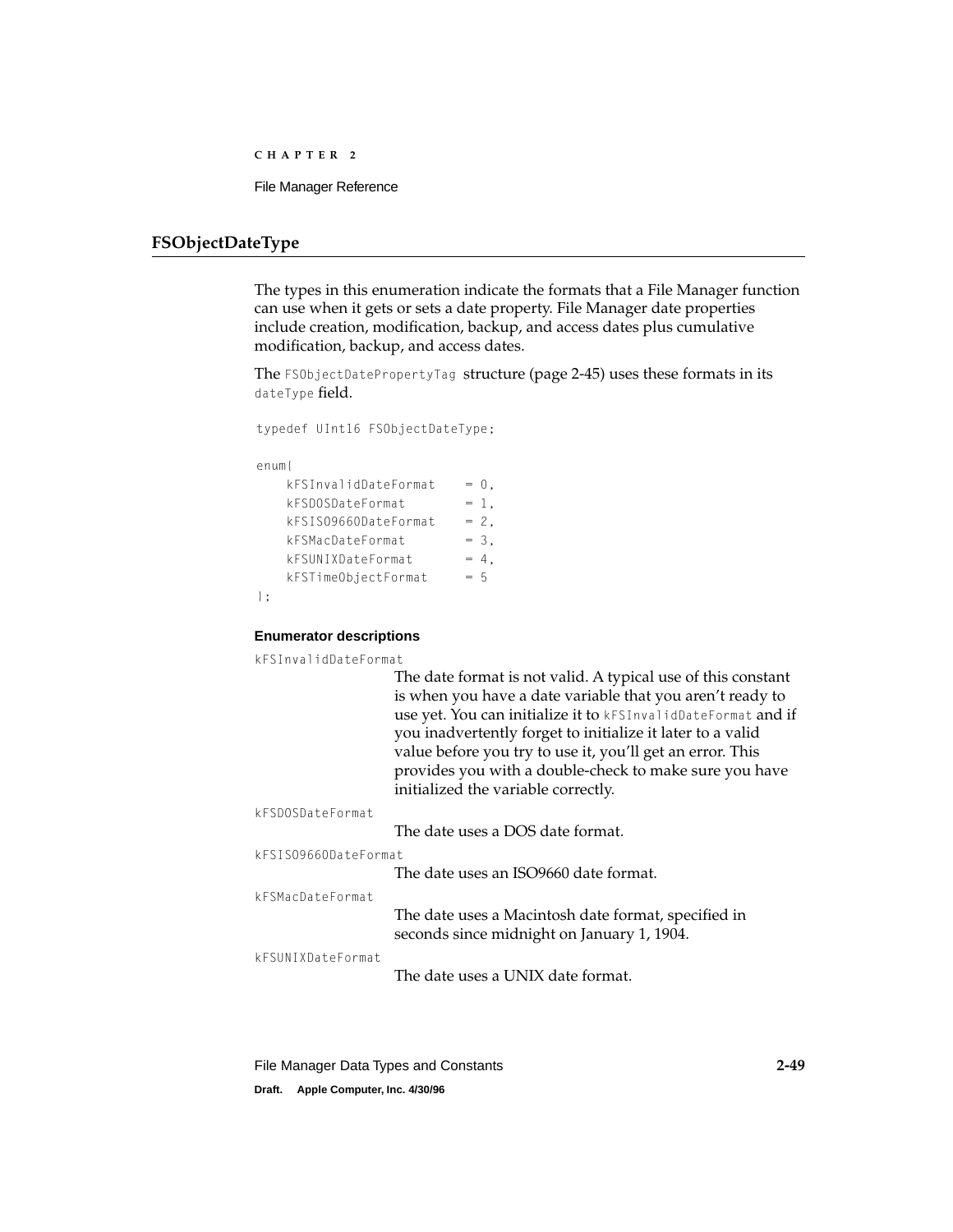File Manager Reference

# <span id="page-76-0"></span>**FSObjectDateType 2**

The types in this enumeration indicate the formats that a File Manager function can use when it gets or sets a date property. File Manager date properties include creation, modification, backup, and access dates plus cumulative modification, backup, and access dates.

The FSObjectDatePropertyTag structure [\(page 2-45\)](#page-72-0) uses these formats in its dateType field.

```
typedef UInt16 FSObjectDateType;
```

```
enum{
```

| kFSInvalidDateFormat | $= 0.$  |
|----------------------|---------|
| kFSDOSDateFormat     | $= 1.$  |
| kFSIS09660DateFormat | $= 2.$  |
| kFSMacDateFormat     | $= 3.$  |
| kFSUNIXDateFormat    | $= 4$ . |
| kFSTimeObjectFormat  | $= 5$   |
|                      |         |

};

## **Enumerator descriptions**

kFSInvalidDateFormat

|                      | The date format is not valid. A typical use of this constant<br>is when you have a date variable that you aren't ready to                                                                                                                                                                 |  |
|----------------------|-------------------------------------------------------------------------------------------------------------------------------------------------------------------------------------------------------------------------------------------------------------------------------------------|--|
|                      | use yet. You can initialize it to kFSInvalidDateFormat and if<br>you inadvertently forget to initialize it later to a valid<br>value before you try to use it, you'll get an error. This<br>provides you with a double-check to make sure you have<br>initialized the variable correctly. |  |
| kFSDOSDateFormat     |                                                                                                                                                                                                                                                                                           |  |
|                      | The date uses a DOS date format.                                                                                                                                                                                                                                                          |  |
| kFSIS09660DateFormat |                                                                                                                                                                                                                                                                                           |  |
|                      | The date uses an ISO9660 date format.                                                                                                                                                                                                                                                     |  |
| kFSMacDateFormat     |                                                                                                                                                                                                                                                                                           |  |
|                      | The date uses a Macintosh date format, specified in<br>seconds since midnight on January 1, 1904.                                                                                                                                                                                         |  |
| kFSUNIXDateFormat    |                                                                                                                                                                                                                                                                                           |  |
|                      | The date uses a UNIX date format.                                                                                                                                                                                                                                                         |  |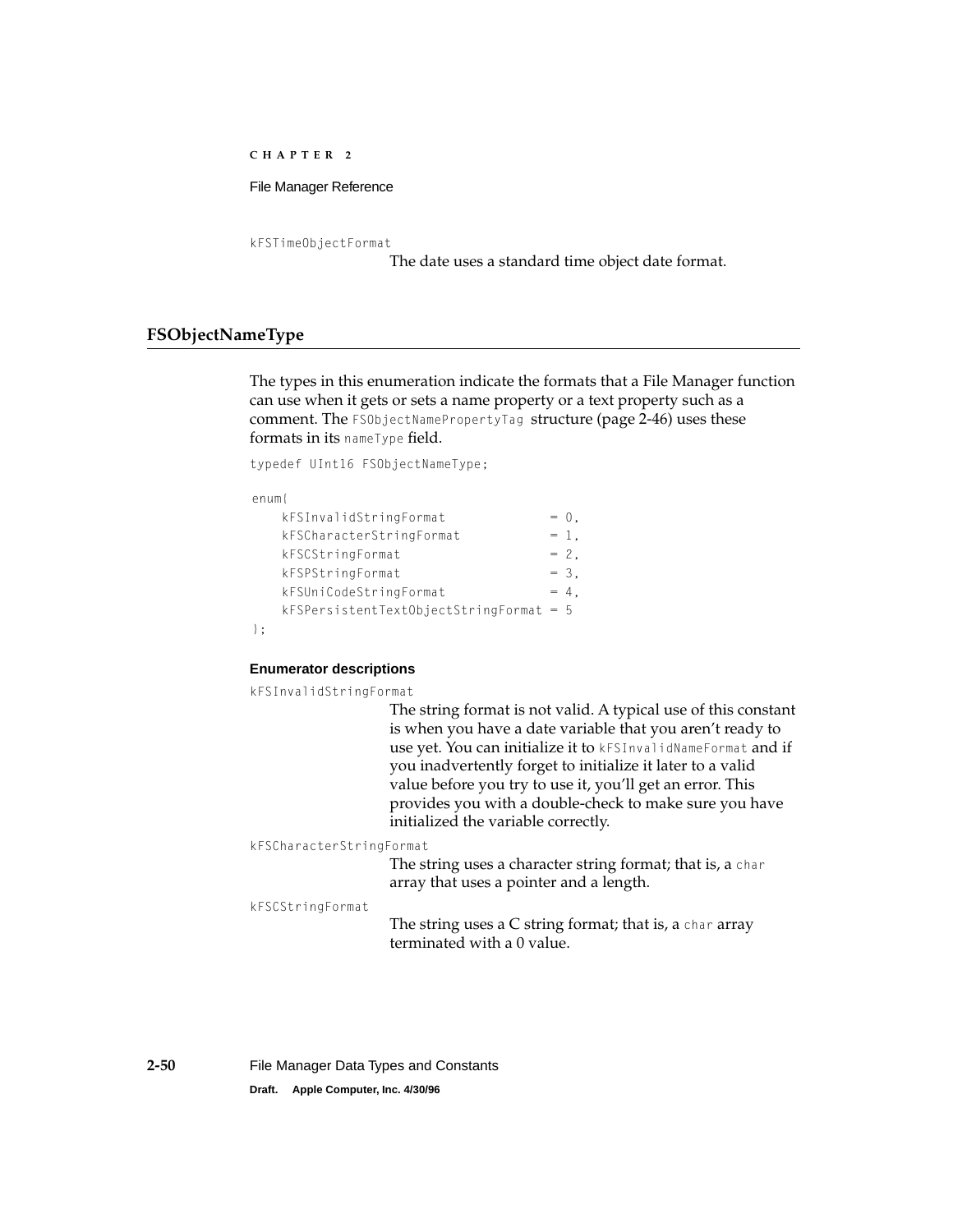<span id="page-77-0"></span>File Manager Reference

kFSTimeObjectFormat

The date uses a standard time object date format.

## **FSObjectNameType 2**

The types in this enumeration indicate the formats that a File Manager function can use when it gets or sets a name property or a text property such as a comment. The FSObjectNamePropertyTag structure [\(page 2-46\)](#page-73-0) uses these formats in its nameType field.

```
typedef UInt16 FSObjectNameType;
```
#### enum{

```
kFSInvalidStringFormat = 0.kFSCharacterStringFormat = 1,kFSCStringFormat = 2,kFSPStringFormat = 3,kFSUniCodeStringFormat = 4,
  kFSPersistentTextObjectStringFormat = 5
};
```
### **Enumerator descriptions**

kFSInvalidStringFormat

The string format is not valid. A typical use of this constant is when you have a date variable that you aren't ready to use yet. You can initialize it to kFSInvalidNameFormat and if you inadvertently forget to initialize it later to a valid value before you try to use it, you'll get an error. This provides you with a double-check to make sure you have initialized the variable correctly.

kFSCharacterStringFormat

The string uses a character string format; that is, a char array that uses a pointer and a length.

#### kFSCStringFormat

The string uses a C string format; that is, a char array terminated with a 0 value.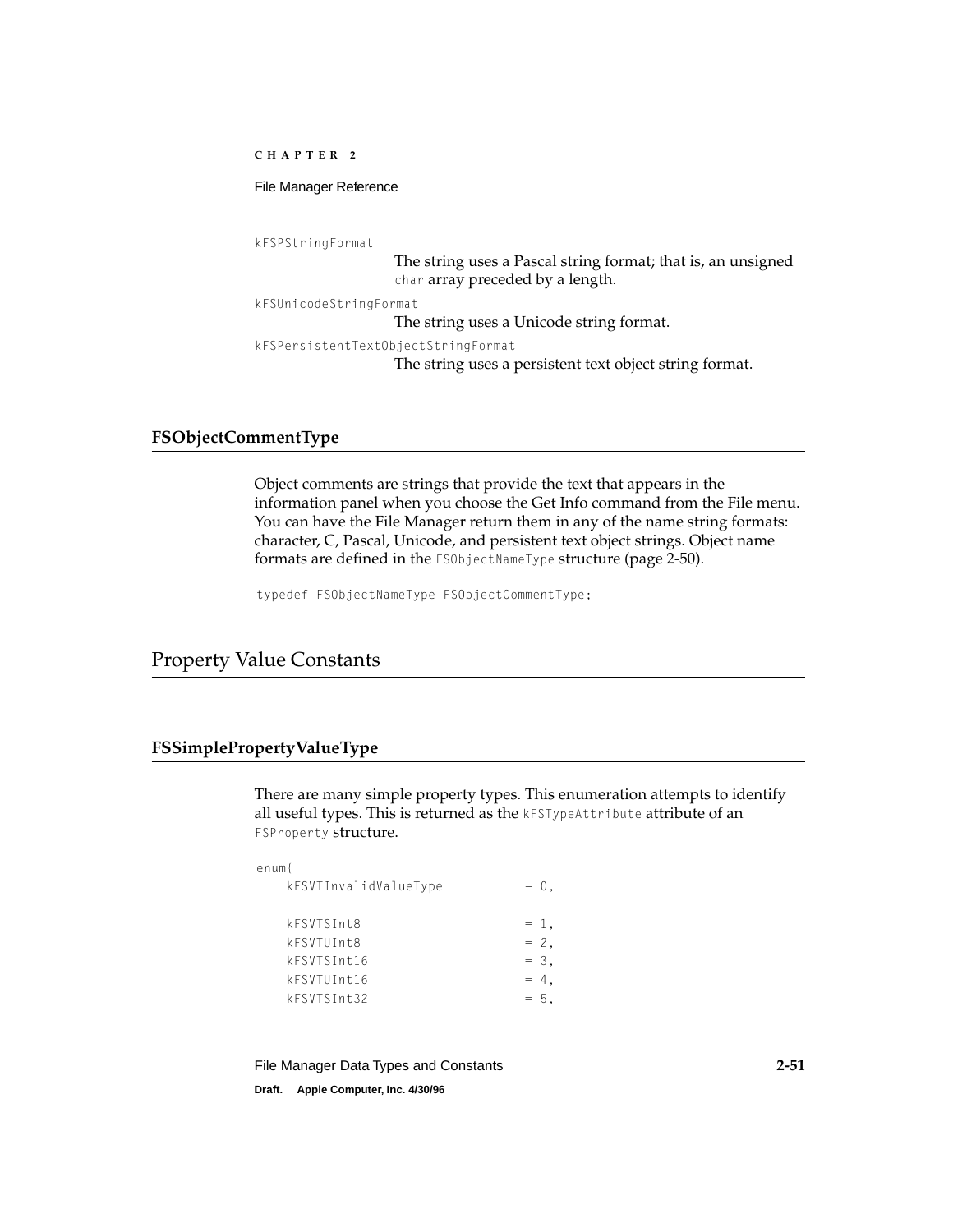#### File Manager Reference

kFSPStringFormat

The string uses a Pascal string format; that is, an unsigned char array preceded by a length.

kFSUnicodeStringFormat

The string uses a Unicode string format.

kFSPersistentTextObjectStringFormat

The string uses a persistent text object string format.

## **FSObjectCommentType 2**

Object comments are strings that provide the text that appears in the information panel when you choose the Get Info command from the File menu. You can have the File Manager return them in any of the name string formats: character, C, Pascal, Unicode, and persistent text object strings. Object name formats are defined in the FSObjectNameType structure [\(page 2-50\)](#page-77-0).

typedef FSObjectNameType FSObjectCommentType;

# Property Value Constants 2

## **FSSimplePropertyValueType 2**

There are many simple property types. This enumeration attempts to identify all useful types. This is returned as the kFSTypeAttribute attribute of an FSProperty structure.

```
enum{
 kFSVTInvalidValueType = 0,
 kFSVTSInt8 = 1kFSVTUInt8 = 2.kFSVTSInt16 = 3.
 kFSVTUInt16 = 4.
 kFSVTSInt32 = 5.
```
File Manager Data Types and Constants **2-51**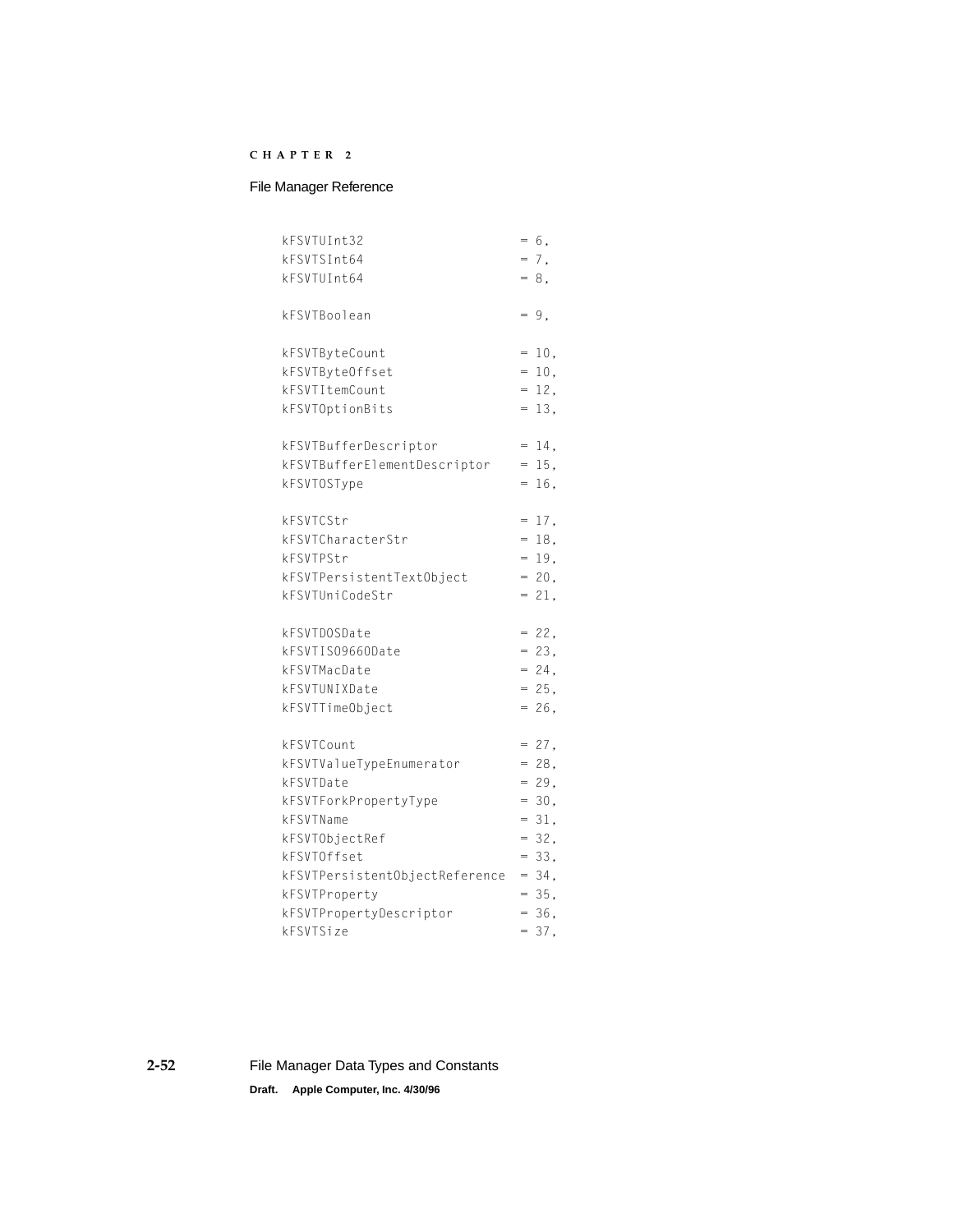# File Manager Reference

| kFSVTUInt32                    | $= 6.$     |
|--------------------------------|------------|
| kFSVTSInt64                    | $= 7.$     |
| kFSVTUInt64                    | $= 8,$     |
|                                |            |
| kFSVTBoolean                   | $= 9,$     |
|                                |            |
| kFSVTByteCount                 | 10,<br>$=$ |
| kFSVTByteOffset                | 10,<br>$=$ |
| kFSVTItemCount                 | $= 12.$    |
| kFSVTOptionBits                | 13,<br>$=$ |
|                                |            |
| kFSVTBufferDescriptor          | 14.<br>$=$ |
| kFSVTBufferElementDescriptor   | 15,<br>$=$ |
| kFSVTOSType                    | 16.<br>$=$ |
|                                |            |
| kFSVTCStr                      | 17,<br>$=$ |
| kFSVTCharacterStr              | $= 18.$    |
| kFSVTPStr                      | 19,<br>$=$ |
| kFSVTPersistentTextObject      | $= 20,$    |
| kFSVTUniCodeStr                | $= 21.$    |
|                                |            |
| kFSVTDOSDate                   | $= 22.$    |
| kFSVTIS09660Date               | $= 23.$    |
| kFSVTMacDate                   | $= 24,$    |
| kFSVTUNIXDate                  | $= 25.$    |
| kFSVTTimeObject                | $= 26$ ,   |
|                                |            |
| kFSVTCount                     | $= 27,$    |
| kFSVTValueTypeEnumerator       | $= 28,$    |
| kFSVTDate                      | $= 29.$    |
| kFSVTForkPropertyType          | $= 30.$    |
| kFSVTName                      | $= 31,$    |
| kFSVTObjectRef                 | $= 32.$    |
| kFSVTOffset                    | $= 33,$    |
| kFSVTPersistentObjectReference | $= 34,$    |
| kFSVTProperty                  | 35.<br>$=$ |
| kFSVTPropertyDescriptor        | 36,<br>$=$ |
| kFSVTSize                      | 37,<br>$=$ |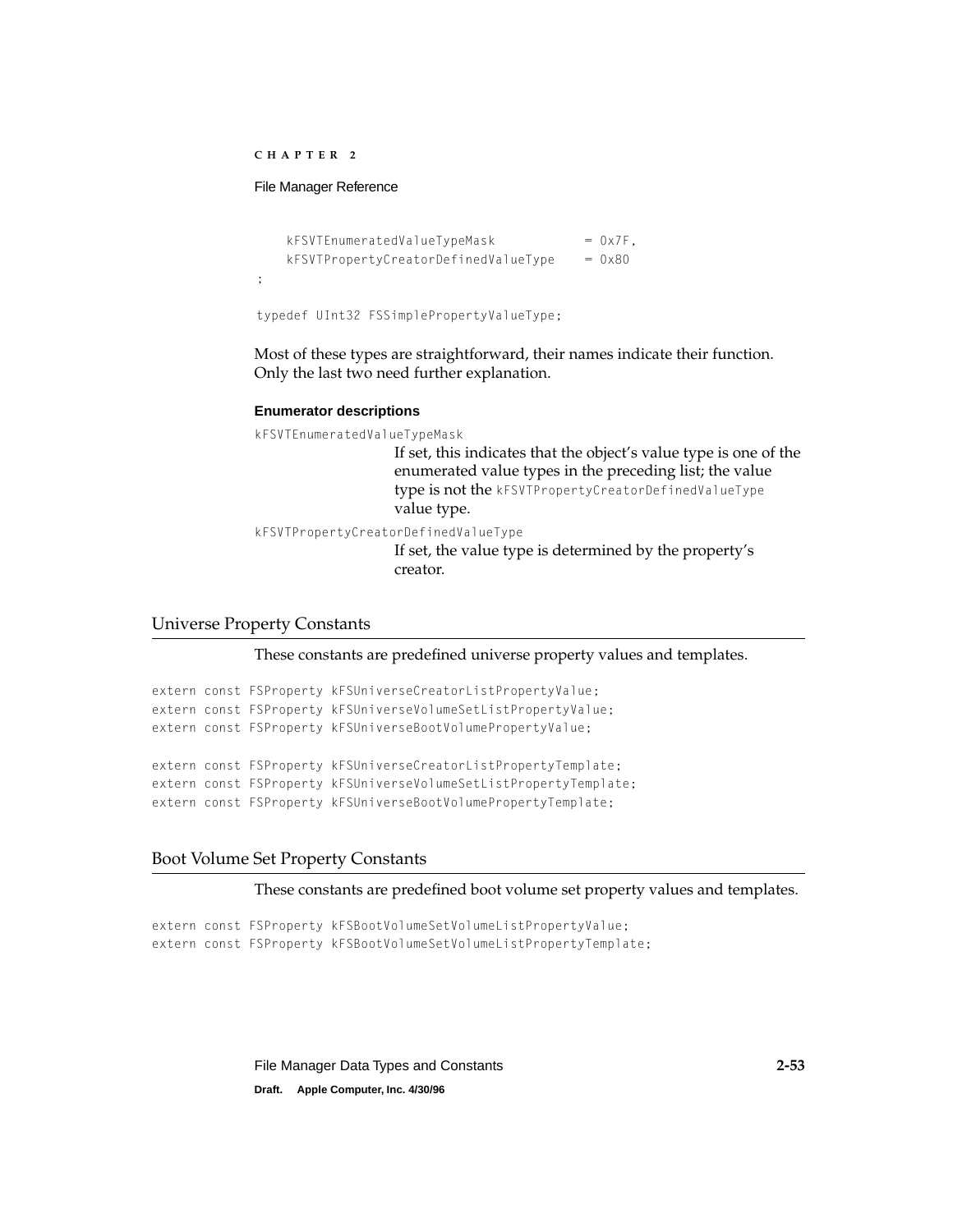File Manager Reference

```
kFSVTEnumeratedValueTypeMaskkFSVTPropertyCreateorDefinedValueType = <math>0x80</math>;
```
typedef UInt32 FSSimplePropertyValueType;

Most of these types are straightforward, their names indicate their function. Only the last two need further explanation.

#### **Enumerator descriptions**

```
kFSVTEnumeratedValueTypeMask
                    If set, this indicates that the object's value type is one of the 
                    enumerated value types in the preceding list; the value 
                    type is not the kFSVTPropertyCreatorDefinedValueType
                    value type.
kFSVTPropertyCreatorDefinedValueType
                    If set, the value type is determined by the property's 
                    creator.
```
## Universe Property Constants 2

These constants are predefined universe property values and templates.

```
extern const FSProperty kFSUniverseCreatorListPropertyValue;
extern const FSProperty kFSUniverseVolumeSetListPropertyValue;
extern const FSProperty kFSUniverseBootVolumePropertyValue;
extern const FSProperty kFSUniverseCreatorListPropertyTemplate;
extern const FSProperty kFSUniverseVolumeSetListPropertyTemplate;
extern const FSProperty kFSUniverseBootVolumePropertyTemplate;
```
## Boot Volume Set Property Constants 2

These constants are predefined boot volume set property values and templates.

```
extern const FSProperty kFSBootVolumeSetVolumeListPropertyValue;
extern const FSProperty kFSBootVolumeSetVolumeListPropertyTemplate;
```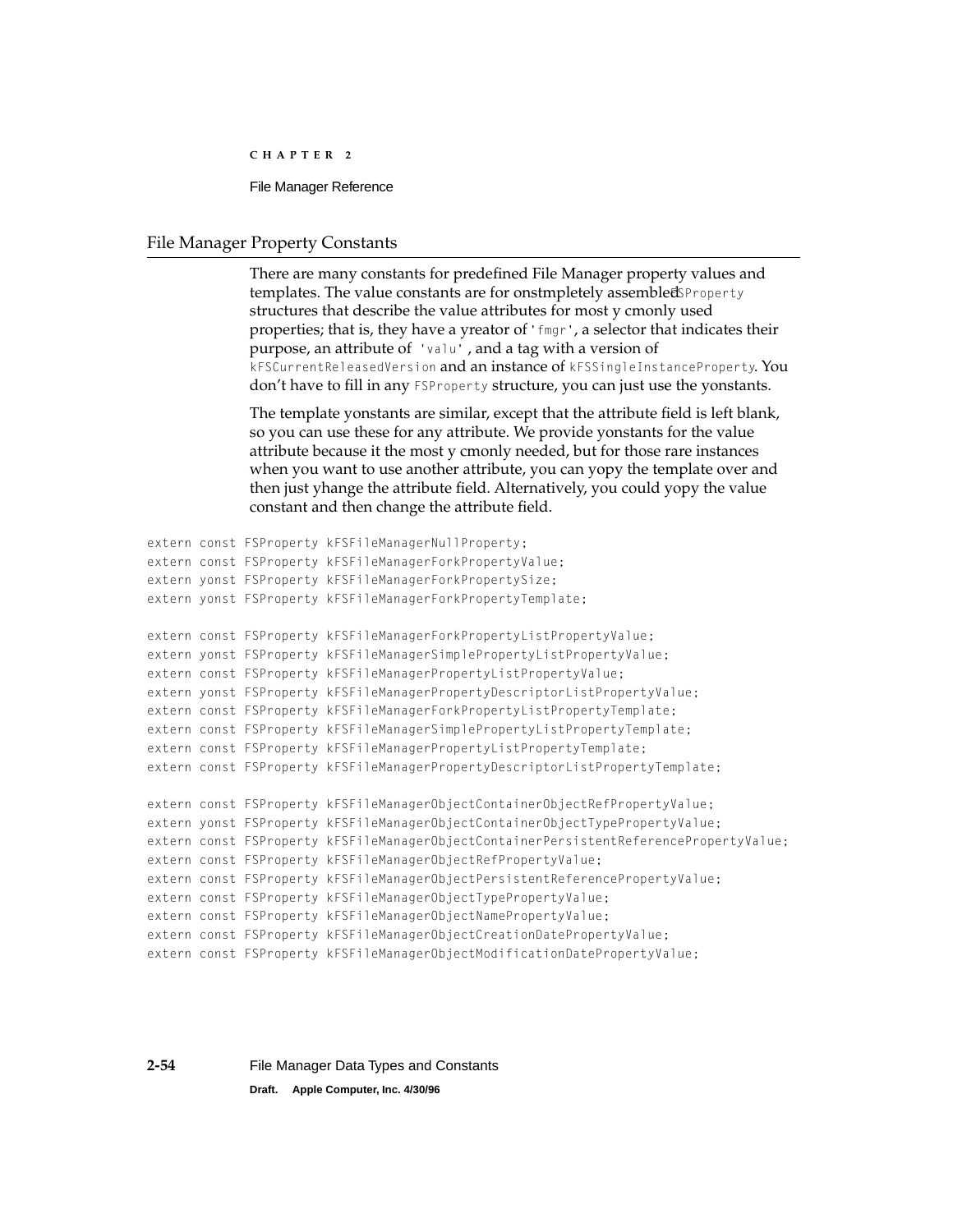File Manager Reference

## File Manager Property Constants 2

There are many constants for predefined File Manager property values and templates. The value constants are for onstmpletely assembled SProperty structures that describe the value attributes for most y cmonly used properties; that is, they have a yreator of 'fmgr', a selector that indicates their purpose, an attribute of 'valu' , and a tag with a version of kFSCurrentReleasedVersion and an instance of kFSSingleInstanceProperty. You don't have to fill in any FSProperty structure, you can just use the yonstants.

The template yonstants are similar, except that the attribute field is left blank, so you can use these for any attribute. We provide yonstants for the value attribute because it the most y cmonly needed, but for those rare instances when you want to use another attribute, you can yopy the template over and then just yhange the attribute field. Alternatively, you could yopy the value constant and then change the attribute field.

```
extern const FSProperty kFSFileManagerNullProperty;
extern const FSProperty kFSFileManagerForkPropertyValue;
extern yonst FSProperty kFSFileManagerForkPropertySize;
extern yonst FSProperty kFSFileManagerForkPropertyTemplate;
extern const FSProperty kFSFileManagerForkPropertyListPropertyValue;
extern yonst FSProperty kFSFileManagerSimplePropertyListPropertyValue;
extern const FSProperty kFSFileManagerPropertyListPropertyValue;
extern yonst FSProperty kFSFileManagerPropertyDescriptorListPropertyValue;
extern const FSProperty kFSFileManagerForkPropertyListPropertyTemplate;
extern const FSProperty kFSFileManagerSimplePropertyListPropertyTemplate;
extern const FSProperty kFSFileManagerPropertyListPropertyTemplate;
extern const FSProperty kFSFileManagerPropertyDescriptorListPropertyTemplate;
extern const FSProperty kFSFileManagerObjectContainerObjectRefPropertyValue;
extern yonst FSProperty kFSFileManagerObjectContainerObjectTypePropertyValue;
extern const FSProperty kFSFileManagerObjectContainerPersistentReferencePropertyValue;
extern const FSProperty kFSFileManagerObjectRefPropertyValue;
extern const FSProperty kFSFileManagerObjectPersistentReferencePropertyValue;
extern const FSProperty kFSFileManagerObjectTypePropertyValue;
extern const FSProperty kFSFileManagerObjectNamePropertyValue;
extern const FSProperty kFSFileManagerObjectCreationDatePropertyValue;
extern const FSProperty kFSFileManagerObjectModificationDatePropertyValue;
```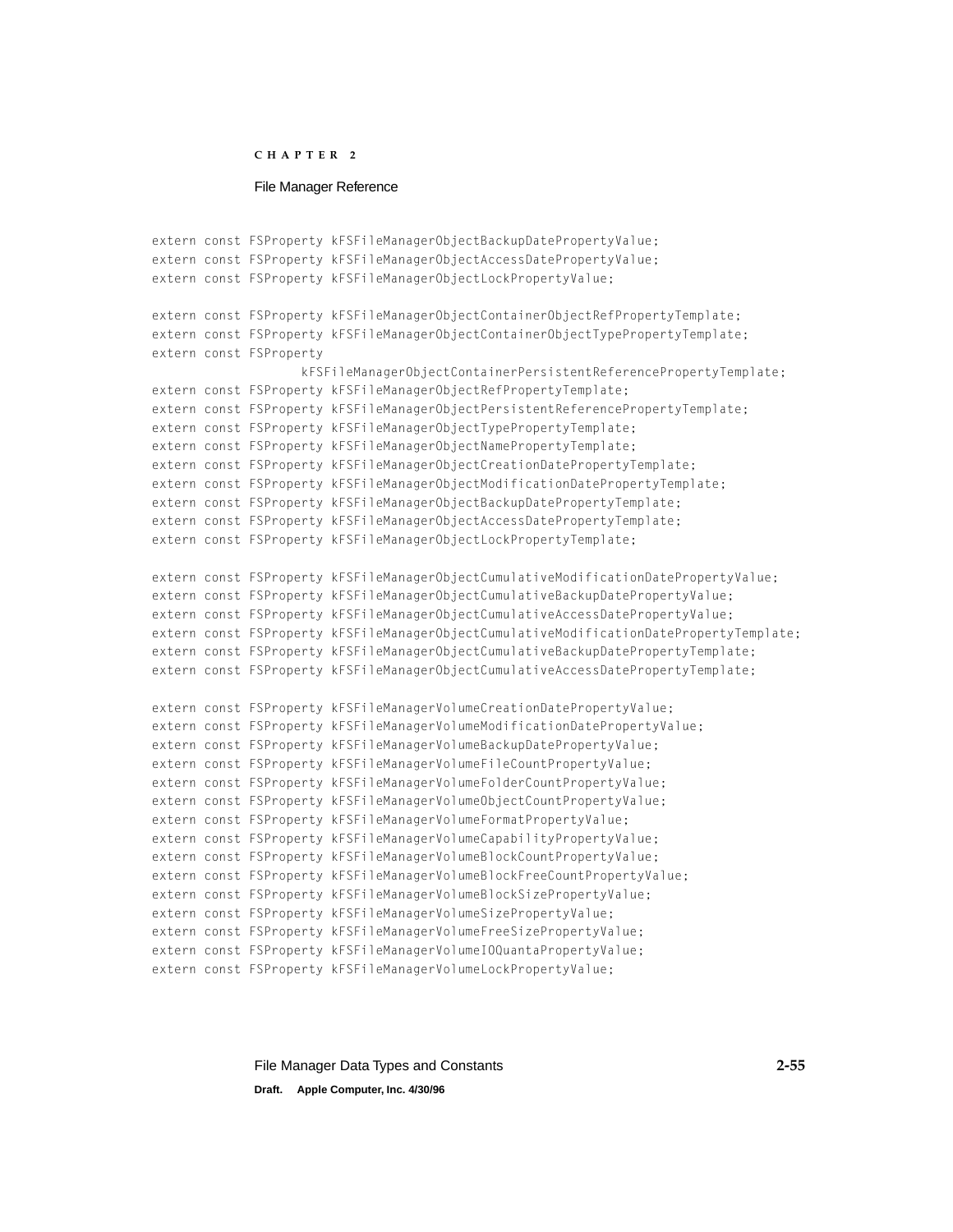#### File Manager Reference

```
extern const FSProperty kFSFileManagerObjectBackupDatePropertyValue;
extern const FSProperty kFSFileManagerObjectAccessDatePropertyValue;
extern const FSProperty kFSFileManagerObjectLockPropertyValue;
extern const FSProperty kFSFileManagerObjectContainerObjectRefPropertyTemplate;
extern const FSProperty kFSFileManagerObjectContainerObjectTypePropertyTemplate;
extern const FSProperty
                    kFSFileManagerObjectContainerPersistentReferencePropertyTemplate;
extern const FSProperty kFSFileManagerObjectRefPropertyTemplate;
extern const FSProperty kFSFileManagerObjectPersistentReferencePropertyTemplate;
extern const FSProperty kFSFileManagerObjectTypePropertyTemplate;
extern const FSProperty kFSFileManagerObjectNamePropertyTemplate;
extern const FSProperty kFSFileManagerObjectCreationDatePropertyTemplate;
extern const FSProperty kFSFileManagerObjectModificationDatePropertyTemplate;
extern const FSProperty kFSFileManagerObjectBackupDatePropertyTemplate;
extern const FSProperty kFSFileManagerObjectAccessDatePropertyTemplate;
extern const FSProperty kFSFileManagerObjectLockPropertyTemplate;
extern const FSProperty kFSFileManagerObjectCumulativeModificationDatePropertyValue;
extern const FSProperty kFSFileManagerObjectCumulativeBackupDatePropertyValue;
extern const FSProperty kFSFileManagerObjectCumulativeAccessDatePropertyValue;
extern const FSProperty kFSFileManagerObjectCumulativeModificationDatePropertyTemplate;
extern const FSProperty kFSFileManagerObjectCumulativeBackupDatePropertyTemplate;
extern const FSProperty kFSFileManagerObjectCumulativeAccessDatePropertyTemplate;
extern const FSProperty kFSFileManagerVolumeCreationDatePropertyValue;
extern const FSProperty kFSFileManagerVolumeModificationDatePropertyValue;
extern const FSProperty kFSFileManagerVolumeBackupDatePropertyValue;
extern const FSProperty kFSFileManagerVolumeFileCountPropertyValue;
extern const FSProperty kFSFileManagerVolumeFolderCountPropertyValue;
extern const FSProperty kFSFileManagerVolumeObjectCountPropertyValue;
extern const FSProperty kFSFileManagerVolumeFormatPropertyValue;
extern const FSProperty kFSFileManagerVolumeCapabilityPropertyValue;
extern const FSProperty kFSFileManagerVolumeBlockCountPropertyValue;
extern const FSProperty kFSFileManagerVolumeBlockFreeCountPropertyValue;
extern const FSProperty kFSFileManagerVolumeBlockSizePropertyValue;
extern const FSProperty kFSFileManagerVolumeSizePropertyValue;
extern const FSProperty kFSFileManagerVolumeFreeSizePropertyValue;
extern const FSProperty kFSFileManagerVolumeIOQuantaPropertyValue;
extern const FSProperty kFSFileManagerVolumeLockPropertyValue;
```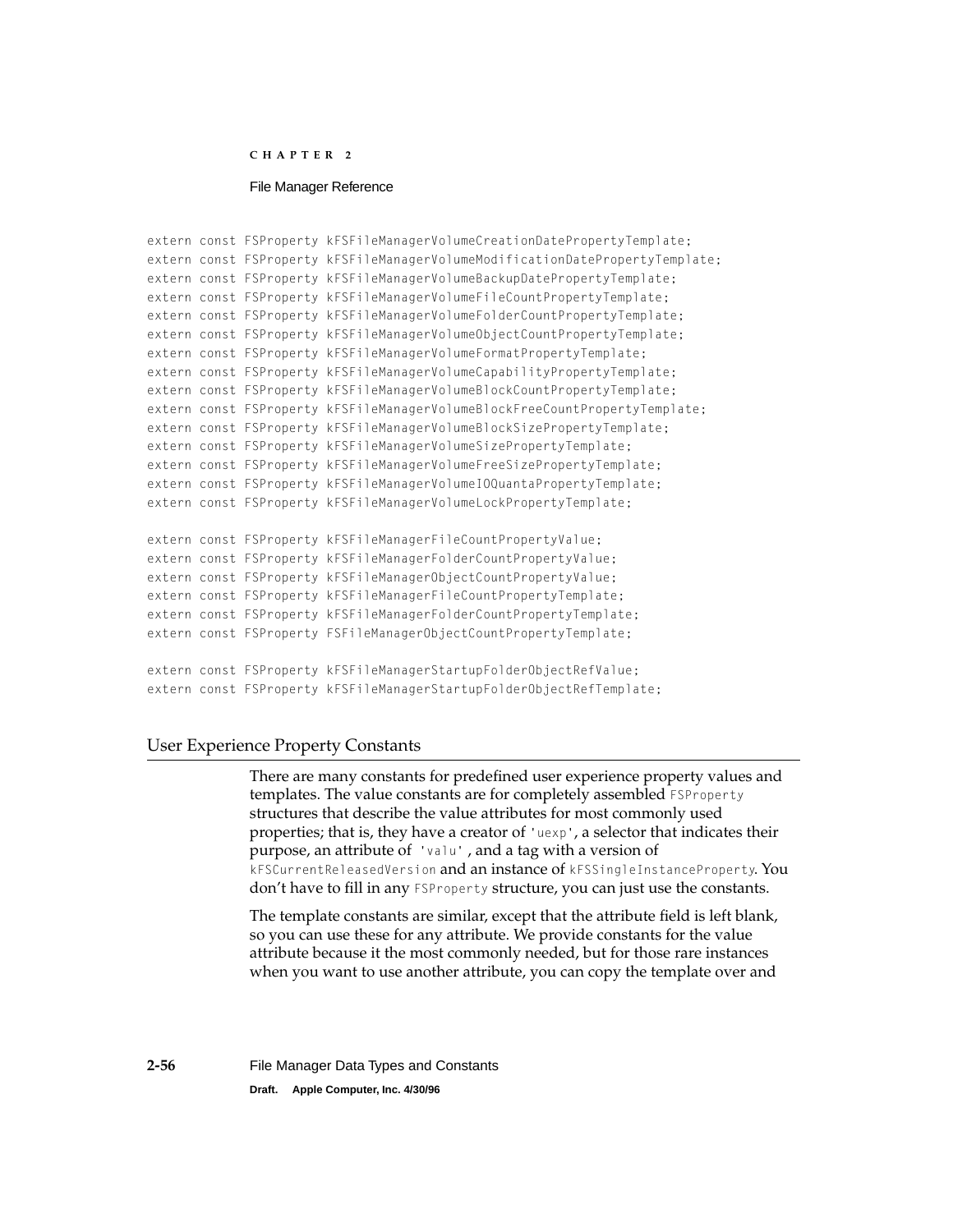#### File Manager Reference

```
extern const FSProperty kFSFileManagerVolumeCreationDatePropertyTemplate;
extern const FSProperty kFSFileManagerVolumeModificationDatePropertyTemplate;
extern const FSProperty kFSFileManagerVolumeBackupDatePropertyTemplate;
extern const FSProperty kFSFileManagerVolumeFileCountPropertyTemplate;
extern const FSProperty kFSFileManagerVolumeFolderCountPropertyTemplate;
extern const FSProperty kFSFileManagerVolumeObjectCountPropertyTemplate;
extern const FSProperty kFSFileManagerVolumeFormatPropertyTemplate;
extern const FSProperty kFSFileManagerVolumeCapabilityPropertyTemplate;
extern const FSProperty kFSFileManagerVolumeBlockCountPropertyTemplate;
extern const FSProperty kFSFileManagerVolumeBlockFreeCountPropertyTemplate;
extern const FSProperty kFSFileManagerVolumeBlockSizePropertyTemplate;
extern const FSProperty kFSFileManagerVolumeSizePropertyTemplate;
extern const FSProperty kFSFileManagerVolumeFreeSizePropertyTemplate;
extern const FSProperty kFSFileManagerVolumeIOQuantaPropertyTemplate;
extern const FSProperty kFSFileManagerVolumeLockPropertyTemplate;
extern const FSProperty kFSFileManagerFileCountPropertyValue;
extern const FSProperty kFSFileManagerFolderCountPropertyValue;
extern const FSProperty kFSFileManagerObjectCountPropertyValue;
extern const FSProperty kFSFileManagerFileCountPropertyTemplate;
extern const FSProperty kFSFileManagerFolderCountPropertyTemplate;
extern const FSProperty FSFileManagerObjectCountPropertyTemplate;
extern const FSProperty kFSFileManagerStartupFolderObjectRefValue;
extern const FSProperty kFSFileManagerStartupFolderObjectRefTemplate;
```
## User Experience Property Constants 2

There are many constants for predefined user experience property values and templates. The value constants are for completely assembled FSProperty structures that describe the value attributes for most commonly used properties; that is, they have a creator of 'uexp', a selector that indicates their purpose, an attribute of 'valu', and a tag with a version of kFSCurrentReleasedVersion and an instance of kFSSingleInstanceProperty. You don't have to fill in any FSProperty structure, you can just use the constants.

The template constants are similar, except that the attribute field is left blank, so you can use these for any attribute. We provide constants for the value attribute because it the most commonly needed, but for those rare instances when you want to use another attribute, you can copy the template over and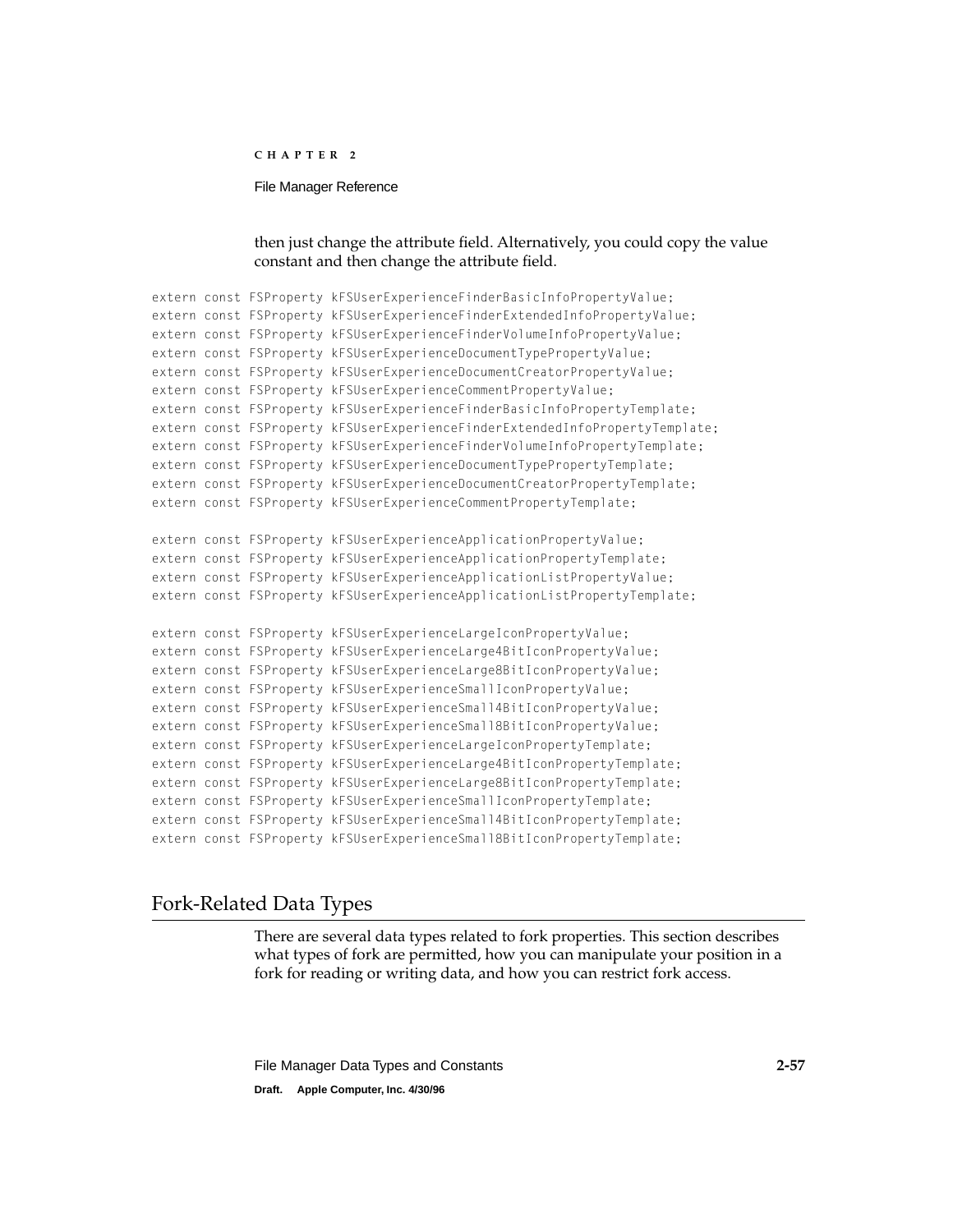#### File Manager Reference

## then just change the attribute field. Alternatively, you could copy the value constant and then change the attribute field.

```
extern const FSProperty kFSUserExperienceFinderBasicInfoPropertyValue;
extern const FSProperty kFSUserExperienceFinderExtendedInfoPropertyValue;
extern const FSProperty kFSUserExperienceFinderVolumeInfoPropertyValue;
extern const FSProperty kFSUserExperienceDocumentTypePropertyValue;
extern const FSProperty kFSUserExperienceDocumentCreatorPropertyValue;
extern const FSProperty kFSUserExperienceCommentPropertyValue;
extern const FSProperty kFSUserExperienceFinderBasicInfoPropertyTemplate;
extern const FSProperty kFSUserExperienceFinderExtendedInfoPropertyTemplate;
extern const FSProperty kFSUserExperienceFinderVolumeInfoPropertyTemplate;
extern const FSProperty kFSUserExperienceDocumentTypePropertyTemplate;
extern const FSProperty kFSUserExperienceDocumentCreatorPropertyTemplate;
extern const FSProperty kFSUserExperienceCommentPropertyTemplate;
extern const FSProperty kFSUserExperienceApplicationPropertyValue;
extern const FSProperty kFSUserExperienceApplicationPropertyTemplate;
extern const FSProperty kFSUserExperienceApplicationListPropertyValue;
extern const FSProperty kFSUserExperienceApplicationListPropertyTemplate;
extern const FSProperty kFSUserExperienceLargeIconPropertyValue;
extern const FSProperty kFSUserExperienceLarge4BitIconPropertyValue;
extern const FSProperty kFSUserExperienceLarge8BitIconPropertyValue;
extern const FSProperty kFSUserExperienceSmallIconPropertyValue;
extern const FSProperty kFSUserExperienceSmall4BitIconPropertyValue;
extern const FSProperty kFSUserExperienceSmall8BitIconPropertyValue;
extern const FSProperty kFSUserExperienceLargeIconPropertyTemplate;
extern const FSProperty kFSUserExperienceLarge4BitIconPropertyTemplate;
extern const FSProperty kFSUserExperienceLarge8BitIconPropertyTemplate;
extern const FSProperty kFSUserExperienceSmallIconPropertyTemplate;
extern const FSProperty kFSUserExperienceSmall4BitIconPropertyTemplate;
extern const FSProperty kFSUserExperienceSmall8BitIconPropertyTemplate;
```
# Fork-Related Data Types 2

There are several data types related to fork properties. This section describes what types of fork are permitted, how you can manipulate your position in a fork for reading or writing data, and how you can restrict fork access.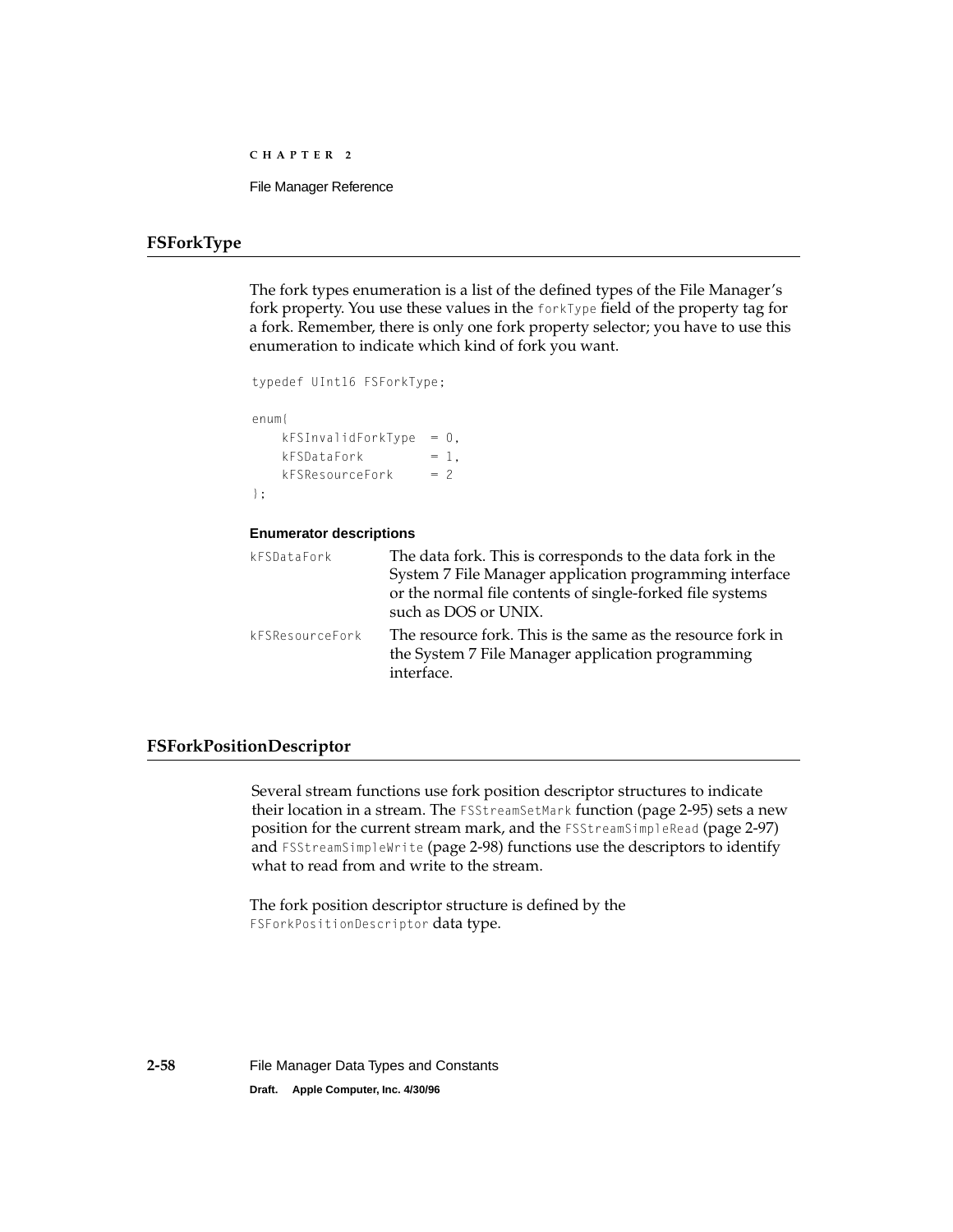File Manager Reference

## **FSForkType 2**

The fork types enumeration is a list of the defined types of the File Manager's fork property. You use these values in the forkType field of the property tag for a fork. Remember, there is only one fork property selector; you have to use this enumeration to indicate which kind of fork you want.

```
typedef UInt16 FSForkType;
enum{
   kFSInvalidForkType = 0,
   kFSDataFork = 1,
   kFSResourceFork = 2};
```
#### **Enumerator descriptions**

| kFSDataFork     | The data fork. This is corresponds to the data fork in the                                                                     |
|-----------------|--------------------------------------------------------------------------------------------------------------------------------|
|                 | System 7 File Manager application programming interface                                                                        |
|                 | or the normal file contents of single-forked file systems                                                                      |
|                 | such as DOS or UNIX.                                                                                                           |
| kFSResourceFork | The resource fork. This is the same as the resource fork in<br>the System 7 File Manager application programming<br>interface. |

## **FSForkPositionDescriptor 2**

Several stream functions use fork position descriptor structures to indicate their location in a stream. The FSStreamSetMark function [\(page 2-95\)](#page-122-0) sets a new position for the current stream mark, and the FSStreamSimpleRead [\(page 2-97\)](#page-124-0)  and FSStreamSimpleWrite [\(page 2-98\)](#page-125-0) functions use the descriptors to identify what to read from and write to the stream.

The fork position descriptor structure is defined by the FSForkPositionDescriptor data type.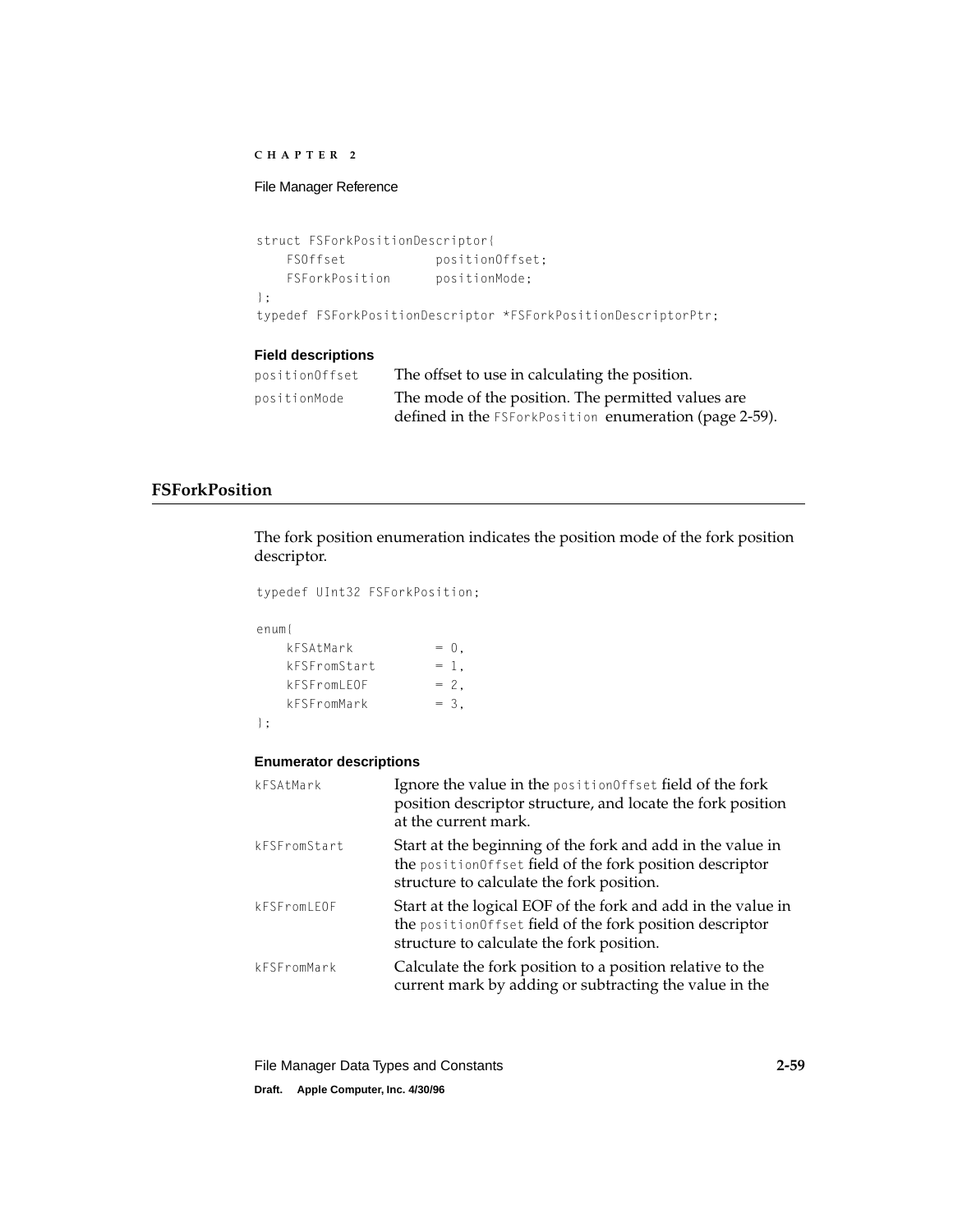#### File Manager Reference

```
struct FSForkPositionDescriptor{
   FSOffset positionOffset;
   FSForkPosition positionMode;
};
typedef FSForkPositionDescriptor *FSForkPositionDescriptorPtr;
```
#### **Field descriptions**

| positionOffset | The offset to use in calculating the position.         |  |  |
|----------------|--------------------------------------------------------|--|--|
| positionMode   | The mode of the position. The permitted values are     |  |  |
|                | defined in the FSForkPosition enumeration (page 2-59). |  |  |

# **FSForkPosition 2**

The fork position enumeration indicates the position mode of the fork position descriptor.

```
typedef UInt32 FSForkPosition;
enum{
   kFSAtMark = 0.kFSFromStart = 1,
   kFSFromIFOF = 2.kFSFromMark = 3,
};
```
## **Enumerator descriptions**

| kFSAtMark    | Ignore the value in the position of fset field of the fork<br>position descriptor structure, and locate the fork position<br>at the current mark.                     |
|--------------|-----------------------------------------------------------------------------------------------------------------------------------------------------------------------|
| kFSFromStart | Start at the beginning of the fork and add in the value in<br>the position0ffset field of the fork position descriptor<br>structure to calculate the fork position.   |
| kFSFromlFOF  | Start at the logical EOF of the fork and add in the value in<br>the position0ffset field of the fork position descriptor<br>structure to calculate the fork position. |
| kFSFromMark  | Calculate the fork position to a position relative to the<br>current mark by adding or subtracting the value in the                                                   |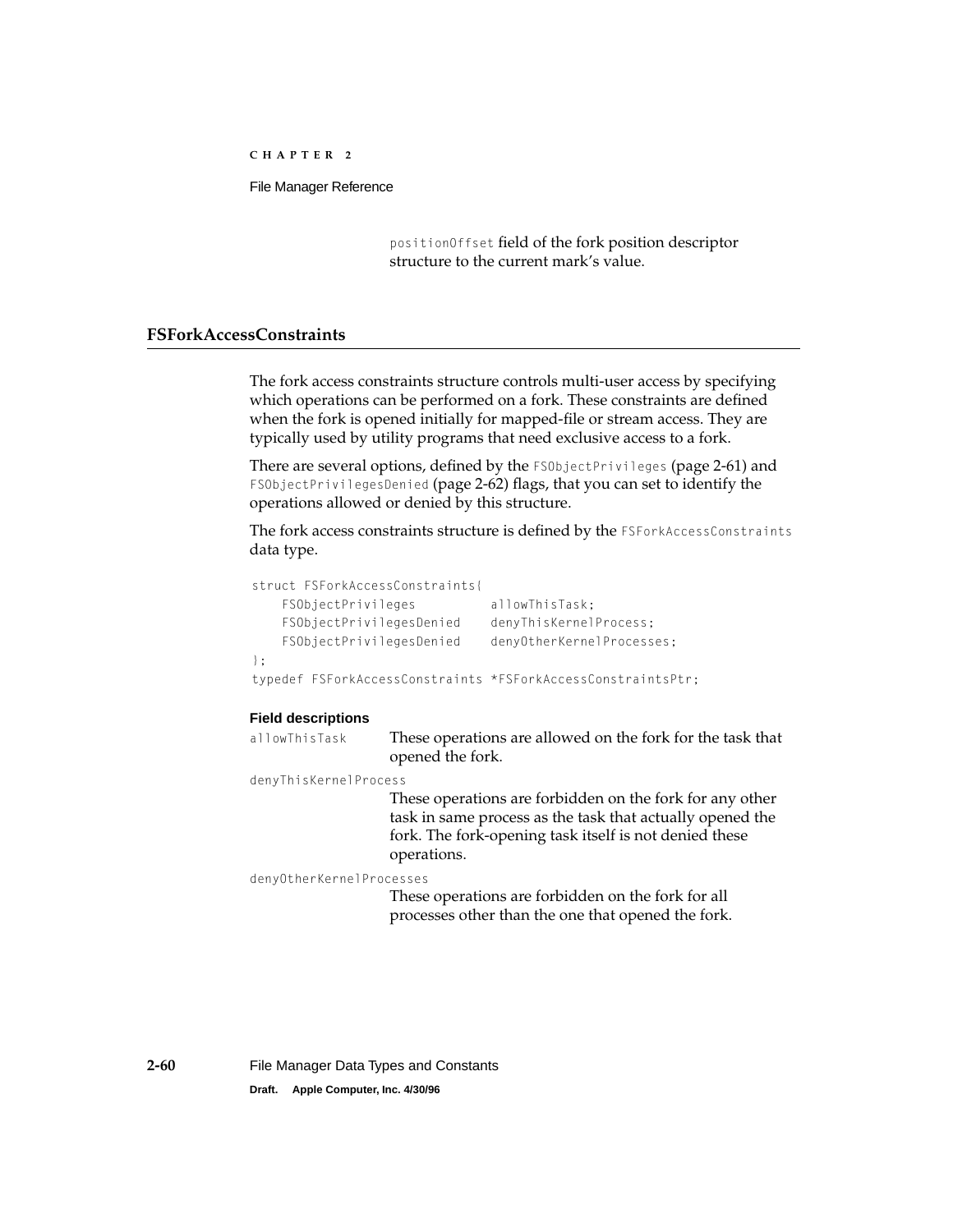#### File Manager Reference

positionOffset field of the fork position descriptor structure to the current mark's value.

# **FSForkAccessConstraints 2**

The fork access constraints structure controls multi-user access by specifying which operations can be performed on a fork. These constraints are defined when the fork is opened initially for mapped-file or stream access. They are typically used by utility programs that need exclusive access to a fork.

There are several options, defined by the FSObjectPrivileges [\(page 2-61\)](#page-88-0) and FSObjectPrivilegesDenied [\(page 2-62\)](#page-89-0) flags, that you can set to identify the operations allowed or denied by this structure.

The fork access constraints structure is defined by the FSForkAccessConstraints data type.

```
struct FSForkAccessConstraints{
   FSObjectPrivileges allowThisTask;
   FSObjectPrivilegesDenied denyThisKernelProcess;
   FSObjectPrivilegesDenied denyOtherKernelProcesses;
};
typedef FSForkAccessConstraints *FSForkAccessConstraintsPtr;
```
### **Field descriptions**

| allowThisTask | These operations are allowed on the fork for the task that |
|---------------|------------------------------------------------------------|
|               | opened the fork.                                           |

denyThisKernelProcess

These operations are forbidden on the fork for any other task in same process as the task that actually opened the fork. The fork-opening task itself is not denied these operations.

denyOtherKernelProcesses

These operations are forbidden on the fork for all processes other than the one that opened the fork.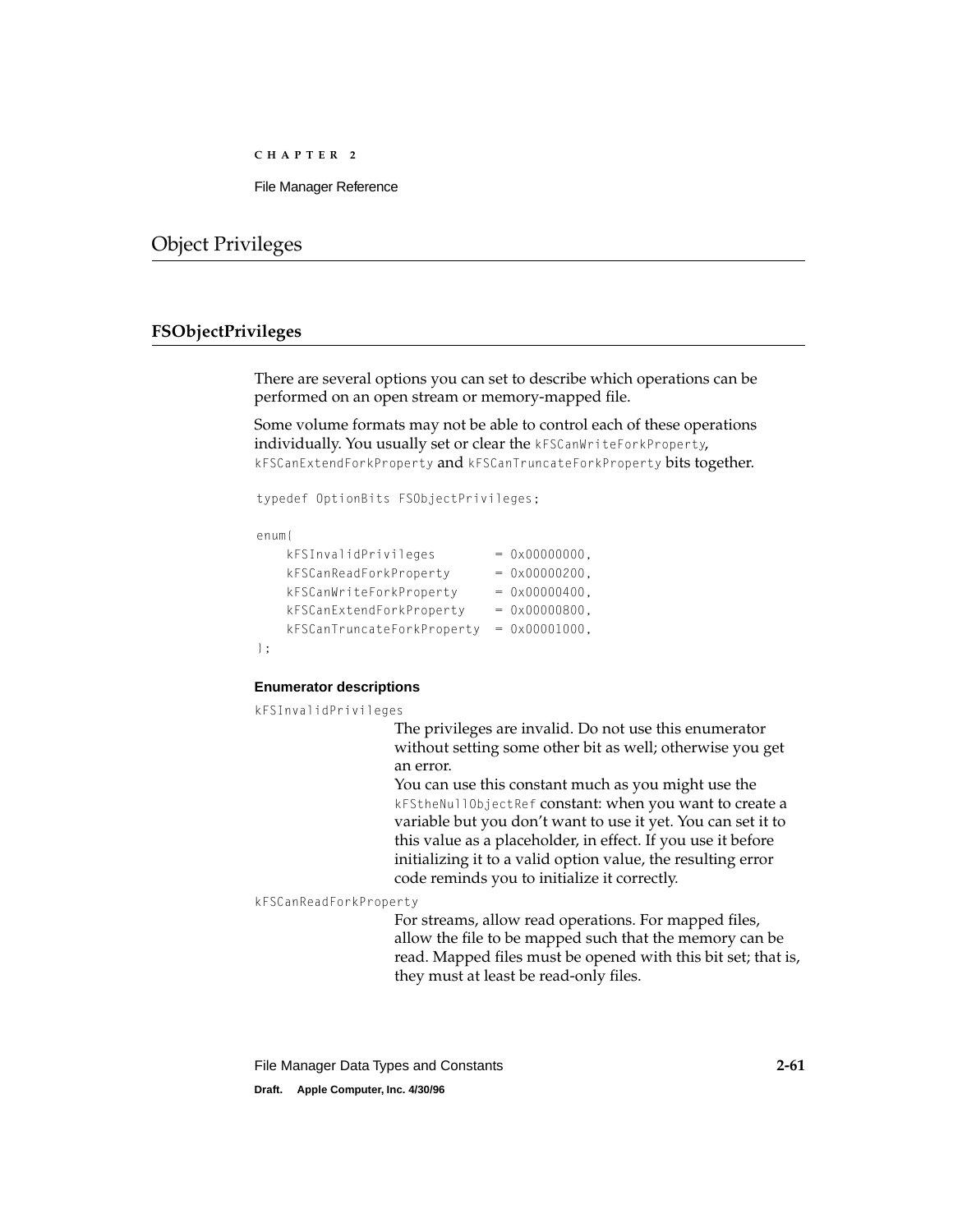File Manager Reference

# <span id="page-88-0"></span>Object Privileges 2

# **FSObjectPrivileges 2**

There are several options you can set to describe which operations can be performed on an open stream or memory-mapped file.

Some volume formats may not be able to control each of these operations individually. You usually set or clear the kFSCanWriteForkProperty, kFSCanExtendForkProperty and kFSCanTruncateForkProperty bits together.

```
typedef OptionBits FSObjectPrivileges;
```
#### enum{

};

| kFSInvalidPrivileges       | $= 0 \times 000000000.$ |
|----------------------------|-------------------------|
| kFSCanReadForkProperty     | $= 0 \times 00000200.$  |
| kFSCanWriteForkProperty    | $= 0 \times 00000400.$  |
| kFSCanExtendForkProperty   | $= 0 \times 00000800.$  |
| kFSCanTruncateForkProperty | $= 0 \times 00001000.$  |
|                            |                         |

### **Enumerator descriptions**

kFSInvalidPrivileges

The privileges are invalid. Do not use this enumerator without setting some other bit as well; otherwise you get an error.

You can use this constant much as you might use the kFStheNullObjectRef constant: when you want to create a variable but you don't want to use it yet. You can set it to this value as a placeholder, in effect. If you use it before initializing it to a valid option value, the resulting error code reminds you to initialize it correctly.

## kFSCanReadForkProperty

For streams, allow read operations. For mapped files, allow the file to be mapped such that the memory can be read. Mapped files must be opened with this bit set; that is, they must at least be read-only files.

File Manager Data Types and Constants **2-61**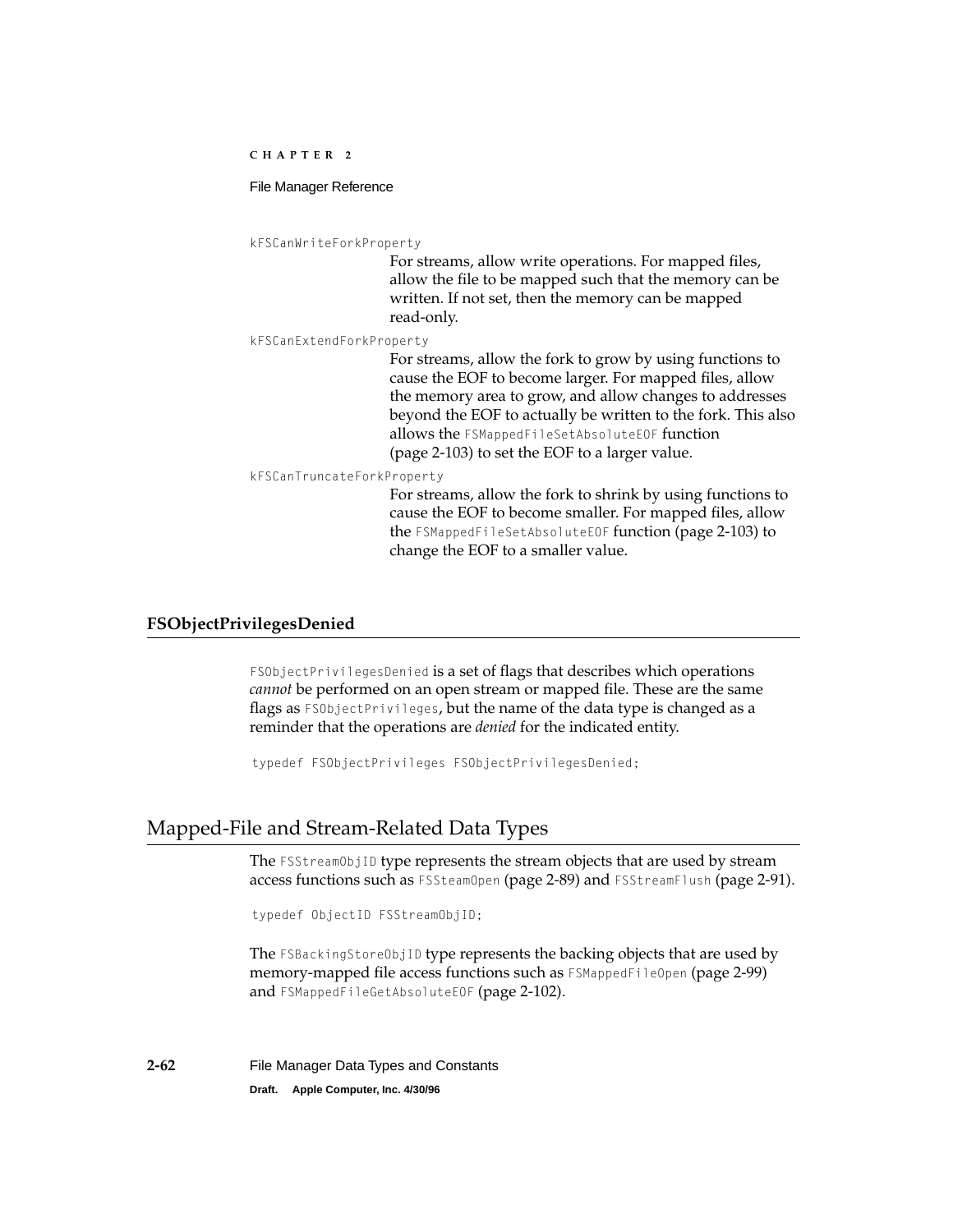<span id="page-89-0"></span>File Manager Reference

kFSCanWriteForkProperty

For streams, allow write operations. For mapped files, allow the file to be mapped such that the memory can be written. If not set, then the memory can be mapped read-only.

kFSCanExtendForkProperty

For streams, allow the fork to grow by using functions to cause the EOF to become larger. For mapped files, allow the memory area to grow, and allow changes to addresses beyond the EOF to actually be written to the fork. This also allows the FSMappedFileSetAbsoluteEOF function [\(page 2-103\)](#page-130-0) to set the EOF to a larger value.

kFSCanTruncateForkProperty

For streams, allow the fork to shrink by using functions to cause the EOF to become smaller. For mapped files, allow the FSMappedFileSetAbsoluteEOF function [\(page 2-103\)](#page-130-0) to change the EOF to a smaller value.

# **FSObjectPrivilegesDenied 2**

FSObjectPrivilegesDenied is a set of flags that describes which operations *cannot* be performed on an open stream or mapped file. These are the same flags as FSObjectPrivileges, but the name of the data type is changed as a reminder that the operations are *denied* for the indicated entity.

typedef FSObjectPrivileges FSObjectPrivilegesDenied;

# Mapped-File and Stream-Related Data Types 2

The FSStreamObjID type represents the stream objects that are used by stream access functions such as FSSteamOpen [\(page 2-89\)](#page-116-0) and FSStreamFlush [\(page 2-91\)](#page-118-0).

typedef ObjectID FSStreamObjID;

The FSBackingStoreObjID type represents the backing objects that are used by memory-mapped file access functions such as  $FSM$ appedFileOpen [\(page 2-99\)](#page-126-0) and FSMappedFileGetAbsoluteEOF [\(page 2-102\)](#page-129-0).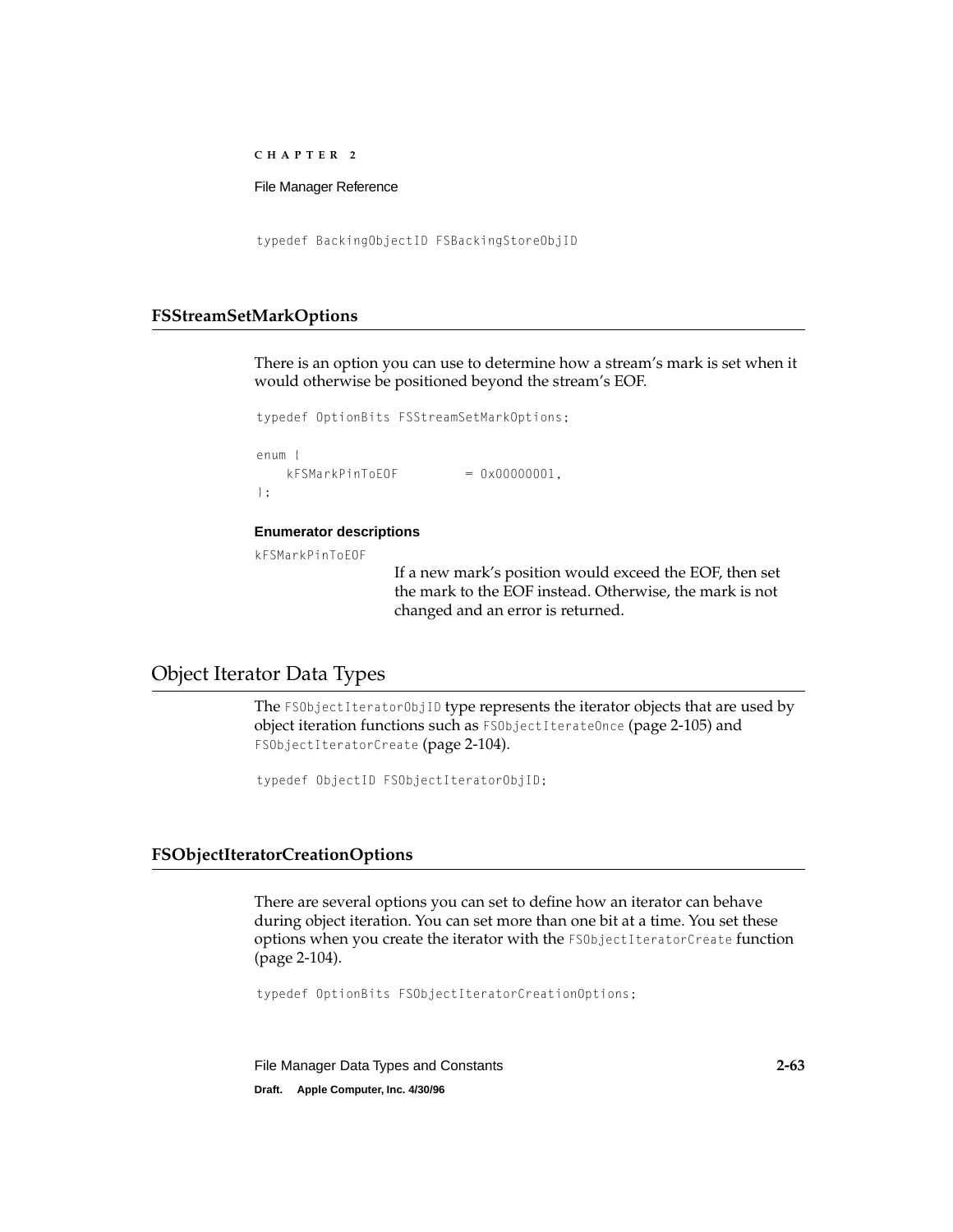File Manager Reference

typedef BackingObjectID FSBackingStoreObjID

## **FSStreamSetMarkOptions 2**

There is an option you can use to determine how a stream's mark is set when it would otherwise be positioned beyond the stream's EOF.

```
typedef OptionBits FSStreamSetMarkOptions;
enum {
   kFSMarkPinToEOF = 0x00000001.};
```
## **Enumerator descriptions**

kFSMarkPinToEOF

If a new mark's position would exceed the EOF, then set the mark to the EOF instead. Otherwise, the mark is not changed and an error is returned.

# Object Iterator Data Types 2

The FSObjectIteratorObjID type represents the iterator objects that are used by object iteration functions such as FSObjectIterateOnce [\(page 2-105\)](#page-132-0) and FSObjectIteratorCreate [\(page 2-104\)](#page-131-0).

typedef ObjectID FSObjectIteratorObjID;

## **FSObjectIteratorCreationOptions 2**

There are several options you can set to define how an iterator can behave during object iteration. You can set more than one bit at a time. You set these options when you create the iterator with the FSObjectIteratorCreate function [\(page 2-104\)](#page-131-0).

typedef OptionBits FSObjectIteratorCreationOptions;

File Manager Data Types and Constants **2-63 Draft. Apple Computer, Inc. 4/30/96**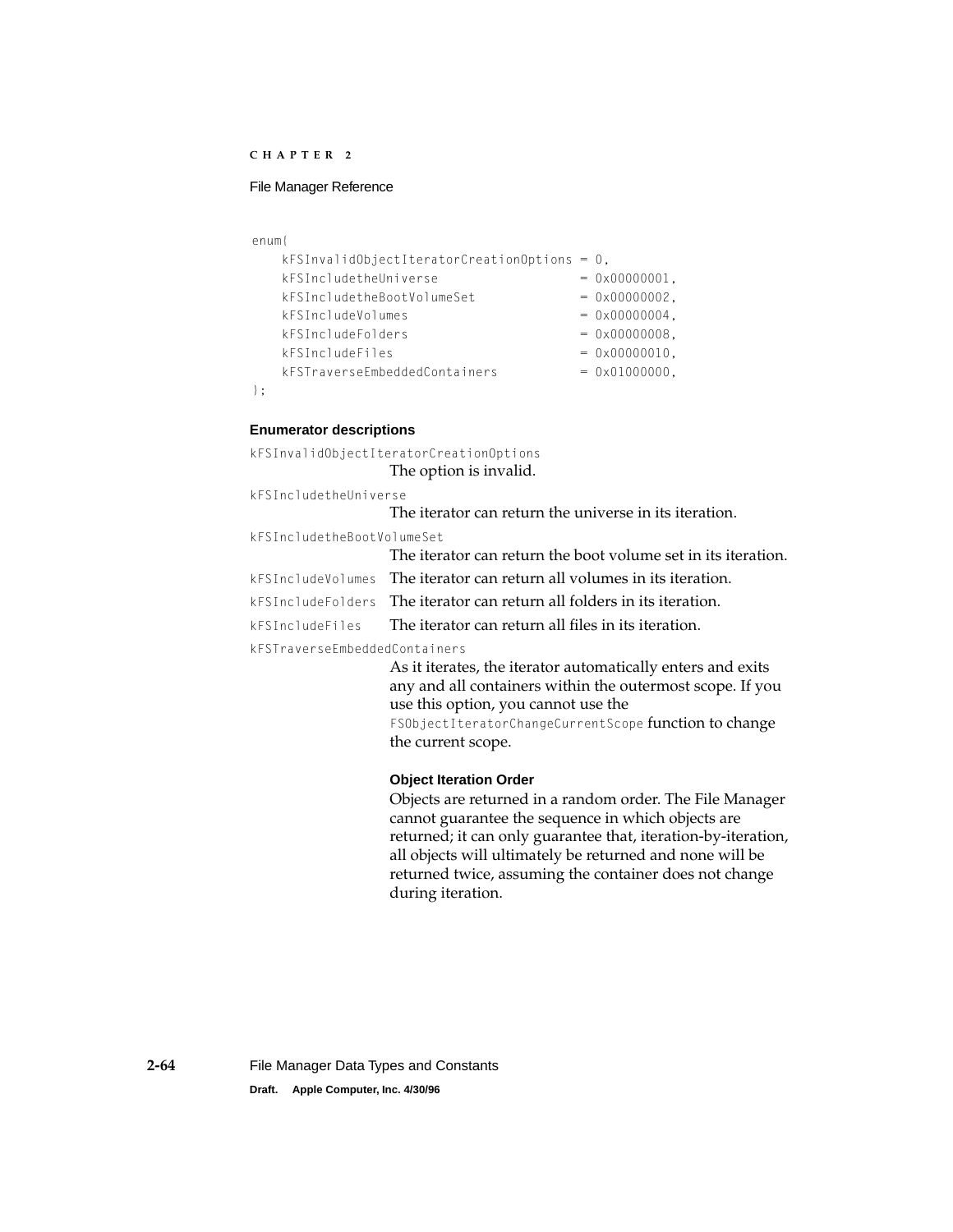#### File Manager Reference

```
enum{
  kFSInvalidObjectIteratorCreationOptions = 0,
  kFSIncluded in 100000001.kFSIncludedheRootVolumeSet = 0x00000002kFSIncludeVolumes = 0x00000004.kFSIncludededers = 0x00000008.
  kFSIncludeFiles = 0x00000010.
  kFSTraverseEmbeddedContaines = 0x01000000.
};
```
#### **Enumerator descriptions**

```
kFSInvalidObjectIteratorCreationOptions
                   The option is invalid.
```
kFSIncludetheUniverse

The iterator can return the universe in its iteration.

kFSIncludetheBootVolumeSet

| The iterator can return the boot volume set in its iteration. |
|---------------------------------------------------------------|
|---------------------------------------------------------------|

- kFSIncludeVolumes The iterator can return all volumes in its iteration.
- kFSIncludeFolders The iterator can return all folders in its iteration.
- kFSIncludeFiles The iterator can return all files in its iteration.

kFSTraverseEmbeddedContainers

As it iterates, the iterator automatically enters and exits any and all containers within the outermost scope. If you use this option, you cannot use the FSObjectIteratorChangeCurrentScope function to change the current scope.

#### **Object Iteration Order**

Objects are returned in a random order. The File Manager cannot guarantee the sequence in which objects are returned; it can only guarantee that, iteration-by-iteration, all objects will ultimately be returned and none will be returned twice, assuming the container does not change during iteration.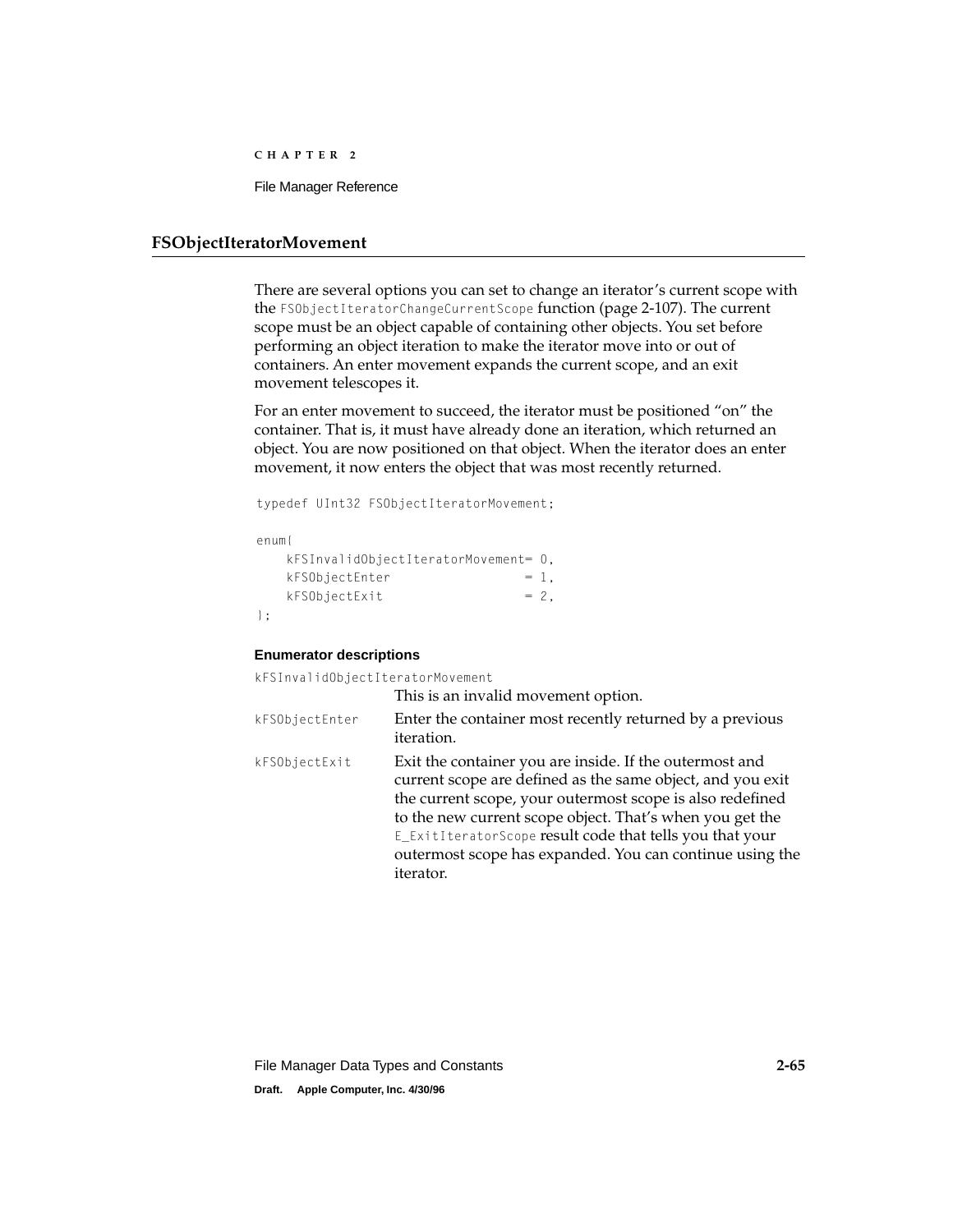File Manager Reference

# **FSObjectIteratorMovement 2**

There are several options you can set to change an iterator's current scope with the FSObjectIteratorChangeCurrentScope function [\(page 2-107\).](#page-134-0) The current scope must be an object capable of containing other objects. You set before performing an object iteration to make the iterator move into or out of containers. An enter movement expands the current scope, and an exit movement telescopes it.

For an enter movement to succeed, the iterator must be positioned "on" the container. That is, it must have already done an iteration, which returned an object. You are now positioned on that object. When the iterator does an enter movement, it now enters the object that was most recently returned.

```
typedef UInt32 FSObjectIteratorMovement;
```

```
enum{
```

```
kFSInvalidObjectIteratorMovement= 0,
  kFS0bjectEnter = 1,
  kFS0biectFxit = 2};
```
## **Enumerator descriptions**

kFSInvalidObjectIteratorMovement

|                | This is an invalid movement option.                                                                                                                                                                                                                                                                                                                                                 |
|----------------|-------------------------------------------------------------------------------------------------------------------------------------------------------------------------------------------------------------------------------------------------------------------------------------------------------------------------------------------------------------------------------------|
| kFSObjectEnter | Enter the container most recently returned by a previous<br><i>iteration.</i>                                                                                                                                                                                                                                                                                                       |
| kFSObjectExit  | Exit the container you are inside. If the outermost and<br>current scope are defined as the same object, and you exit<br>the current scope, your outermost scope is also redefined<br>to the new current scope object. That's when you get the<br>E_ExitIteratorScope result code that tells you that your<br>outermost scope has expanded. You can continue using the<br>iterator. |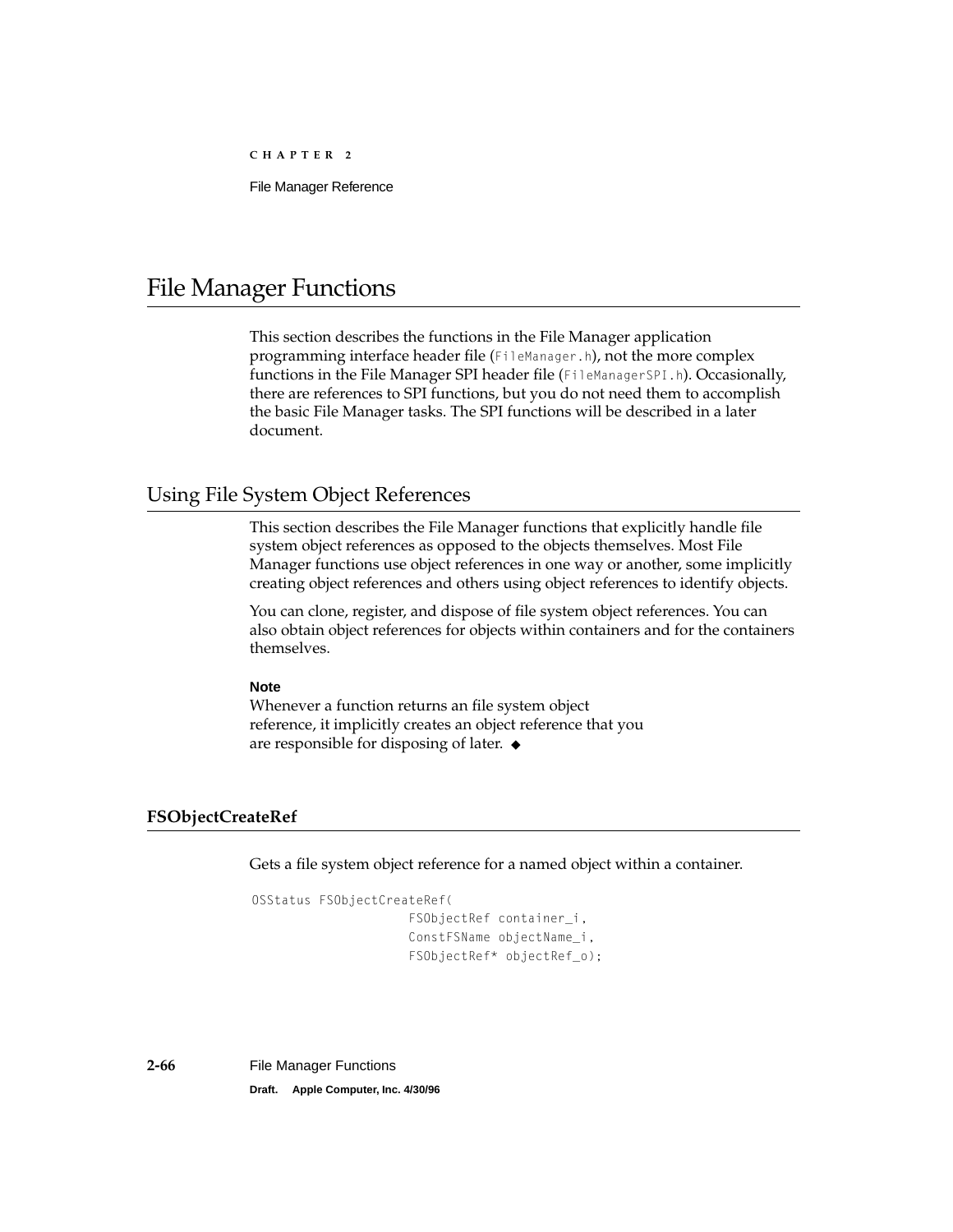File Manager Reference

# <span id="page-93-0"></span>File Manager Functions 2

This section describes the functions in the File Manager application programming interface header file (FileManager.h), not the more complex functions in the File Manager SPI header file (FileManagerSPI.h). Occasionally, there are references to SPI functions, but you do not need them to accomplish the basic File Manager tasks. The SPI functions will be described in a later document.

# Using File System Object References 2

This section describes the File Manager functions that explicitly handle file system object references as opposed to the objects themselves. Most File Manager functions use object references in one way or another, some implicitly creating object references and others using object references to identify objects.

You can clone, register, and dispose of file system object references. You can also obtain object references for objects within containers and for the containers themselves.

### **Note**

Whenever a function returns an file system object reference, it implicitly creates an object reference that you are responsible for disposing of later. ◆

# **FSObjectCreateRef 2**

Gets a file system object reference for a named object within a container.

```
OSStatus FSObjectCreateRef(
                     FSObjectRef container_i,
```
ConstFSName objectName\_i, FSObjectRef\* objectRef\_o);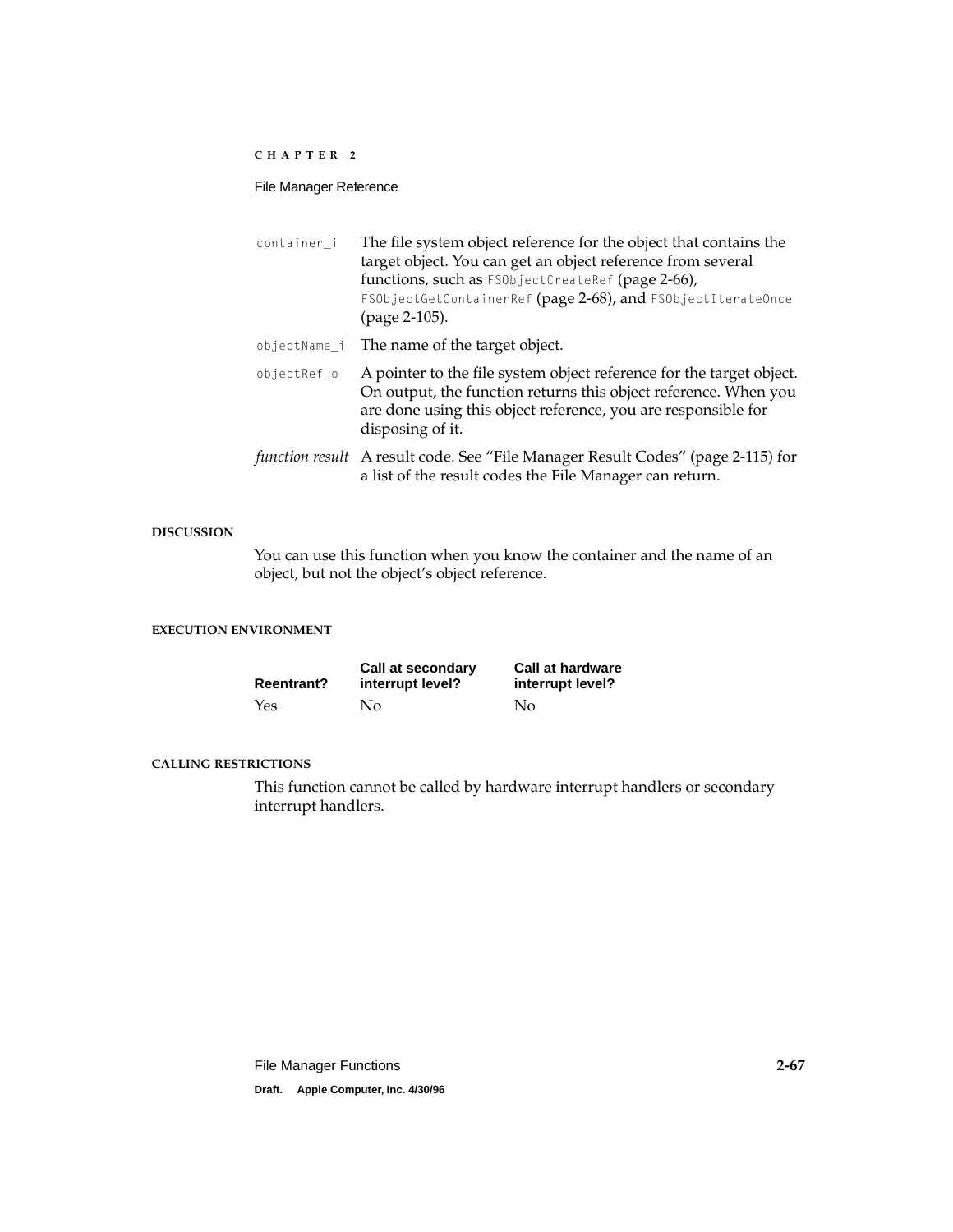### File Manager Reference

| container i  | The file system object reference for the object that contains the<br>target object. You can get an object reference from several<br>functions, such as FSObjectCreateRef (page 2-66),<br>FSObjectGetContainerRef (page 2-68), and FSObjectIterateOnce<br>(page 2-105). |
|--------------|------------------------------------------------------------------------------------------------------------------------------------------------------------------------------------------------------------------------------------------------------------------------|
| objectName i | The name of the target object.                                                                                                                                                                                                                                         |
| objectRef_o  | A pointer to the file system object reference for the target object.<br>On output, the function returns this object reference. When you<br>are done using this object reference, you are responsible for<br>disposing of it.                                           |
|              | function result A result code. See "File Manager Result Codes" (page 2-115) for<br>a list of the result codes the File Manager can return.                                                                                                                             |

### **DISCUSSION**

You can use this function when you know the container and the name of an object, but not the object's object reference.

## **EXECUTION ENVIRONMENT**

| <b>Reentrant?</b> | Call at secondary<br>interrupt level? | <b>Call at hardware</b><br>interrupt level? |
|-------------------|---------------------------------------|---------------------------------------------|
| Yes               | Nο                                    | No                                          |

## **CALLING RESTRICTIONS**

This function cannot be called by hardware interrupt handlers or secondary interrupt handlers.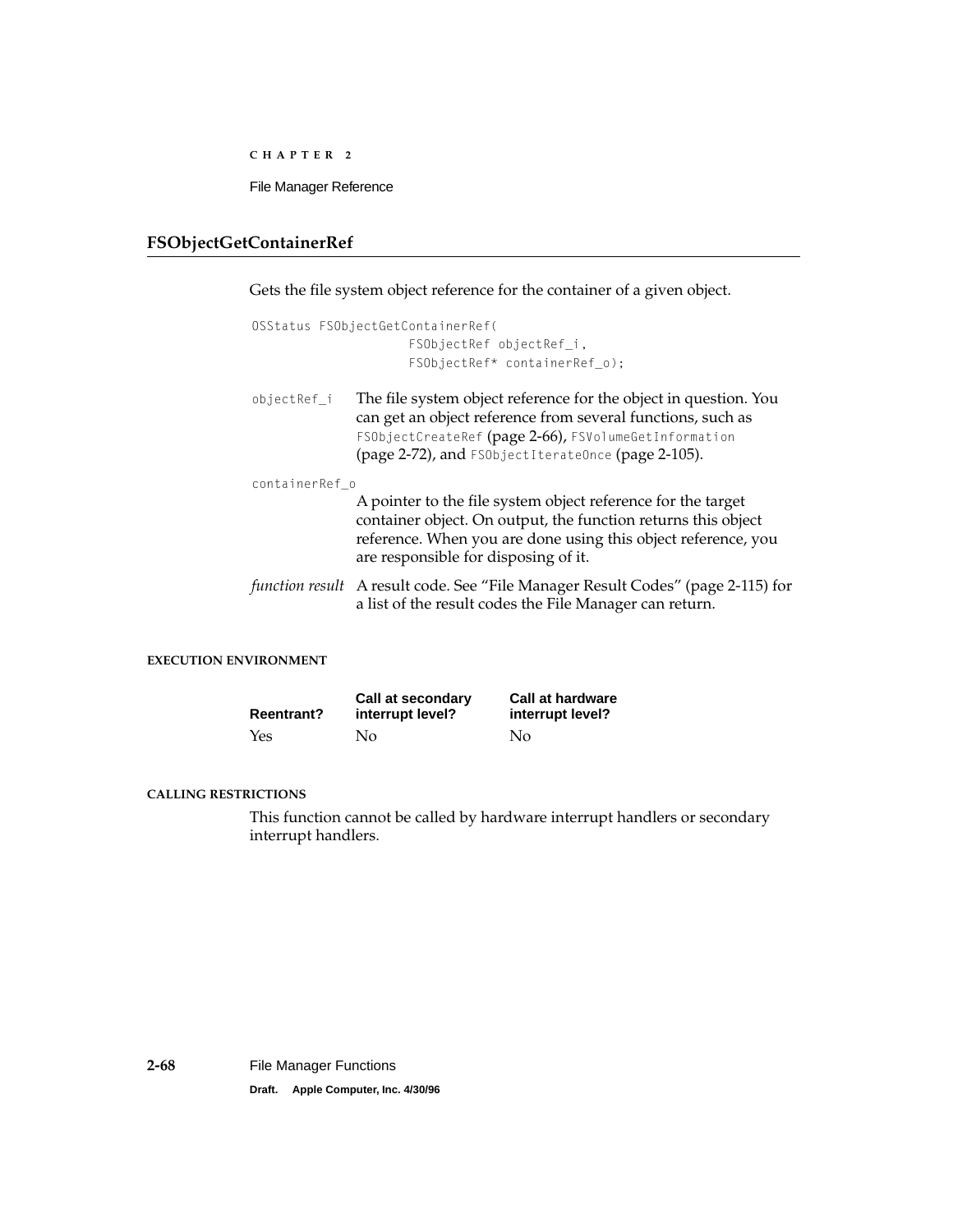File Manager Reference

# <span id="page-95-0"></span>**FSObjectGetContainerRef 2**

Gets the file system object reference for the container of a given object.

```
OSStatus FSObjectGetContainerRef(
                     FSObjectRef objectRef_i,
                     FSObjectRef* containerRef_o);
```
objectRef\_i The file system object reference for the object in question. You can get an object reference from several functions, such as FSObjectCreateRef [\(page 2-66\),](#page-93-0) FSVolumeGetInformation [\(page 2-72\),](#page-99-0) and FSObjectIterateOnce [\(page 2-105\).](#page-132-0)

## containerRef\_o

A pointer to the file system object reference for the target container object. On output, the function returns this object reference. When you are done using this object reference, you are responsible for disposing of it.

*function result* A result code. See ["File Manager Result Codes" \(page 2-115\)](#page-142-0) for a list of the result codes the File Manager can return.

## **EXECUTION ENVIRONMENT**

| <b>Reentrant?</b> | Call at secondary<br>interrupt level? | <b>Call at hardware</b><br>interrupt level? |
|-------------------|---------------------------------------|---------------------------------------------|
| Yes               | No                                    | No                                          |

### **CALLING RESTRICTIONS**

This function cannot be called by hardware interrupt handlers or secondary interrupt handlers.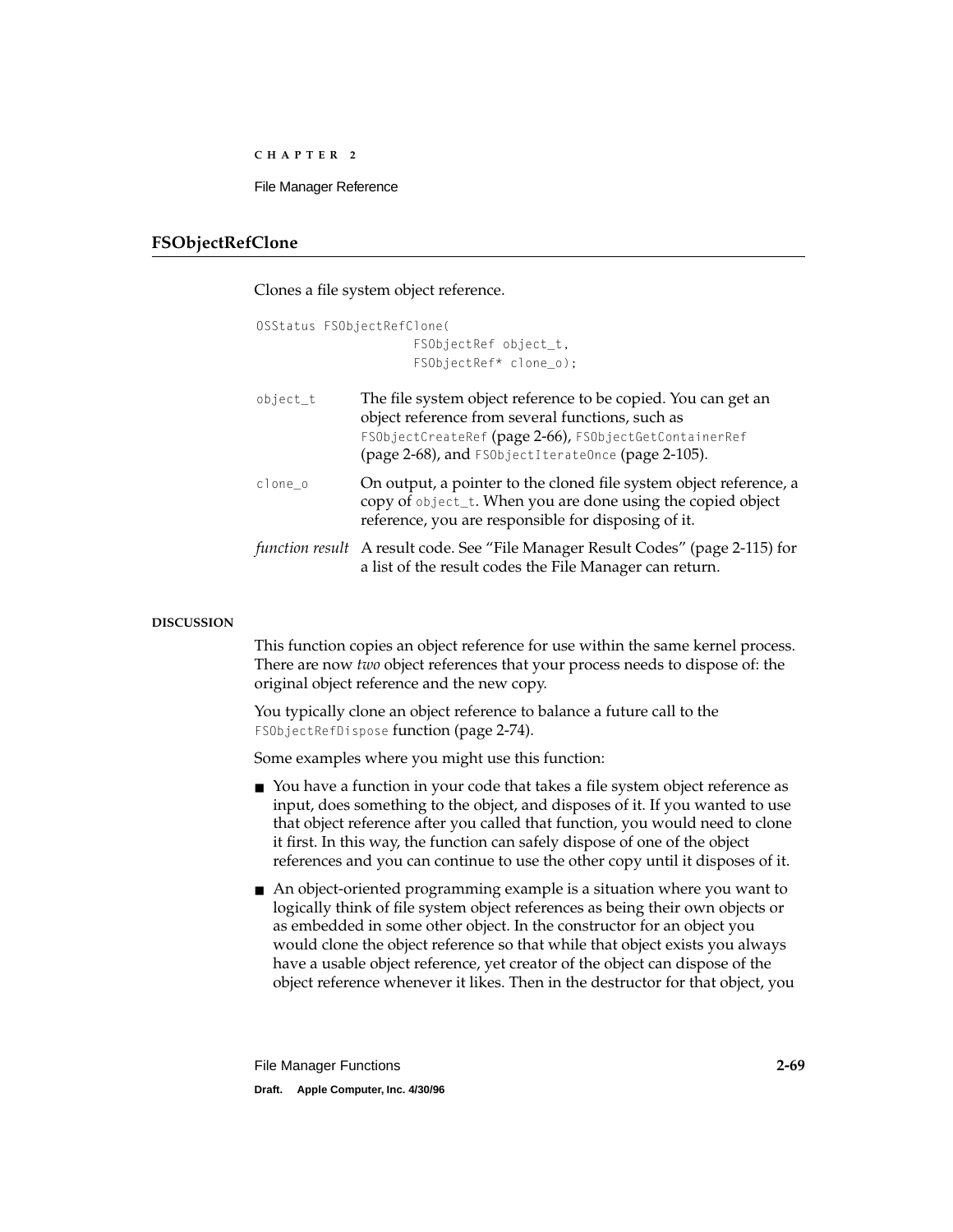### File Manager Reference

# <span id="page-96-0"></span>**FSObjectRefClone 2**

Clones a file system object reference.

| OSStatus FSObjectRefClone( |                                                                                                                                                                                                                                   |  |
|----------------------------|-----------------------------------------------------------------------------------------------------------------------------------------------------------------------------------------------------------------------------------|--|
|                            | FSObjectRef object t.                                                                                                                                                                                                             |  |
|                            | FSObjectRef* clone o);                                                                                                                                                                                                            |  |
| object t                   | The file system object reference to be copied. You can get an<br>object reference from several functions, such as<br>FSObjectCreateRef (page 2-66), FSObjectGetContainerRef<br>(page 2-68), and FSObjectIterateOnce (page 2-105). |  |
| clone o                    | On output, a pointer to the cloned file system object reference, a<br>copy of object_t. When you are done using the copied object<br>reference, you are responsible for disposing of it.                                          |  |
|                            | <i>function result</i> A result code. See "File Manager Result Codes" (page 2-115) for<br>a list of the result codes the File Manager can return.                                                                                 |  |

### **DISCUSSION**

This function copies an object reference for use within the same kernel process. There are now *two* object references that your process needs to dispose of: the original object reference and the new copy.

You typically clone an object reference to balance a future call to the FSObjectRefDispose function [\(page 2-74\).](#page-101-0)

Some examples where you might use this function:

- You have a function in your code that takes a file system object reference as input, does something to the object, and disposes of it. If you wanted to use that object reference after you called that function, you would need to clone it first. In this way, the function can safely dispose of one of the object references and you can continue to use the other copy until it disposes of it.
- An object-oriented programming example is a situation where you want to logically think of file system object references as being their own objects or as embedded in some other object. In the constructor for an object you would clone the object reference so that while that object exists you always have a usable object reference, yet creator of the object can dispose of the object reference whenever it likes. Then in the destructor for that object, you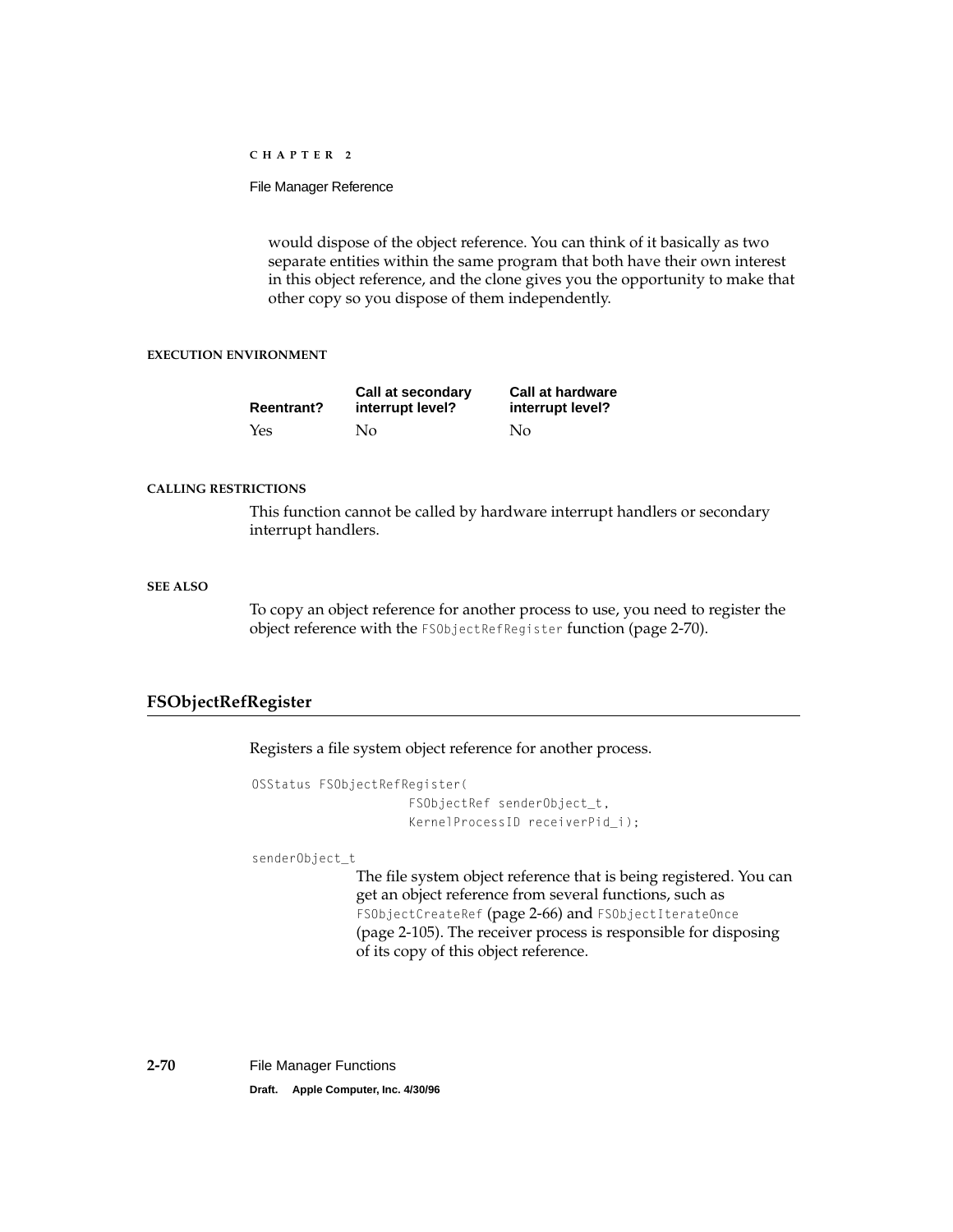#### File Manager Reference

would dispose of the object reference. You can think of it basically as two separate entities within the same program that both have their own interest in this object reference, and the clone gives you the opportunity to make that other copy so you dispose of them independently.

## **EXECUTION ENVIRONMENT**

| <b>Reentrant?</b> | Call at secondary<br>interrupt level? | <b>Call at hardware</b><br>interrupt level? |
|-------------------|---------------------------------------|---------------------------------------------|
| Yes               | No.                                   | No                                          |

#### **CALLING RESTRICTIONS**

This function cannot be called by hardware interrupt handlers or secondary interrupt handlers.

#### **SEE ALSO**

To copy an object reference for another process to use, you need to register the object reference with the FSObjectRefRegister function (page 2-70).

## **FSObjectRefRegister 2**

Registers a file system object reference for another process.

```
OSStatus FSObjectRefRegister(
                     FSObjectRef senderObject_t,
                     KernelProcessID receiverPid_i);
```
senderObject\_t

The file system object reference that is being registered. You can get an object reference from several functions, such as FSObjectCreateRef [\(page 2-66\)](#page-93-0) and FSObjectIterateOnce [\(page 2-105\).](#page-132-0) The receiver process is responsible for disposing of its copy of this object reference.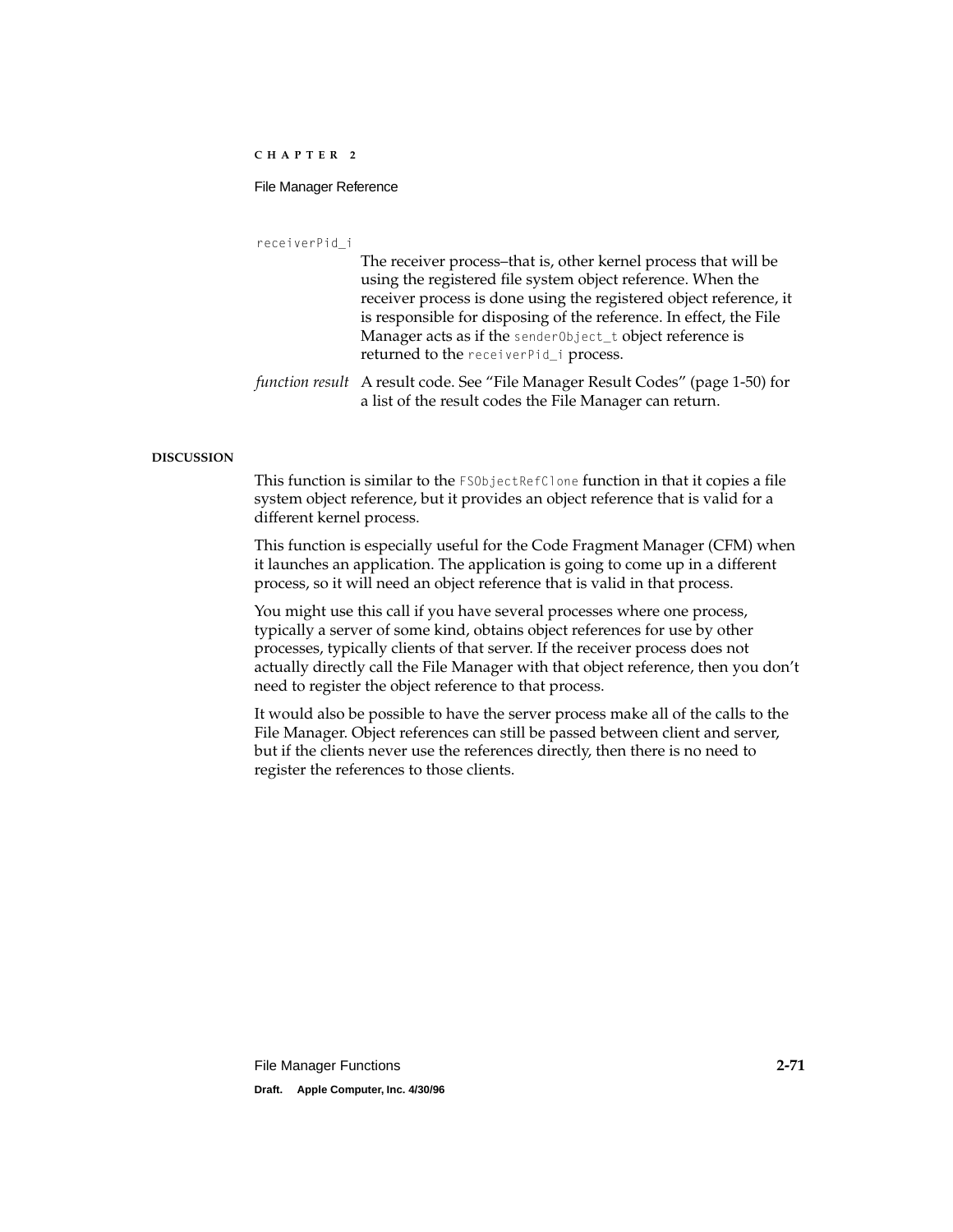#### File Manager Reference

receiverPid\_i

The receiver process–that is, other kernel process that will be using the registered file system object reference. When the receiver process is done using the registered object reference, it is responsible for disposing of the reference. In effect, the File Manager acts as if the senderObject\_t object reference is returned to the receiverPid\_i process.

*function result* A result code. See "File Manager Result Codes" (page 1-50) for a list of the result codes the File Manager can return.

#### **DISCUSSION**

This function is similar to the FSObjectRefClone function in that it copies a file system object reference, but it provides an object reference that is valid for a different kernel process.

This function is especially useful for the Code Fragment Manager (CFM) when it launches an application. The application is going to come up in a different process, so it will need an object reference that is valid in that process.

You might use this call if you have several processes where one process, typically a server of some kind, obtains object references for use by other processes, typically clients of that server. If the receiver process does not actually directly call the File Manager with that object reference, then you don't need to register the object reference to that process.

It would also be possible to have the server process make all of the calls to the File Manager. Object references can still be passed between client and server, but if the clients never use the references directly, then there is no need to register the references to those clients.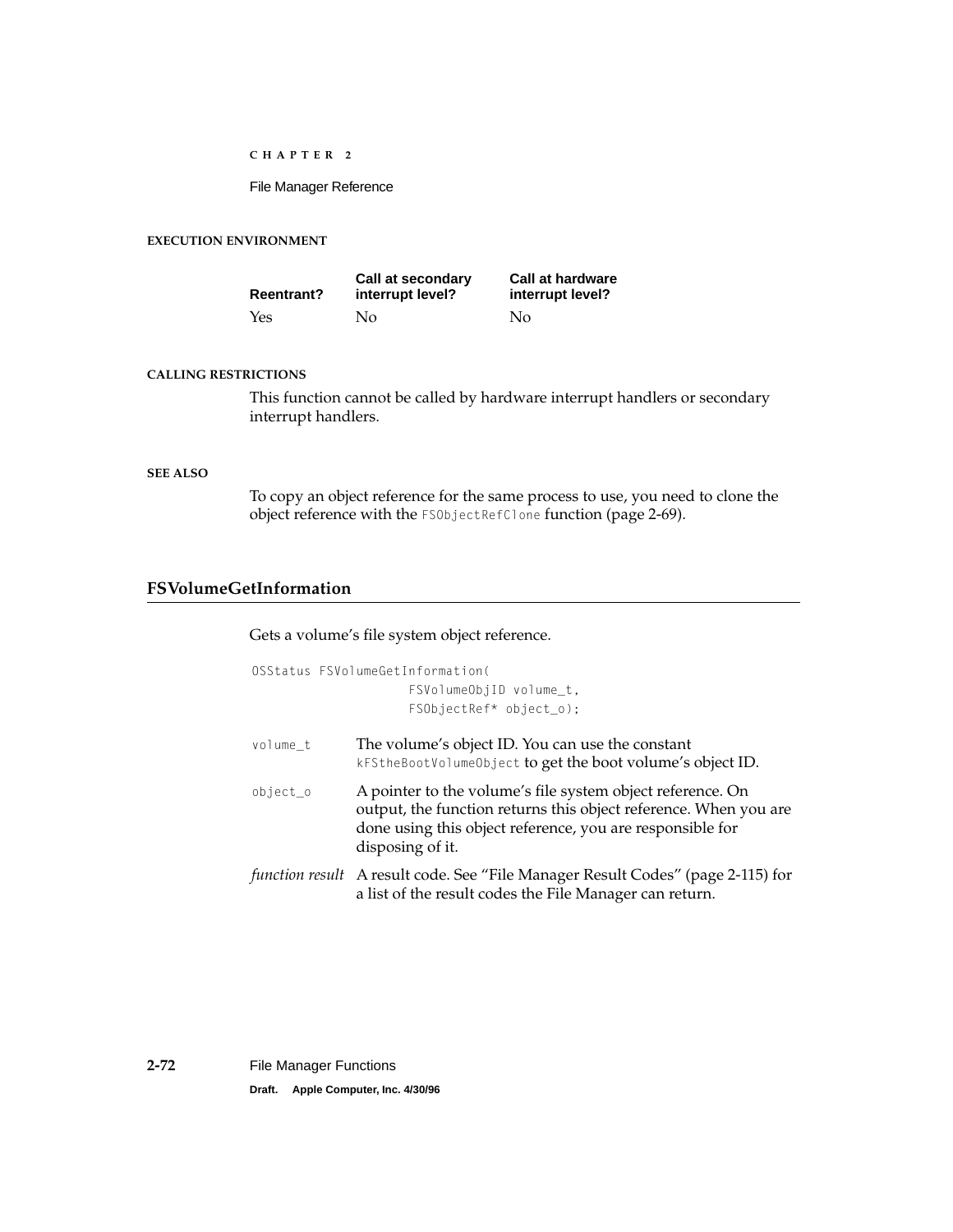File Manager Reference

### <span id="page-99-0"></span>**EXECUTION ENVIRONMENT**

| <b>Reentrant?</b> | Call at secondary<br>interrupt level? | <b>Call at hardware</b><br>interrupt level? |
|-------------------|---------------------------------------|---------------------------------------------|
| Yes               | Nο                                    | Nο                                          |

### **CALLING RESTRICTIONS**

This function cannot be called by hardware interrupt handlers or secondary interrupt handlers.

### **SEE ALSO**

To copy an object reference for the same process to use, you need to clone the object reference with the FSObjectRefClone function [\(page 2-69\)](#page-96-0).

# **FSVolumeGetInformation 2**

Gets a volume's file system object reference.

```
OSStatus FSVolumeGetInformation(
                     FSVolumeObjID volume_t,
                     FSObjectRef* object_o);
```

| volume t | The volume's object ID. You can use the constant<br>kFStheBootVolumeObject to get the boot volume's object ID.                                                                                                  |
|----------|-----------------------------------------------------------------------------------------------------------------------------------------------------------------------------------------------------------------|
| object o | A pointer to the volume's file system object reference. On<br>output, the function returns this object reference. When you are<br>done using this object reference, you are responsible for<br>disposing of it. |
|          | function result A result code. See "File Manager Result Codes" (page 2-115) for                                                                                                                                 |

a list of the result codes the File Manager can return.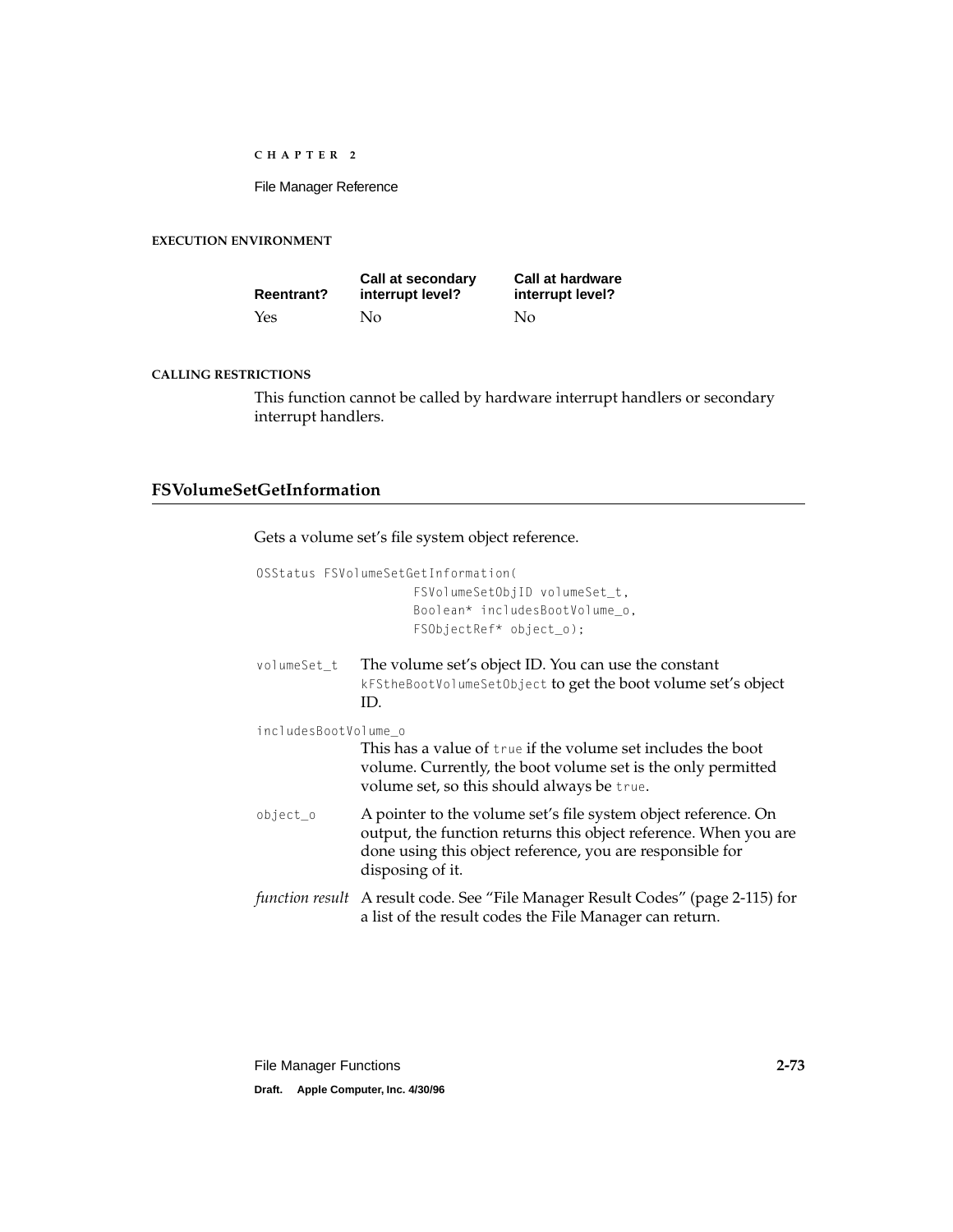File Manager Reference

### **EXECUTION ENVIRONMENT**

| <b>Reentrant?</b> | Call at secondary<br>interrupt level? | <b>Call at hardware</b><br>interrupt level? |
|-------------------|---------------------------------------|---------------------------------------------|
| Yes               | No.                                   | Nο                                          |

## **CALLING RESTRICTIONS**

This function cannot be called by hardware interrupt handlers or secondary interrupt handlers.

# **FSVolumeSetGetInformation 2**

Gets a volume set's file system object reference.

```
OSStatus FSVolumeSetGetInformation(
                     FSVolumeSetObjID volumeSet_t,
                     Boolean* includesBootVolume_o,
                     FSObjectRef* object_o);
```
- volumeSet\_t The volume set's object ID. You can use the constant kFStheBootVolumeSetObject to get the boot volume set's object ID.
- includesBootVolume\_o

This has a value of true if the volume set includes the boot volume. Currently, the boot volume set is the only permitted volume set, so this should always be true.

- object\_o A pointer to the volume set's file system object reference. On output, the function returns this object reference. When you are done using this object reference, you are responsible for disposing of it.
- *function result* A result code. See ["File Manager Result Codes" \(page 2-115\)](#page-142-0) for a list of the result codes the File Manager can return.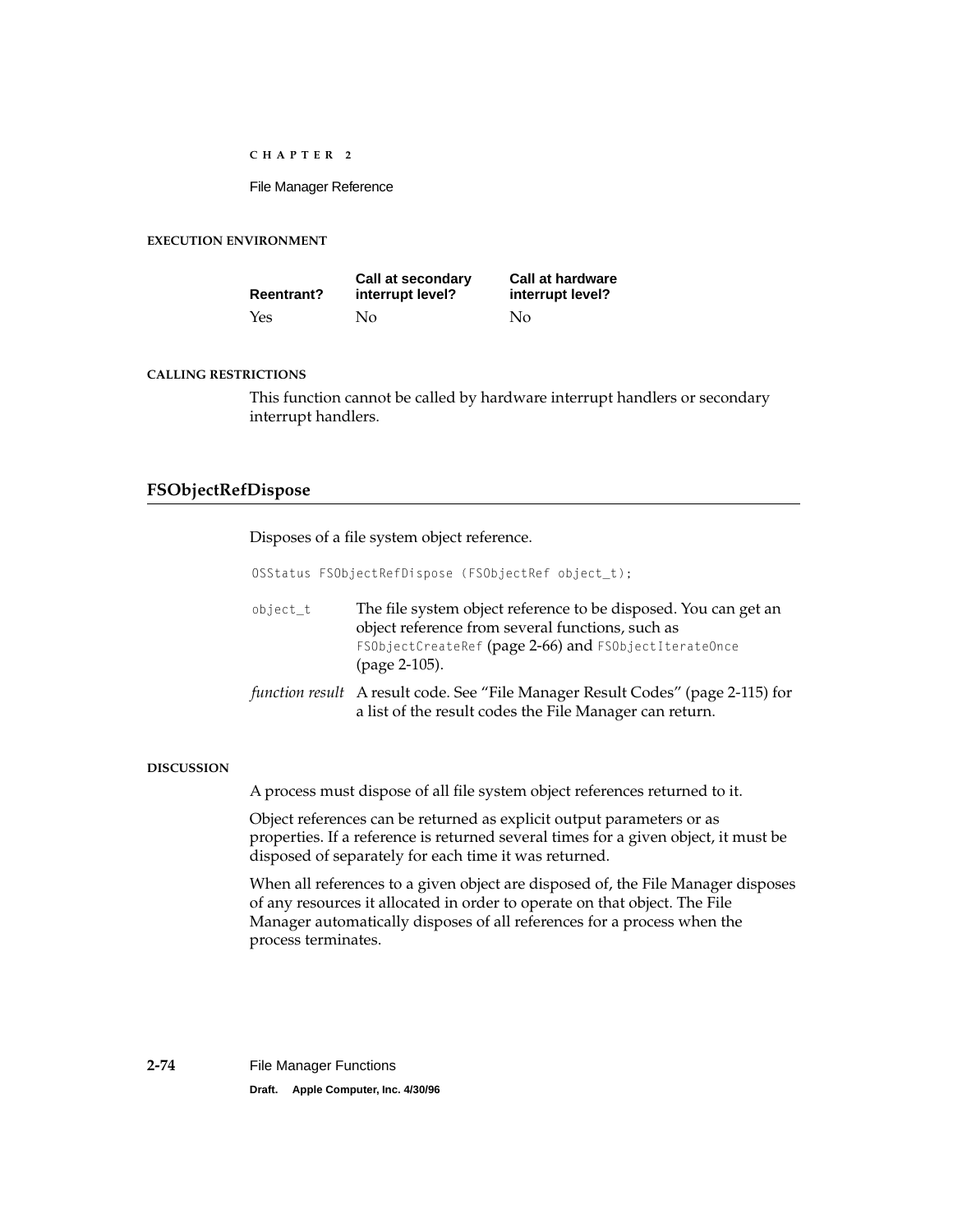File Manager Reference

### <span id="page-101-0"></span>**EXECUTION ENVIRONMENT**

| <b>Reentrant?</b> | Call at secondary<br>interrupt level? | <b>Call at hardware</b><br>interrupt level? |
|-------------------|---------------------------------------|---------------------------------------------|
| Yes               | Nο                                    | No                                          |

### **CALLING RESTRICTIONS**

This function cannot be called by hardware interrupt handlers or secondary interrupt handlers.

# **FSObjectRefDispose 2**

Disposes of a file system object reference.

OSStatus FSObjectRefDispose (FSObjectRef object\_t);

| object t | The file system object reference to be disposed. You can get an<br>object reference from several functions, such as<br>FSObjectCreateRef (page 2-66) and FSObjectIterateOnce<br>(page 2-105). |
|----------|-----------------------------------------------------------------------------------------------------------------------------------------------------------------------------------------------|
|          | function result A result code. See "File Manager Result Codes" (page 2-115) for<br>a list of the result codes the File Manager can return.                                                    |

### **DISCUSSION**

A process must dispose of all file system object references returned to it.

Object references can be returned as explicit output parameters or as properties. If a reference is returned several times for a given object, it must be disposed of separately for each time it was returned.

When all references to a given object are disposed of, the File Manager disposes of any resources it allocated in order to operate on that object. The File Manager automatically disposes of all references for a process when the process terminates.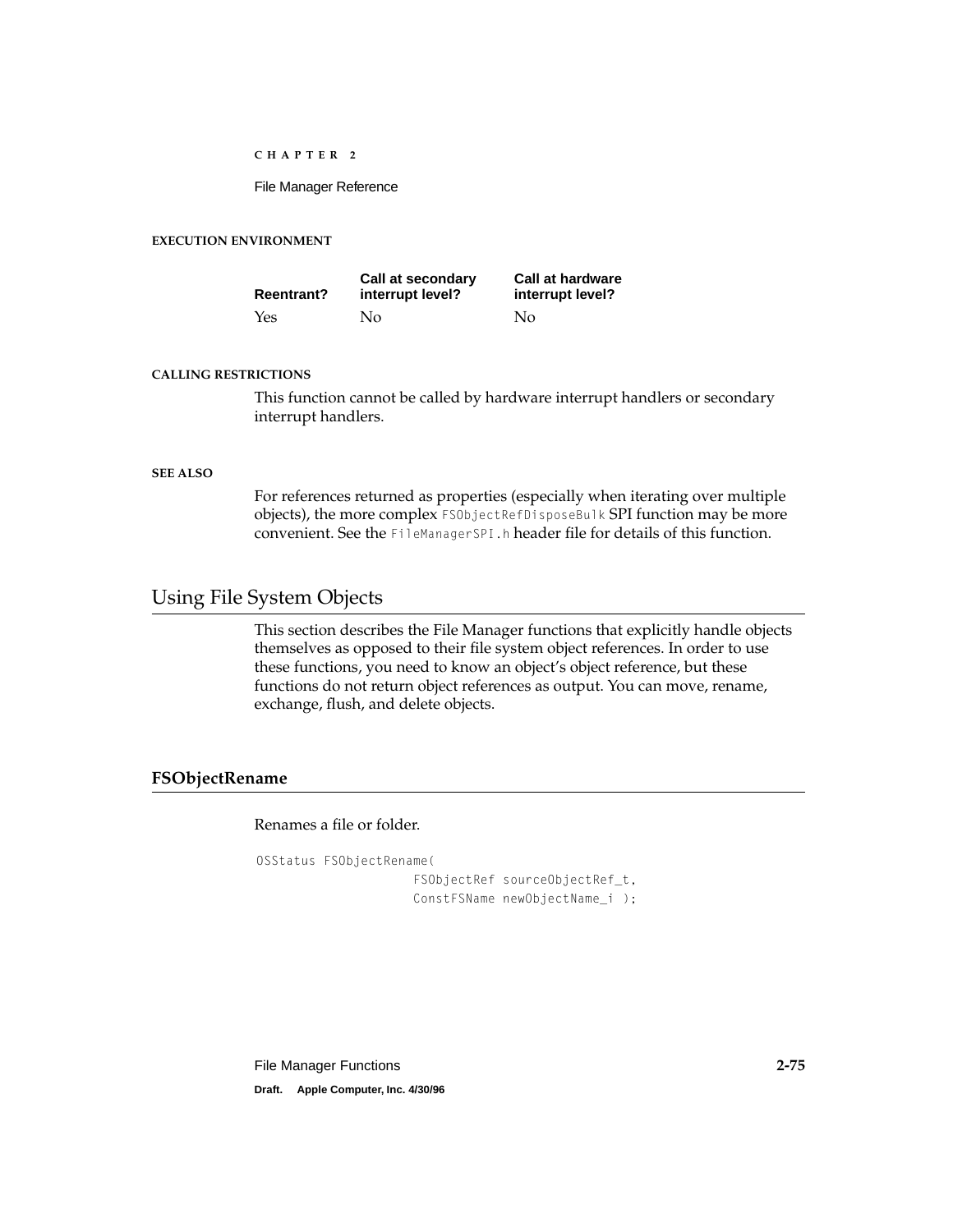#### File Manager Reference

### **EXECUTION ENVIRONMENT**

| <b>Reentrant?</b> | Call at secondary<br>interrupt level? | <b>Call at hardware</b><br>interrupt level? |
|-------------------|---------------------------------------|---------------------------------------------|
| Yes               | No.                                   | Nο                                          |

### **CALLING RESTRICTIONS**

This function cannot be called by hardware interrupt handlers or secondary interrupt handlers.

#### **SEE ALSO**

For references returned as properties (especially when iterating over multiple objects), the more complex FSObjectRefDisposeBulk SPI function may be more convenient. See the FileManagerSPI.h header file for details of this function.

# Using File System Objects 2

This section describes the File Manager functions that explicitly handle objects themselves as opposed to their file system object references. In order to use these functions, you need to know an object's object reference, but these functions do not return object references as output. You can move, rename, exchange, flush, and delete objects.

## **FSObjectRename 2**

## Renames a file or folder.

```
OSStatus FSObjectRename(
                     FSObjectRef sourceObjectRef_t,
                     ConstFSName newObjectName_i );
```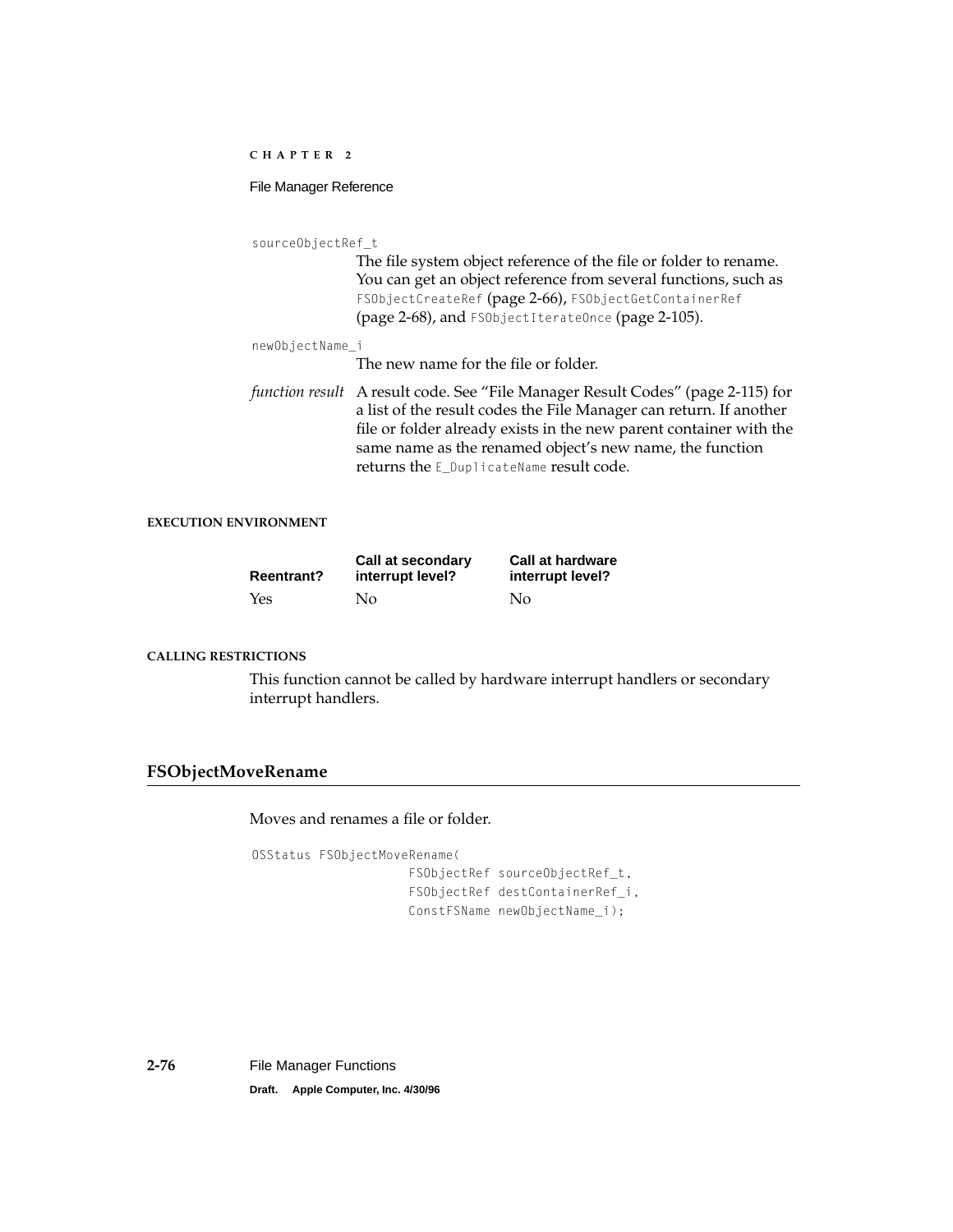#### File Manager Reference

sourceObjectRef\_t

The file system object reference of the file or folder to rename. You can get an object reference from several functions, such as FSObjectCreateRef [\(page 2-66\),](#page-93-0) FSObjectGetContainerRef [\(page 2-68\),](#page-95-0) and FSObjectIterateOnce [\(page 2-105\).](#page-132-0)

newObjectName\_i

The new name for the file or folder.

*function result* A result code. See ["File Manager Result Codes" \(page 2-115\)](#page-142-0) for a list of the result codes the File Manager can return. If another file or folder already exists in the new parent container with the same name as the renamed object's new name, the function returns the E\_DuplicateName result code.

## **EXECUTION ENVIRONMENT**

| <b>Reentrant?</b> | Call at secondary<br>interrupt level? | <b>Call at hardware</b><br>interrupt level? |
|-------------------|---------------------------------------|---------------------------------------------|
| Yes               | No.                                   | Nο                                          |

## **CALLING RESTRICTIONS**

This function cannot be called by hardware interrupt handlers or secondary interrupt handlers.

## **FSObjectMoveRename 2**

## Moves and renames a file or folder.

```
OSStatus FSObjectMoveRename(
                     FSObjectRef sourceObjectRef_t,
                     FSObjectRef destContainerRef i.
                     ConstFSName newObjectName_i);
```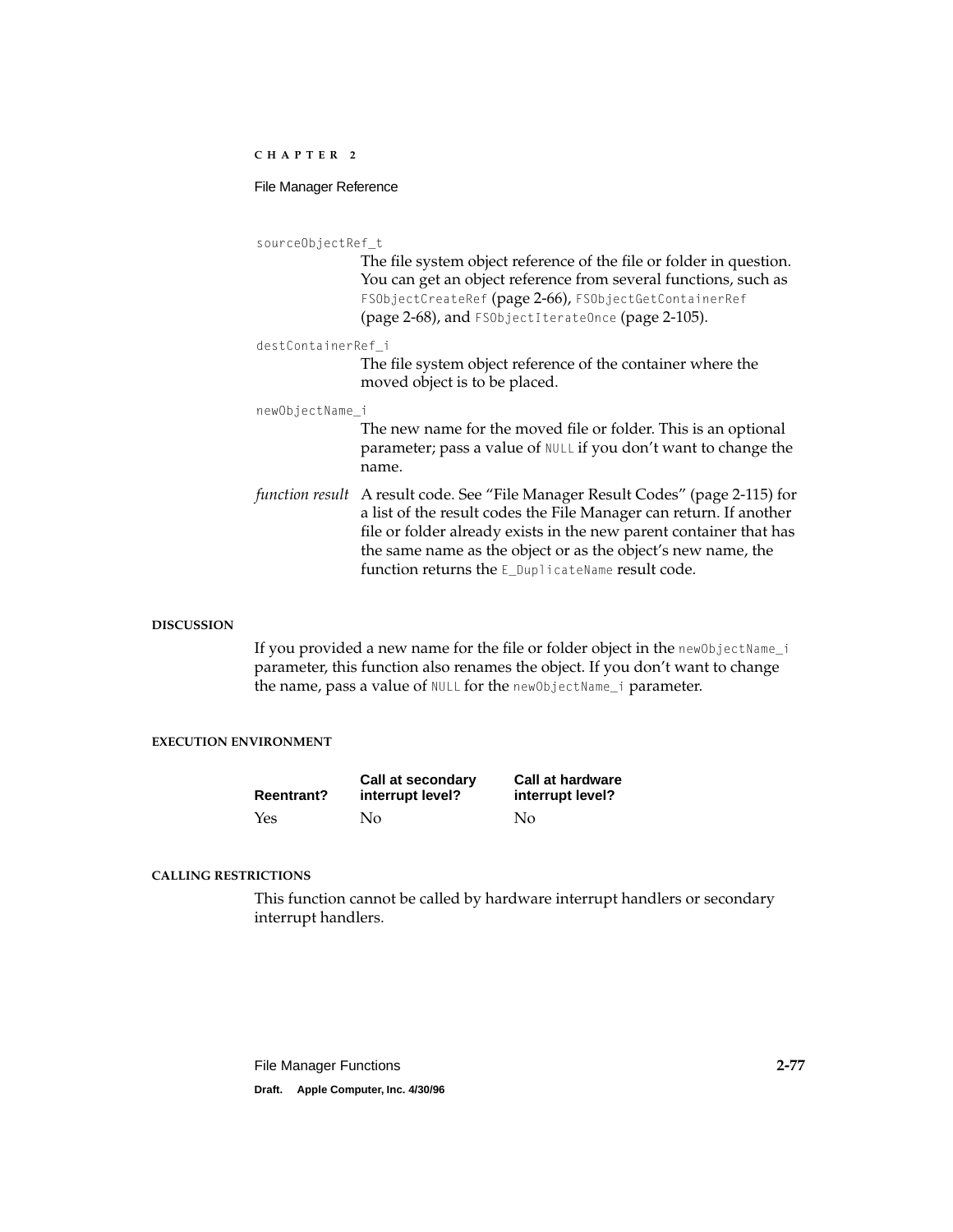#### File Manager Reference

```
sourceObjectRef_t
```
The file system object reference of the file or folder in question. You can get an object reference from several functions, such as FSObjectCreateRef [\(page 2-66\),](#page-93-0) FSObjectGetContainerRef [\(page 2-68\),](#page-95-0) and FSObjectIterateOnce [\(page 2-105\).](#page-132-0)

destContainerRef\_i

The file system object reference of the container where the moved object is to be placed.

newObjectName\_i

The new name for the moved file or folder. This is an optional parameter; pass a value of NULL if you don't want to change the name.

*function result* A result code. See ["File Manager Result Codes" \(page 2-115\)](#page-142-0) for a list of the result codes the File Manager can return. If another file or folder already exists in the new parent container that has the same name as the object or as the object's new name, the function returns the E\_DuplicateName result code.

### **DISCUSSION**

If you provided a new name for the file or folder object in the newObjectName\_i parameter, this function also renames the object. If you don't want to change the name, pass a value of NULL for the newObjectName\_i parameter.

### **EXECUTION ENVIRONMENT**

| Reentrant? | Call at secondary<br>interrupt level? | <b>Call at hardware</b><br>interrupt level? |
|------------|---------------------------------------|---------------------------------------------|
| Yes        | Nο                                    | No                                          |

### **CALLING RESTRICTIONS**

This function cannot be called by hardware interrupt handlers or secondary interrupt handlers.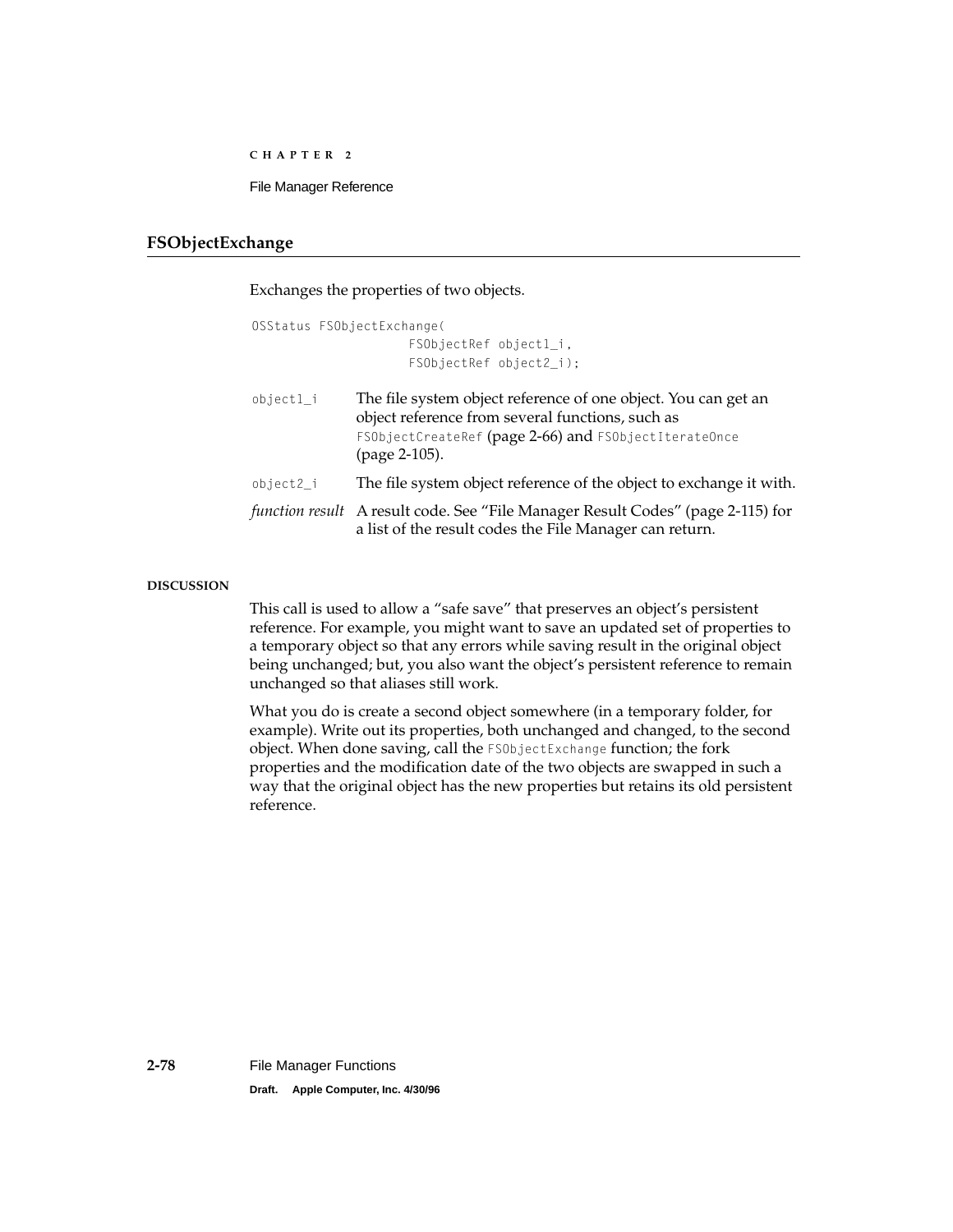File Manager Reference

# **FSObjectExchange 2**

Exchanges the properties of two objects.

| OSStatus FSObjectExchange( |                                                                                                                                                                                              |
|----------------------------|----------------------------------------------------------------------------------------------------------------------------------------------------------------------------------------------|
|                            | FSObjectRef object1_i,                                                                                                                                                                       |
|                            | FSObjectRef object2_i);                                                                                                                                                                      |
| object1 i                  | The file system object reference of one object. You can get an<br>object reference from several functions, such as<br>FSObjectCreateRef (page 2-66) and FSObjectIterateOnce<br>(page 2-105). |
| object2 i                  | The file system object reference of the object to exchange it with.                                                                                                                          |
|                            | function result A result code. See "File Manager Result Codes" (page 2-115) for<br>a list of the result codes the File Manager can return.                                                   |

## **DISCUSSION**

This call is used to allow a "safe save" that preserves an object's persistent reference. For example, you might want to save an updated set of properties to a temporary object so that any errors while saving result in the original object being unchanged; but, you also want the object's persistent reference to remain unchanged so that aliases still work.

What you do is create a second object somewhere (in a temporary folder, for example). Write out its properties, both unchanged and changed, to the second object. When done saving, call the FSObjectExchange function; the fork properties and the modification date of the two objects are swapped in such a way that the original object has the new properties but retains its old persistent reference.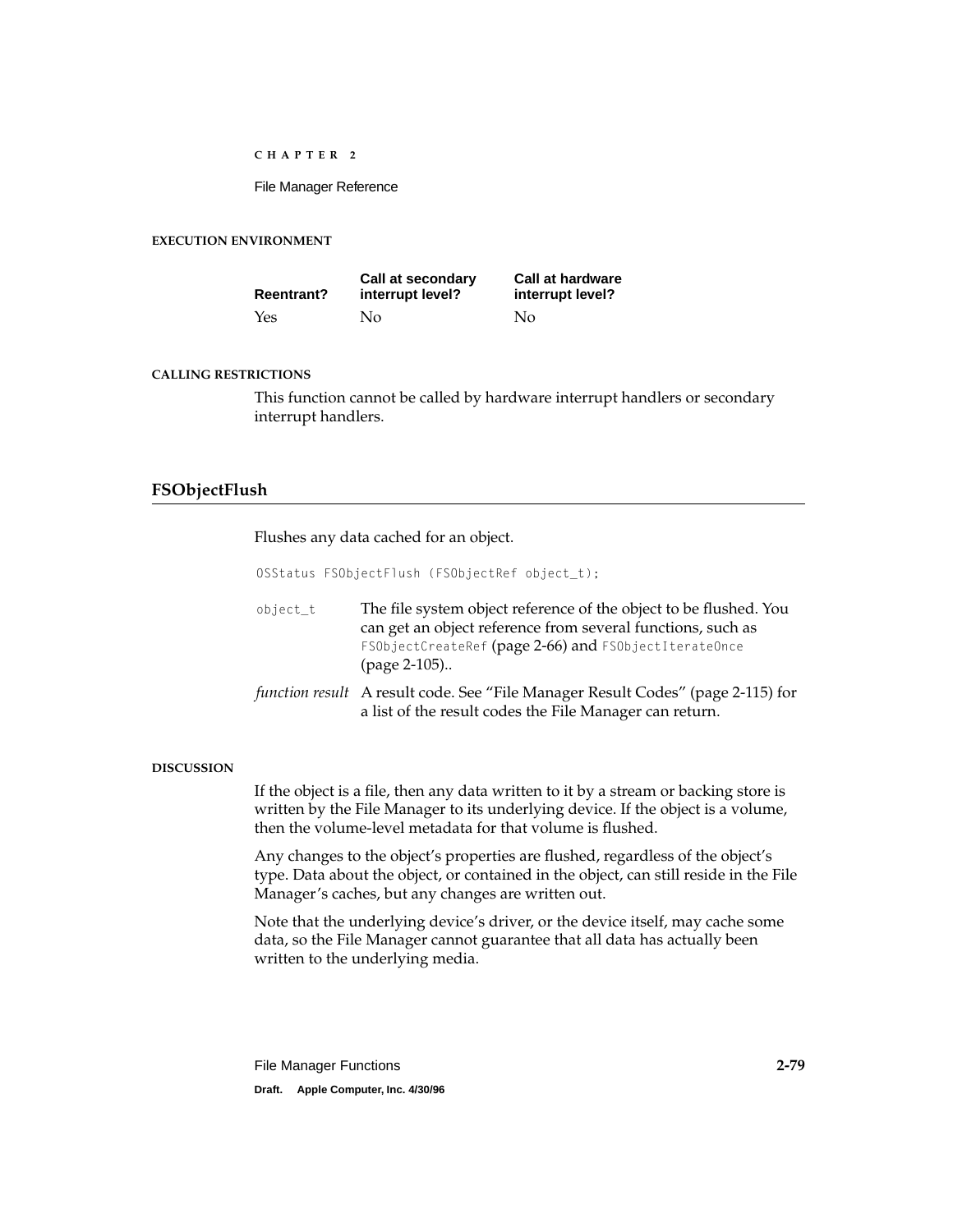#### File Manager Reference

#### **EXECUTION ENVIRONMENT**

| <b>Reentrant?</b> | Call at secondary<br>interrupt level? | <b>Call at hardware</b><br>interrupt level? |
|-------------------|---------------------------------------|---------------------------------------------|
| Yes               | No.                                   | Nο                                          |

#### **CALLING RESTRICTIONS**

This function cannot be called by hardware interrupt handlers or secondary interrupt handlers.

## **FSObjectFlush 2**

Flushes any data cached for an object.

OSStatus FSObjectFlush (FSObjectRef object\_t);

| object t | The file system object reference of the object to be flushed. You |
|----------|-------------------------------------------------------------------|
|          | can get an object reference from several functions, such as       |
|          | FSObjectCreateRef (page 2-66) and FSObjectIterateOnce             |
|          | (page 2-105)                                                      |
|          |                                                                   |

*function result* A result code. See ["File Manager Result Codes" \(page 2-115\)](#page-142-0) for a list of the result codes the File Manager can return.

#### **DISCUSSION**

If the object is a file, then any data written to it by a stream or backing store is written by the File Manager to its underlying device. If the object is a volume, then the volume-level metadata for that volume is flushed.

Any changes to the object's properties are flushed, regardless of the object's type. Data about the object, or contained in the object, can still reside in the File Manager's caches, but any changes are written out.

Note that the underlying device's driver, or the device itself, may cache some data, so the File Manager cannot guarantee that all data has actually been written to the underlying media.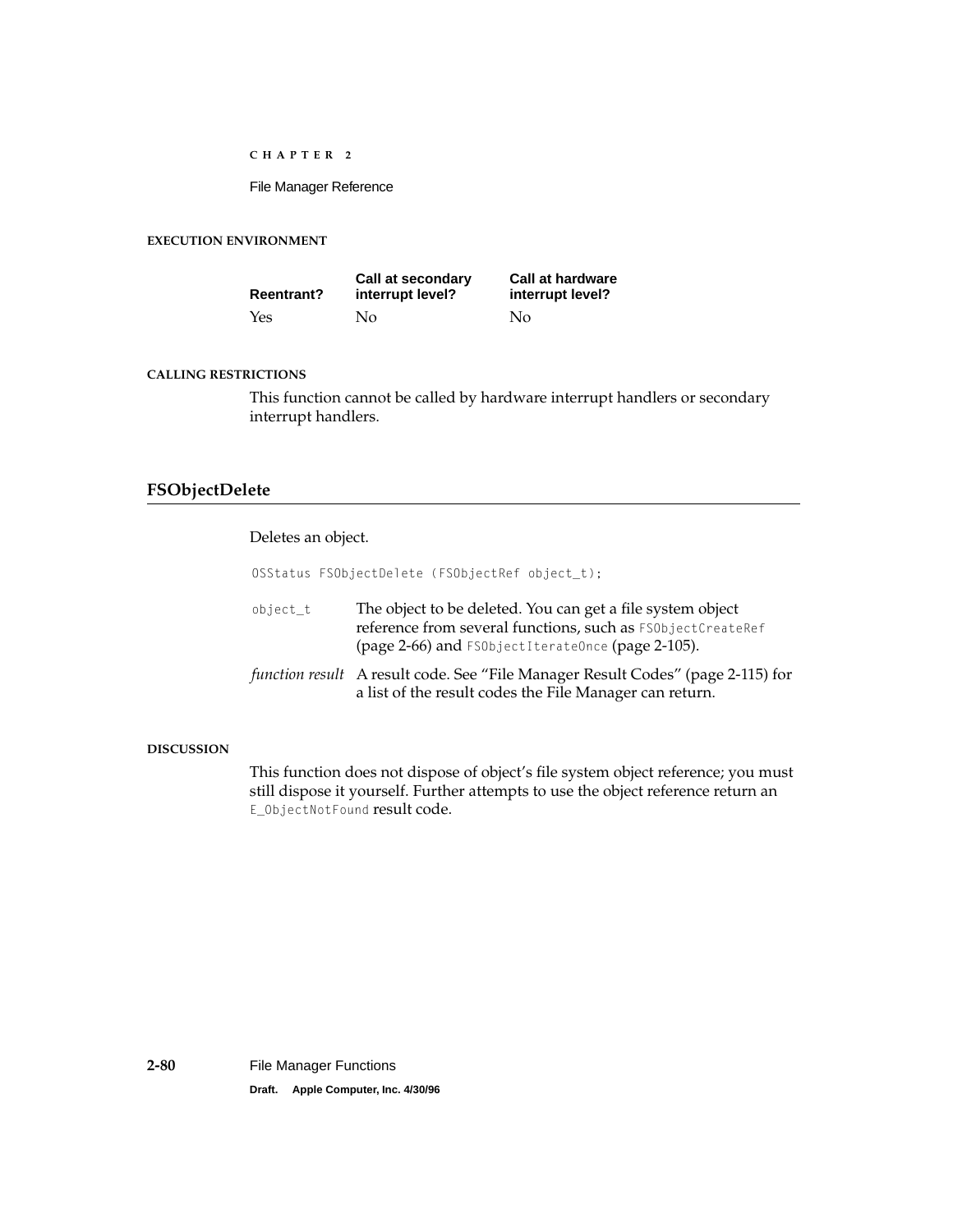File Manager Reference

### **EXECUTION ENVIRONMENT**

| <b>Reentrant?</b> | Call at secondary<br>interrupt level? | <b>Call at hardware</b><br>interrupt level? |
|-------------------|---------------------------------------|---------------------------------------------|
| Yes               | Nο                                    | No                                          |

### **CALLING RESTRICTIONS**

This function cannot be called by hardware interrupt handlers or secondary interrupt handlers.

# **FSObjectDelete 2**

# Deletes an object.

|          | OSStatus FSObjectDelete (FSObjectRef object_t);                                                                                                                                |
|----------|--------------------------------------------------------------------------------------------------------------------------------------------------------------------------------|
| object t | The object to be deleted. You can get a file system object<br>reference from several functions, such as FSObjectCreateRef<br>(page 2-66) and FSObjectIterateOnce (page 2-105). |
|          | function result A result code. See "File Manager Result Codes" (page 2-115) for<br>a list of the result codes the File Manager can return.                                     |

### **DISCUSSION**

This function does not dispose of object's file system object reference; you must still dispose it yourself. Further attempts to use the object reference return an E\_ObjectNotFound result code.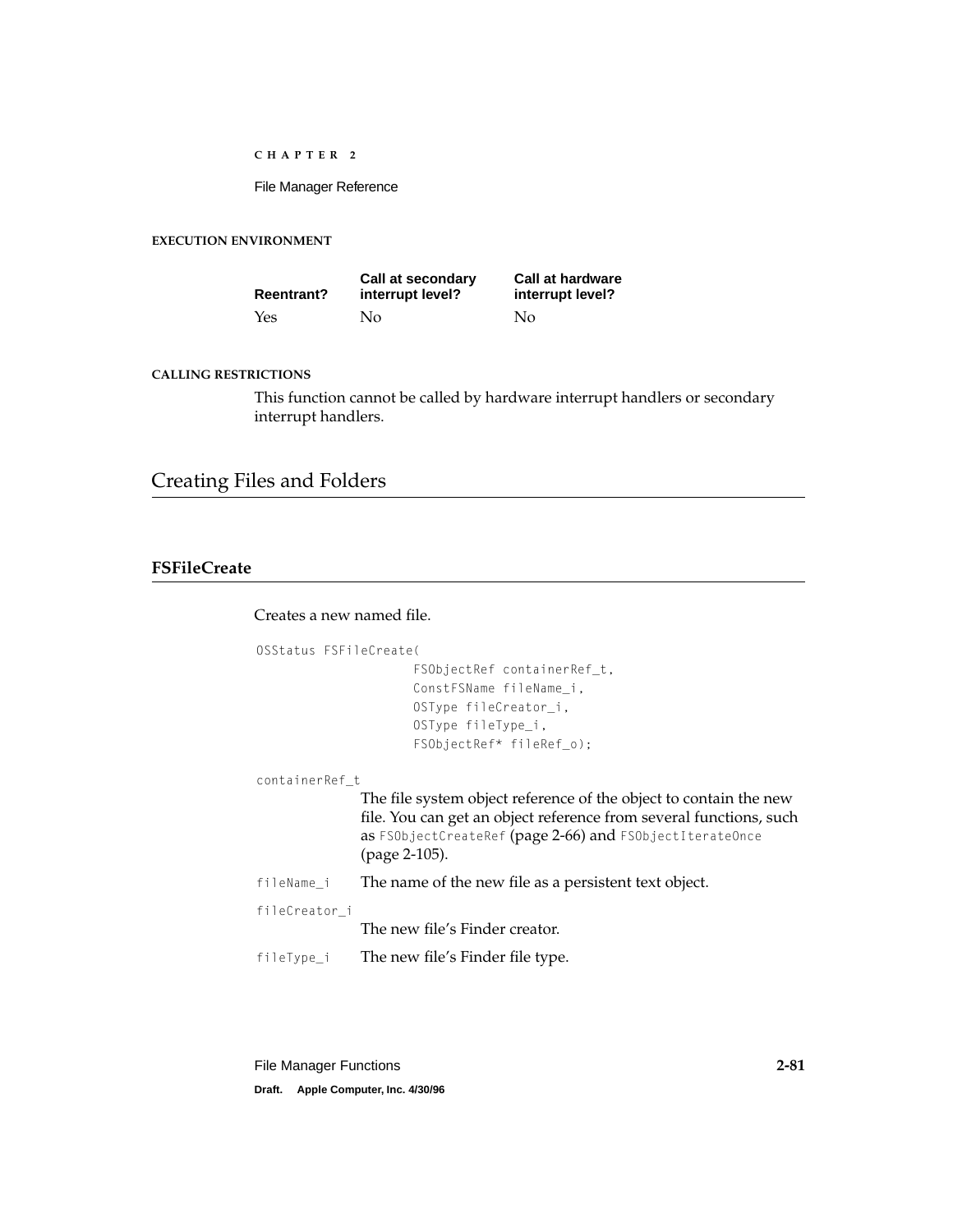File Manager Reference

# **EXECUTION ENVIRONMENT**

| <b>Reentrant?</b> | Call at secondary<br>interrupt level? | <b>Call at hardware</b><br>interrupt level? |
|-------------------|---------------------------------------|---------------------------------------------|
| Yes               | No.                                   | Nο                                          |

# **CALLING RESTRICTIONS**

This function cannot be called by hardware interrupt handlers or secondary interrupt handlers.

# Creating Files and Folders 2

# **FSFileCreate 2**

Creates a new named file.

```
OSStatus FSFileCreate(
                      FSObjectRef containerRef_t,
                      ConstFSName fileName_i,
                      OSType fileCreator_i,
                      OSType fileType_i,
                      FSObjectRef* fileRef_o);
containerRef_t
               The file system object reference of the object to contain the new 
               file. You can get an object reference from several functions, such 
               as FSObjectCreateRef (page 2-66) and FSObjectIterateOnce
               (page 2-105).
fileName_i The name of the new file as a persistent text object.
fileCreator_i
               The new file's Finder creator.
fileType_i The new file's Finder file type.
```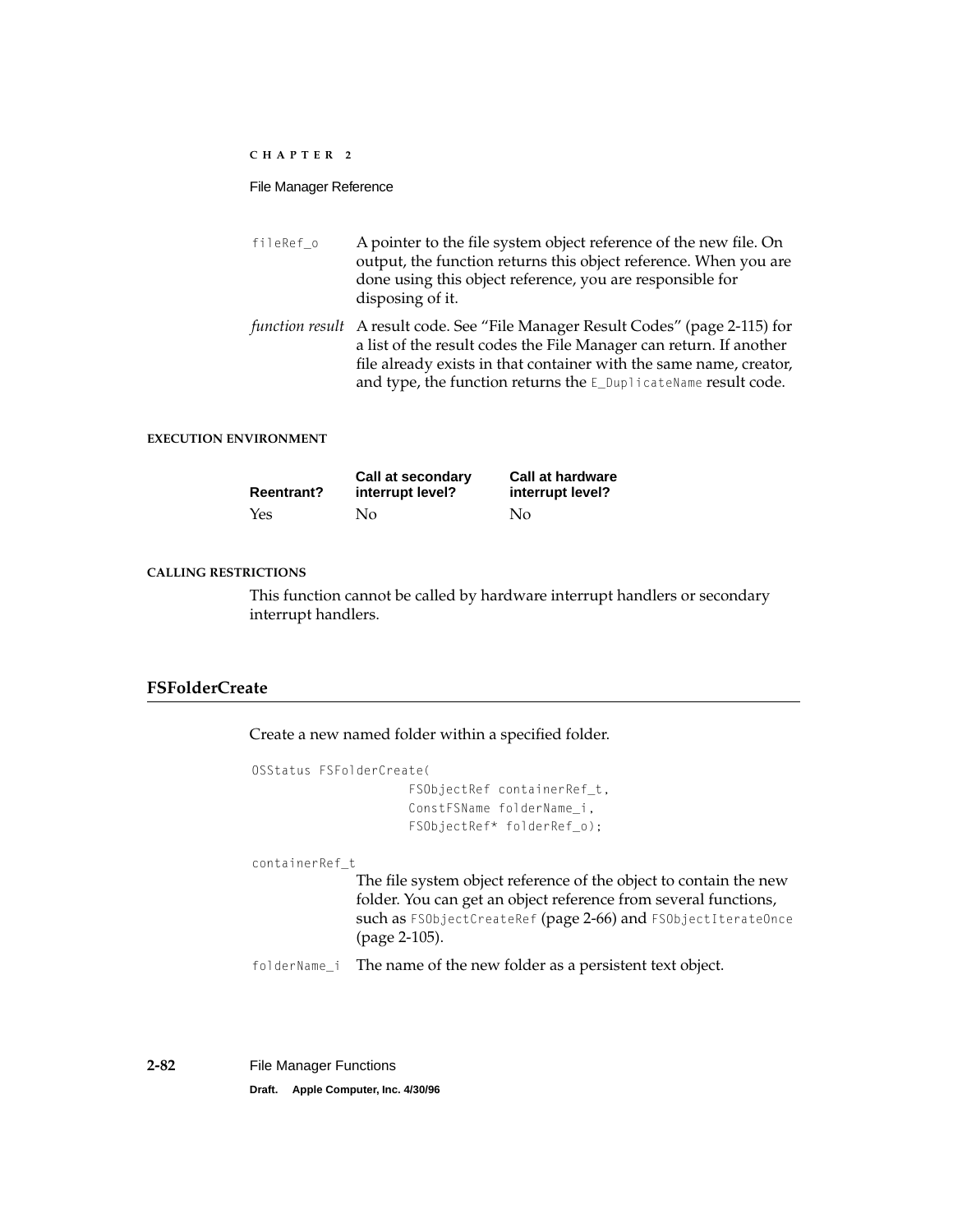| CHAPTER 2              |                                                                                                                                                                                                                                                                                                       |
|------------------------|-------------------------------------------------------------------------------------------------------------------------------------------------------------------------------------------------------------------------------------------------------------------------------------------------------|
| File Manager Reference |                                                                                                                                                                                                                                                                                                       |
| fileRef o              | A pointer to the file system object reference of the new file. On<br>output, the function returns this object reference. When you are<br>done using this object reference, you are responsible for<br>disposing of it.                                                                                |
|                        | <i>function result</i> A result code. See "File Manager Result Codes" (page 2-115) for<br>a list of the result codes the File Manager can return. If another<br>file already exists in that container with the same name, creator,<br>and type, the function returns the E_DuplicateName result code. |

# **EXECUTION ENVIRONMENT**

| Reentrant? | Call at secondary<br>interrupt level? | <b>Call at hardware</b><br>interrupt level? |
|------------|---------------------------------------|---------------------------------------------|
| Yes        | No.                                   | No                                          |

# **CALLING RESTRICTIONS**

This function cannot be called by hardware interrupt handlers or secondary interrupt handlers.

# **FSFolderCreate 2**

Create a new named folder within a specified folder.

```
OSStatus FSFolderCreate(
                    FSObjectRef containerRef_t,
                    ConstFSName folderName_i,
                    FSObjectRef* folderRef_o);
containerRef_t
             The file system object reference of the object to contain the new 
             folder. You can get an object reference from several functions, 
             (page 2-66) and FSObjectIterateOnce
             (page 2-105).
```
folderName\_i The name of the new folder as a persistent text object.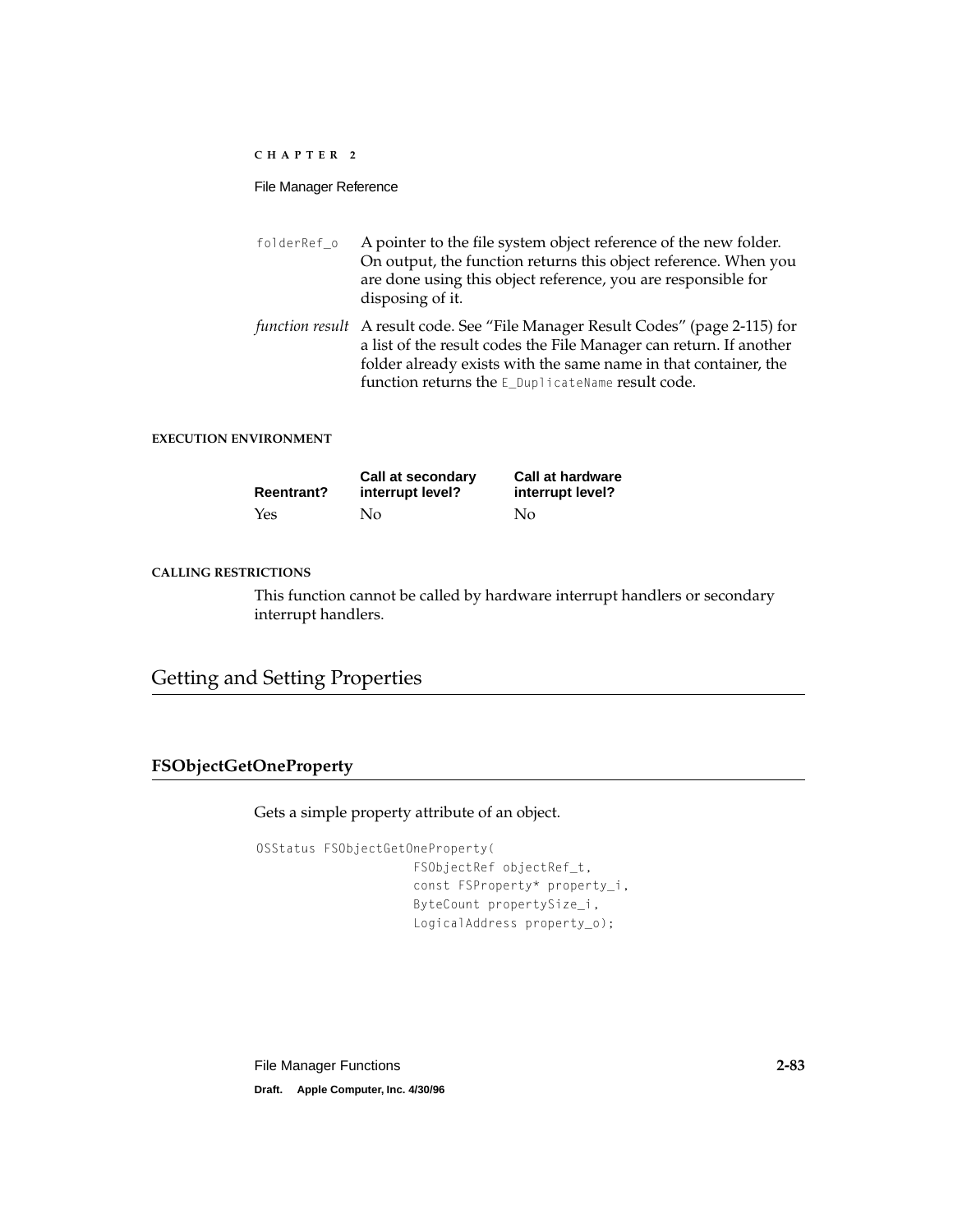| CHAPTER 2              |                                                                                                                                                                                                                                                                               |
|------------------------|-------------------------------------------------------------------------------------------------------------------------------------------------------------------------------------------------------------------------------------------------------------------------------|
| File Manager Reference |                                                                                                                                                                                                                                                                               |
| folderRef o            | A pointer to the file system object reference of the new folder.<br>On output, the function returns this object reference. When you<br>are done using this object reference, you are responsible for<br>disposing of it.                                                      |
|                        | function result A result code. See "File Manager Result Codes" (page 2-115) for<br>a list of the result codes the File Manager can return. If another<br>folder already exists with the same name in that container, the<br>function returns the E_DuplicateName result code. |

# **EXECUTION ENVIRONMENT**

| <b>Reentrant?</b> | Call at secondary<br>interrupt level? | <b>Call at hardware</b><br>interrupt level? |
|-------------------|---------------------------------------|---------------------------------------------|
| Yes               | Nο                                    | No                                          |

# **CALLING RESTRICTIONS**

This function cannot be called by hardware interrupt handlers or secondary interrupt handlers.

Getting and Setting Properties

# **FSObjectGetOneProperty 2**

# Gets a simple property attribute of an object.

```
OSStatus FSObjectGetOneProperty(
                     FSObjectRef objectRef_t,
                     const FSProperty* property_i,
                     ByteCount propertySize_i,
                     LogicalAddress property o);
```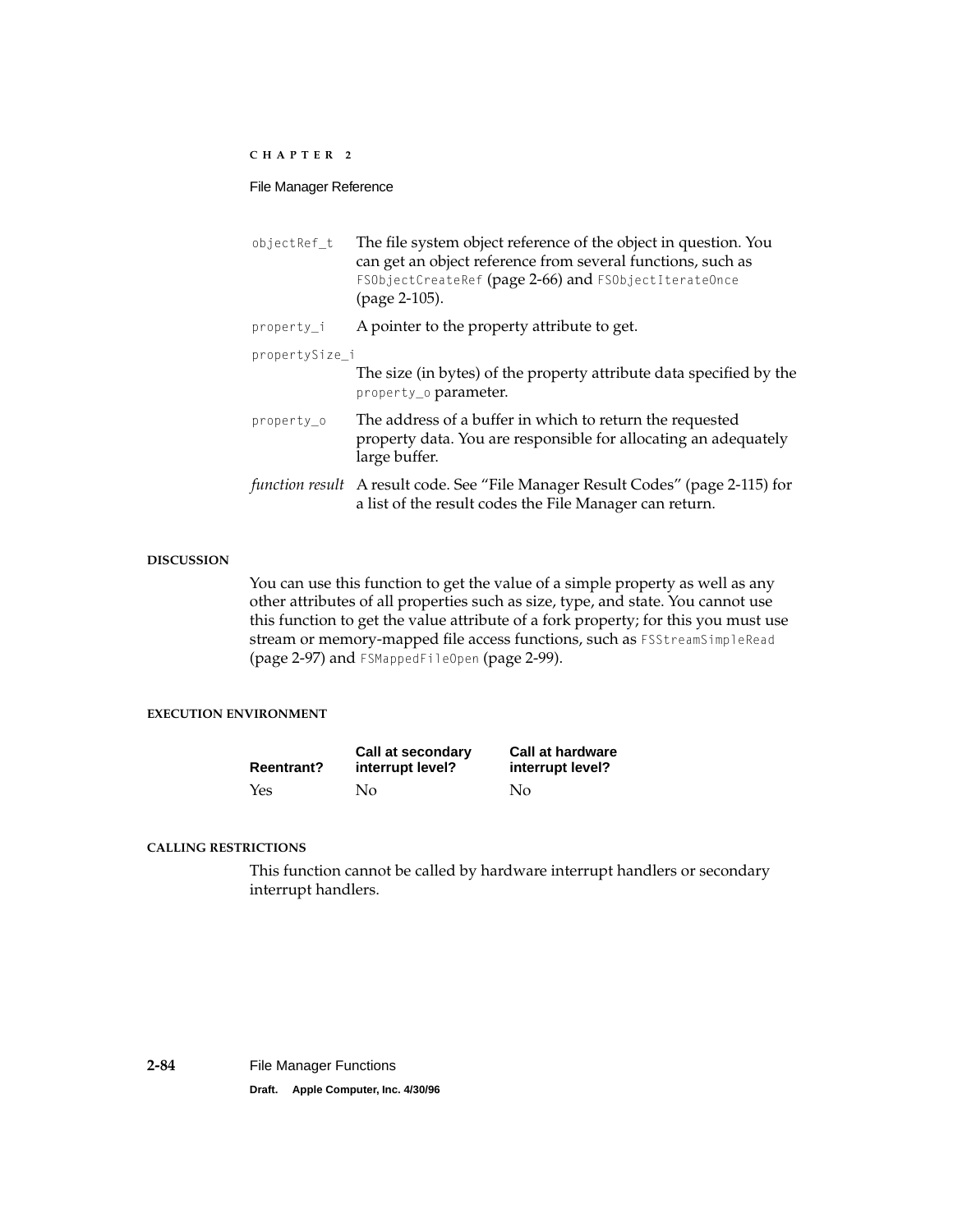## File Manager Reference

| objectRef t    | The file system object reference of the object in question. You<br>can get an object reference from several functions, such as<br>FSObjectCreateRef (page 2-66) and FSObjectIterateOnce<br>(page 2-105). |
|----------------|----------------------------------------------------------------------------------------------------------------------------------------------------------------------------------------------------------|
| property_i     | A pointer to the property attribute to get.                                                                                                                                                              |
| propertySize_i |                                                                                                                                                                                                          |
|                | The size (in bytes) of the property attribute data specified by the<br>property_o parameter.                                                                                                             |
| property_o     | The address of a buffer in which to return the requested<br>property data. You are responsible for allocating an adequately<br>large buffer.                                                             |
|                | function result A result code. See "File Manager Result Codes" (page 2-115) for<br>a list of the result codes the File Manager can return.                                                               |

# **DISCUSSION**

You can use this function to get the value of a simple property as well as any other attributes of all properties such as size, type, and state. You cannot use this function to get the value attribute of a fork property; for this you must use stream or memory-mapped file access functions, such as FSStreamSimpleRead [\(page 2-97\)](#page-124-0) and FSMappedFileOpen [\(page 2-99\)](#page-126-0).

# **EXECUTION ENVIRONMENT**

| <b>Reentrant?</b> | <b>Call at secondary</b><br>interrupt level? | <b>Call at hardware</b><br>interrupt level? |
|-------------------|----------------------------------------------|---------------------------------------------|
| Yes               | No                                           | No                                          |

# **CALLING RESTRICTIONS**

This function cannot be called by hardware interrupt handlers or secondary interrupt handlers.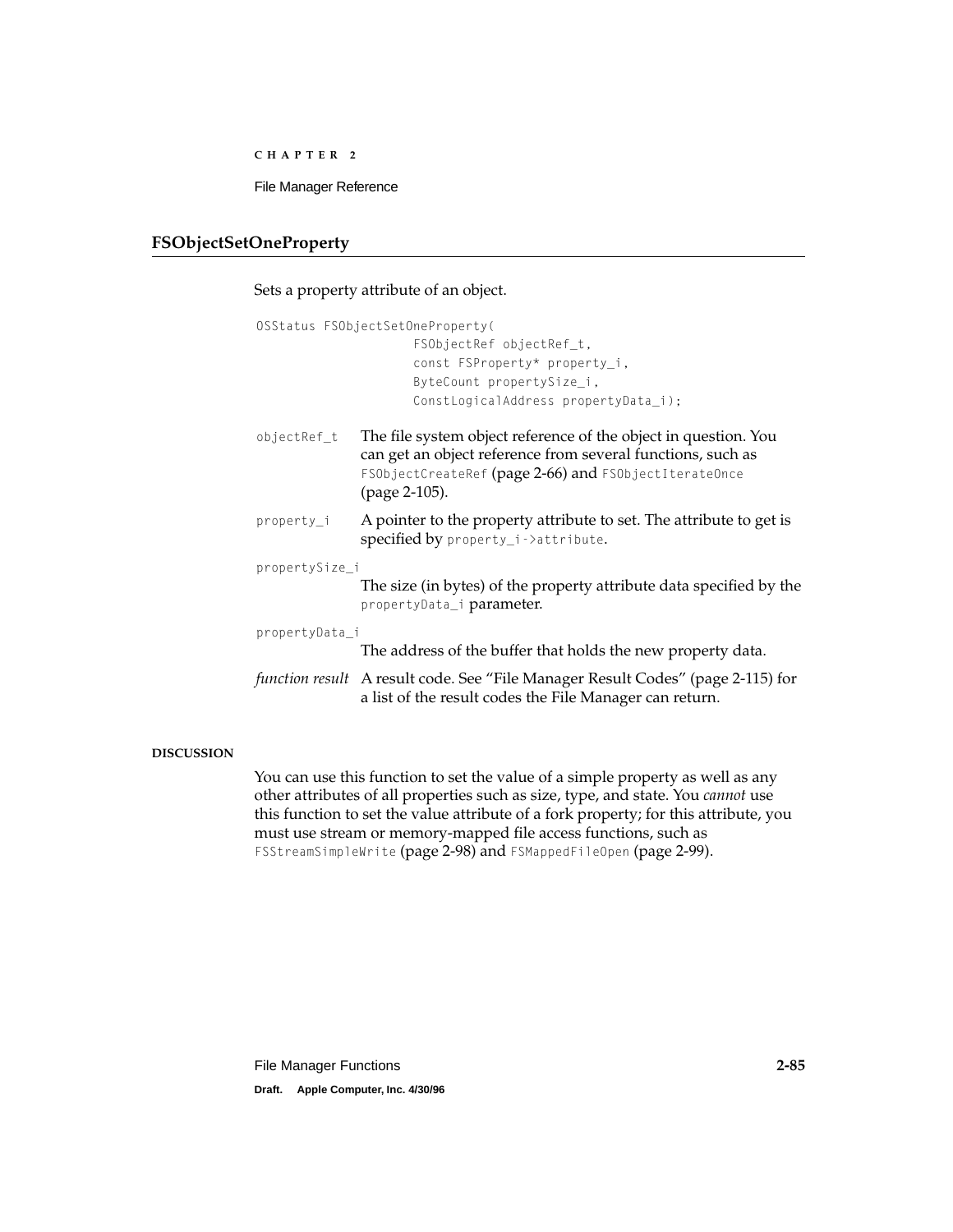File Manager Reference

# **FSObjectSetOneProperty 2**

Sets a property attribute of an object.

| OSStatus FSObjectSetOneProperty( |                                                                                                                                                                                                          |  |
|----------------------------------|----------------------------------------------------------------------------------------------------------------------------------------------------------------------------------------------------------|--|
|                                  | FSObjectRef objectRef_t,                                                                                                                                                                                 |  |
|                                  | const FSProperty* property_i,                                                                                                                                                                            |  |
|                                  | ByteCount propertySize_i,                                                                                                                                                                                |  |
|                                  | ConstLogicalAddress propertyData_i);                                                                                                                                                                     |  |
| objectRef_t                      | The file system object reference of the object in question. You<br>can get an object reference from several functions, such as<br>FSObjectCreateRef (page 2-66) and FSObjectIterateOnce<br>(page 2-105). |  |
| property_i                       | A pointer to the property attribute to set. The attribute to get is<br>specified by property_i->attribute.                                                                                               |  |
| propertySize_i                   |                                                                                                                                                                                                          |  |
|                                  | The size (in bytes) of the property attribute data specified by the<br>propertyData_i parameter.                                                                                                         |  |
| propertyData_i                   |                                                                                                                                                                                                          |  |
|                                  | The address of the buffer that holds the new property data.                                                                                                                                              |  |
|                                  | <i>function result</i> A result code. See "File Manager Result Codes" (page 2-115) for<br>a list of the result codes the File Manager can return.                                                        |  |

# **DISCUSSION**

You can use this function to set the value of a simple property as well as any other attributes of all properties such as size, type, and state. You *cannot* use this function to set the value attribute of a fork property; for this attribute, you must use stream or memory-mapped file access functions, such as FSStreamSimpleWrite [\(page 2-98\)](#page-125-0) and FSMappedFileOpen [\(page 2-99\)](#page-126-0).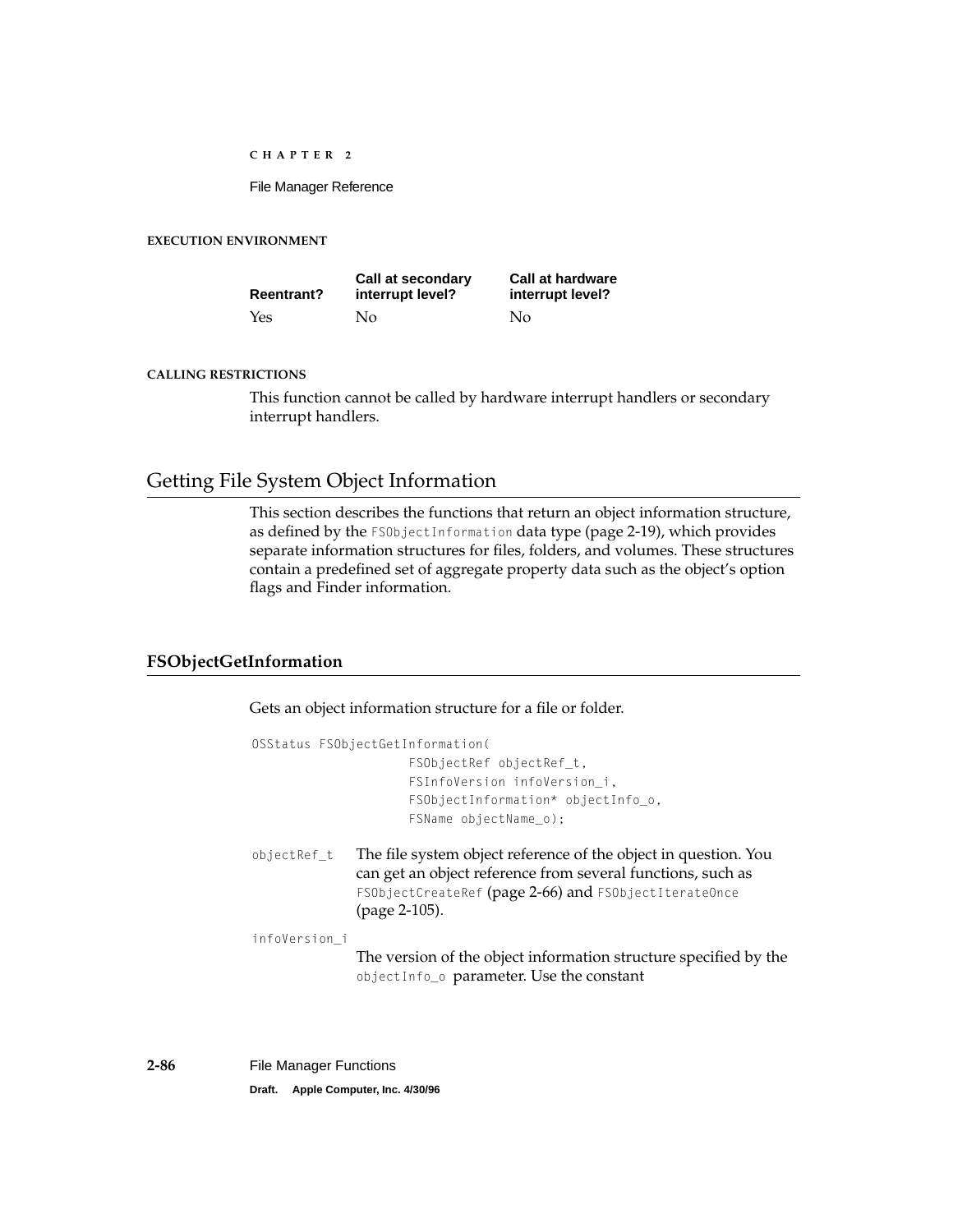File Manager Reference

# **EXECUTION ENVIRONMENT**

| <b>Reentrant?</b> | Call at secondary<br>interrupt level? | <b>Call at hardware</b><br>interrupt level? |
|-------------------|---------------------------------------|---------------------------------------------|
| Yes               | Nο                                    | No                                          |

# **CALLING RESTRICTIONS**

This function cannot be called by hardware interrupt handlers or secondary interrupt handlers.

# Getting File System Object Information 2

This section describes the functions that return an object information structure, as defined by the FSObjectInformation data type [\(page 2-19\),](#page-46-0) which provides separate information structures for files, folders, and volumes. These structures contain a predefined set of aggregate property data such as the object's option flags and Finder information.

# **FSObjectGetInformation 2**

# Gets an object information structure for a file or folder.

|               | OSStatus FSObjectGetInformation(<br>FSObjectRef objectRef t.<br>FSInfoVersion infoVersion i,<br>FSObjectInformation* objectInfo o.<br>FSName objectName o):                                              |
|---------------|----------------------------------------------------------------------------------------------------------------------------------------------------------------------------------------------------------|
| objectRef t   | The file system object reference of the object in question. You<br>can get an object reference from several functions, such as<br>FSObjectCreateRef (page 2-66) and FSObjectIterateOnce<br>(page 2-105). |
| infoVersion i | The version of the object information structure specified by the<br>objectInfo_o parameter. Use the constant                                                                                             |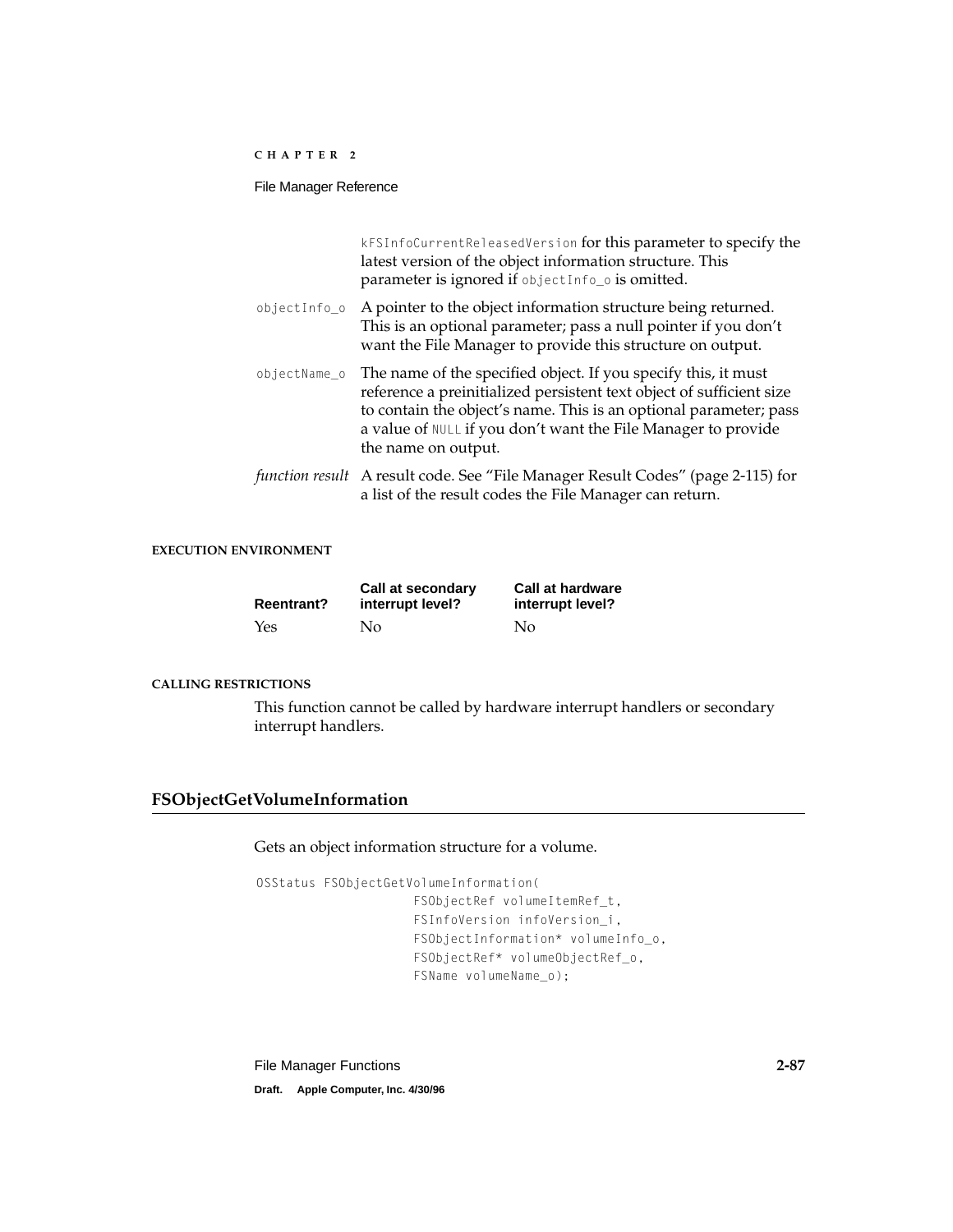#### File Manager Reference

|              | kFSInfoCurrentReleasedVersion for this parameter to specify the<br>latest version of the object information structure. This<br>parameter is ignored if objectInfo_o is omitted.                                                                                                                     |
|--------------|-----------------------------------------------------------------------------------------------------------------------------------------------------------------------------------------------------------------------------------------------------------------------------------------------------|
| objectInfo_o | A pointer to the object information structure being returned.<br>This is an optional parameter; pass a null pointer if you don't<br>want the File Manager to provide this structure on output.                                                                                                      |
| objectName_o | The name of the specified object. If you specify this, it must<br>reference a preinitialized persistent text object of sufficient size<br>to contain the object's name. This is an optional parameter; pass<br>a value of NULL if you don't want the File Manager to provide<br>the name on output. |
|              | function result A result code. See "File Manager Result Codes" (page 2-115) for<br>a list of the result codes the File Manager can return.                                                                                                                                                          |

# **EXECUTION ENVIRONMENT**

| <b>Reentrant?</b> | Call at secondary<br>interrupt level? | <b>Call at hardware</b><br>interrupt level? |
|-------------------|---------------------------------------|---------------------------------------------|
| Yes               | No.                                   | No                                          |

# **CALLING RESTRICTIONS**

This function cannot be called by hardware interrupt handlers or secondary interrupt handlers.

# **FSObjectGetVolumeInformation 2**

# Gets an object information structure for a volume.

```
OSStatus FSObjectGetVolumeInformation(
                     FSObjectRef volumeItemRef_t,
                     FSInfoVersion infoVersion_i,
                     FSObjectInformation* volumeInfo_o,
                     FSObjectRef* volumeObjectRef_o,
                     FSName volumeName_o);
```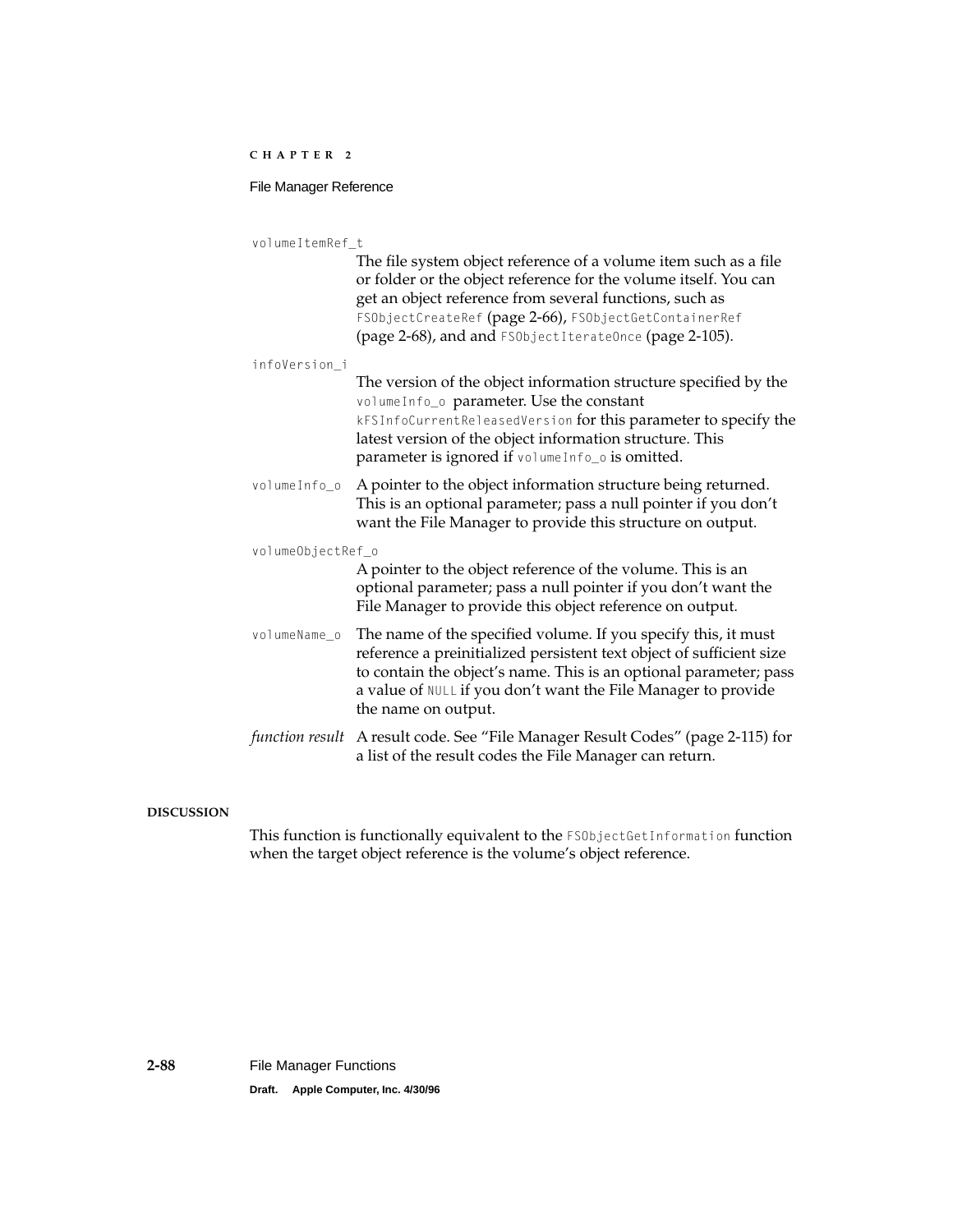#### File Manager Reference

volumeItemRef\_t

The file system object reference of a volume item such as a file or folder or the object reference for the volume itself. You can get an object reference from several functions, such as FSObjectCreateRef [\(page 2-66\),](#page-93-0) FSObjectGetContainerRef [\(page 2-68\),](#page-95-0) and and FSObjectIterateOnce [\(page 2-105\)](#page-132-0).

infoVersion\_i

The version of the object information structure specified by the volumeInfo\_o parameter. Use the constant kFSInfoCurrentReleasedVersion for this parameter to specify the latest version of the object information structure. This parameter is ignored if volumeInfo\_o is omitted.

volumeInfo\_o A pointer to the object information structure being returned. This is an optional parameter; pass a null pointer if you don't want the File Manager to provide this structure on output.

volumeObjectRef\_o

A pointer to the object reference of the volume. This is an optional parameter; pass a null pointer if you don't want the File Manager to provide this object reference on output.

- volumeName\_o The name of the specified volume. If you specify this, it must reference a preinitialized persistent text object of sufficient size to contain the object's name. This is an optional parameter; pass a value of NULL if you don't want the File Manager to provide the name on output.
- *function result* A result code. See ["File Manager Result Codes" \(page 2-115\)](#page-142-0) for a list of the result codes the File Manager can return.

#### **DISCUSSION**

This function is functionally equivalent to the FSObjectGetInformation function when the target object reference is the volume's object reference.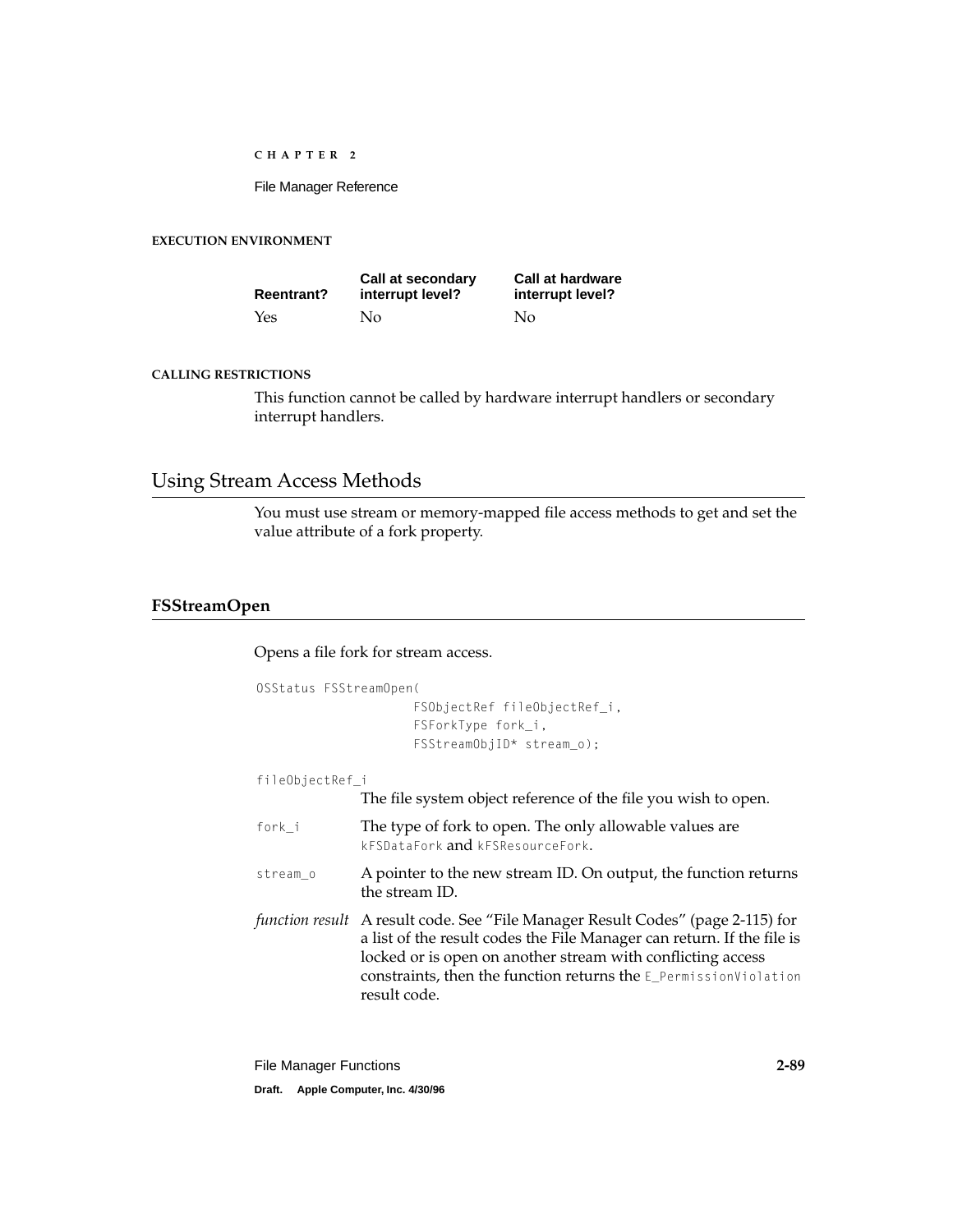File Manager Reference

### **EXECUTION ENVIRONMENT**

| <b>Reentrant?</b> | Call at secondary<br>interrupt level? | <b>Call at hardware</b><br>interrupt level? |
|-------------------|---------------------------------------|---------------------------------------------|
| Yes               | No.                                   | Nο                                          |

# **CALLING RESTRICTIONS**

This function cannot be called by hardware interrupt handlers or secondary interrupt handlers.

# Using Stream Access Methods 2

You must use stream or memory-mapped file access methods to get and set the value attribute of a fork property.

# **FSStreamOpen 2**

Opens a file fork for stream access.

```
OSStatus FSStreamOpen(
                       FSObjectRef fileObjectRef_i,
                       FSForkType fork_i,
                       FSStreamObjID* stream_o);
fileObjectRef_i
               The file system object reference of the file you wish to open.
fork_i The type of fork to open. The only allowable values are 
               kFSDataFork and kFSResourceFork.
stream_o A pointer to the new stream ID. On output, the function returns 
               the stream ID.
function result A result code. See "File Manager Result Codes" (page 2-115) for 
               a list of the result codes the File Manager can return. If the file is 
               locked or is open on another stream with conflicting access 
               constraints, then the function returns the E_PermissionViolation
               result code.
```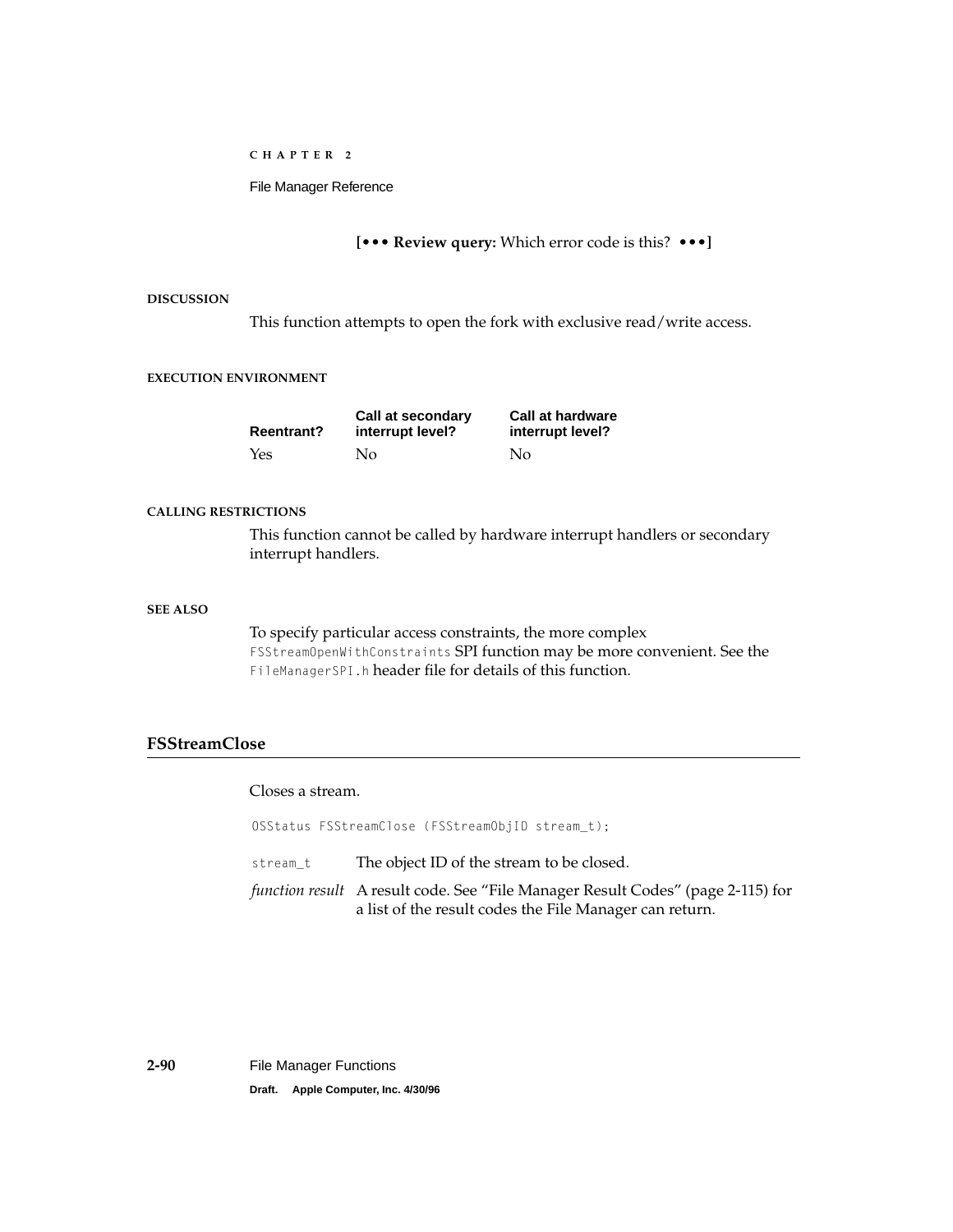<span id="page-117-0"></span>File Manager Reference

**[••• Review query:** Which error code is this? **•••]**

## **DISCUSSION**

This function attempts to open the fork with exclusive read/write access.

# **EXECUTION ENVIRONMENT**

| <b>Reentrant?</b> | Call at secondary<br>interrupt level? | <b>Call at hardware</b><br>interrupt level? |
|-------------------|---------------------------------------|---------------------------------------------|
| Yes               | No                                    | No                                          |

## **CALLING RESTRICTIONS**

This function cannot be called by hardware interrupt handlers or secondary interrupt handlers.

## **SEE ALSO**

To specify particular access constraints, the more complex FSStreamOpenWithConstraints SPI function may be more convenient. See the FileManagerSPI.h header file for details of this function.

# **FSStreamClose 2**

# Closes a stream.

OSStatus FSStreamClose (FSStreamObjID stream\_t);

- stream\_t The object ID of the stream to be closed.
- *function result* A result code. See ["File Manager Result Codes" \(page 2-115\)](#page-142-0) for a list of the result codes the File Manager can return.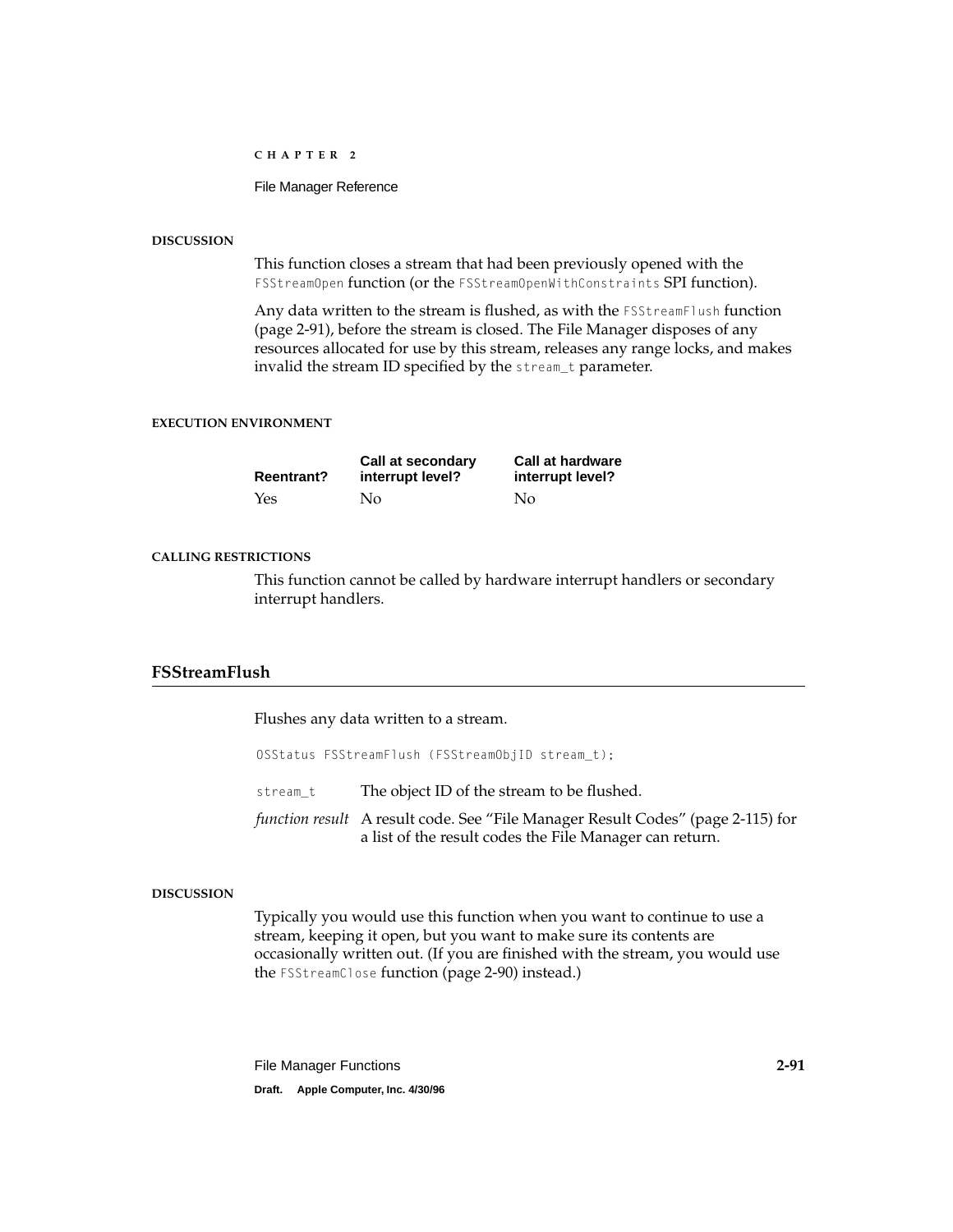File Manager Reference

## **DISCUSSION**

This function closes a stream that had been previously opened with the FSStreamOpen function (or the FSStreamOpenWithConstraints SPI function).

Any data written to the stream is flushed, as with the FSStreamFlush function (page 2-91), before the stream is closed. The File Manager disposes of any resources allocated for use by this stream, releases any range locks, and makes invalid the stream ID specified by the stream\_t parameter.

## **EXECUTION ENVIRONMENT**

| <b>Reentrant?</b> | Call at secondary<br>interrupt level? | <b>Call at hardware</b><br>interrupt level? |
|-------------------|---------------------------------------|---------------------------------------------|
| Yes               | Nο                                    | Nο                                          |

## **CALLING RESTRICTIONS**

This function cannot be called by hardware interrupt handlers or secondary interrupt handlers.

# **FSStreamFlush 2**

Flushes any data written to a stream.

OSStatus FSStreamFlush (FSStreamObjID stream\_t);

stream\_t The object ID of the stream to be flushed.

*function result* A result code. See ["File Manager Result Codes" \(page 2-115\)](#page-142-0) for a list of the result codes the File Manager can return.

#### **DISCUSSION**

Typically you would use this function when you want to continue to use a stream, keeping it open, but you want to make sure its contents are occasionally written out. (If you are finished with the stream, you would use the FSStreamClose function [\(page 2-90\)](#page-117-0) instead.)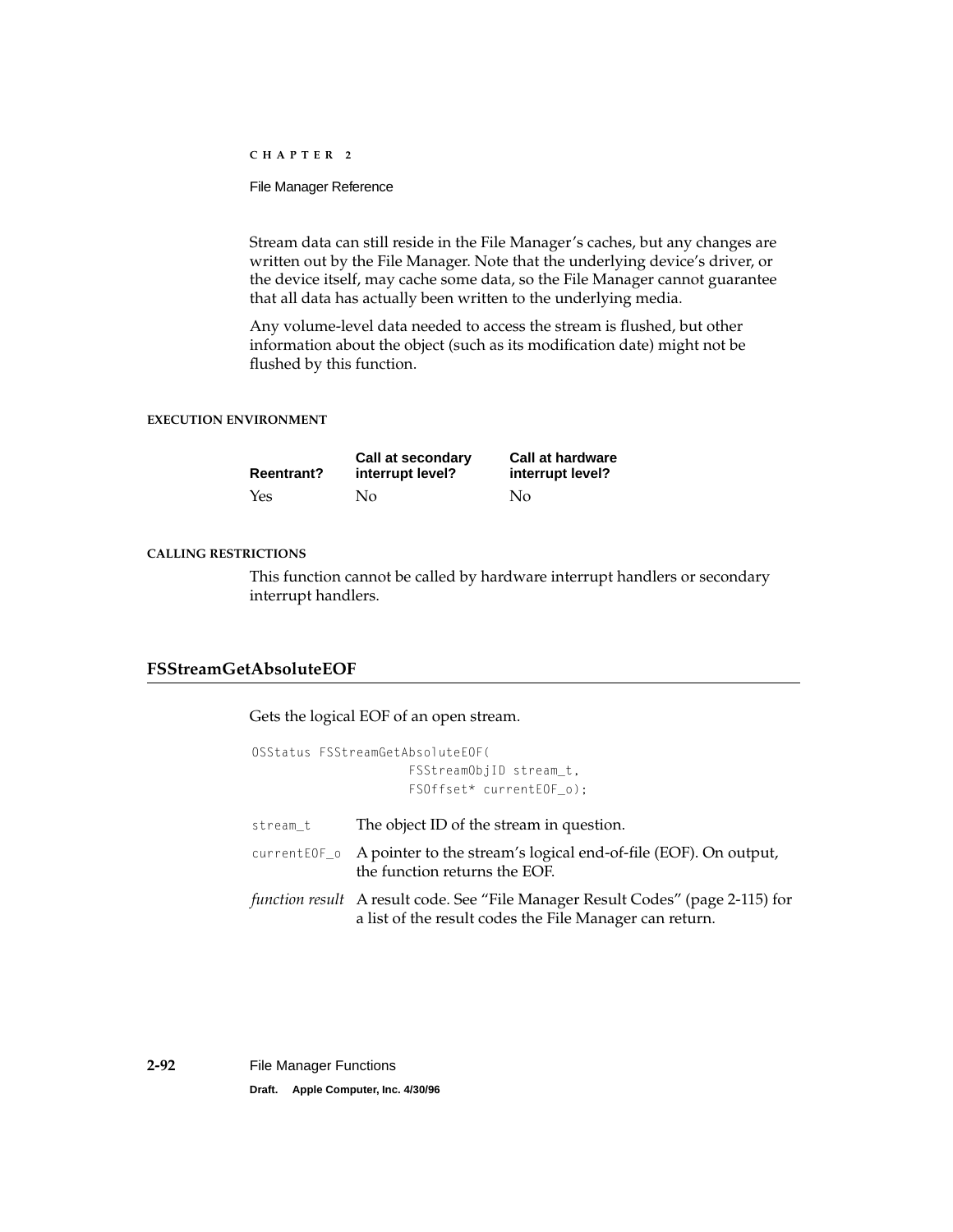# File Manager Reference

Stream data can still reside in the File Manager's caches, but any changes are written out by the File Manager. Note that the underlying device's driver, or the device itself, may cache some data, so the File Manager cannot guarantee that all data has actually been written to the underlying media.

Any volume-level data needed to access the stream is flushed, but other information about the object (such as its modification date) might not be flushed by this function.

# **EXECUTION ENVIRONMENT**

| <b>Reentrant?</b> | Call at secondary<br>interrupt level? | <b>Call at hardware</b><br>interrupt level? |
|-------------------|---------------------------------------|---------------------------------------------|
| Yes               | Nο                                    | No                                          |

# **CALLING RESTRICTIONS**

This function cannot be called by hardware interrupt handlers or secondary interrupt handlers.

# **FSStreamGetAbsoluteEOF 2**

Gets the logical EOF of an open stream.

|          | OSStatus FSStreamGetAbsoluteEOF(<br>FSStreamObjID stream t.<br>FSOffset* currentEOF o):                                                    |
|----------|--------------------------------------------------------------------------------------------------------------------------------------------|
| stream t | The object ID of the stream in question.                                                                                                   |
|          | current EOF_0 A pointer to the stream's logical end-of-file (EOF). On output,<br>the function returns the EOF.                             |
|          | function result A result code. See "File Manager Result Codes" (page 2-115) for<br>a list of the result codes the File Manager can return. |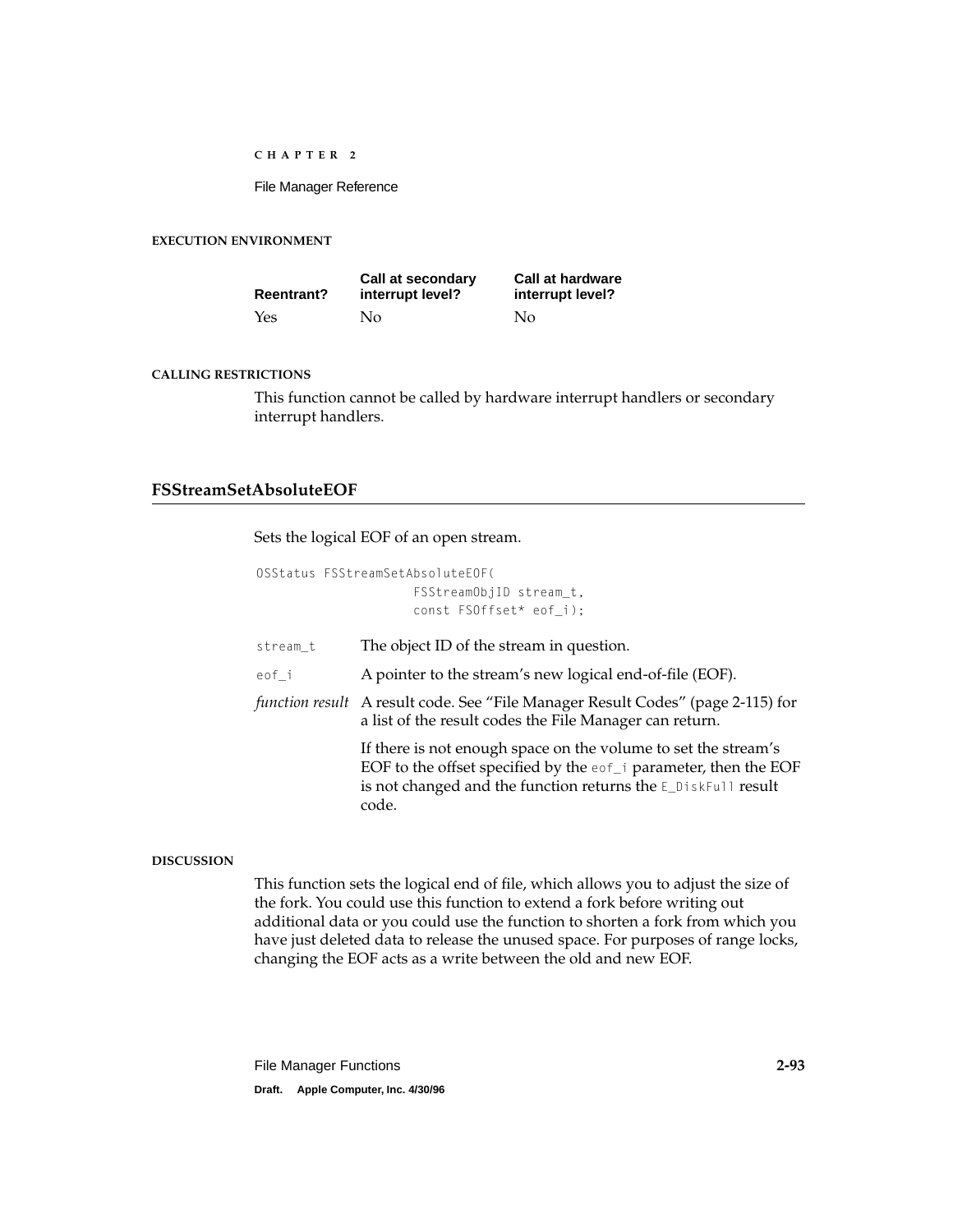File Manager Reference

### **EXECUTION ENVIRONMENT**

| <b>Reentrant?</b> | Call at secondary<br>interrupt level? | <b>Call at hardware</b><br>interrupt level? |
|-------------------|---------------------------------------|---------------------------------------------|
| Yes               | No.                                   | Nο                                          |

## **CALLING RESTRICTIONS**

This function cannot be called by hardware interrupt handlers or secondary interrupt handlers.

# **FSStreamSetAbsoluteEOF 2**

Sets the logical EOF of an open stream.

```
OSStatus FSStreamSetAbsoluteEOF(
                       FSStreamObjID stream_t,
                       const FSOffset* eof_i);
stream_t The object ID of the stream in question.
e \circ f<sub>1</sub> A pointer to the stream's new logical end-of-file (EOF).
function result A result code. See "File Manager Result Codes" (page 2-115) for 
               a list of the result codes the File Manager can return. 
               If there is not enough space on the volume to set the stream's 
               EOF to the offset specified by the eof_i parameter, then the EOF 
               is not changed and the function returns the E_DiskFull result
               code.
```
## **DISCUSSION**

This function sets the logical end of file, which allows you to adjust the size of the fork. You could use this function to extend a fork before writing out additional data or you could use the function to shorten a fork from which you have just deleted data to release the unused space. For purposes of range locks, changing the EOF acts as a write between the old and new EOF.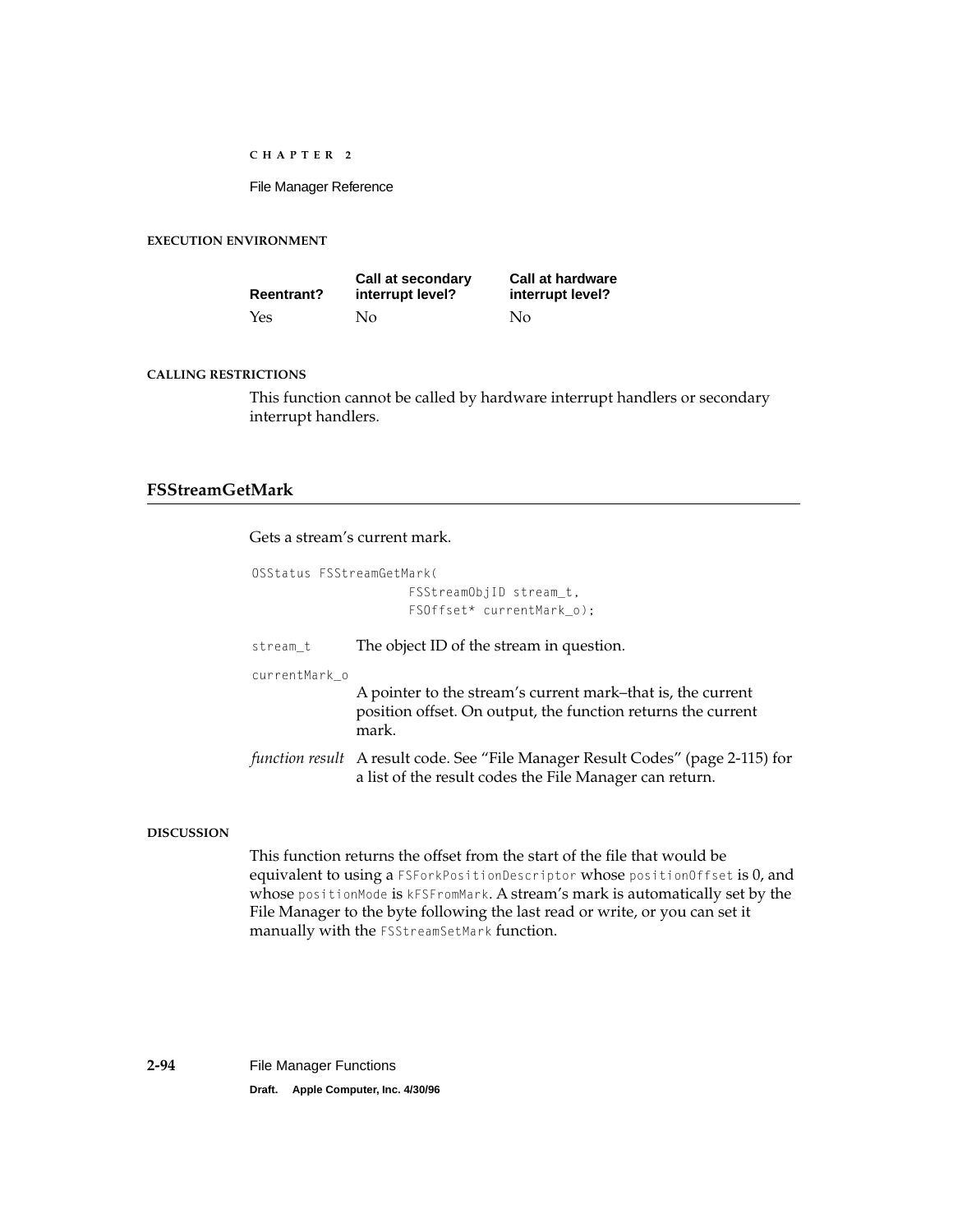File Manager Reference

#### **EXECUTION ENVIRONMENT**

| <b>Reentrant?</b> | <b>Call at secondary</b><br>interrupt level? | <b>Call at hardware</b><br>interrupt level? |
|-------------------|----------------------------------------------|---------------------------------------------|
| Yes               | Nο                                           | Nο                                          |

#### **CALLING RESTRICTIONS**

This function cannot be called by hardware interrupt handlers or secondary interrupt handlers.

# **FSStreamGetMark 2**

# Gets a stream's current mark.

```
OSStatus FSStreamGetMark(
                       FSStreamObjID stream_t,
                       FSOffset* currentMark_o);
stream<sub>_t</sub> The object ID of the stream in question.
currentMark_o
               A pointer to the stream's current mark–that is, the current 
               position offset. On output, the function returns the current 
               mark.
function result A result code. See "File Manager Result Codes" (page 2-115) for 
               a list of the result codes the File Manager can return.
```
#### **DISCUSSION**

This function returns the offset from the start of the file that would be equivalent to using a FSForkPositionDescriptor whose positionOffset is 0, and whose positionMode is kFSFromMark. A stream's mark is automatically set by the File Manager to the byte following the last read or write, or you can set it manually with the FSStreamSetMark function.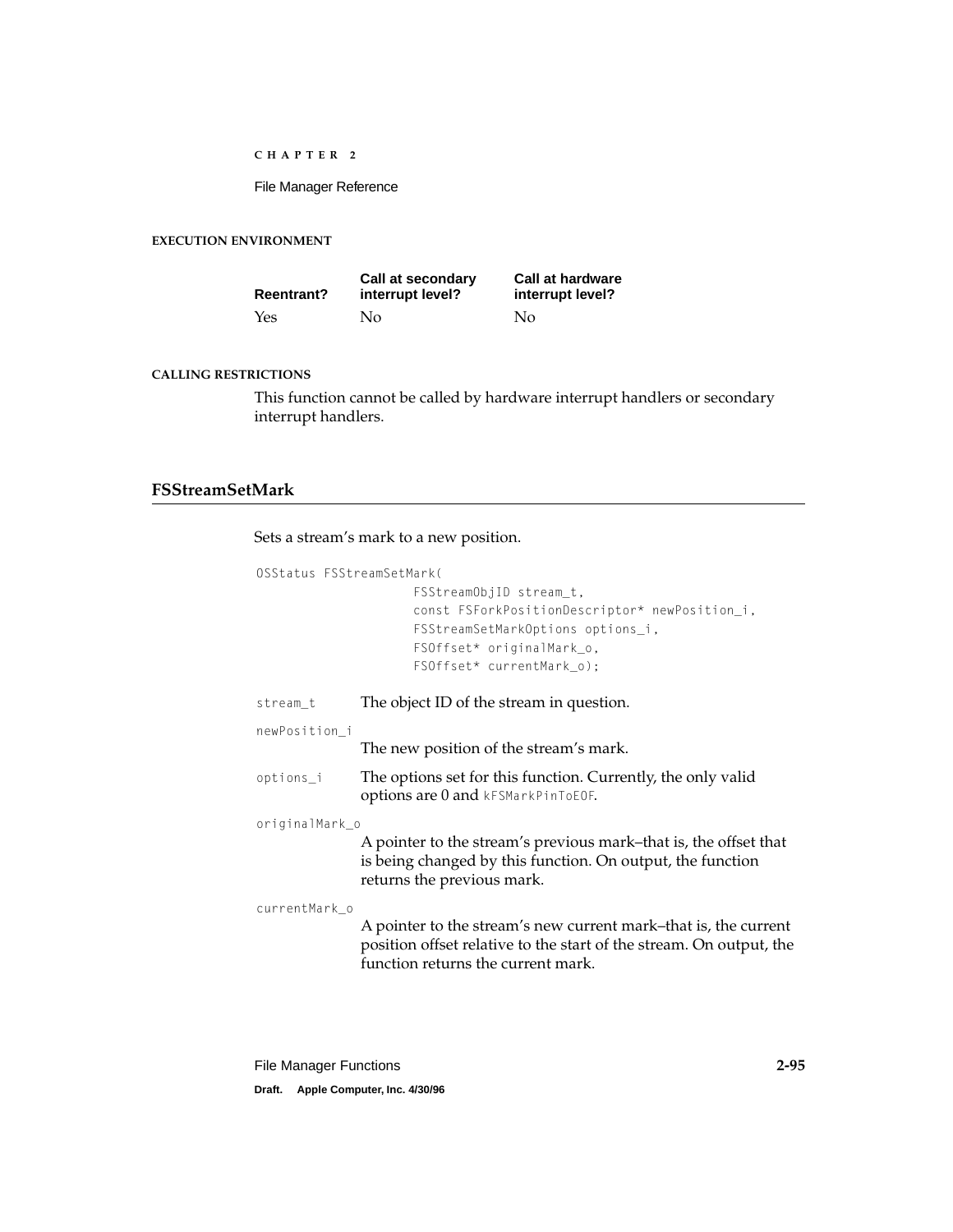File Manager Reference

# **EXECUTION ENVIRONMENT**

| <b>Reentrant?</b> | Call at secondary<br>interrupt level? | <b>Call at hardware</b><br>interrupt level? |
|-------------------|---------------------------------------|---------------------------------------------|
| Yes               | No.                                   | No                                          |

# **CALLING RESTRICTIONS**

This function cannot be called by hardware interrupt handlers or secondary interrupt handlers.

# **FSStreamSetMark 2**

Sets a stream's mark to a new position.

```
OSStatus FSStreamSetMark(
                      FSStreamObjID stream_t,
                      const FSForkPositionDescriptor* newPosition_i,
                      FSStreamSetMarkOptions options_i,
                      FSOffset* originalMark_o,
                      FSOffset* currentMark_o);
stream_t The object ID of the stream in question.
newPosition_i
               The new position of the stream's mark.
options_i The options set for this function. Currently, the only valid 
               options are 0 and kFSMarkPinToEOF.
originalMark_o
               A pointer to the stream's previous mark–that is, the offset that 
               is being changed by this function. On output, the function 
               returns the previous mark.
currentMark_o
               A pointer to the stream's new current mark–that is, the current 
               position offset relative to the start of the stream. On output, the 
               function returns the current mark.
```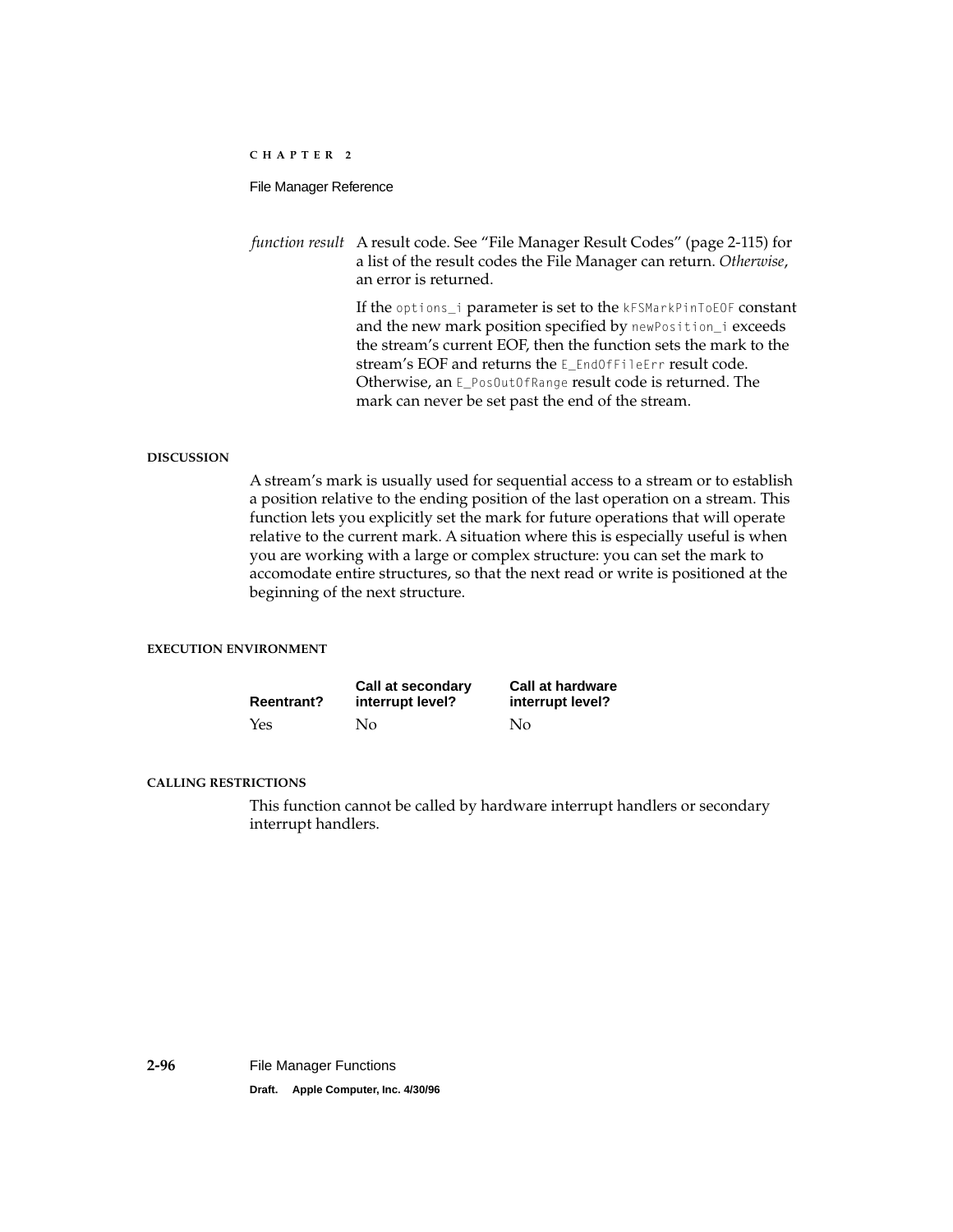#### File Manager Reference

*function result* A result code. See ["File Manager Result Codes" \(page 2-115\)](#page-142-0) for a list of the result codes the File Manager can return. *Otherwise*, an error is returned.

> If the options\_i parameter is set to the kFSMarkPinToEOF constant and the new mark position specified by newPosition\_i exceeds the stream's current EOF, then the function sets the mark to the stream's EOF and returns the E\_EndOfFileErr result code. Otherwise, an E\_PosOutOfRange result code is returned. The mark can never be set past the end of the stream.

#### **DISCUSSION**

A stream's mark is usually used for sequential access to a stream or to establish a position relative to the ending position of the last operation on a stream. This function lets you explicitly set the mark for future operations that will operate relative to the current mark. A situation where this is especially useful is when you are working with a large or complex structure: you can set the mark to accomodate entire structures, so that the next read or write is positioned at the beginning of the next structure.

# **EXECUTION ENVIRONMENT**

| <b>Reentrant?</b> | Call at secondary<br>interrupt level? | <b>Call at hardware</b><br>interrupt level? |
|-------------------|---------------------------------------|---------------------------------------------|
| Yes               | Nο                                    | No                                          |

#### **CALLING RESTRICTIONS**

This function cannot be called by hardware interrupt handlers or secondary interrupt handlers.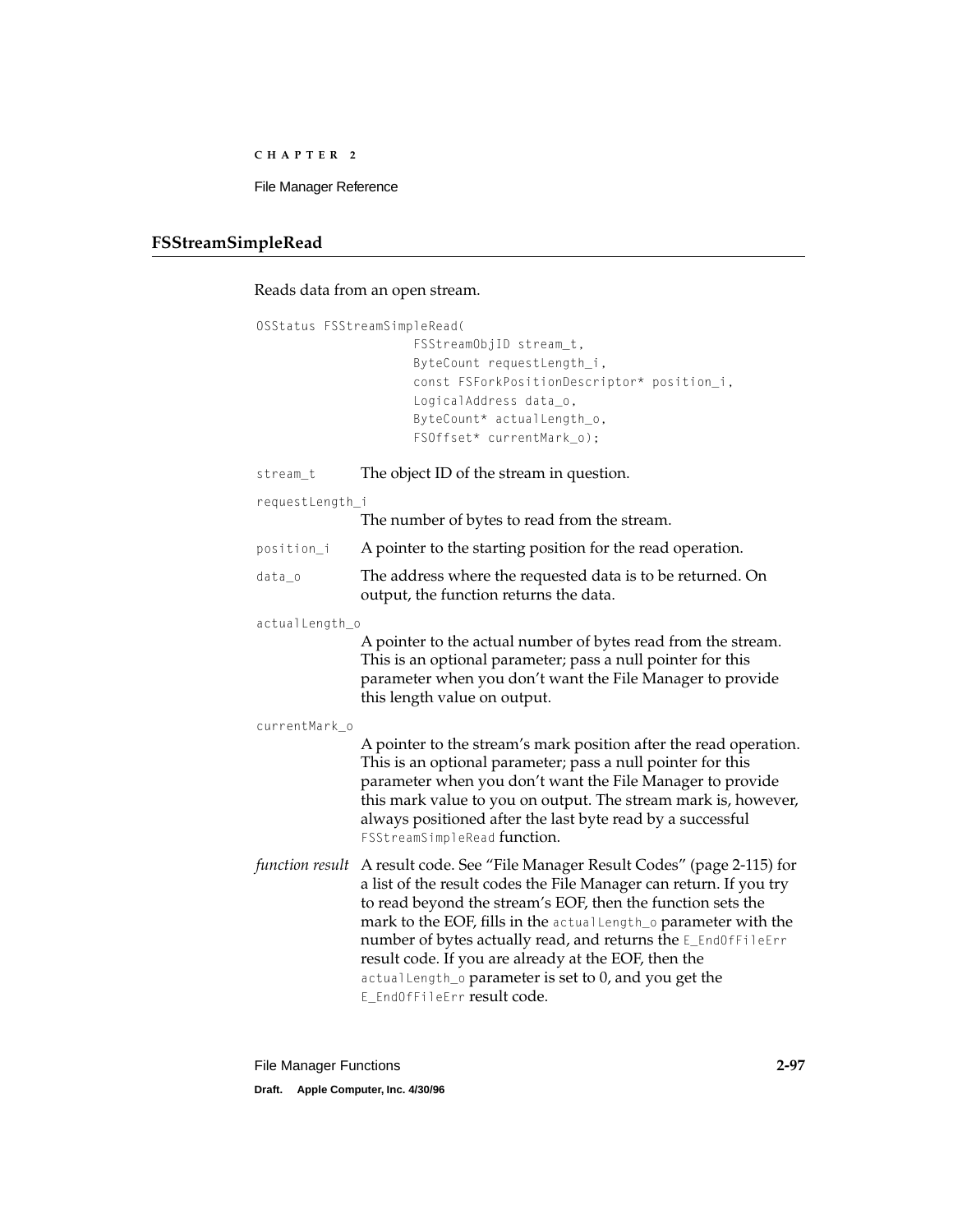# File Manager Reference

# <span id="page-124-0"></span>**FSStreamSimpleRead 2**

# Reads data from an open stream.

|                                 | OSStatus FSStreamSimpleRead(<br>FSStreamObjID stream_t,<br>ByteCount requestLength_i,<br>const FSForkPositionDescriptor* position_i,<br>LogicalAddress data_o,<br>ByteCount* actualLength_o,<br>FSOffset* currentMark_o);                                                                                                                                                                                                                                                                  |
|---------------------------------|--------------------------------------------------------------------------------------------------------------------------------------------------------------------------------------------------------------------------------------------------------------------------------------------------------------------------------------------------------------------------------------------------------------------------------------------------------------------------------------------|
| stream_t                        | The object ID of the stream in question.                                                                                                                                                                                                                                                                                                                                                                                                                                                   |
| requestLength_i                 | The number of bytes to read from the stream.                                                                                                                                                                                                                                                                                                                                                                                                                                               |
| position_i                      | A pointer to the starting position for the read operation.                                                                                                                                                                                                                                                                                                                                                                                                                                 |
| data_o                          | The address where the requested data is to be returned. On<br>output, the function returns the data.                                                                                                                                                                                                                                                                                                                                                                                       |
| actualLength_o<br>currentMark_o | A pointer to the actual number of bytes read from the stream.<br>This is an optional parameter; pass a null pointer for this<br>parameter when you don't want the File Manager to provide<br>this length value on output.<br>A pointer to the stream's mark position after the read operation.                                                                                                                                                                                             |
|                                 | This is an optional parameter; pass a null pointer for this<br>parameter when you don't want the File Manager to provide<br>this mark value to you on output. The stream mark is, however,<br>always positioned after the last byte read by a successful<br>FSStreamSimpleRead function.                                                                                                                                                                                                   |
| function result                 | A result code. See "File Manager Result Codes" (page 2-115) for<br>a list of the result codes the File Manager can return. If you try<br>to read beyond the stream's EOF, then the function sets the<br>mark to the EOF, fills in the actual Length_o parameter with the<br>number of bytes actually read, and returns the E_EndOfFileErr<br>result code. If you are already at the EOF, then the<br>actual Length_o parameter is set to 0, and you get the<br>E_EndOfFileErr result code. |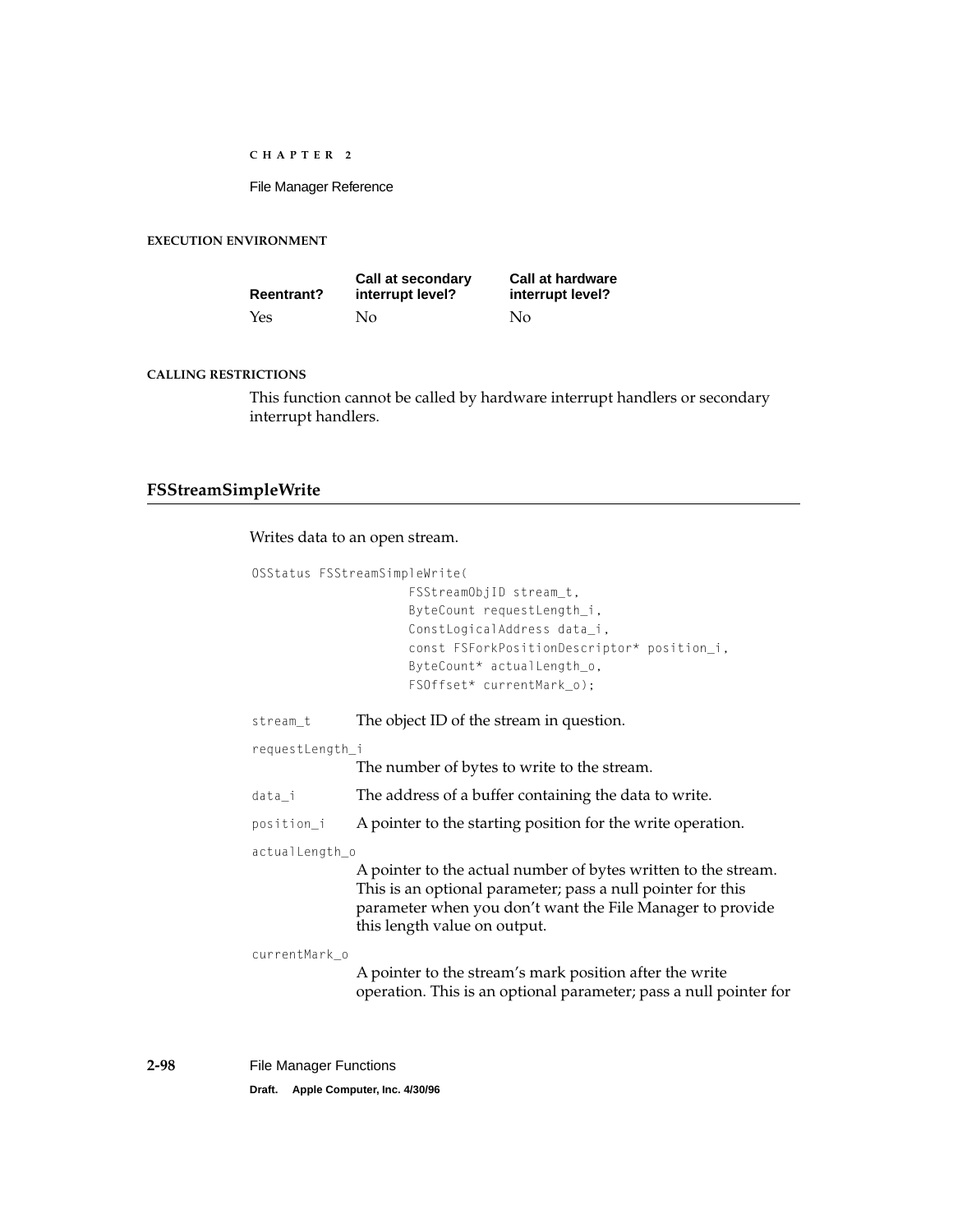File Manager Reference

#### <span id="page-125-0"></span>**EXECUTION ENVIRONMENT**

| <b>Reentrant?</b> | Call at secondary<br>interrupt level? | <b>Call at hardware</b><br>interrupt level? |
|-------------------|---------------------------------------|---------------------------------------------|
| Yes               | Nο                                    | No                                          |

#### **CALLING RESTRICTIONS**

This function cannot be called by hardware interrupt handlers or secondary interrupt handlers.

# **FSStreamSimpleWrite 2**

# Writes data to an open stream.

```
OSStatus FSStreamSimpleWrite(
                      FSStreamObjID stream_t,
                      ByteCount requestLength_i,
                      ConstLogicalAddress data_i,
                      const FSForkPositionDescriptor* position_i,
                      ByteCount* actualLength o,
                      FSOffset* currentMark_o);
stream<sub>_t</sub> The object ID of the stream in question.
requestLength_i
               The number of bytes to write to the stream.
data_i The address of a buffer containing the data to write.
position_i A pointer to the starting position for the write operation.
actualLength_o
               A pointer to the actual number of bytes written to the stream. 
               This is an optional parameter; pass a null pointer for this 
               parameter when you don't want the File Manager to provide 
               this length value on output.
currentMark_o
               A pointer to the stream's mark position after the write 
               operation. This is an optional parameter; pass a null pointer for
```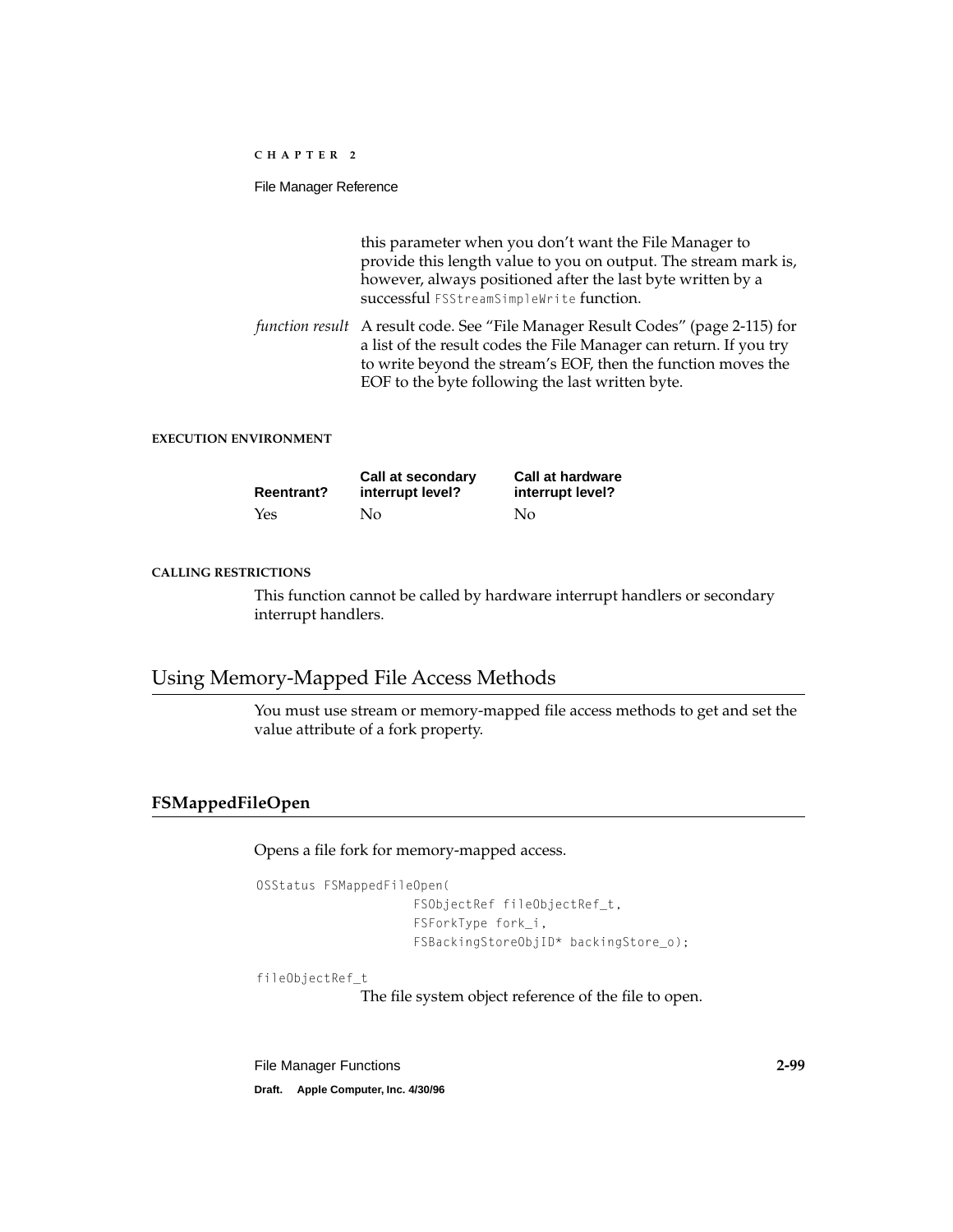# <span id="page-126-0"></span>File Manager Reference

| this parameter when you don't want the File Manager to          |
|-----------------------------------------------------------------|
| provide this length value to you on output. The stream mark is, |
| however, always positioned after the last byte written by a     |
| successful FSStreamSimpleWrite function.                        |
|                                                                 |

*function result* A result code. See ["File Manager Result Codes" \(page 2-115\)](#page-142-0) for a list of the result codes the File Manager can return. If you try to write beyond the stream's EOF, then the function moves the EOF to the byte following the last written byte.

#### **EXECUTION ENVIRONMENT**

| <b>Reentrant?</b> | Call at secondary<br>interrupt level? | <b>Call at hardware</b><br>interrupt level? |
|-------------------|---------------------------------------|---------------------------------------------|
| Yes               | Nο                                    | No                                          |

## **CALLING RESTRICTIONS**

This function cannot be called by hardware interrupt handlers or secondary interrupt handlers.

# Using Memory-Mapped File Access Methods 2

You must use stream or memory-mapped file access methods to get and set the value attribute of a fork property.

# **FSMappedFileOpen 2**

Opens a file fork for memory-mapped access.

```
OSStatus FSMappedFileOpen(
```
FSObjectRef fileObjectRef\_t, FSForkType fork\_i, FSBackingStoreObjID\* backingStore o);

fileObjectRef\_t

The file system object reference of the file to open.

File Manager Functions **2-99 Draft. Apple Computer, Inc. 4/30/96**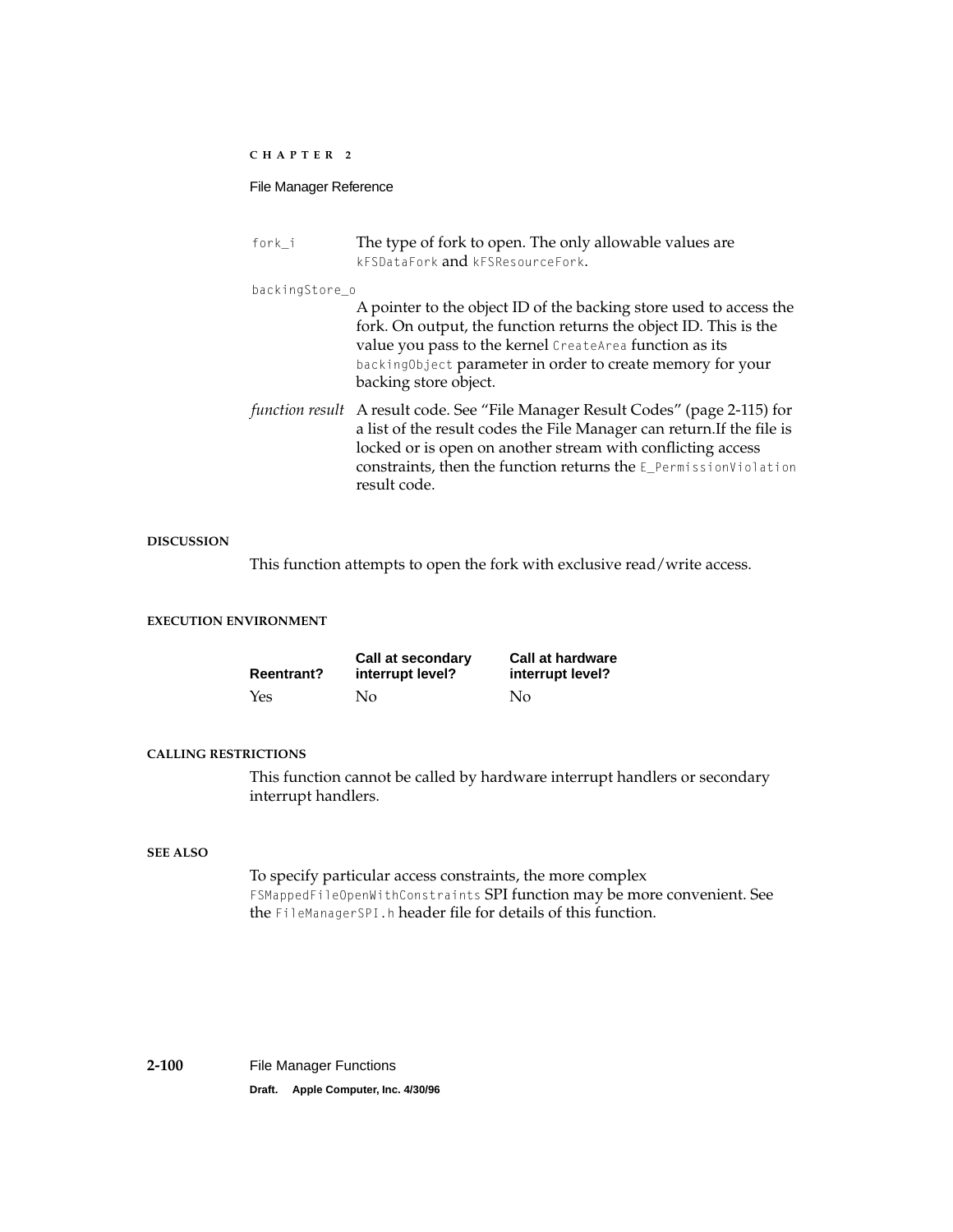### File Manager Reference

fork\_i The type of fork to open. The only allowable values are kFSDataFork and kFSResourceFork.

#### backingStore\_o

A pointer to the object ID of the backing store used to access the fork. On output, the function returns the object ID. This is the value you pass to the kernel CreateArea function as its backingObject parameter in order to create memory for your backing store object.

*function result* A result code. See ["File Manager Result Codes" \(page 2-115\)](#page-142-0) for a list of the result codes the File Manager can return.If the file is locked or is open on another stream with conflicting access constraints, then the function returns the E\_PermissionViolation result code.

#### **DISCUSSION**

This function attempts to open the fork with exclusive read/write access.

## **EXECUTION ENVIRONMENT**

| <b>Reentrant?</b> | Call at secondary<br>interrupt level? | <b>Call at hardware</b><br>interrupt level? |
|-------------------|---------------------------------------|---------------------------------------------|
| Yes               | No                                    | No                                          |

## **CALLING RESTRICTIONS**

This function cannot be called by hardware interrupt handlers or secondary interrupt handlers.

#### **SEE ALSO**

To specify particular access constraints, the more complex FSMappedFileOpenWithConstraints SPI function may be more convenient. See the FileManagerSPI.h header file for details of this function.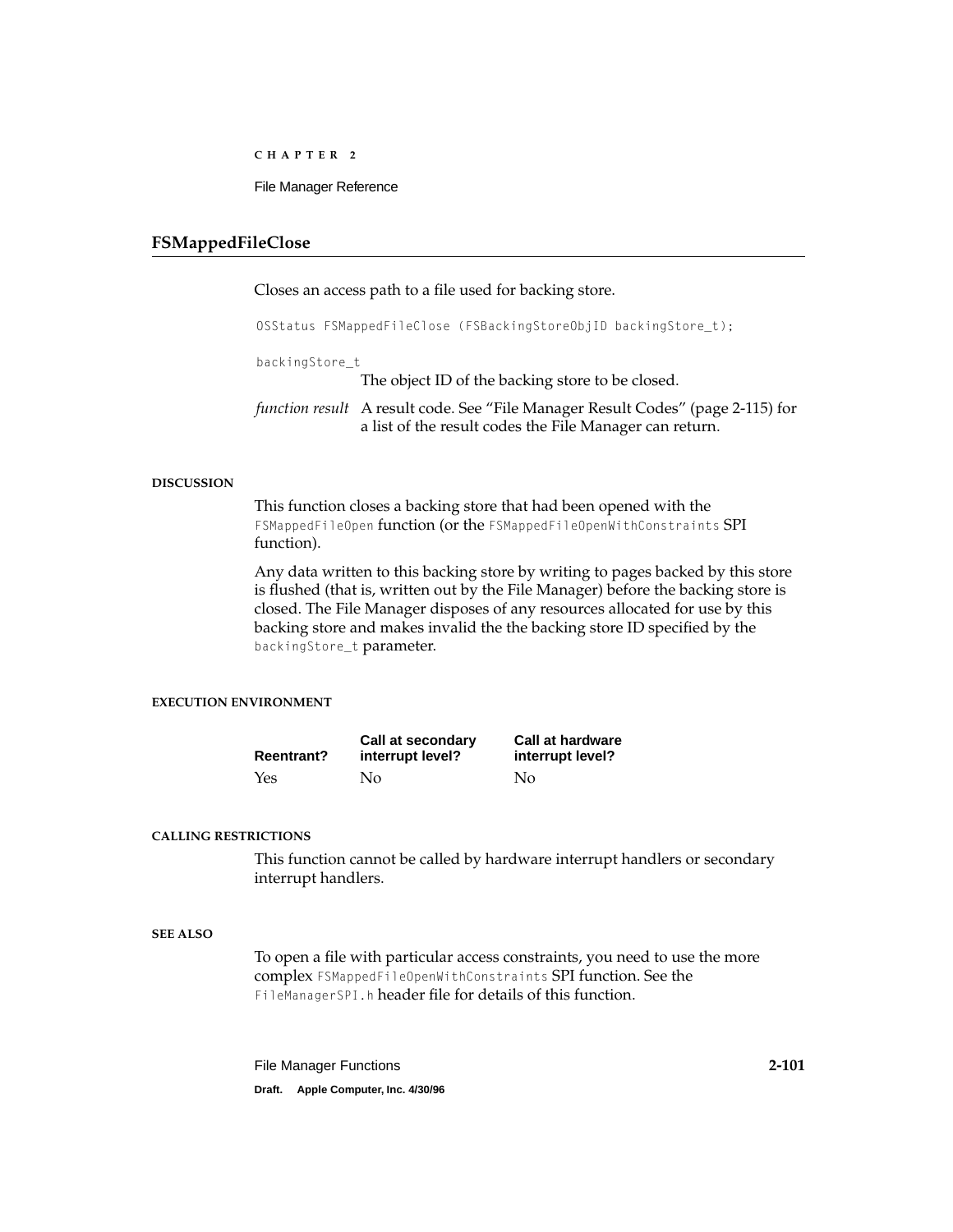#### File Manager Reference

# **FSMappedFileClose 2**

Closes an access path to a file used for backing store.

OSStatus FSMappedFileClose (FSBackingStoreObjID backingStore\_t);

backingStore\_t

The object ID of the backing store to be closed.

*function result* A result code. See ["File Manager Result Codes" \(page 2-115\)](#page-142-0) for a list of the result codes the File Manager can return.

## **DISCUSSION**

This function closes a backing store that had been opened with the FSMappedFileOpen function (or the FSMappedFileOpenWithConstraints SPI function).

Any data written to this backing store by writing to pages backed by this store is flushed (that is, written out by the File Manager) before the backing store is closed. The File Manager disposes of any resources allocated for use by this backing store and makes invalid the the backing store ID specified by the backingStore\_t parameter.

## **EXECUTION ENVIRONMENT**

| <b>Reentrant?</b> | Call at secondary<br>interrupt level? | <b>Call at hardware</b><br>interrupt level? |
|-------------------|---------------------------------------|---------------------------------------------|
| Yes               | No                                    | No                                          |

## **CALLING RESTRICTIONS**

This function cannot be called by hardware interrupt handlers or secondary interrupt handlers.

## **SEE ALSO**

To open a file with particular access constraints, you need to use the more complex FSMappedFileOpenWithConstraints SPI function. See the FileManagerSPI.h header file for details of this function.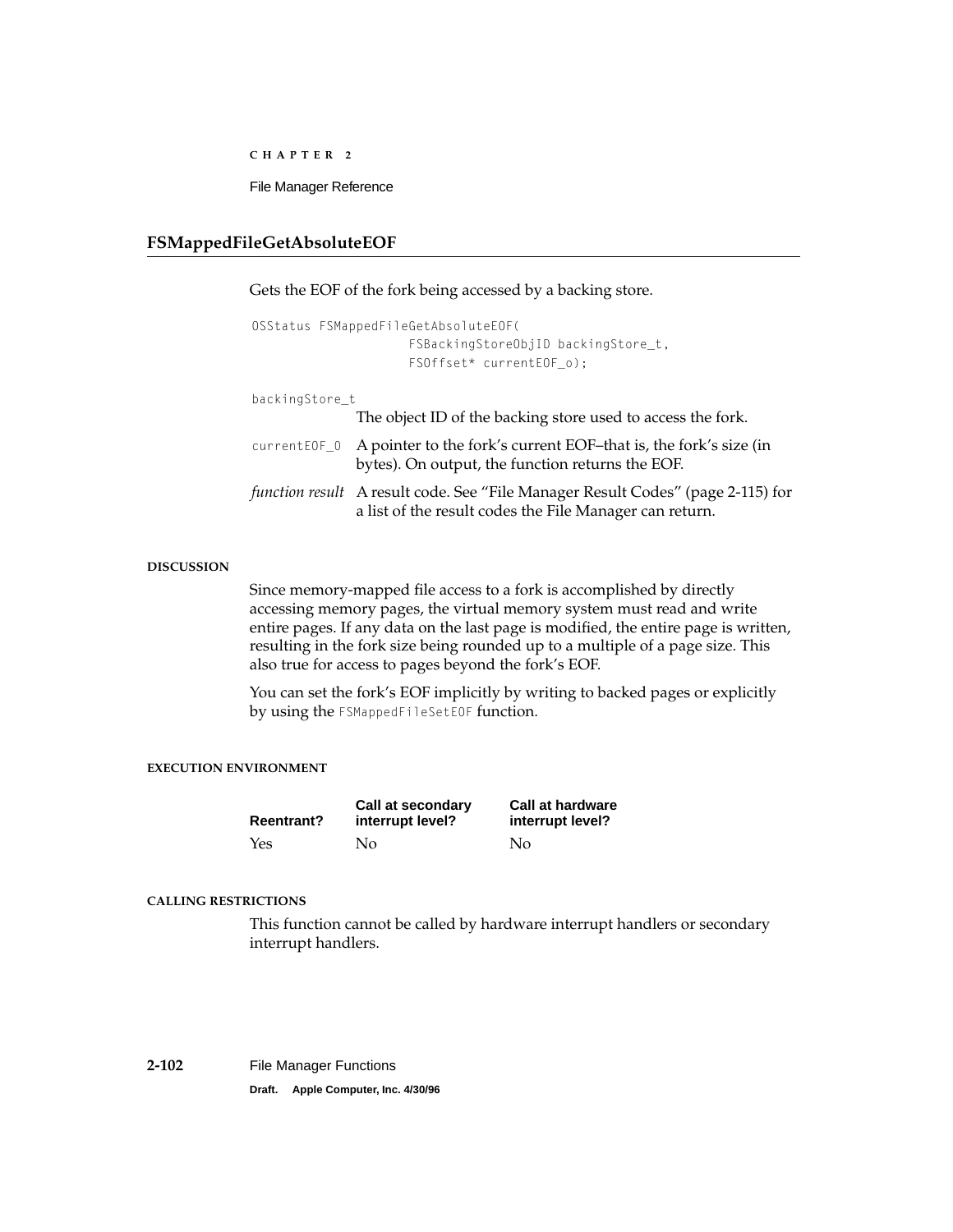File Manager Reference

# **FSMappedFileGetAbsoluteEOF 2**

Gets the EOF of the fork being accessed by a backing store.

|                | OSStatus FSMappedFileGetAbsoluteEOF(<br>FSBackingStoreObjID backingStore_t,<br>FSOffset* currentEOF o):                                    |
|----------------|--------------------------------------------------------------------------------------------------------------------------------------------|
| backingStore_t | The object ID of the backing store used to access the fork.                                                                                |
|                | $currentE0F_0$ A pointer to the fork's current EOF-that is, the fork's size (in<br>bytes). On output, the function returns the EOF.        |
|                | function result A result code. See "File Manager Result Codes" (page 2-115) for<br>a list of the result codes the File Manager can return. |

# **DISCUSSION**

Since memory-mapped file access to a fork is accomplished by directly accessing memory pages, the virtual memory system must read and write entire pages. If any data on the last page is modified, the entire page is written, resulting in the fork size being rounded up to a multiple of a page size. This also true for access to pages beyond the fork's EOF.

You can set the fork's EOF implicitly by writing to backed pages or explicitly by using the FSMappedFileSetEOF function.

## **EXECUTION ENVIRONMENT**

| <b>Reentrant?</b> | Call at secondary<br>interrupt level? | <b>Call at hardware</b><br>interrupt level? |
|-------------------|---------------------------------------|---------------------------------------------|
| <b>Yes</b>        | No.                                   | No                                          |

# **CALLING RESTRICTIONS**

This function cannot be called by hardware interrupt handlers or secondary interrupt handlers.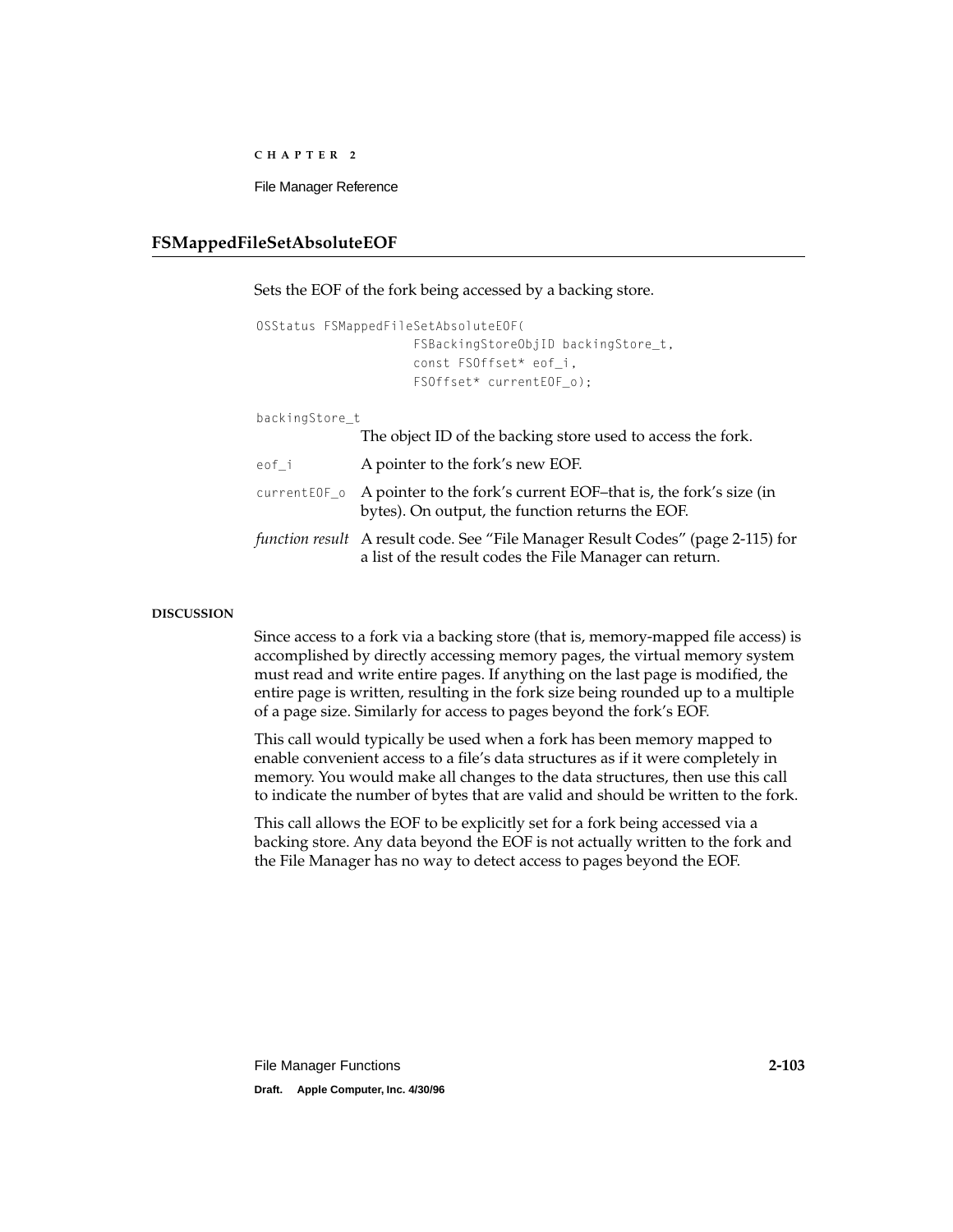File Manager Reference

# **FSMappedFileSetAbsoluteEOF 2**

Sets the EOF of the fork being accessed by a backing store.

|                | OSStatus FSMappedFileSetAbsoluteEOF(<br>FSBackingStoreObjID backingStore t.<br>const FSOffset* eof i.<br>FSOffset* currentEOF o):                 |
|----------------|---------------------------------------------------------------------------------------------------------------------------------------------------|
| backingStore_t | The object ID of the backing store used to access the fork.                                                                                       |
| eof i          | A pointer to the fork's new EOF.                                                                                                                  |
|                | $currentE0F_0$ A pointer to the fork's current EOF-that is, the fork's size (in<br>bytes). On output, the function returns the EOF.               |
|                | <i>function result</i> A result code. See "File Manager Result Codes" (page 2-115) for<br>a list of the result codes the File Manager can return. |

### **DISCUSSION**

Since access to a fork via a backing store (that is, memory-mapped file access) is accomplished by directly accessing memory pages, the virtual memory system must read and write entire pages. If anything on the last page is modified, the entire page is written, resulting in the fork size being rounded up to a multiple of a page size. Similarly for access to pages beyond the fork's EOF.

This call would typically be used when a fork has been memory mapped to enable convenient access to a file's data structures as if it were completely in memory. You would make all changes to the data structures, then use this call to indicate the number of bytes that are valid and should be written to the fork.

This call allows the EOF to be explicitly set for a fork being accessed via a backing store. Any data beyond the EOF is not actually written to the fork and the File Manager has no way to detect access to pages beyond the EOF.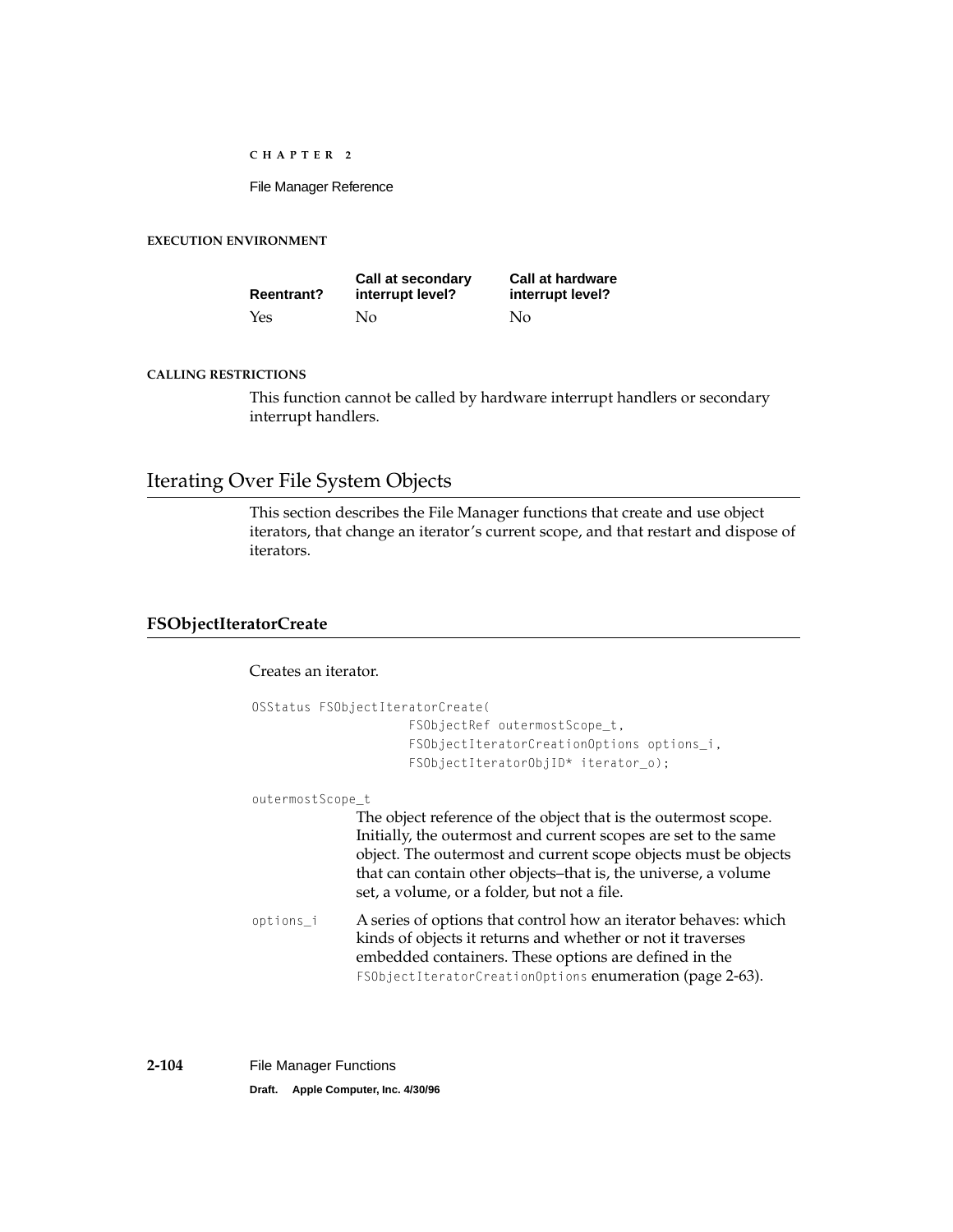File Manager Reference

#### <span id="page-131-0"></span>**EXECUTION ENVIRONMENT**

| <b>Reentrant?</b> | Call at secondary<br>interrupt level? | <b>Call at hardware</b><br>interrupt level? |
|-------------------|---------------------------------------|---------------------------------------------|
| Yes               | Nο                                    | No                                          |

# **CALLING RESTRICTIONS**

This function cannot be called by hardware interrupt handlers or secondary interrupt handlers.

# Iterating Over File System Objects 2

This section describes the File Manager functions that create and use object iterators, that change an iterator's current scope, and that restart and dispose of iterators.

# **FSObjectIteratorCreate 2**

# Creates an iterator.

```
OSStatus FSObjectIteratorCreate(
                     FSObjectRef outermostScope_t,
                     FSObjectIteratorCreationOptions options_i,
                     FSObjectIteratorObjID* iterator_o);
```
outermostScope\_t

The object reference of the object that is the outermost scope. Initially, the outermost and current scopes are set to the same object. The outermost and current scope objects must be objects that can contain other objects–that is, the universe, a volume set, a volume, or a folder, but not a file.

options\_i A series of options that control how an iterator behaves: which kinds of objects it returns and whether or not it traverses embedded containers. These options are defined in the FSObjectIteratorCreationOptions enumeration [\(page 2-63\)](#page-90-0).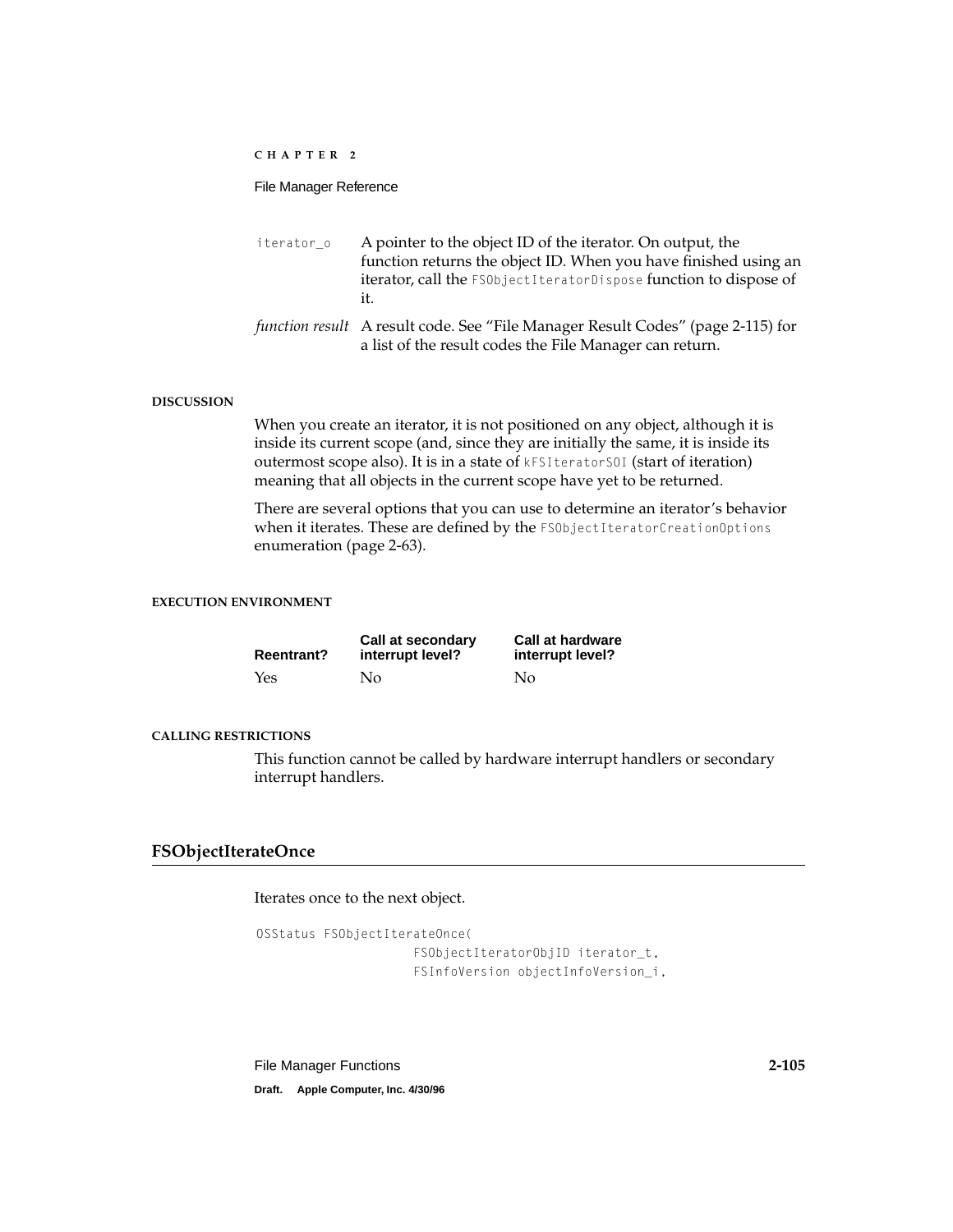### <span id="page-132-0"></span>File Manager Reference

| iterator_o | A pointer to the object ID of the iterator. On output, the                                                                                        |  |
|------------|---------------------------------------------------------------------------------------------------------------------------------------------------|--|
|            | function returns the object ID. When you have finished using an                                                                                   |  |
|            | iterator, call the FSObjectIteratorDispose function to dispose of                                                                                 |  |
|            | it.                                                                                                                                               |  |
|            | <i>function result</i> A result code. See "File Manager Result Codes" (page 2-115) for<br>a list of the result codes the File Manager can return. |  |

#### **DISCUSSION**

When you create an iterator, it is not positioned on any object, although it is inside its current scope (and, since they are initially the same, it is inside its outermost scope also). It is in a state of kFSIteratorSOI (start of iteration) meaning that all objects in the current scope have yet to be returned.

There are several options that you can use to determine an iterator's behavior when it iterates. These are defined by the FSObjectIteratorCreationOptions enumeration [\(page 2-63\)](#page-90-0).

# **EXECUTION ENVIRONMENT**

| <b>Reentrant?</b> | Call at secondary<br>interrupt level? | <b>Call at hardware</b><br>interrupt level? |
|-------------------|---------------------------------------|---------------------------------------------|
| Yes               | Nο                                    | Nο                                          |

#### **CALLING RESTRICTIONS**

This function cannot be called by hardware interrupt handlers or secondary interrupt handlers.

# **FSObjectIterateOnce 2**

Iterates once to the next object.

```
OSStatus FSObjectIterateOnce(
                     FSObjectIteratorObjID iterator_t,
                     FSInfoVersion objectInfoVersion_i,
```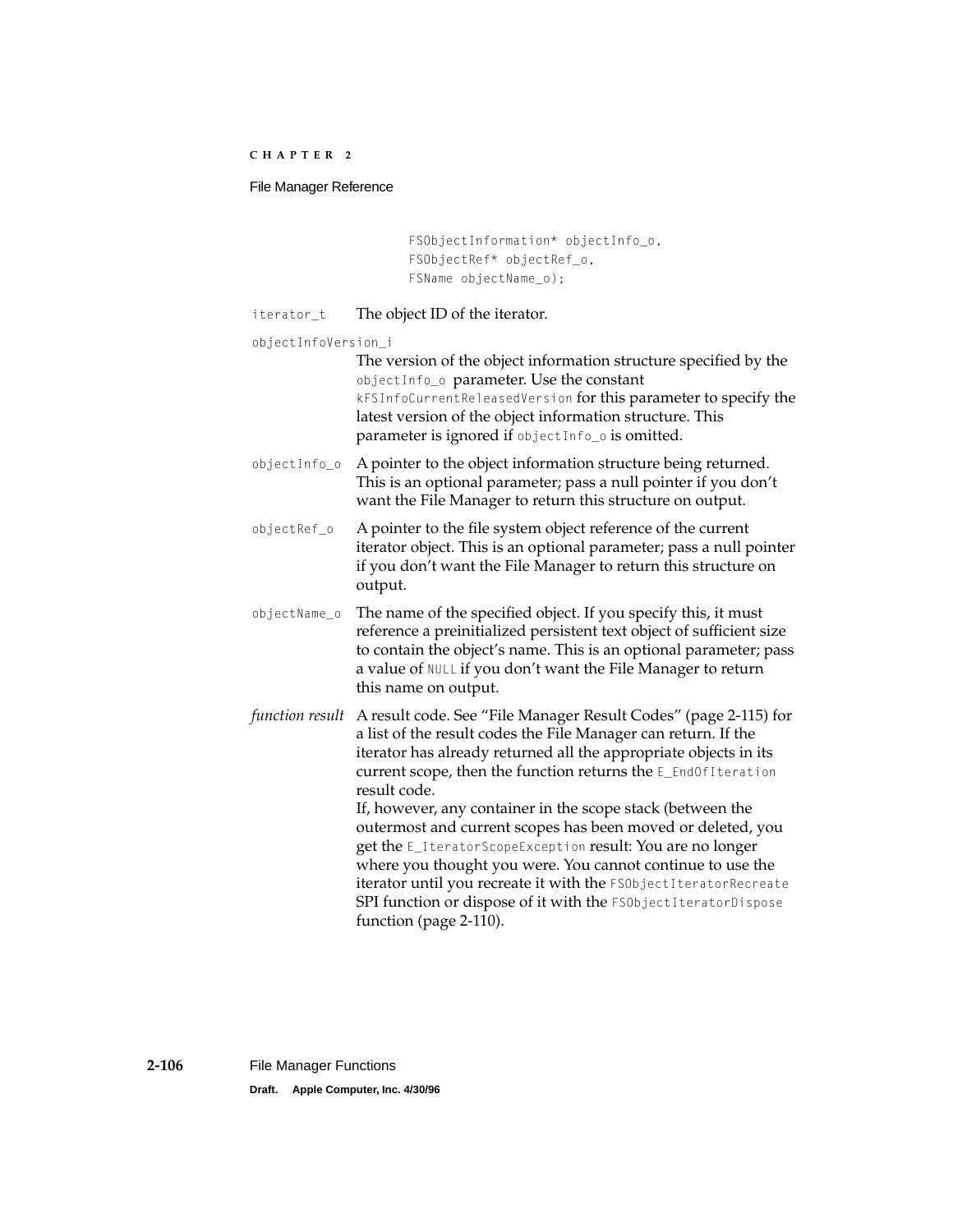#### File Manager Reference

```
FSObjectInformation* objectInfo_o,
FSObjectRef* objectRef_o,
FSName objectName_o);
```
# iterator\_t The object ID of the iterator.

# objectInfoVersion\_i

The version of the object information structure specified by the objectInfo\_o parameter. Use the constant kFSInfoCurrentReleasedVersion for this parameter to specify the latest version of the object information structure. This parameter is ignored if objectInfo\_o is omitted.

- objectInfo\_o A pointer to the object information structure being returned. This is an optional parameter; pass a null pointer if you don't want the File Manager to return this structure on output.
- objectRef\_o A pointer to the file system object reference of the current iterator object. This is an optional parameter; pass a null pointer if you don't want the File Manager to return this structure on output.
- objectName\_o The name of the specified object. If you specify this, it must reference a preinitialized persistent text object of sufficient size to contain the object's name. This is an optional parameter; pass a value of NULL if you don't want the File Manager to return this name on output.

*function result* A result code. See ["File Manager Result Codes" \(page 2-115\)](#page-142-0) for a list of the result codes the File Manager can return. If the iterator has already returned all the appropriate objects in its current scope, then the function returns the E\_EndOfIteration result code. If, however, any container in the scope stack (between the

outermost and current scopes has been moved or deleted, you get the E\_IteratorScopeException result: You are no longer where you thought you were. You cannot continue to use the iterator until you recreate it with the FSObjectIteratorRecreate SPI function or dispose of it with the FSObjectIteratorDispose function [\(page 2-110\).](#page-137-0)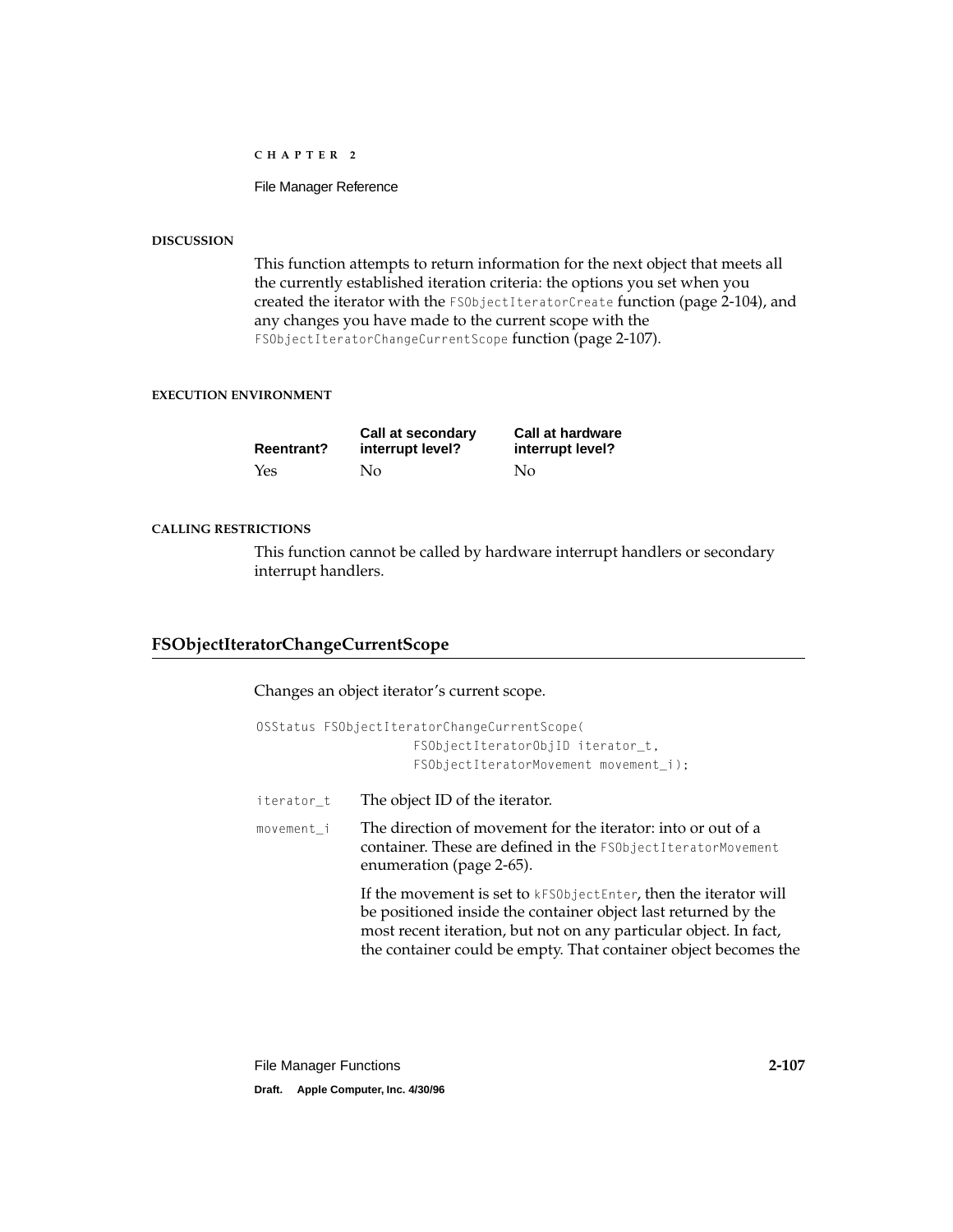File Manager Reference

# **DISCUSSION**

This function attempts to return information for the next object that meets all the currently established iteration criteria: the options you set when you created the iterator with the FSObjectIteratorCreate function [\(page 2-104\)](#page-131-0), and any changes you have made to the current scope with the FSObjectIteratorChangeCurrentScope function (page 2-107).

## **EXECUTION ENVIRONMENT**

| <b>Reentrant?</b> | Call at secondary<br>interrupt level? | <b>Call at hardware</b><br>interrupt level? |
|-------------------|---------------------------------------|---------------------------------------------|
| Yes               | Nο                                    | No                                          |

# **CALLING RESTRICTIONS**

This function cannot be called by hardware interrupt handlers or secondary interrupt handlers.

# **FSObjectIteratorChangeCurrentScope 2**

Changes an object iterator's current scope.

```
OSStatus FSObjectIteratorChangeCurrentScope(
                     FSObjectIteratorObjID iterator_t,
                     FSObjectIteratorMovement movement i);
```
iterator\_t The object ID of the iterator.

movement\_i The direction of movement for the iterator: into or out of a container. These are defined in the FSObjectIteratorMovement enumeration [\(page 2-65\).](#page-92-0)

> If the movement is set to kFSObjectEnter, then the iterator will be positioned inside the container object last returned by the most recent iteration, but not on any particular object. In fact, the container could be empty. That container object becomes the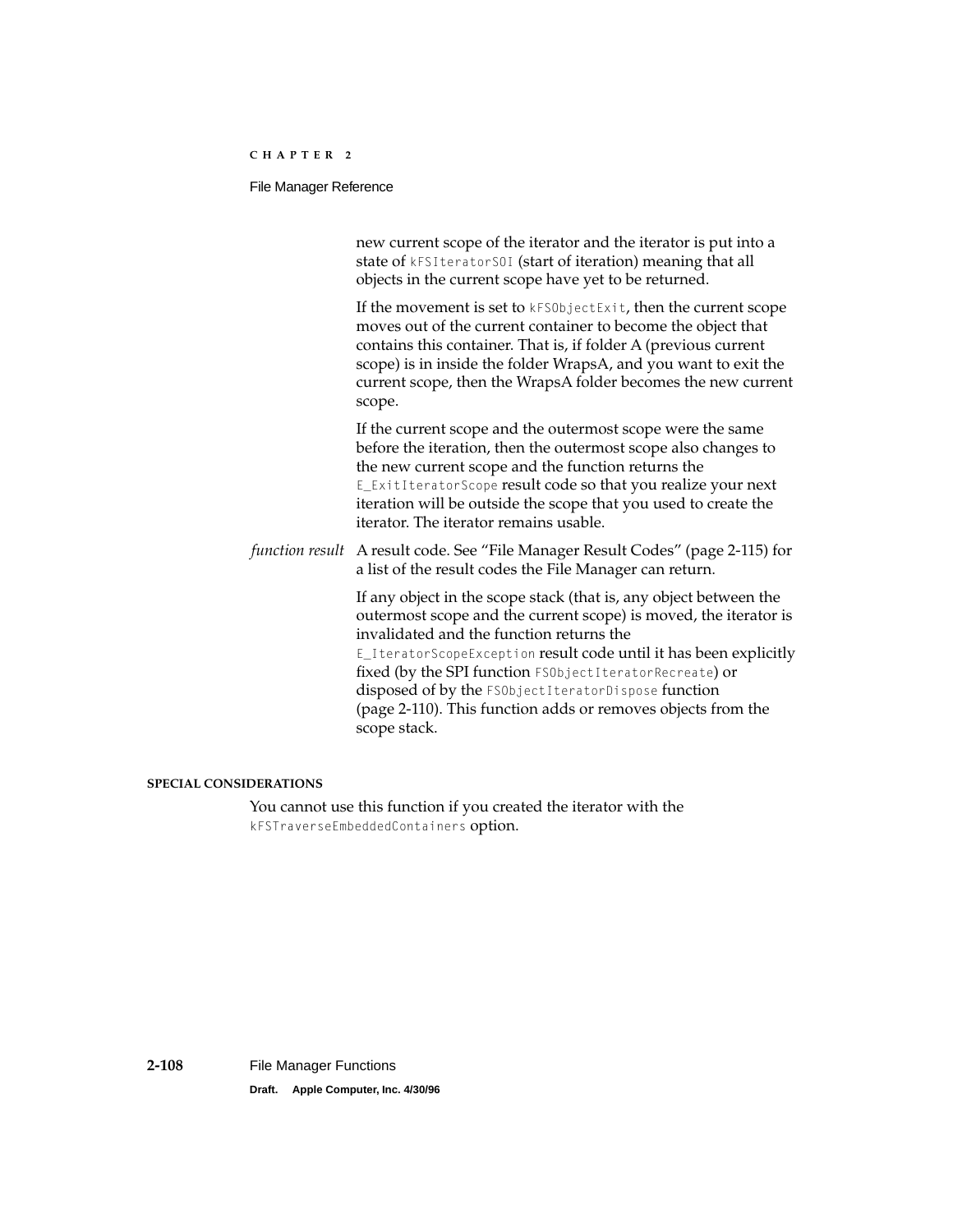# File Manager Reference

| new current scope of the iterator and the iterator is put into a<br>state of kFSIteratorS0I (start of iteration) meaning that all<br>objects in the current scope have yet to be returned.                                                                                                                                                                                                                                                               |
|----------------------------------------------------------------------------------------------------------------------------------------------------------------------------------------------------------------------------------------------------------------------------------------------------------------------------------------------------------------------------------------------------------------------------------------------------------|
| If the movement is set to kFS0bjectExit, then the current scope<br>moves out of the current container to become the object that<br>contains this container. That is, if folder A (previous current<br>scope) is in inside the folder WrapsA, and you want to exit the<br>current scope, then the WrapsA folder becomes the new current<br>scope.                                                                                                         |
| If the current scope and the outermost scope were the same<br>before the iteration, then the outermost scope also changes to<br>the new current scope and the function returns the<br>E_ExitIteratorScope result code so that you realize your next<br>iteration will be outside the scope that you used to create the<br>iterator. The iterator remains usable.                                                                                         |
| function result A result code. See "File Manager Result Codes" (page 2-115) for<br>a list of the result codes the File Manager can return.                                                                                                                                                                                                                                                                                                               |
| If any object in the scope stack (that is, any object between the<br>outermost scope and the current scope) is moved, the iterator is<br>invalidated and the function returns the<br>E_IteratorScopeException result code until it has been explicitly<br>fixed (by the SPI function FSObjectIteratorRecreate) or<br>disposed of by the FSObjectIteratorDispose function<br>(page 2-110). This function adds or removes objects from the<br>scope stack. |

# **SPECIAL CONSIDERATIONS**

You cannot use this function if you created the iterator with the kFSTraverseEmbeddedContainers option.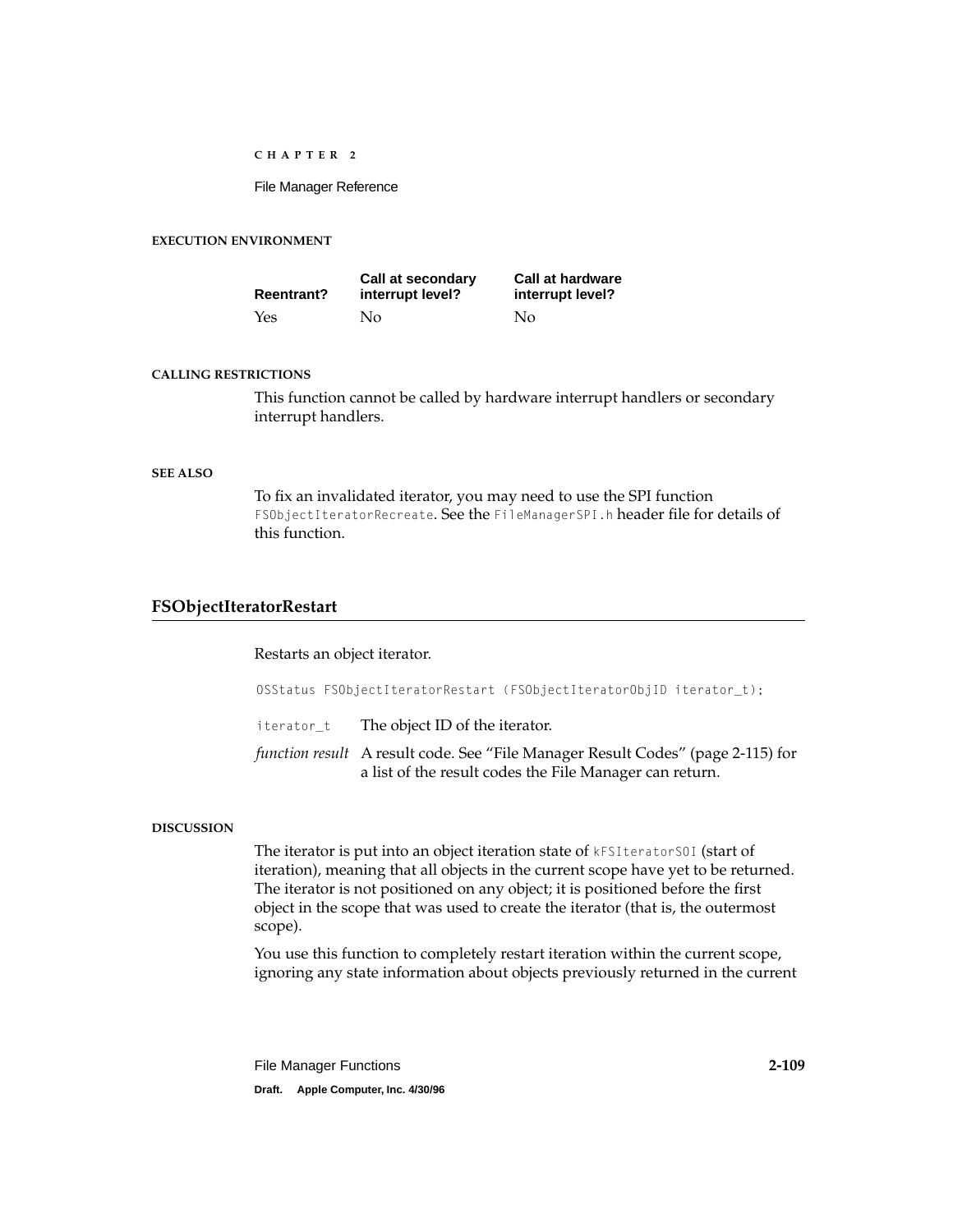#### File Manager Reference

## **EXECUTION ENVIRONMENT**

| <b>Reentrant?</b> | Call at secondary<br>interrupt level? | <b>Call at hardware</b><br>interrupt level? |
|-------------------|---------------------------------------|---------------------------------------------|
| Yes               | No.                                   | No                                          |

## **CALLING RESTRICTIONS**

This function cannot be called by hardware interrupt handlers or secondary interrupt handlers.

### **SEE ALSO**

To fix an invalidated iterator, you may need to use the SPI function FSObjectIteratorRecreate. See the FileManagerSPI.h header file for details of this function.

# **FSObjectIteratorRestart 2**

## Restarts an object iterator.

OSStatus FSObjectIteratorRestart (FSObjectIteratorObjID iterator t);

- iterator\_t The object ID of the iterator.
- *function result* A result code. See ["File Manager Result Codes" \(page 2-115\)](#page-142-0) for a list of the result codes the File Manager can return.

#### **DISCUSSION**

The iterator is put into an object iteration state of kFSIteratorS0I (start of iteration), meaning that all objects in the current scope have yet to be returned. The iterator is not positioned on any object; it is positioned before the first object in the scope that was used to create the iterator (that is, the outermost scope).

You use this function to completely restart iteration within the current scope, ignoring any state information about objects previously returned in the current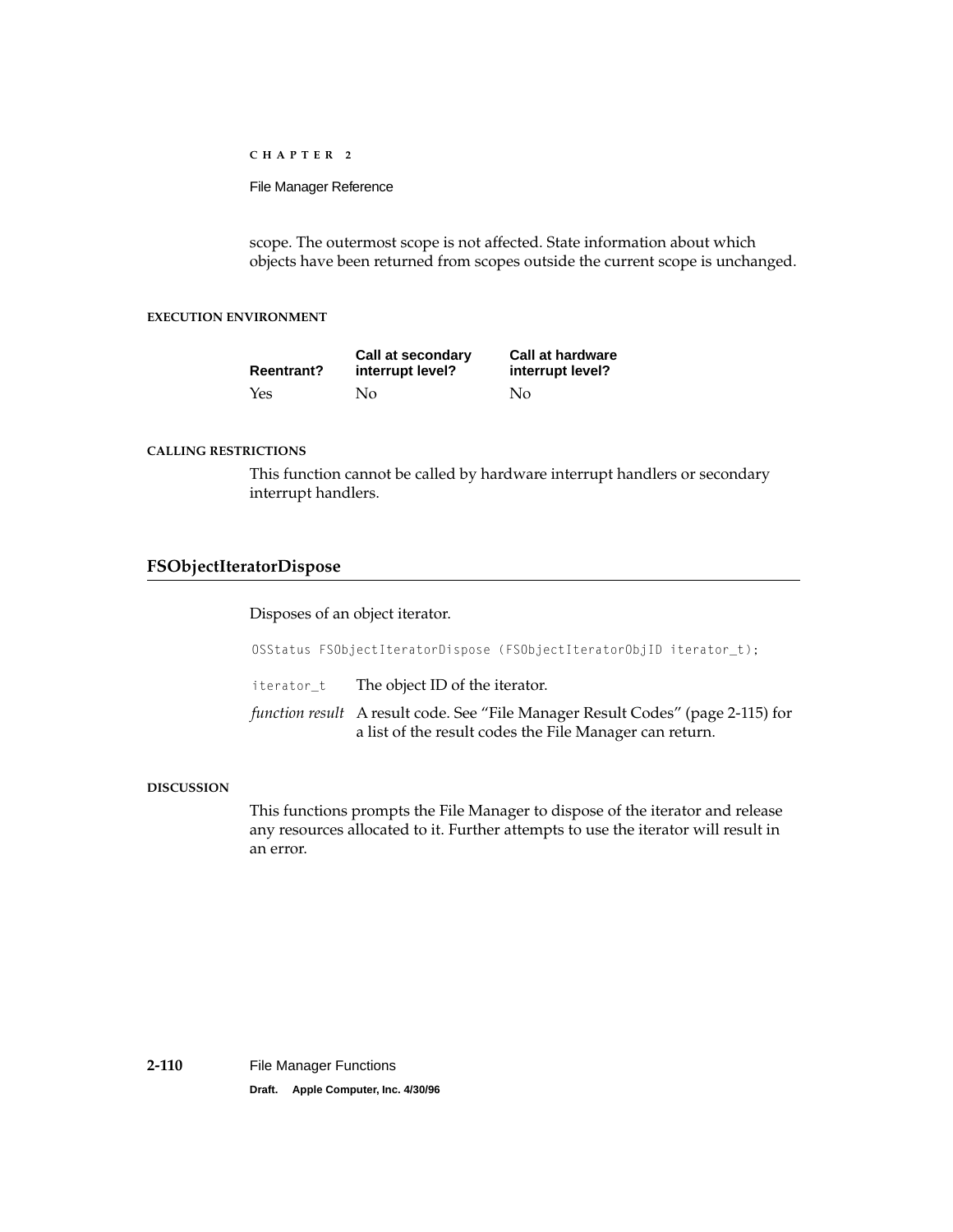#### <span id="page-137-0"></span>File Manager Reference

scope. The outermost scope is not affected. State information about which objects have been returned from scopes outside the current scope is unchanged.

## **EXECUTION ENVIRONMENT**

| <b>Reentrant?</b> | Call at secondary<br>interrupt level? | <b>Call at hardware</b><br>interrupt level? |  |
|-------------------|---------------------------------------|---------------------------------------------|--|
| Yes               | Nο                                    | No                                          |  |

## **CALLING RESTRICTIONS**

This function cannot be called by hardware interrupt handlers or secondary interrupt handlers.

# **FSObjectIteratorDispose 2**

# Disposes of an object iterator.

OSStatus FSObjectIteratorDispose (FSObjectIteratorObjID iterator\_t);

- iterator\_t The object ID of the iterator.
- *function result* A result code. See ["File Manager Result Codes" \(page 2-115\)](#page-142-0) for a list of the result codes the File Manager can return.

## **DISCUSSION**

This functions prompts the File Manager to dispose of the iterator and release any resources allocated to it. Further attempts to use the iterator will result in an error.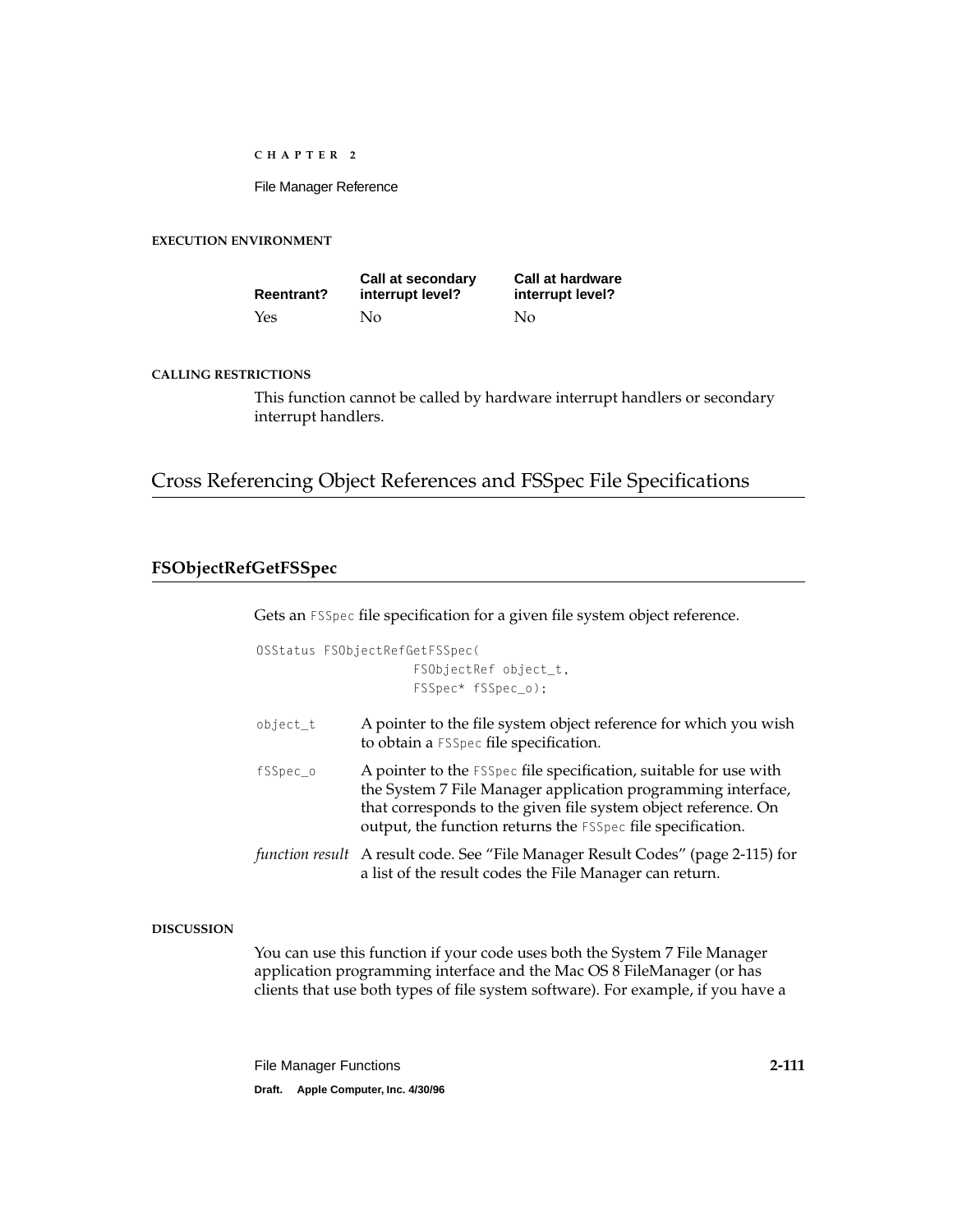File Manager Reference

## **EXECUTION ENVIRONMENT**

| <b>Reentrant?</b> | Call at secondary<br>interrupt level? | <b>Call at hardware</b><br>interrupt level? |  |
|-------------------|---------------------------------------|---------------------------------------------|--|
| Yes               | No                                    | No.                                         |  |

# **CALLING RESTRICTIONS**

This function cannot be called by hardware interrupt handlers or secondary interrupt handlers.

Cross Referencing Object References and FSSpec File Specifications 2

# **FSObjectRefGetFSSpec 2**

Gets an FSSpec file specification for a given file system object reference.

```
OSStatus FSObjectRefGetFSSpec(
                     FSObjectRef object_t,
                     FSSpec* fSSpec_o);
```
- object\_t A pointer to the file system object reference for which you wish to obtain a FSSpec file specification.
- fSSpec\_o A pointer to the FSSpec file specification, suitable for use with the System 7 File Manager application programming interface, that corresponds to the given file system object reference. On output, the function returns the FSSpec file specification.
- *function result* A result code. See ["File Manager Result Codes" \(page 2-115\)](#page-142-0) for a list of the result codes the File Manager can return.

## **DISCUSSION**

You can use this function if your code uses both the System 7 File Manager application programming interface and the Mac OS 8 FileManager (or has clients that use both types of file system software). For example, if you have a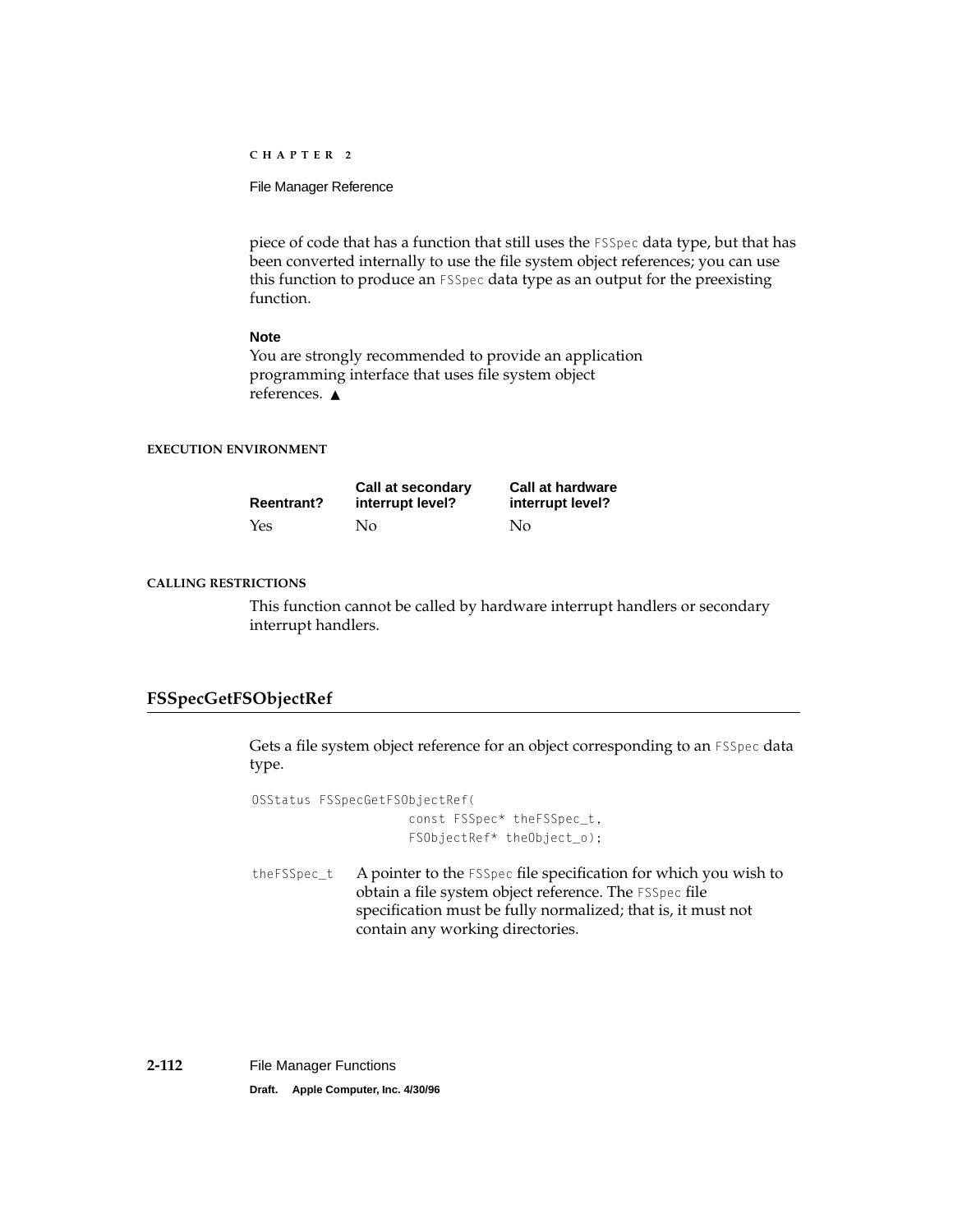File Manager Reference

piece of code that has a function that still uses the FSSpec data type, but that has been converted internally to use the file system object references; you can use this function to produce an FSSpec data type as an output for the preexisting function.

# **Note**

You are strongly recommended to provide an application programming interface that uses file system object references. ▲

# **EXECUTION ENVIRONMENT**

| <b>Reentrant?</b> | Call at secondary<br>interrupt level? | <b>Call at hardware</b><br>interrupt level? |  |
|-------------------|---------------------------------------|---------------------------------------------|--|
| Yes               | Nο                                    | No                                          |  |

# **CALLING RESTRICTIONS**

This function cannot be called by hardware interrupt handlers or secondary interrupt handlers.

# **FSSpecGetFSObjectRef 2**

Gets a file system object reference for an object corresponding to an FSSpec data type.

```
OSStatus FSSpecGetFSObjectRef(
                     const FSSpec* theFSSpec_t,
                     FSObjectRef* theObject_o);
```
theFSSpec\_t A pointer to the FSSpec file specification for which you wish to obtain a file system object reference. The FSSpec file specification must be fully normalized; that is, it must not contain any working directories.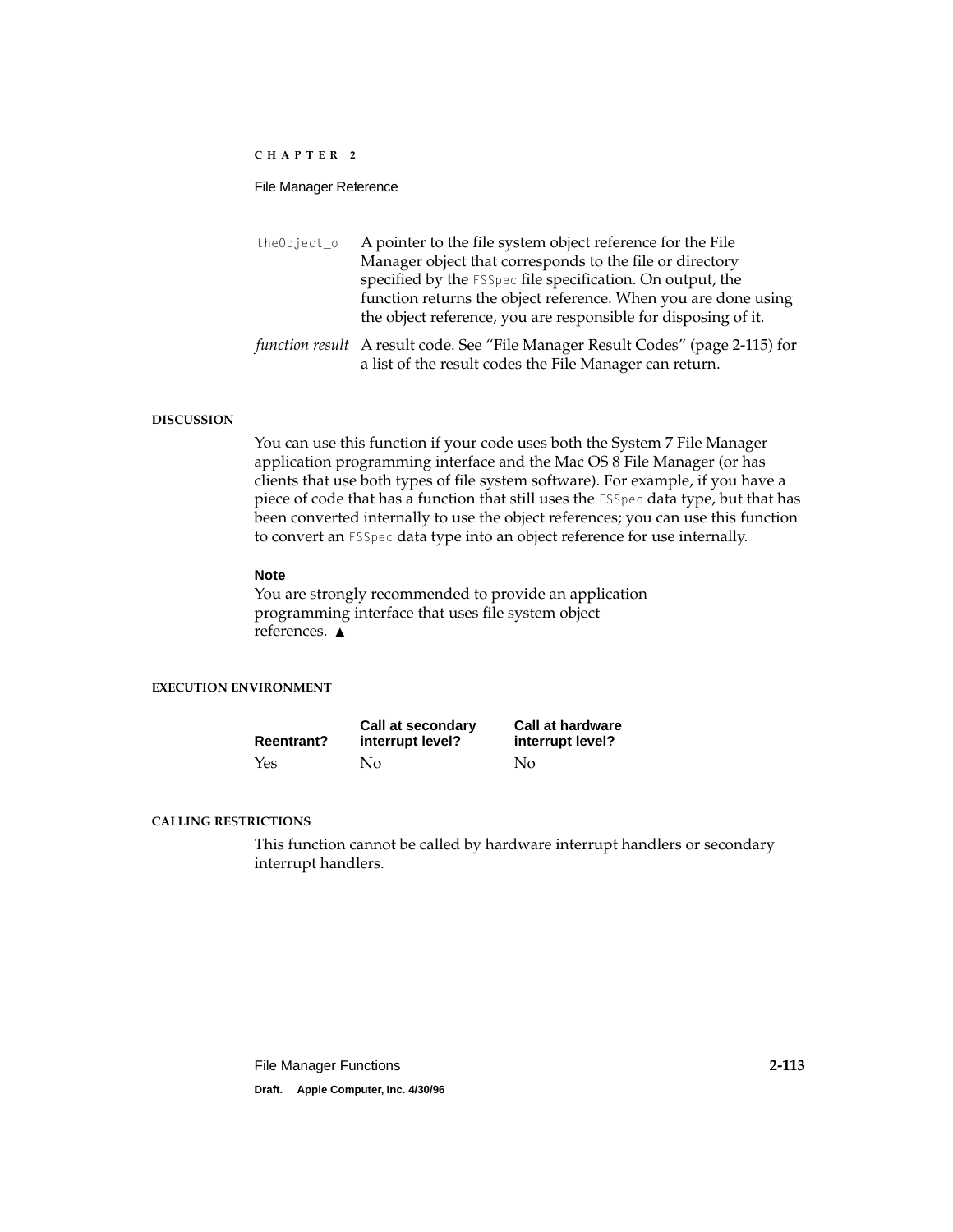### File Manager Reference

| theObject_o | A pointer to the file system object reference for the File                                                                                        |  |  |  |
|-------------|---------------------------------------------------------------------------------------------------------------------------------------------------|--|--|--|
|             | Manager object that corresponds to the file or directory                                                                                          |  |  |  |
|             | specified by the <i>FSSpec</i> file specification. On output, the                                                                                 |  |  |  |
|             | function returns the object reference. When you are done using<br>the object reference, you are responsible for disposing of it.                  |  |  |  |
|             | <i>function result</i> A result code. See "File Manager Result Codes" (page 2-115) for<br>a list of the result codes the File Manager can return. |  |  |  |

#### **DISCUSSION**

You can use this function if your code uses both the System 7 File Manager application programming interface and the Mac OS 8 File Manager (or has clients that use both types of file system software). For example, if you have a piece of code that has a function that still uses the FSSpec data type, but that has been converted internally to use the object references; you can use this function to convert an FSSpec data type into an object reference for use internally.

# **Note**

You are strongly recommended to provide an application programming interface that uses file system object references. ▲

## **EXECUTION ENVIRONMENT**

| <b>Reentrant?</b> | Call at secondary<br>interrupt level? | <b>Call at hardware</b><br>interrupt level? |  |
|-------------------|---------------------------------------|---------------------------------------------|--|
| Yes               | No.                                   | Nο                                          |  |

#### **CALLING RESTRICTIONS**

This function cannot be called by hardware interrupt handlers or secondary interrupt handlers.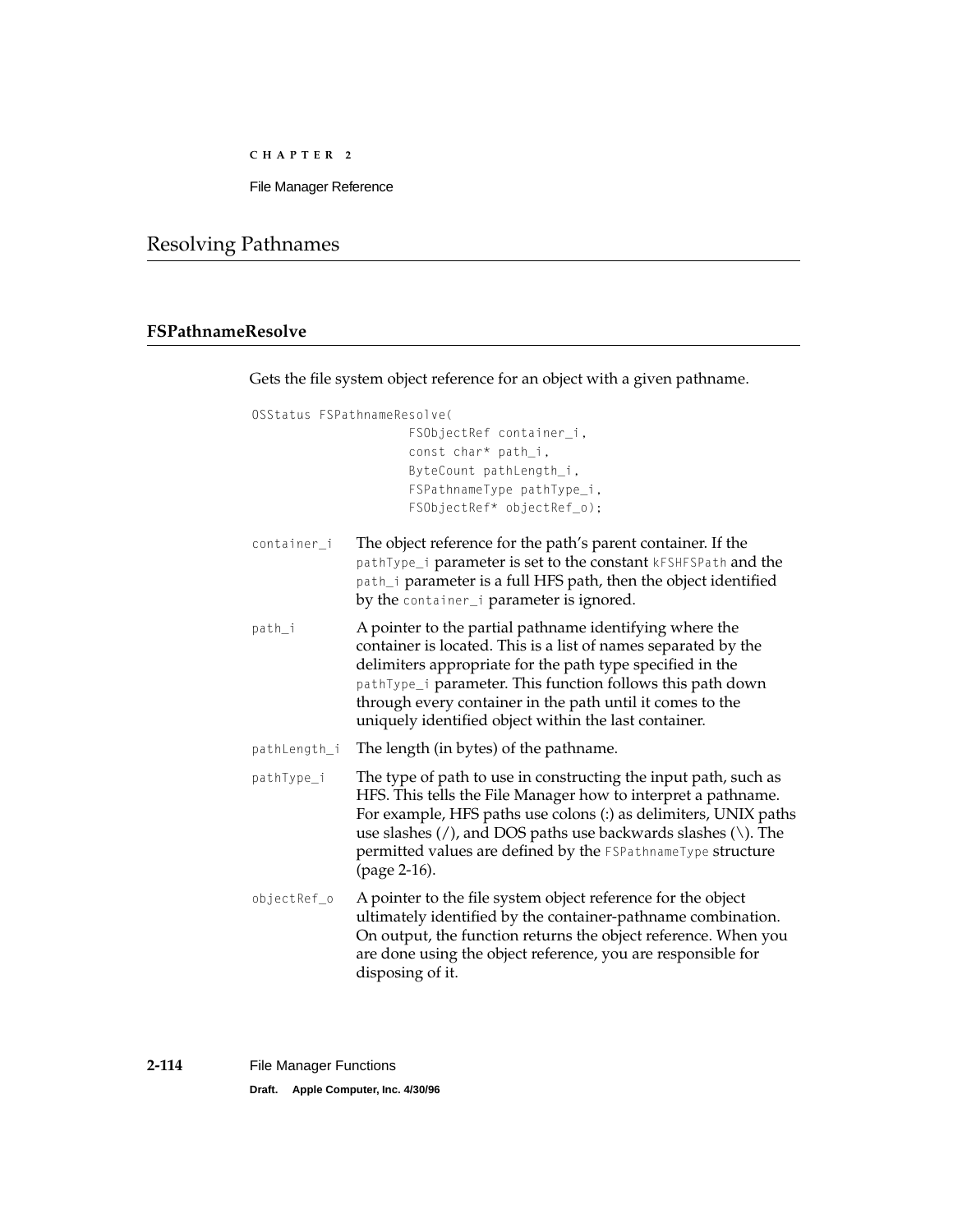File Manager Reference

# Resolving Pathnames

# **FSPathnameResolve 2**

Gets the file system object reference for an object with a given pathname.

```
OSStatus FSPathnameResolve(
                       FSObjectRef container_i,
                       const char* path_i,
                       ByteCount pathLength_i,
                       FSPathnameType pathType_i,
                       FSObjectRef* objectRef_o);
container_i The object reference for the path's parent container. If the 
               pathType_i parameter is set to the constant kFSHFSPath and the 
               path_i parameter is a full HFS path, then the object identified 
               by the container_i parameter is ignored.
path_i A pointer to the partial pathname identifying where the 
               container is located. This is a list of names separated by the 
               delimiters appropriate for the path type specified in the 
               pathType_i parameter. This function follows this path down 
               through every container in the path until it comes to the 
               uniquely identified object within the last container.
pathLength_i The length (in bytes) of the pathname.
pathType_i The type of path to use in constructing the input path, such as 
               HFS. This tells the File Manager how to interpret a pathname. 
               For example, HFS paths use colons (:) as delimiters, UNIX paths 
               use slashes ( / ), and DOS paths use backwards slashes ( \). The
               permitted values are defined by the FSPathnameType structure 
               (page 2-16).
objectRef_o A pointer to the file system object reference for the object 
               ultimately identified by the container-pathname combination. 
               On output, the function returns the object reference. When you 
               are done using the object reference, you are responsible for 
               disposing of it.
```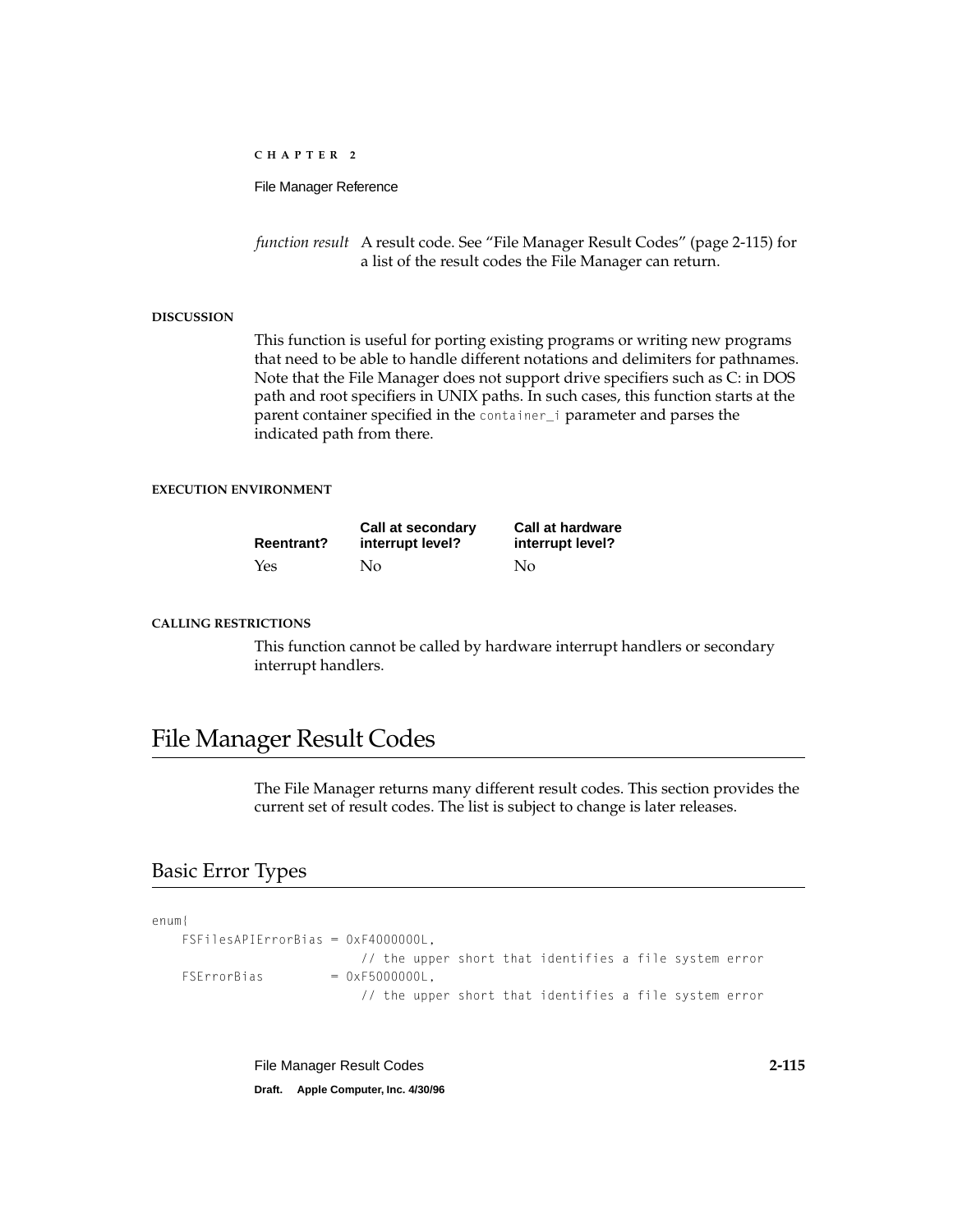<span id="page-142-0"></span>File Manager Reference

*function result* A result code. See "File Manager Result Codes" (page 2-115) for a list of the result codes the File Manager can return.

#### **DISCUSSION**

This function is useful for porting existing programs or writing new programs that need to be able to handle different notations and delimiters for pathnames. Note that the File Manager does not support drive specifiers such as C: in DOS path and root specifiers in UNIX paths. In such cases, this function starts at the parent container specified in the container\_i parameter and parses the indicated path from there.

#### **EXECUTION ENVIRONMENT**

| <b>Reentrant?</b> | Call at secondary<br>interrupt level? | <b>Call at hardware</b><br>interrupt level? |  |
|-------------------|---------------------------------------|---------------------------------------------|--|
| Yes               | No                                    | No                                          |  |

#### **CALLING RESTRICTIONS**

This function cannot be called by hardware interrupt handlers or secondary interrupt handlers.

# File Manager Result Codes 2

The File Manager returns many different result codes. This section provides the current set of result codes. The list is subject to change is later releases.

# Basic Error Types

```
enum{
   FSFilesAPIErrorBias = 0xF4000000L,
                           // the upper short that identifies a file system error
   FSErrorBias = 0xF5000000L// the upper short that identifies a file system error
```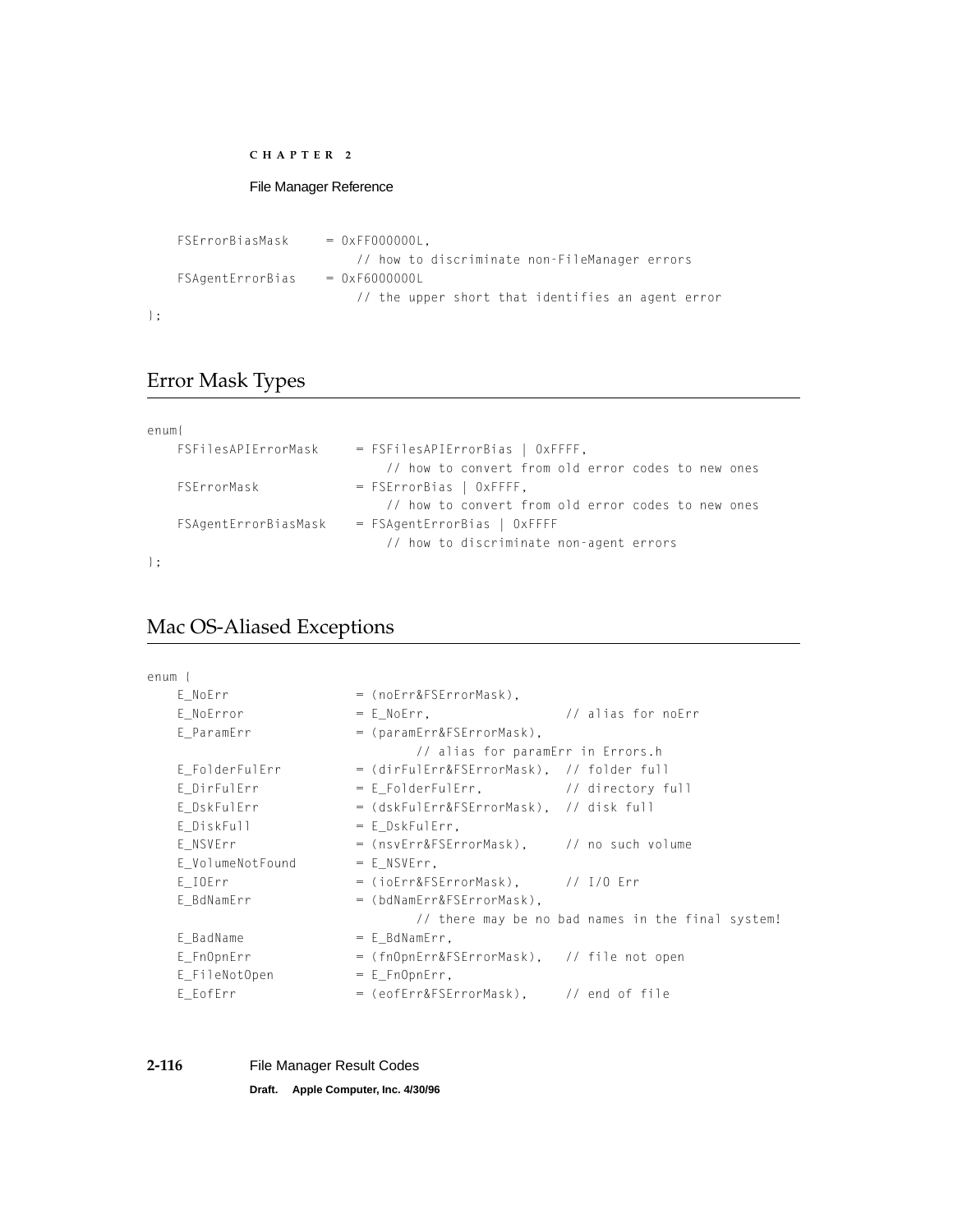# File Manager Reference

|           | FSErrorBiasMask  | $= 0 \times F F0000000L.$                         |
|-----------|------------------|---------------------------------------------------|
|           |                  | // how to discriminate non-FileManager errors     |
|           | FSAgentErrorBias | $= 0 \times F6000000L$                            |
|           |                  | // the upper short that identifies an agent error |
| $\cdot$ : |                  |                                                   |

# Error Mask Types 2

| enum      |                      |                                                    |
|-----------|----------------------|----------------------------------------------------|
|           | FSFilesAPIErrorMask  | $=$ FSFilesAPIErrorBias   0xFFFF,                  |
|           |                      | // how to convert from old error codes to new ones |
|           | FSErrorMask          | $=$ FSErrorBias   0xFFFF,                          |
|           |                      | // how to convert from old error codes to new ones |
|           | FSAgentErrorBiasMask | $=$ FSAgentErrorBias   0xFFFF                      |
|           |                      | // how to discriminate non-agent errors            |
| $\vert$ : |                      |                                                    |

# Mac OS-Aliased Exceptions

| enum { |                       |                                                   |                                                   |
|--------|-----------------------|---------------------------------------------------|---------------------------------------------------|
|        | E NoErr               | $=$ (noErr&FSErrorMask),                          |                                                   |
|        | E NoError             | $= E$ NoErr,                                      | // alias for noFrr                                |
|        | E_ParamErr            | $=$ (paramErr&FSErrorMask),                       |                                                   |
|        |                       | // alias for paramErr in Errors.h                 |                                                   |
|        | E FolderFulErr        | $=$ (dirFulErr&FSErrorMask), // folder full       |                                                   |
|        | E DirFulErr           | = E_FolderFulErr, // directory full               |                                                   |
|        | E DskFulErr           | = (dskFulErr&FSErrorMask), // disk full           |                                                   |
|        | E DiskFull            | $= E$ DskFulErr,                                  |                                                   |
|        | E NSVErr              | = (nsvErr&FSErrorMask), // no such volume         |                                                   |
|        | E VolumeNotFound      | $= E$ NSVErr.                                     |                                                   |
|        | E IOErr               | $=$ (ioErr&FSErrorMask), $\frac{1}{2}$ // I/O Err |                                                   |
|        | E BdNamErr            | $=$ (bdNamErr&FSErrorMask).                       |                                                   |
|        |                       |                                                   | // there may be no bad names in the final system! |
|        | E_BadName             | $= E$ BdNamErr,                                   |                                                   |
|        | $E_F$ n $0$ pn $E$ rr | = (fn0pnErr&FSErrorMask), // file not open        |                                                   |
|        | E_FileNotOpen         | $= E_Fn0pnErr,$                                   |                                                   |
|        | E EofErr              | = (eofErr&FSErrorMask), // end of file            |                                                   |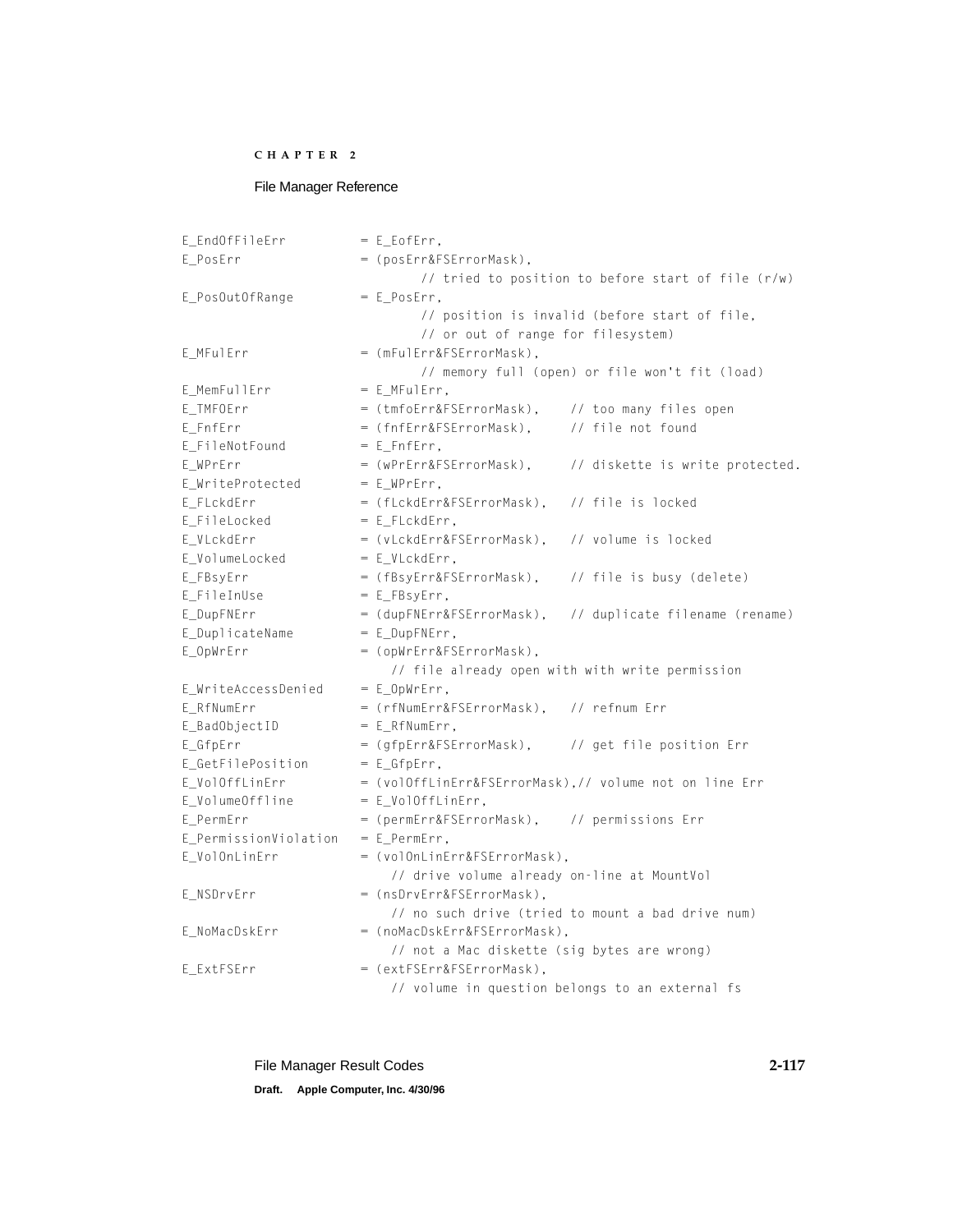| E_EndOfFileErr        | $= E_EoffErr,$                                             |
|-----------------------|------------------------------------------------------------|
| E_PosErr              | = (posErr&FSErrorMask),                                    |
|                       | // tried to position to before start of file (r/w)         |
| E_PosOutOfRange       | $= E_PosErr,$                                              |
|                       | // position is invalid (before start of file,              |
|                       | // or out of range for filesystem)                         |
| E_MFulErr             | = (mFulErr&FSErrorMask),                                   |
|                       | // memory full (open) or file won't fit (load)             |
| E_MemFullErr          | $= E$ MFulErr,                                             |
| E_TMFOErr             | = (tmfoErr&FSErrorMask),<br>// too many files open         |
| E_FnfErr              | = (fnfErr&FSErrorMask),<br>// file not found               |
| E_FileNotFound        | $= E_F$ FnfErr,                                            |
| $E_W$ Pr $E$ rr       | = (wPrErr&FSErrorMask),<br>// diskette is write protected. |
| E_WriteProtected      | $= E_W$ Pr $Err$ ,                                         |
| E_FLckdErr            | = (fLckdErr&FSErrorMask),<br>// file is locked             |
| E_FileLocked          | $= E$ FLckdErr.                                            |
| E_VLckdErr            | = (vLckdErr&FSErrorMask),<br>// volume is locked           |
| E_VolumeLocked        | $= E$ VLckdErr,                                            |
| E_FBsyErr             | = (fBsyErr&FSErrorMask),<br>// file is busy (delete)       |
| E FileInUse           | $= E_F$ BsyErr,                                            |
| E_DupFNErr            | = (dupFNErr&FSErrorMask), // duplicate filename (rename)   |
| E_DuplicateName       | $= E_DupFNET$ ,                                            |
| E_OpWrErr             | = (opWrErr&FSErrorMask),                                   |
|                       | // file already open with with write permission            |
| E_WriteAccessDenied   | $= E_0$ pWrErr,                                            |
| E RfNumErr            | = (rfNumErr&FSErrorMask), // refnum Err                    |
| E_BadObjectID         | $= E_RfNumErr,$                                            |
| $E_G$ fp $Err$        | = (gfpErr&FSErrorMask), // get file position Err           |
| E_GetFilePosition     | $= E_GfpErr,$                                              |
| E_VolOffLinErr        | = (volOffLinErr&FSErrorMask),// volume not on line Err     |
| E_VolumeOffline       | $= E_V$ olOffLinErr,                                       |
| E_PermErr             | = (permErr&FSErrorMask), // permissions Err                |
| E_PermissionViolation | $= E$ PermErr,                                             |
| E_VolOnLinErr         | = (volOnLinErr&FSErrorMask),                               |
|                       | // drive volume already on-line at MountVol                |
| E_NSDrvErr            | = (nsDrvErr&FSErrorMask),                                  |
|                       | // no such drive (tried to mount a bad drive num)          |
| E_NoMacDskErr         | = (noMacDskErr&FSErrorMask).                               |
|                       | // not a Mac diskette (sig bytes are wrong)                |
| E_ExtFSErr            | = (extFSErr&FSErrorMask),                                  |
|                       | // volume in question belongs to an external fs            |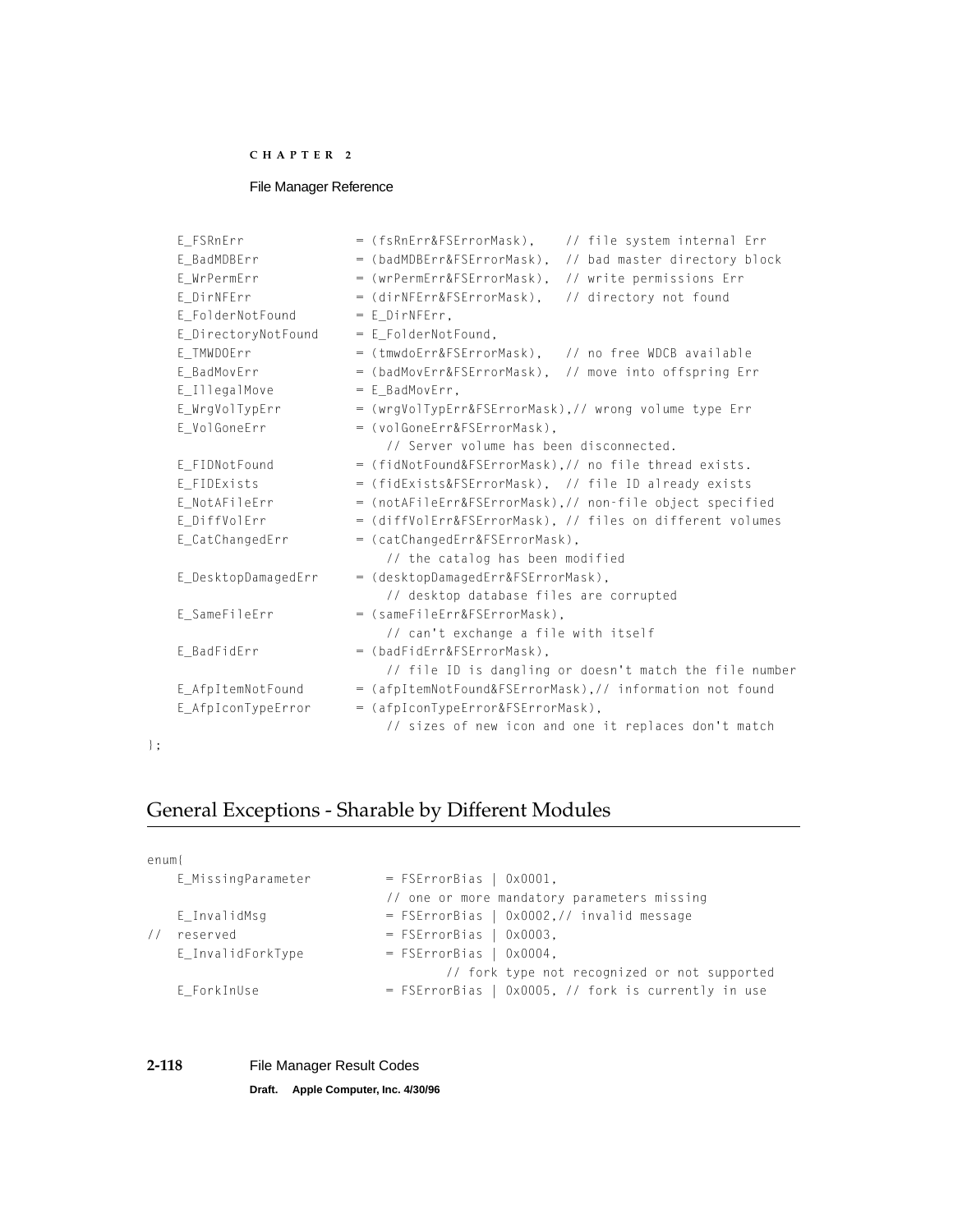| E FSRnErr             | = (fsRnErr&FSErrorMask),<br>// file system internal Err     |
|-----------------------|-------------------------------------------------------------|
| E BadMDBErr           | = (badMDBErr&FSErrorMask).<br>// bad master directory block |
| E_WrPermErr           | $=$ (wrPermErr&FSErrorMask),<br>// write permissions Err    |
| E DirNFErr            | = (dirNFErr&FSErrorMask),<br>// directory not found         |
| E FolderNotFound      | $= E$ DirNFErr,                                             |
| E_DirectoryNotFound   | $= E$ FolderNotFound,                                       |
| E TMWDOErr            | = (tmwdoErr&FSErrorMask), // no free WDCB available         |
| E BadMovErr           | = (badMovErr&FSErrorMask), // move into offspring Err       |
| E_IllegalMove         | $= E$ BadMovErr,                                            |
| $E_W$ rg $VolTypeErr$ | = (wrgVolTypErr&FSErrorMask),// wrong volume type Err       |
| E_VolGoneErr          | = (volGoneErr&FSErrorMask),                                 |
|                       | // Server volume has been disconnected.                     |
| E FIDNotFound         | = (fidNotFound&FSErrorMask),// no file thread exists.       |
| E FIDExists           | = (fidExists&FSErrorMask), // file ID already exists        |
| E NotAFileErr         | = (notAFileErr&FSErrorMask),// non-file object specified    |
| E DiffVolErr          | = (diffVolErr&FSErrorMask), // files on different volumes   |
| E_CatChangedErr       | = (catChangedErr&FSErrorMask).                              |
|                       | // the catalog has been modified                            |
| E_DesktopDamagedErr   | = (desktopDamagedErr&FSErrorMask),                          |
|                       | // desktop database files are corrupted                     |
| E_SameFileErr         | = (sameFileErr&FSErrorMask).                                |
|                       | // can't exchange a file with itself                        |
| E BadFidErr           | = (badFidErr&FSErrorMask).                                  |
|                       | // file ID is dangling or doesn't match the file number     |
| E_AfpItemNotFound     | = (afpItemNotFound&FSErrorMask), // information not found   |
| E_AfpIconTypeError    | = (afpIconTypeError&FSErrorMask),                           |
|                       | // sizes of new icon and one it replaces don't match        |

};

# General Exceptions - Sharable by Different Modules 2

| enum{         |                    |                                                     |
|---------------|--------------------|-----------------------------------------------------|
|               | E MissingParameter | $=$ FSErrorBias   0x0001,                           |
|               |                    | // one or more mandatory parameters missing         |
|               | E InvalidMsg       | $=$ FSErrorBias   0x0002,// invalid message         |
| $\frac{1}{2}$ | reserved           | $=$ FSErrorBias   0x0003,                           |
|               | E InvalidForkType  | $=$ FSErrorBias   0x0004,                           |
|               |                    | // fork type not recognized or not supported        |
|               | E ForkInUse        | = FSErrorBias   0x0005, // fork is currently in use |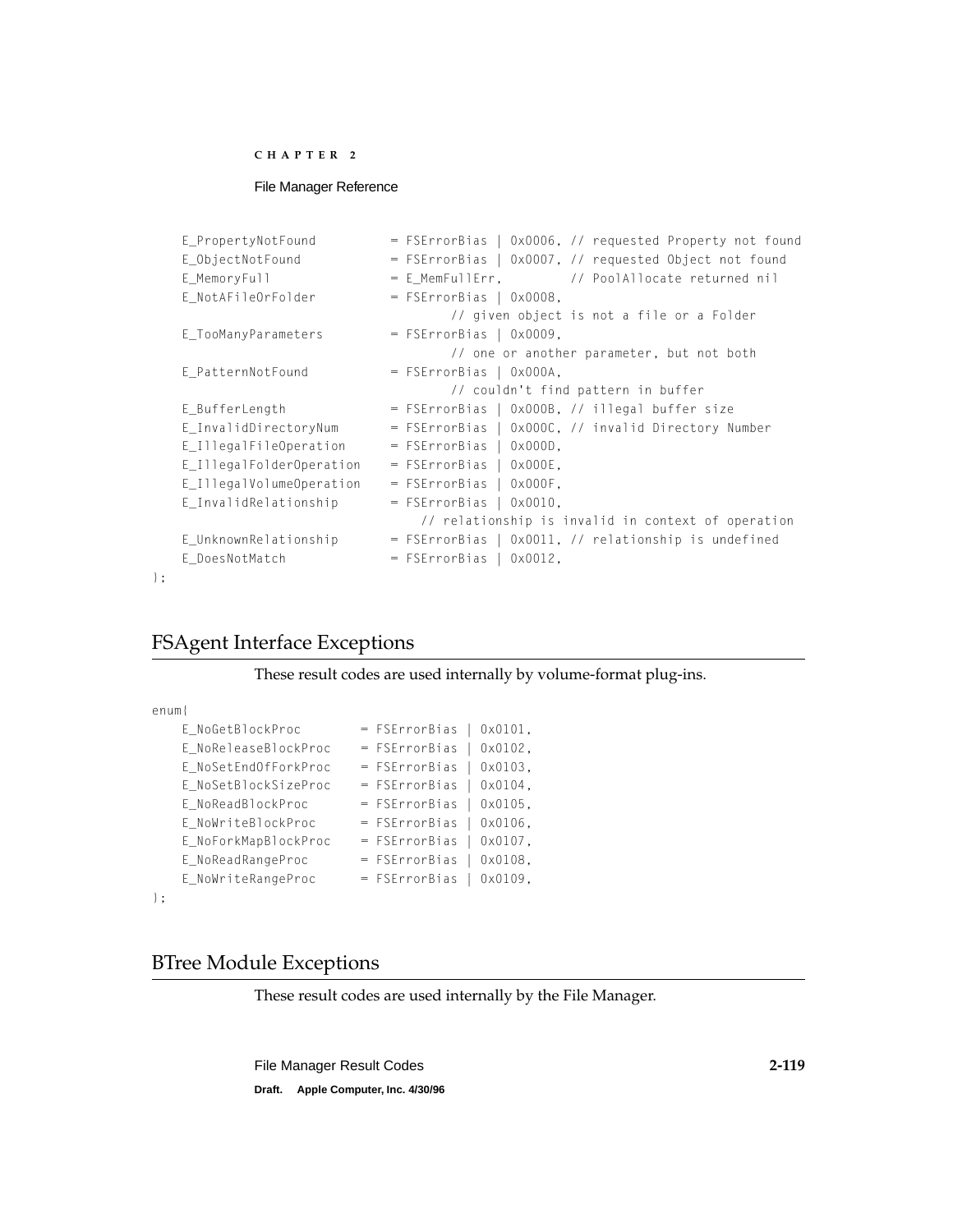| E_PropertyNotFound       | = FSErrorBias   0x0006, // requested Property not found |
|--------------------------|---------------------------------------------------------|
| E_ObjectNotFound         | = FSErrorBias   0x0007, // requested Object not found   |
| E_MemoryFull             | = E MemFullErr, // PoolAllocate returned nil            |
| E_NotAFileOrFolder       | $=$ FSErrorBias   0x0008,                               |
|                          | // given object is not a file or a Folder               |
| E_TooManyParameters      | $=$ FSErrorBias   0x0009,                               |
|                          | // one or another parameter, but not both               |
| E_PatternNotFound        | $=$ FSErrorBias   0x000A,                               |
|                          | // couldn't find pattern in buffer                      |
| E BufferLength           | = FSErrorBias   0x000B, // illegal buffer size          |
| E_InvalidDirectoryNum    | = FSErrorBias   0x000C, // invalid Directory Number     |
| E_IllegalFileOperation   | $=$ FSErrorBias   0x000D.                               |
| E_IllegalFolderOperation | $=$ FSErrorBias   0x000E,                               |
| E_IllegalVolumeOperation | $=$ FSErrorBias   0x000F,                               |
| E_InvalidRelationship    | $=$ FSErrorBias   0x0010,                               |
|                          | // relationship is invalid in context of operation      |
| E_UnknownRelationship    | = FSErrorBias   0x0011, // relationship is undefined    |
| E_DoesNotMatch           | $=$ FSErrorBias   0x0012,                               |
|                          |                                                         |

};

# FSAgent Interface Exceptions

These result codes are used internally by volume-format plug-ins.

enum{

| E_NoGetBlockProc     | = FSErrorBias<br>$  0 \times 0101,$ |
|----------------------|-------------------------------------|
| E_NoReleaseBlockProc | = FSErrorBias<br>  0x0102,          |
| E_NoSetEndOfForkProc | = FSErrorBias<br>$0 \times 0103$ ,  |
| E_NoSetBlockSizeProc | = FSErrorBias<br>$0 \times 0104$ ,  |
| E NoReadBlockProc    | = FSErrorBias<br>$0 \times 0105$ ,  |
| E NoWriteBlockProc   | = FSErrorBias<br>$0 \times 0106$ ,  |
| E_NoForkMapBlockProc | = FSErrorBias<br>$0 \times 0107$ ,  |
| E_NoReadRangeProc    | = FSErrorBias<br>$0 \times 0108$ ,  |
| E_NoWriteRangeProc   | = FSErrorBias<br>$0 \times 0109$ ,  |

};

### BTree Module Exceptions 2

These result codes are used internally by the File Manager.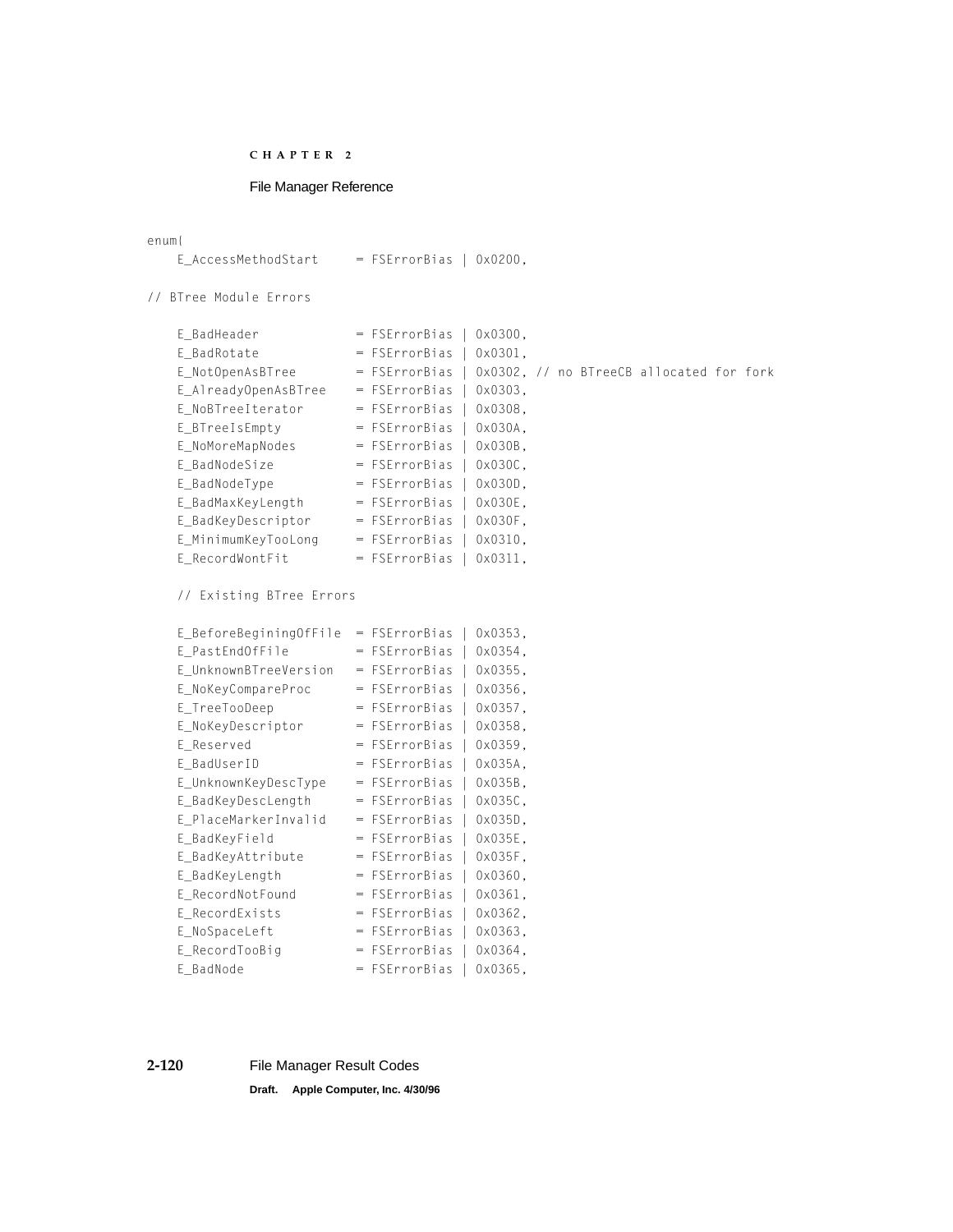#### enum{

 $E_A$ ccessMethodStart = FSErrorBias | 0x0200,

// BTree Module Errors

| E BadHeader          | $=$ FSErrorBias   0x0300, |                                                            |
|----------------------|---------------------------|------------------------------------------------------------|
| E BadRotate          | $=$ FSErrorBias   0x0301, |                                                            |
| E_NotOpenAsBTree     |                           | $=$ FSErrorBias   0x0302, // no BTreeCB allocated for fork |
| E_AlreadyOpenAsBTree | $=$ FSErrorBias   0x0303, |                                                            |
| E NoBTreeIterator    | $=$ FSErrorBias   0x0308, |                                                            |
| E BTreeIsEmpty       | $=$ FSErrorBias   0x030A, |                                                            |
| E_NoMoreMapNodes     | $=$ FSErrorBias   0x030B, |                                                            |
| E BadNodeSize        | $=$ FSErrorBias   0x030C. |                                                            |
| E BadNodeType        | $=$ FSErrorBias   0x030D, |                                                            |
| E BadMaxKeyLength    | $=$ FSErrorBias   0x030E. |                                                            |
| E_BadKeyDescriptor   | $=$ FSErrorBias   0x030F, |                                                            |
| E_MinimumKeyTooLong  | $=$ FSErrorBias   0x0310, |                                                            |
| E RecordWontFit      | $=$ FSErrorBias   0x0311. |                                                            |

// Existing BTree Errors

| E_BeforeBeginingOfFile |     | = FSErrorBias | 0x0353,           |
|------------------------|-----|---------------|-------------------|
| E_PastEndOfFile        | $=$ | FSErrorBias   | 0x0354,           |
| E_UnknownBTreeVersion  | $=$ | FSErrorBias   | 0x0355,           |
| E_NoKeyCompareProc     | $=$ | FSErrorBias   | $0x0356$ ,        |
| E_TreeTooDeep          | $=$ | FSErrorBias   | $0x0357$ ,        |
| E_NoKeyDescriptor      | $=$ | FSErrorBias   | 0x0358,           |
| E_Reserved             | $=$ | FSErrorBias   | $0x0359$ ,        |
| E_BadUserID            | $=$ | FSErrorBias   | $0 \times 035A$ , |
| E_UnknownKeyDescType   | $=$ | FSErrorBias   | $0 \times 035B$ , |
| E_BadKeyDescLength     | $=$ | FSErrorBias   | $0 \times 035C$ , |
| E_PlaceMarkerInvalid   | $=$ | FSErrorBias   | $0x035D$ ,        |
| E_BadKeyField          | $=$ | FSErrorBias   | $0 \times 035E$ , |
| E_BadKeyAttribute      | $=$ | FSErrorBias   | $0 \times 035F$ , |
| E_BadKeyLength         | $=$ | FSErrorBias   | 0x0360,           |
| E_RecordNotFound       | $=$ | FSErrorBias   | $0 \times 0361$ , |
| E_RecordExists         | $=$ | FSErrorBias   | $0x0362$ ,        |
| E_NoSpaceLeft          | $=$ | FSErrorBias   | 0x0363,           |
| E_RecordTooBig         | $=$ | FSErrorBias   | 0x0364,           |
| E_BadNode              |     | = FSErrorBias | $0x0365$ ,        |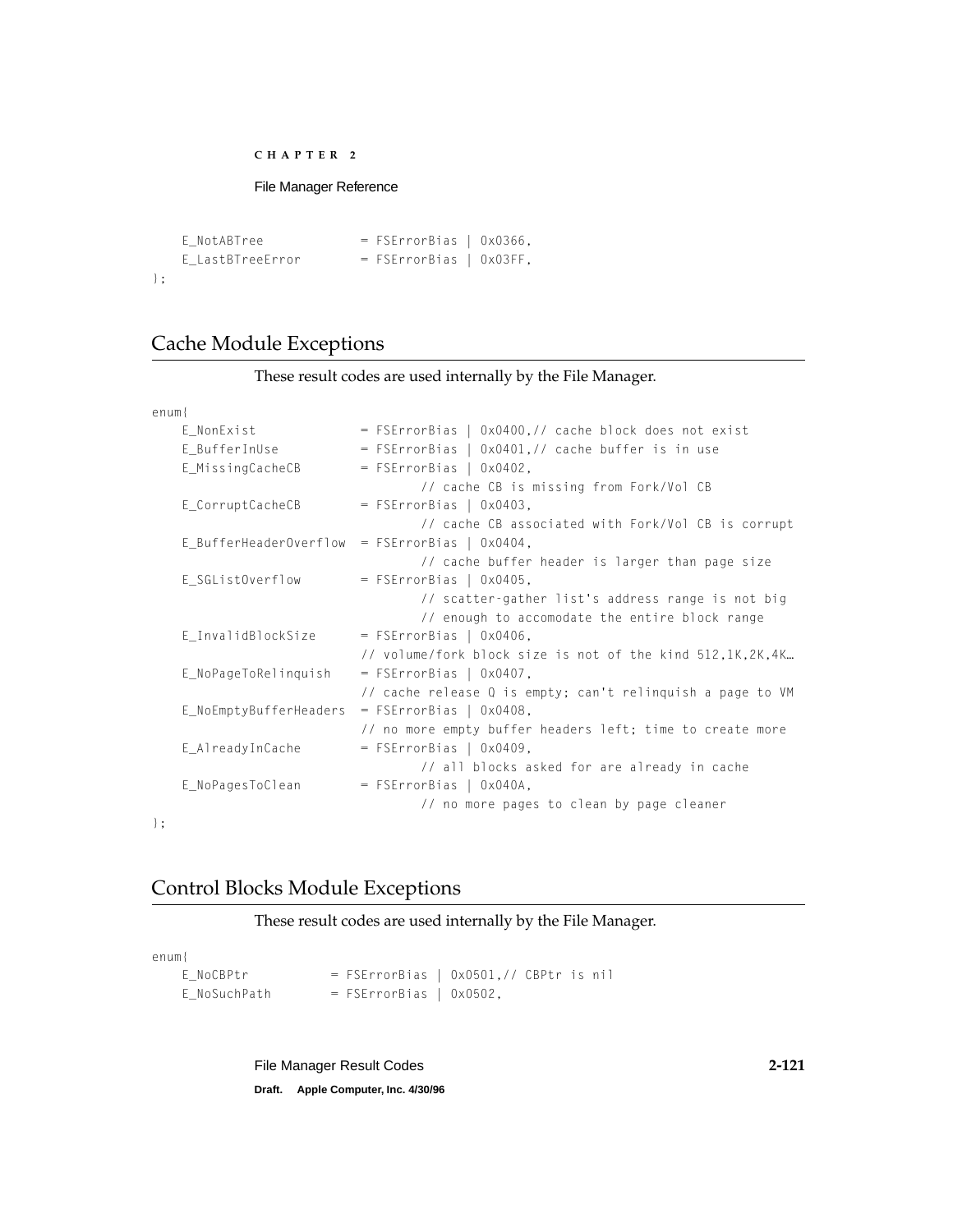#### File Manager Reference

```
E_MotABTree = FSErrorBias | 0x0366,
   E\_{LastBTreeError} = FSErrorBias | 0x03FF,
};
```
### Cache Module Exceptions

| ım {                   |                                                            |
|------------------------|------------------------------------------------------------|
| E_NonExist             | = FSErrorBias   0x0400,// cache block does not exist       |
| E BufferInUse          | $=$ FSErrorBias   0x0401.// cache buffer is in use         |
| E_MissingCacheCB       | $=$ FSErrorBias   0x0402,                                  |
|                        | // cache CB is missing from Fork/Vol CB                    |
| E_CorruptCacheCB       | $=$ FSErrorBias   0x0403.                                  |
|                        | // cache CB associated with Fork/Vol CB is corrupt         |
| E_BufferHeaderOverflow | $=$ FSErrorBias   0x0404,                                  |
|                        | // cache buffer header is larger than page size            |
| E_SGListOverflow       | $=$ FSErrorBias   0x0405,                                  |
|                        | // scatter-gather list's address range is not big          |
|                        | // enough to accomodate the entire block range             |
| E_InvalidBlockSize     | $=$ FSErrorBias   0x0406.                                  |
|                        | // volume/fork block size is not of the kind 512,1K,2K,4K  |
| E_NoPageToRelinguish   | $=$ FSErrorBias   0x0407,                                  |
|                        | // cache release Q is empty; can't relinquish a page to VM |
| E_NoEmptyBufferHeaders | $=$ FSErrorBias   0x0408,                                  |
|                        | // no more empty buffer headers left; time to create more  |
| E_Already InCache      | $=$ FSErrorBias   0x0409,                                  |
|                        | // all blocks asked for are already in cache               |
| E_NoPagesToClean       | $=$ FSErrorBias   0x040A,                                  |
|                        | // no more pages to clean by page cleaner                  |
|                        |                                                            |

These result codes are used internally by the File Manager.

enu

#### };

## Control Blocks Module Exceptions 2

#### These result codes are used internally by the File Manager.

enum{

```
E_N = F \left( \frac{1}{2} \right) = FSErrorBias | 0x0501, // CBPtr is nil
E_NOSuchPath = FSErrorBias | 0x0502,
```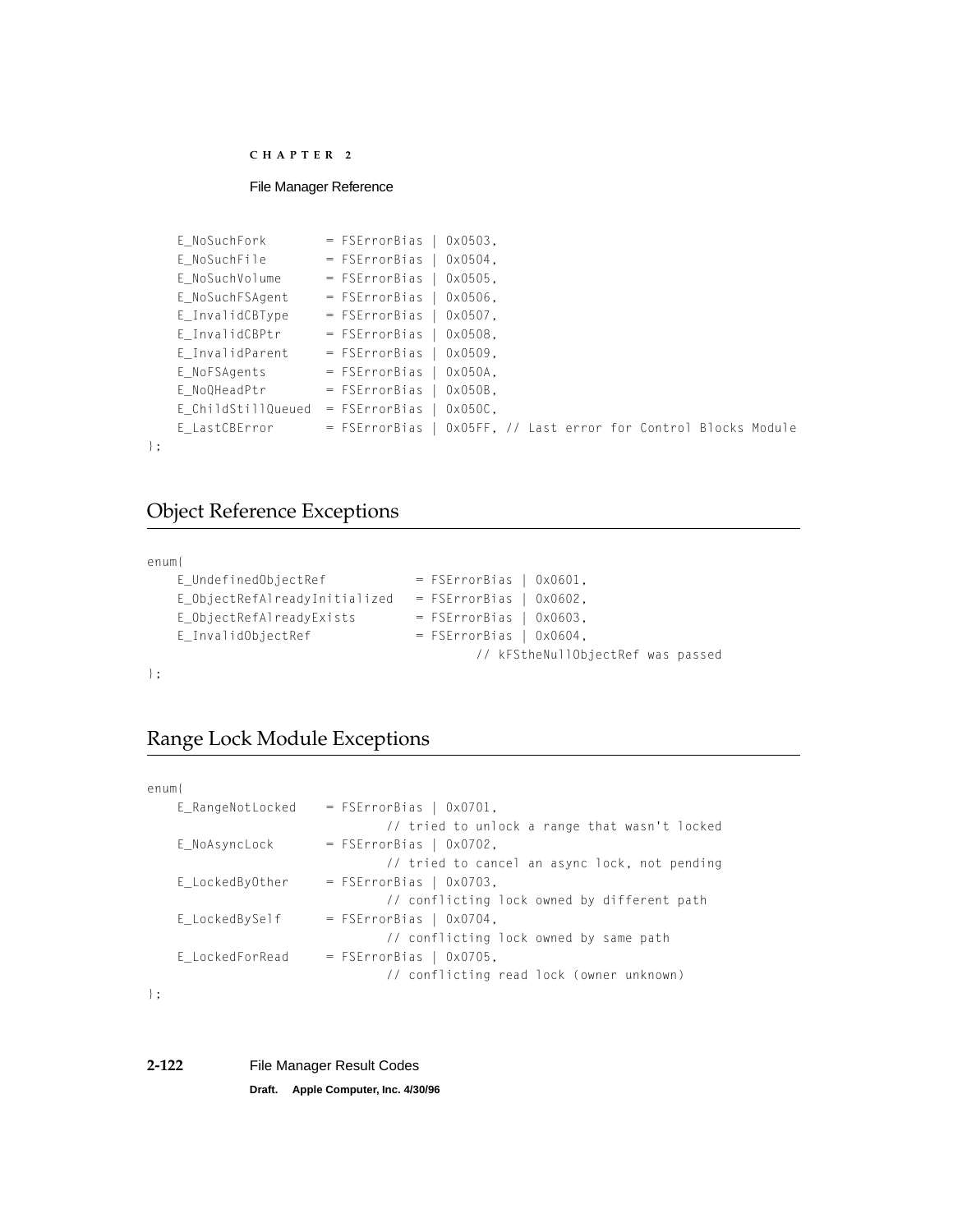#### File Manager Reference

| E NoSuchFork       | $=$ FSErrorBias   0x0503,                                       |
|--------------------|-----------------------------------------------------------------|
| E NoSuchFile       | $=$ FSErrorBias   0x0504,                                       |
| E NoSuchVolume     | $=$ FSErrorBias   0x0505,                                       |
| E NoSuchFSAgent    | $=$ FSErrorBias   0x0506,                                       |
| E InvalidCBType    | $=$ FSErrorBias   0x0507,                                       |
| E InvalidCBPtr     | $=$ FSErrorBias   0x0508,                                       |
| E InvalidParent    | $=$ FSErrorBias   0x0509,                                       |
| E_NoFSAgents       | $=$ FSErrorBias   0x050A,                                       |
| E_NoQHeadPtr       | $=$ FSErrorBias   0x050B,                                       |
| E ChildStillQueued | $=$ FSErrorBias   0x050C,                                       |
| E LastCBError      | = FSErrorBias   0x05FF, // Last error for Control Blocks Module |
|                    |                                                                 |

### Object Reference Exceptions

```
enum{
   E UndefinedObjectRef = FSErrorBias | 0x0601,
   E ObjectRefAlreadyInitialized = FSErrorBias | 0 \times 0602,
   E_0bjectRefAlreadyExists = FSErrorBias | 0x0603,
   E InvalidObjectRef = FSErrorBias | 0x0604,
                                        // kFStheNullObjectRef was passed
```
};

};

# Range Lock Module Exceptions 2

enum{ E\_RangeNotLocked = FSErrorBias | 0x0701, // tried to unlock a range that wasn't locked  $E_M$ NoAsyncLock = FSErrorBias | 0x0702, // tried to cancel an async lock, not pending  $E_{\text{clockedByOther}}$  = FSErrorBias | 0x0703, // conflicting lock owned by different path  $E_{\text{clockedBySelf}}$  = FSErrorBias | 0x0704, // conflicting lock owned by same path  $E_{\text{clocked}}$  FSErrorBias | 0x0705, // conflicting read lock (owner unknown)

};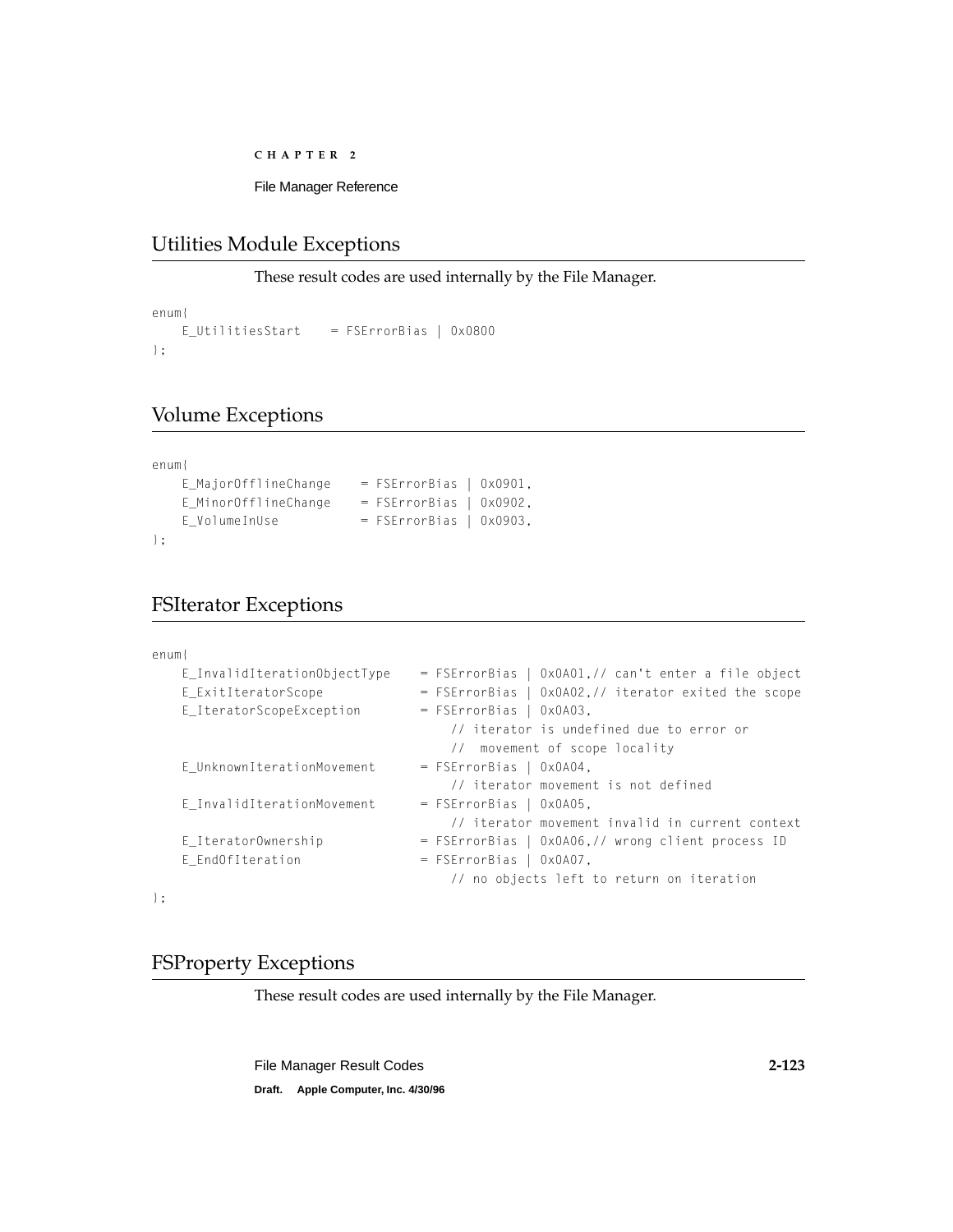File Manager Reference

# Utilities Module Exceptions 2

These result codes are used internally by the File Manager.

```
enum{
   E_UUtilitiesStart = FSErrorBias | 0x0800};
```
# Volume Exceptions

```
enum{
   E_MajorOfflineChange = FSErrorBias | 0x0901,
   E_MinorOfflineChange = FSErrorBias | 0x0902,
   E_VolumeInUse = FSErrorBias | 0x0903,
};
```
# FSIterator Exceptions

| enumſ |                              |                                                       |
|-------|------------------------------|-------------------------------------------------------|
|       | E_InvalidIterationObjectType | $=$ FSErrorBias   0x0A01,// can't enter a file object |
|       | E_ExitIteratorScope          | $=$ FSErrorBias   0x0A02,// iterator exited the scope |
|       | E_IteratorScopeException     | $=$ FSErrorBias   0x0A03.                             |
|       |                              | // iterator is undefined due to error or              |
|       |                              | // movement of scope locality                         |
|       | E UnknownIterationMovement   | $=$ FSErrorBias   0x0A04,                             |
|       |                              | // iterator movement is not defined                   |
|       | E InvalidIterationMovement   | $=$ FSErrorBias   0x0A05.                             |
|       |                              | // iterator movement invalid in current context       |
|       | E IteratorOwnership          | = FSErrorBias   0x0A06,// wrong client process ID     |
|       | E EndOfIteration             | $=$ FSErrorBias   0x0A07.                             |
|       |                              | // no objects left to return on iteration             |
|       |                              |                                                       |

};

# FSProperty Exceptions

These result codes are used internally by the File Manager.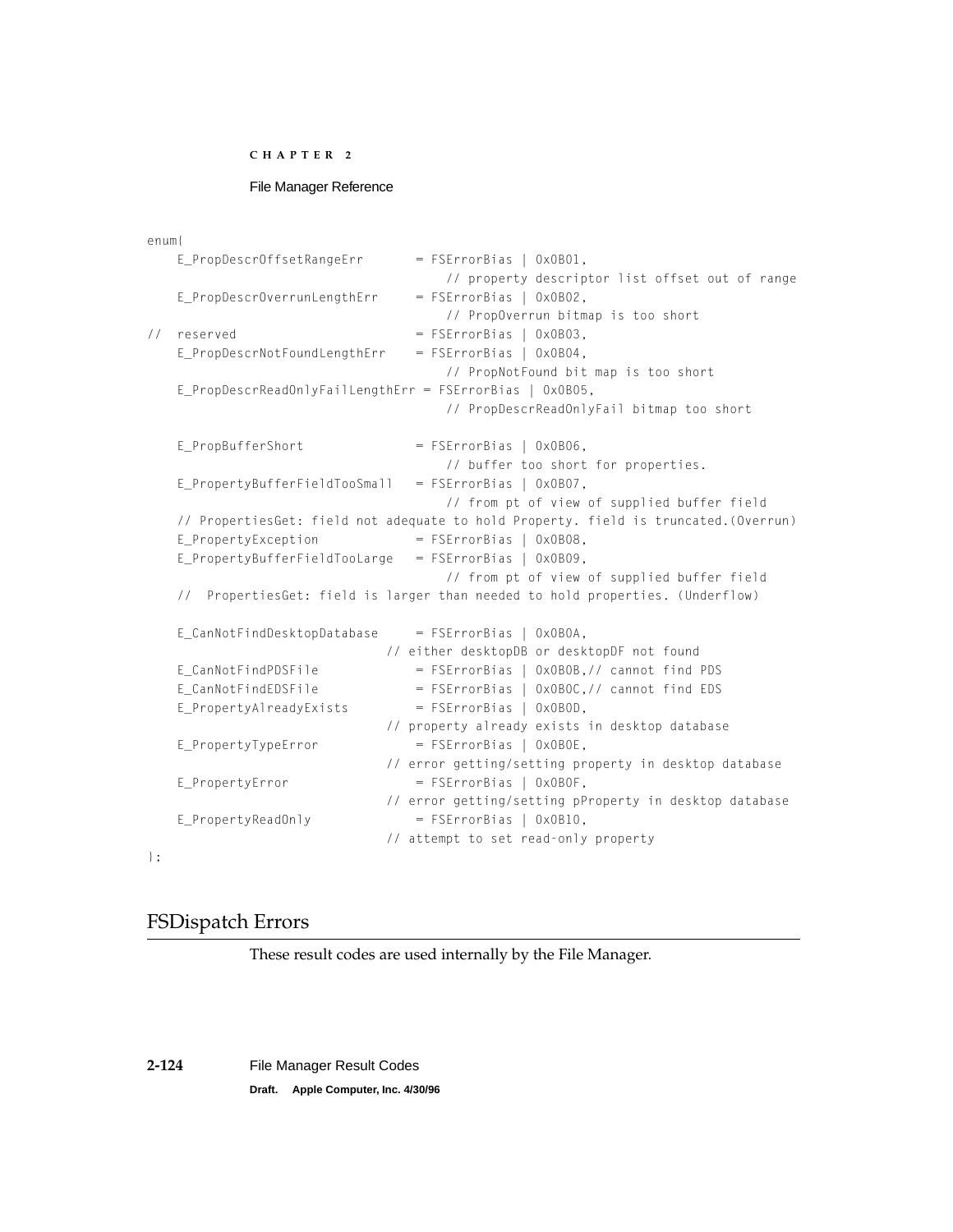```
enum{
   E_PropDescrOffsetRangeErr = FSErrorBias | 0x0B01,
                                     // property descriptor list offset out of range
   E_PropDescrOverrunLengthErr = FSErrorBias | 0x0B02,
                                     // PropOverrun bitmap is too short
\frac{1}{1} reserved \frac{1}{1} reserved \frac{1}{1} = FSErrorBias | 0x0B03.
   E_PropDescrNotFoundLengthErr = FSErrorBias | 0x0B04,
                                     // PropNotFound bit map is too short
   E_PropDescrReadOnlyFailLengthErr = FSErrorBias | 0x0B05,
                                     // PropDescrReadOnlyFail bitmap too short
   E_PropBufferShort = FSErrorBias | 0x0B06,
                                     // buffer too short for properties.
   E_PropertyBufferFieldTooSmall = FSErrorBias | 0x0B07,
                                     // from pt of view of supplied buffer field
   // PropertiesGet: field not adequate to hold Property. field is truncated.(Overrun)
   E_PropertyException = FSErrorBias | 0x0B08,
   E_PropertyBufferFieldTooLarge = FSErrorBias | 0x0B09,
                                     // from pt of view of supplied buffer field
   // PropertiesGet: field is larger than needed to hold properties. (Underflow)
   E CanNotFindDesktopDatabase = FSErrorBias | 0x0B0A,
                              // either desktopDB or desktopDF not found
   E_CanNotFindPDSFile = FSErrorBias | 0x0B0B,// cannot find PDS
   E_CanNotFindEDSFile = FSErrorBias | 0x0B0C,// cannot find EDS
   E_PropertyAlreadyExists = FSErrorBias | 0x0B0D,
                              // property already exists in desktop database
   E_PropertyTypeError = FSErrorBias | 0x0B0E,
                              // error getting/setting property in desktop database
   E_PropertyError = FSErrorBias | 0x0B0F,
                              // error getting/setting pProperty in desktop database
   E_PropertyReadOnly = FSErrorBias | 0x0B10, 
                              // attempt to set read-only property
```
};

### FSDispatch Errors

These result codes are used internally by the File Manager.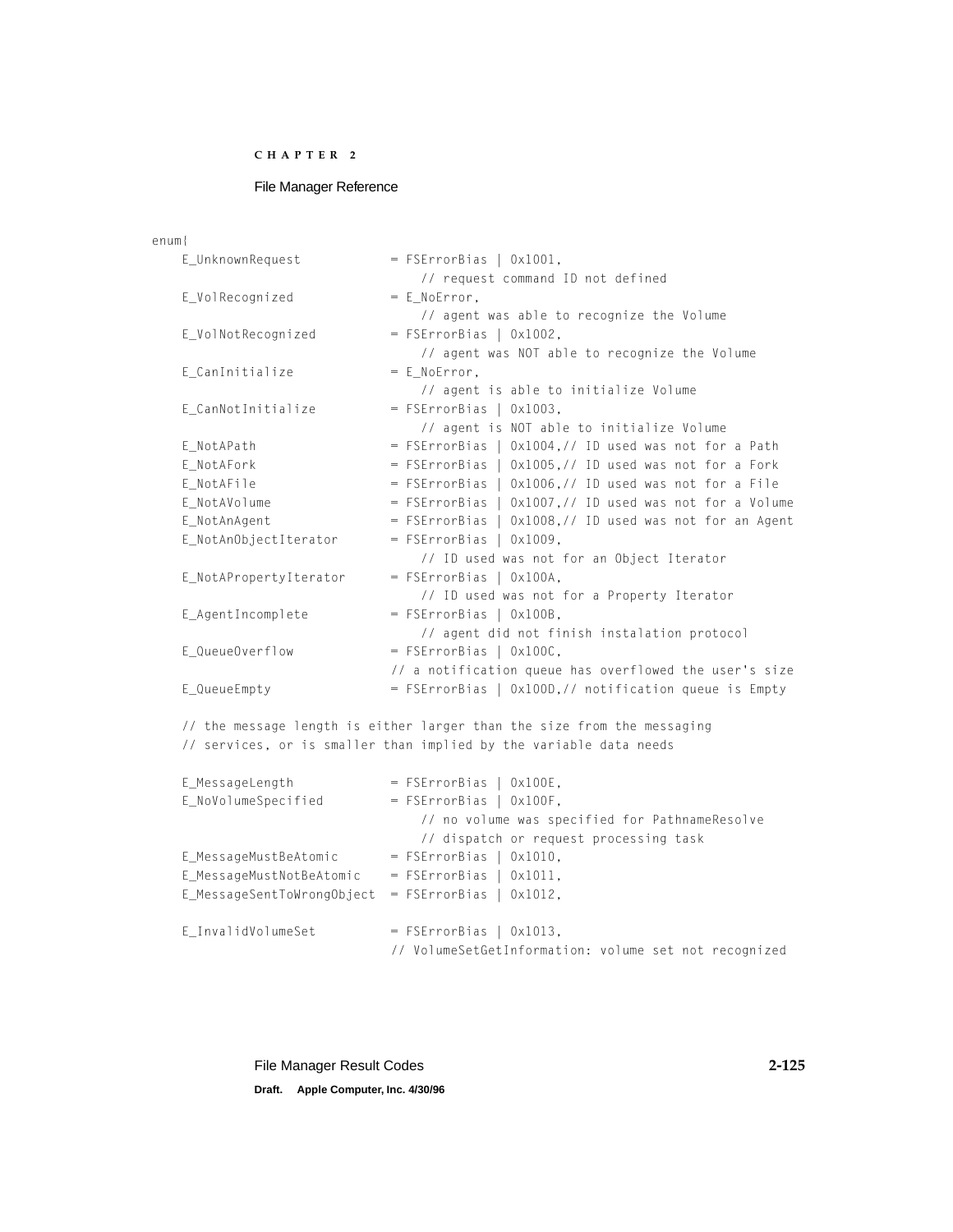enum{

| E_UnknownRequest           | $=$ FSErrorBias   0x1001,<br>// request command ID not defined          |
|----------------------------|-------------------------------------------------------------------------|
| E_VolRecognized            | $= E$ NoError,                                                          |
|                            | // agent was able to recognize the Volume                               |
| E_VolNotRecognized         | $=$ FSErrorBias   0x1002,                                               |
|                            | // agent was NOT able to recognize the Volume                           |
| E_CanInitialize            | $= E$ NoError,                                                          |
|                            | // agent is able to initialize Volume                                   |
| E_CanNotInitialize         | $=$ FSErrorBias   0x1003,                                               |
|                            | // agent is NOT able to initialize Volume                               |
| E_NotAPath                 | = FSErrorBias   0x1004, // ID used was not for a Path                   |
| E_NotAFork                 | = FSErrorBias   0x1005, // ID used was not for a Fork                   |
| E NotAFile                 | = FSErrorBias   0x1006,// ID used was not for a File                    |
| E NotAVolume               | = FSErrorBias   0x1007,// ID used was not for a Volume                  |
| E_NotAnAgent               | = FSErrorBias   0x1008,// ID used was not for an Agent                  |
| E_NotAnObjectIterator      | $=$ FSErrorBias   0x1009,                                               |
|                            | // ID used was not for an Object Iterator                               |
| E_NotAPropertyIterator     | $=$ FSErrorBias   0x100A,                                               |
|                            | // ID used was not for a Property Iterator                              |
| E_AgentIncomplete          | $=$ FSErrorBias   0x100B,                                               |
|                            | // agent did not finish instalation protocol                            |
| E_QueueOverflow            | $=$ FSErrorBias   0x100C,                                               |
|                            | // a notification queue has overflowed the user's size                  |
| E_QueueEmpty               | = FSErrorBias   0x100D,// notification queue is Empty                   |
|                            |                                                                         |
|                            | // the message length is either larger than the size from the messaging |
|                            | // services, or is smaller than implied by the variable data needs      |
|                            |                                                                         |
| E_MessageLength            | $=$ FSErrorBias   0x100E,                                               |
| E_NoVolumeSpecified        | $=$ FSErrorBias   0x100F,                                               |
|                            | // no volume was specified for PathnameResolve                          |
|                            | // dispatch or request processing task                                  |
| E_MessageMustBeAtomic      | $=$ FSErrorBias   0x1010,                                               |
| E_MessageMustNotBeAtomic   | $=$ FSErrorBias  <br>$0x1011$ .                                         |
| E_MessageSentToWrongObject | $=$ FSErrorBias   0x1012,                                               |
| E_InvalidVolumeSet         | $=$ FSErrorBias   0x1013,                                               |
|                            | // VolumeSetGetInformation: volume set not recognized                   |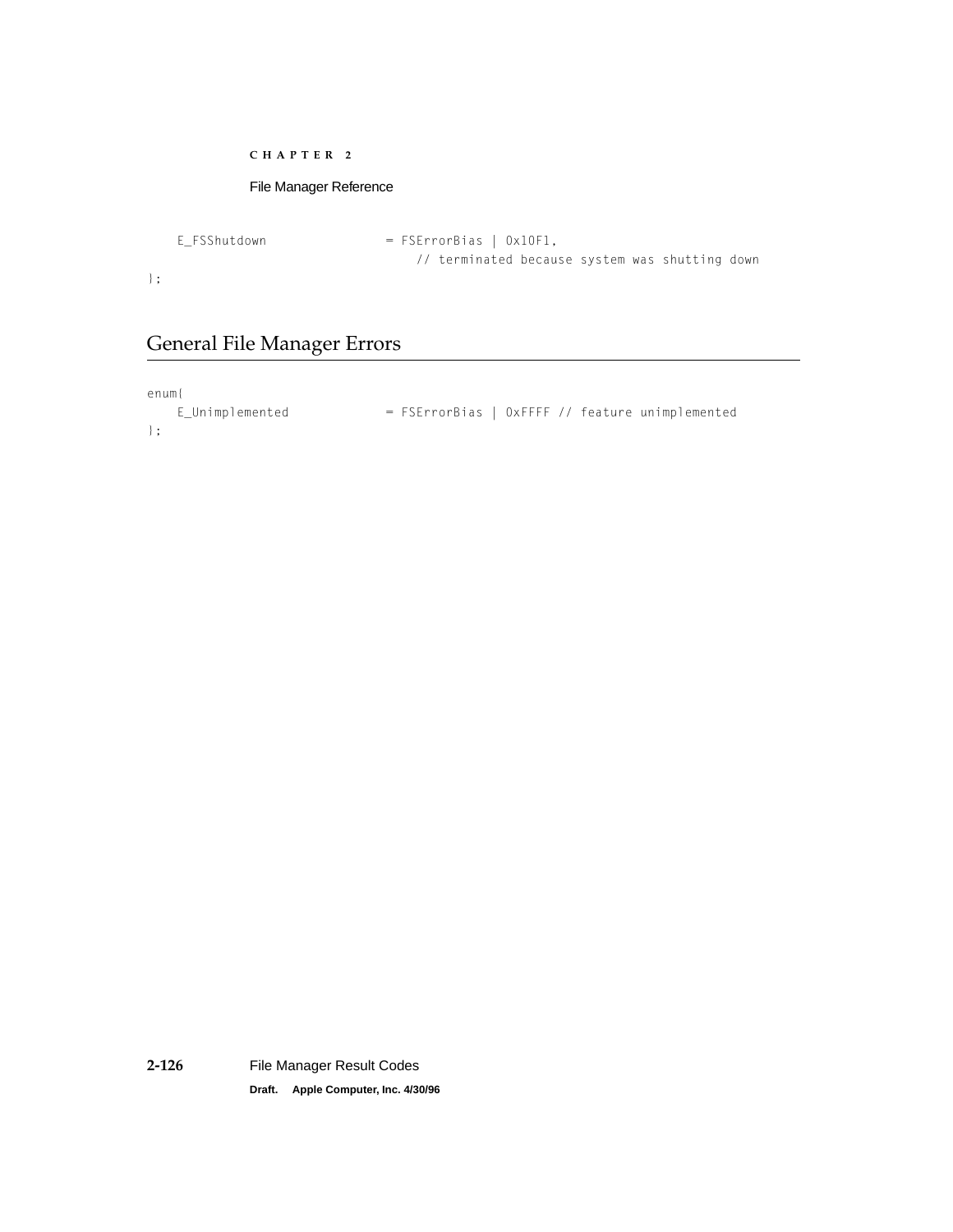#### File Manager Reference

 $E_F$ SShutdown = FSErrorBias | 0x10F1, // terminated because system was shutting down

};

# General File Manager Errors 2

enum{

```
E_Unimplemented = FSErrorBias | 0xFFFF // feature unimplemented
};
```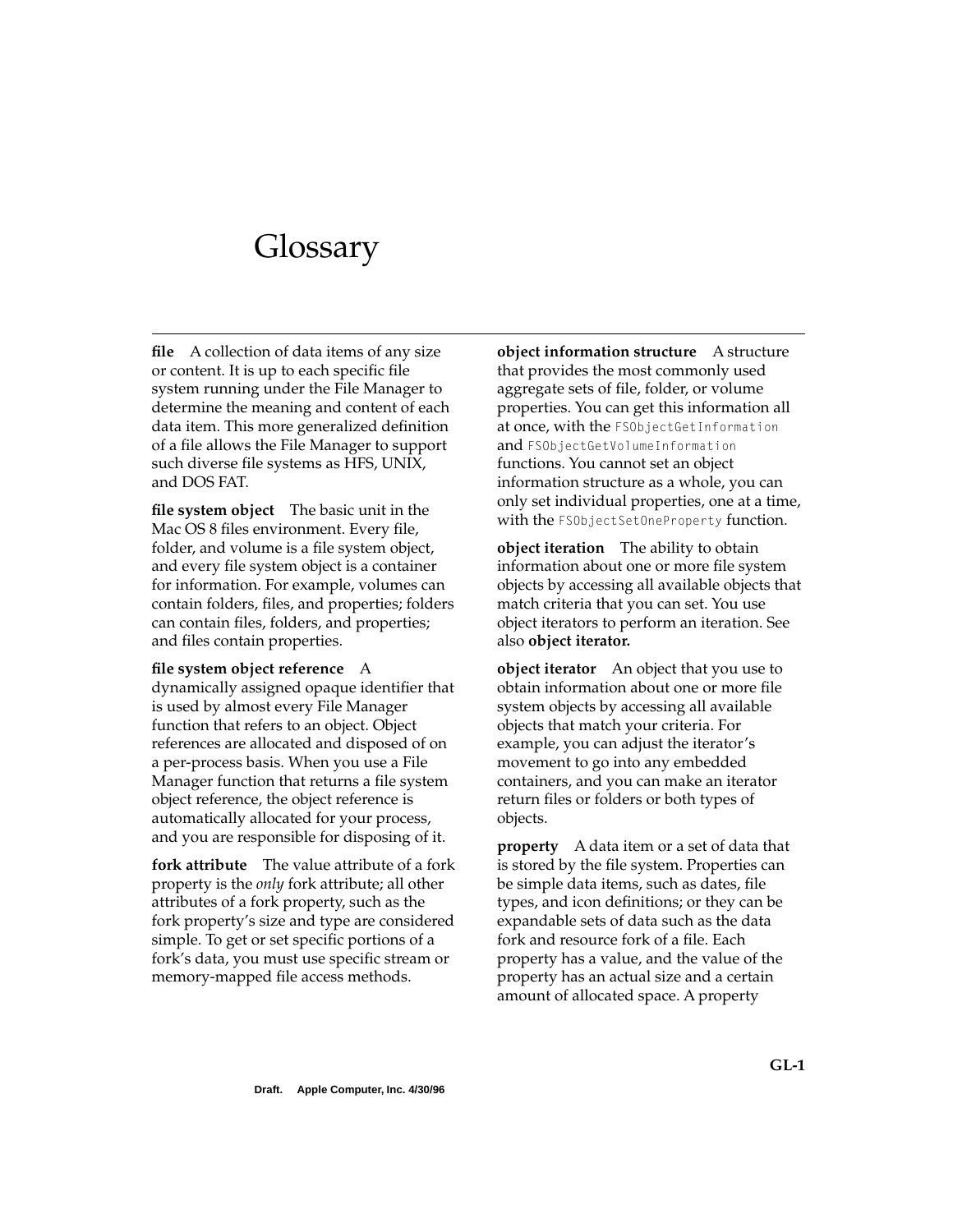# **Glossary**

**file** A collection of data items of any size or content. It is up to each specific file system running under the File Manager to determine the meaning and content of each data item. This more generalized definition of a file allows the File Manager to support such diverse file systems as HFS, UNIX, and DOS FAT.

**file system object** The basic unit in the Mac OS 8 files environment. Every file, folder, and volume is a file system object, and every file system object is a container for information. For example, volumes can contain folders, files, and properties; folders can contain files, folders, and properties; and files contain properties.

#### **file system object reference** A

dynamically assigned opaque identifier that is used by almost every File Manager function that refers to an object. Object references are allocated and disposed of on a per-process basis. When you use a File Manager function that returns a file system object reference, the object reference is automatically allocated for your process, and you are responsible for disposing of it.

**fork attribute** The value attribute of a fork property is the *only* fork attribute; all other attributes of a fork property, such as the fork property's size and type are considered simple. To get or set specific portions of a fork's data, you must use specific stream or memory-mapped file access methods.

**object information structure** A structure that provides the most commonly used aggregate sets of file, folder, or volume properties. You can get this information all at once, with the FSObjectGetInformation and FSObjectGetVolumeInformation functions. You cannot set an object information structure as a whole, you can only set individual properties, one at a time, with the FSObjectSetOneProperty function.

**object iteration** The ability to obtain information about one or more file system objects by accessing all available objects that match criteria that you can set. You use object iterators to perform an iteration. See also **object iterator.** 

**object iterator** An object that you use to obtain information about one or more file system objects by accessing all available objects that match your criteria. For example, you can adjust the iterator's movement to go into any embedded containers, and you can make an iterator return files or folders or both types of objects.

**property** A data item or a set of data that is stored by the file system. Properties can be simple data items, such as dates, file types, and icon definitions; or they can be expandable sets of data such as the data fork and resource fork of a file. Each property has a value, and the value of the property has an actual size and a certain amount of allocated space. A property